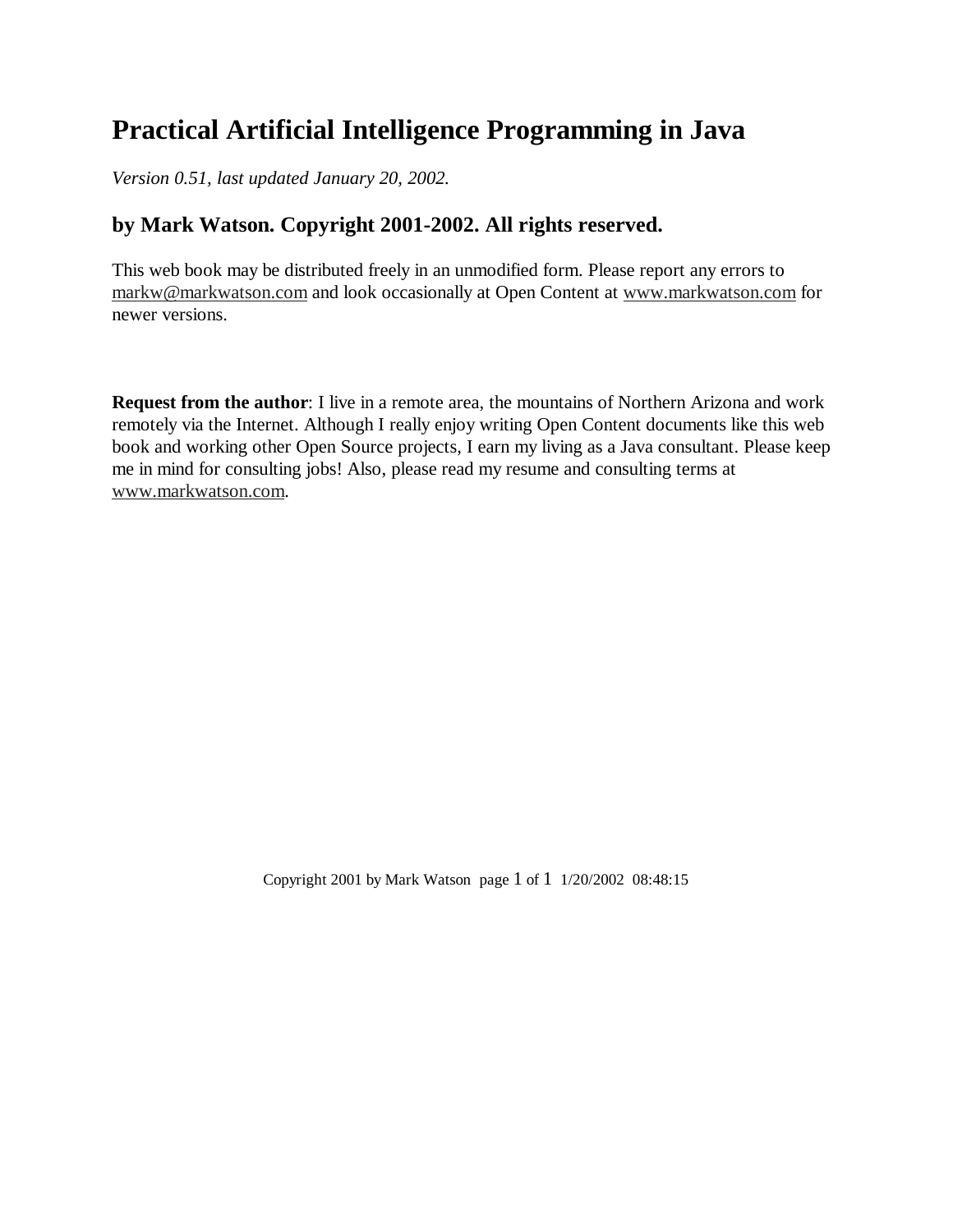# **Practical Artificial Intelligence Programming in Java**

*Version 0.51, last updated January 20, 2002.*

## **by Mark Watson. Copyright 2001-2002. All rights reserved.**

This web book may be distributed freely in an unmodified form. Please report any errors to markw@markwatson.com and look occasionally at Open Content at www.markwatson.com for newer versions.

**Request from the author:** I live in a remote area, the mountains of Northern Arizona and work remotely via the Internet. Although I really enjoy writing Open Content documents like this web book and working other Open Source projects, I earn my living as a Java consultant. Please keep me in mind for consulting jobs! Also, please read my resume and consulting terms at www.markwatson.com.

Copyright 2001 by Mark Watson page 1 of 1 1/20/2002 08:48:15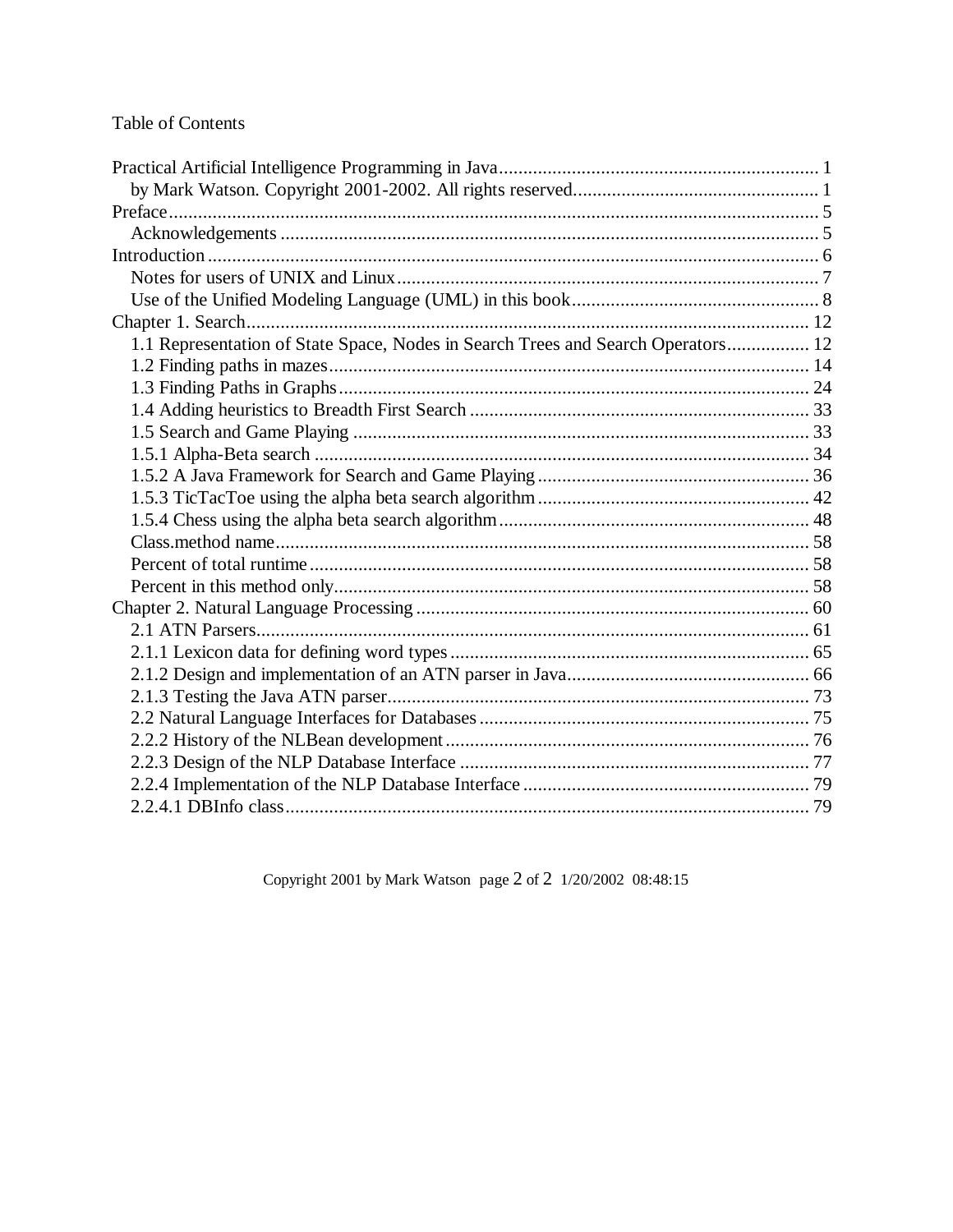### Table of Contents

| 1.1 Representation of State Space, Nodes in Search Trees and Search Operators 12 |  |
|----------------------------------------------------------------------------------|--|
|                                                                                  |  |
|                                                                                  |  |
|                                                                                  |  |
|                                                                                  |  |
|                                                                                  |  |
|                                                                                  |  |
|                                                                                  |  |
|                                                                                  |  |
|                                                                                  |  |
|                                                                                  |  |
|                                                                                  |  |
|                                                                                  |  |
|                                                                                  |  |
|                                                                                  |  |
|                                                                                  |  |
|                                                                                  |  |
|                                                                                  |  |
|                                                                                  |  |
|                                                                                  |  |
|                                                                                  |  |
|                                                                                  |  |

Copyright 2001 by Mark Watson page 2 of 2 1/20/2002 08:48:15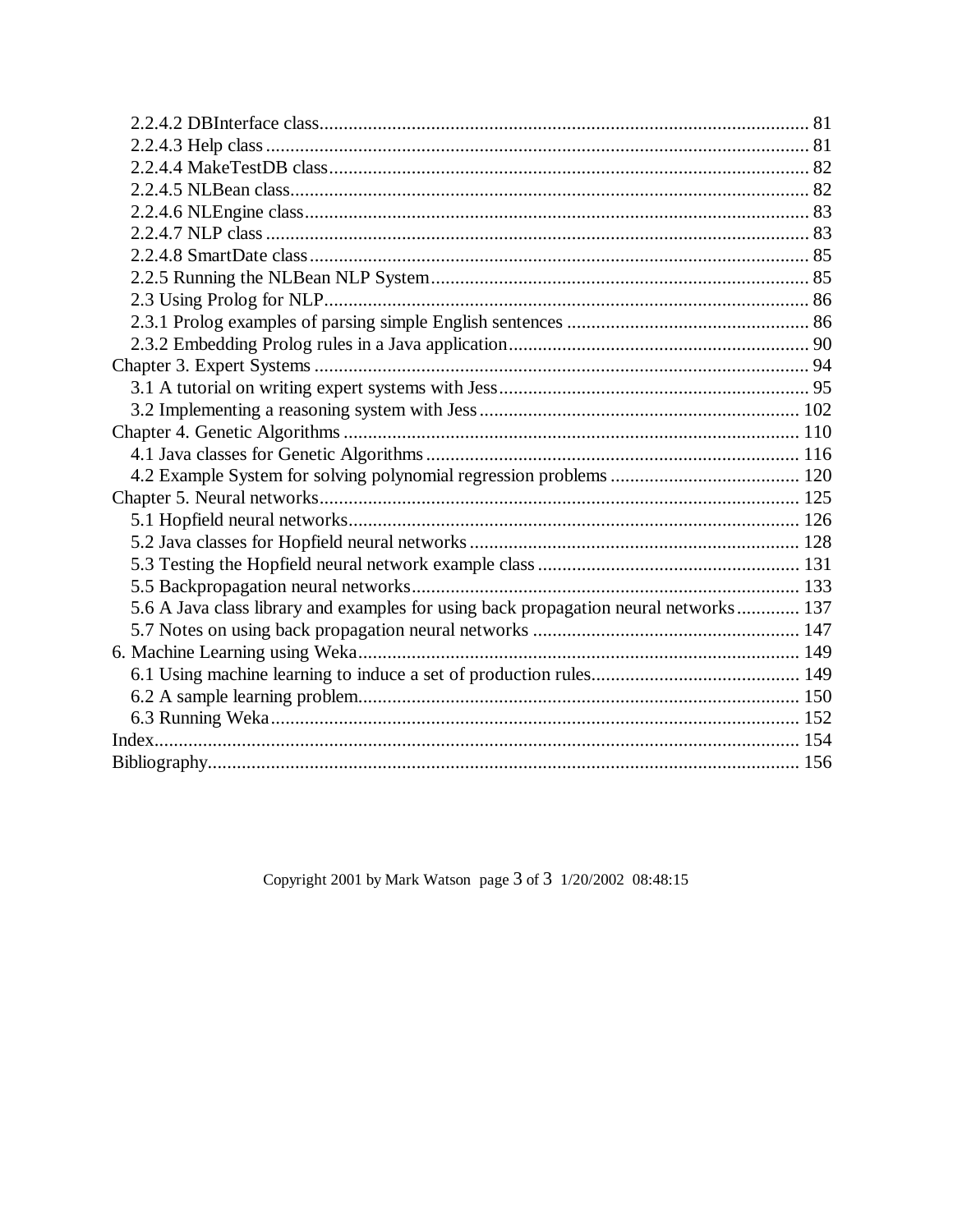| 5.6 A Java class library and examples for using back propagation neural networks 137 |  |
|--------------------------------------------------------------------------------------|--|
|                                                                                      |  |
|                                                                                      |  |
|                                                                                      |  |
|                                                                                      |  |
|                                                                                      |  |
|                                                                                      |  |
|                                                                                      |  |

Copyright 2001 by Mark Watson page 3 of 3 1/20/2002 08:48:15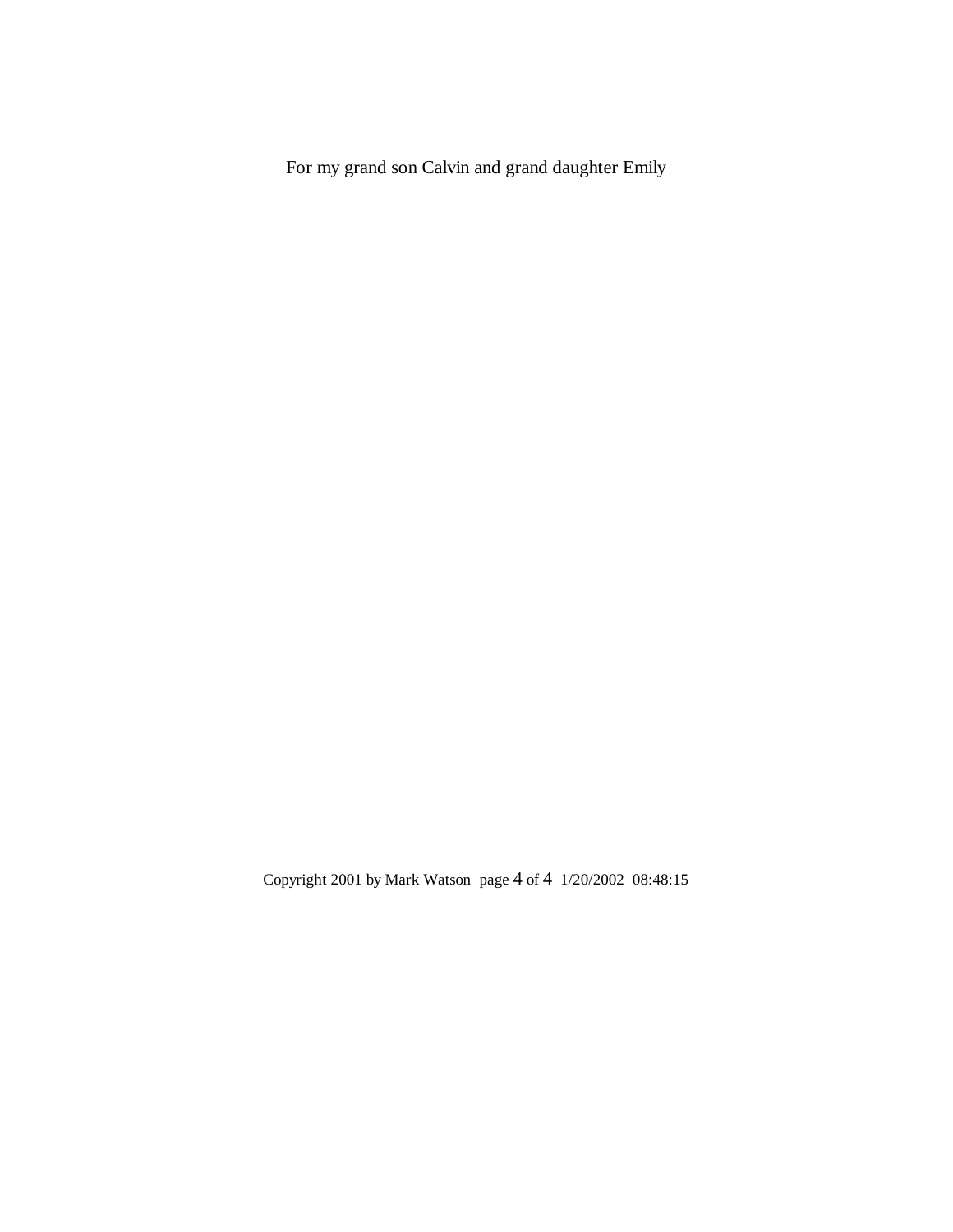For my grand son Calvin and grand daughter Emily

Copyright 2001 by Mark Watson page 4 of 4 1/20/2002 08:48:15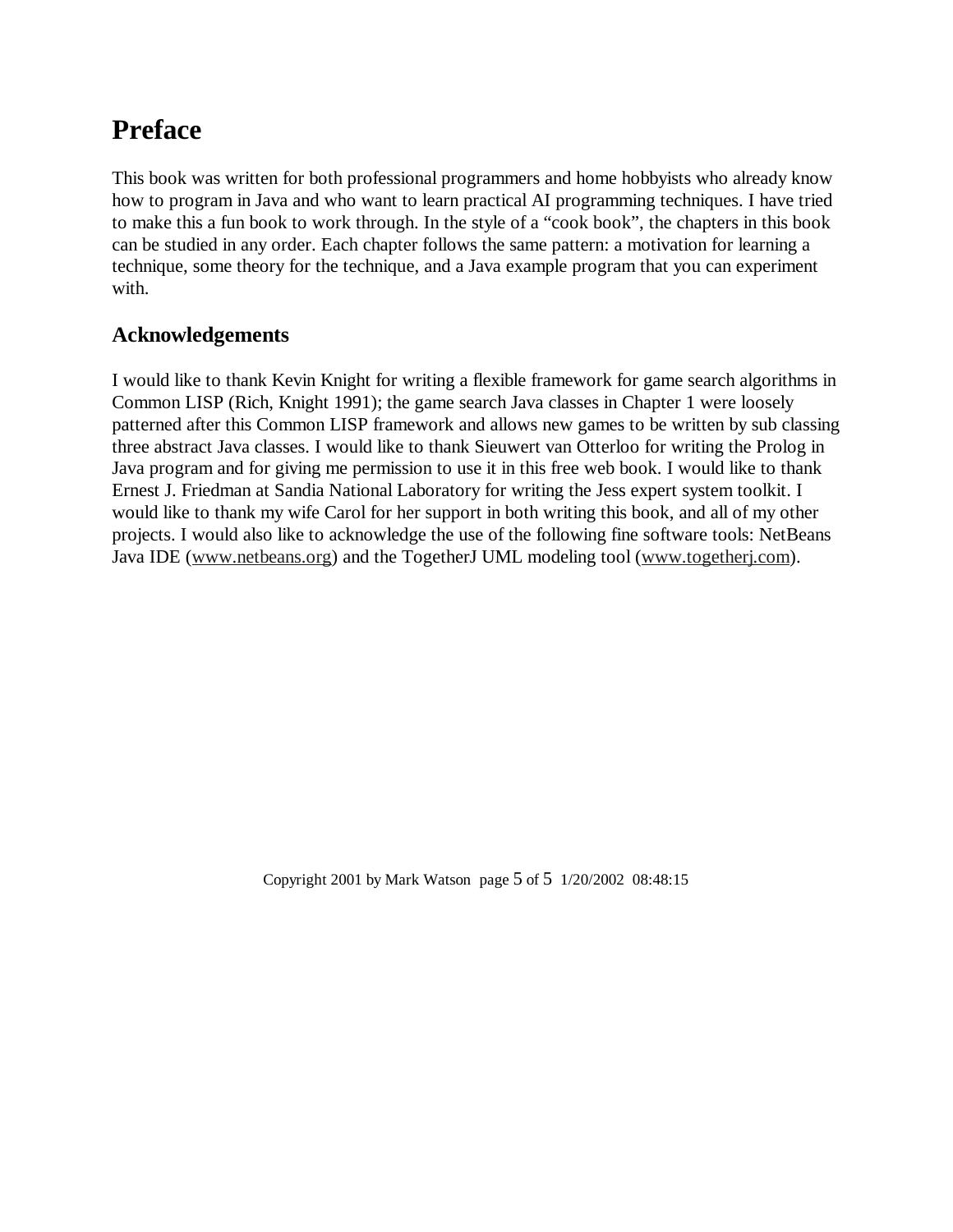# **Preface**

This book was written for both professional programmers and home hobbyists who already know how to program in Java and who want to learn practical AI programming techniques. I have tried to make this a fun book to work through. In the style of a "cook book", the chapters in this book can be studied in any order. Each chapter follows the same pattern: a motivation for learning a technique, some theory for the technique, and a Java example program that you can experiment with.

## **Acknowledgements**

I would like to thank Kevin Knight for writing a flexible framework for game search algorithms in Common LISP (Rich, Knight 1991); the game search Java classes in Chapter 1 were loosely patterned after this Common LISP framework and allows new games to be written by sub classing three abstract Java classes. I would like to thank Sieuwert van Otterloo for writing the Prolog in Java program and for giving me permission to use it in this free web book. I would like to thank Ernest J. Friedman at Sandia National Laboratory for writing the Jess expert system toolkit. I would like to thank my wife Carol for her support in both writing this book, and all of my other projects. I would also like to acknowledge the use of the following fine software tools: NetBeans Java IDE (www.netbeans.org) and the TogetherJ UML modeling tool (www.togetherj.com).

Copyright 2001 by Mark Watson page 5 of 5 1/20/2002 08:48:15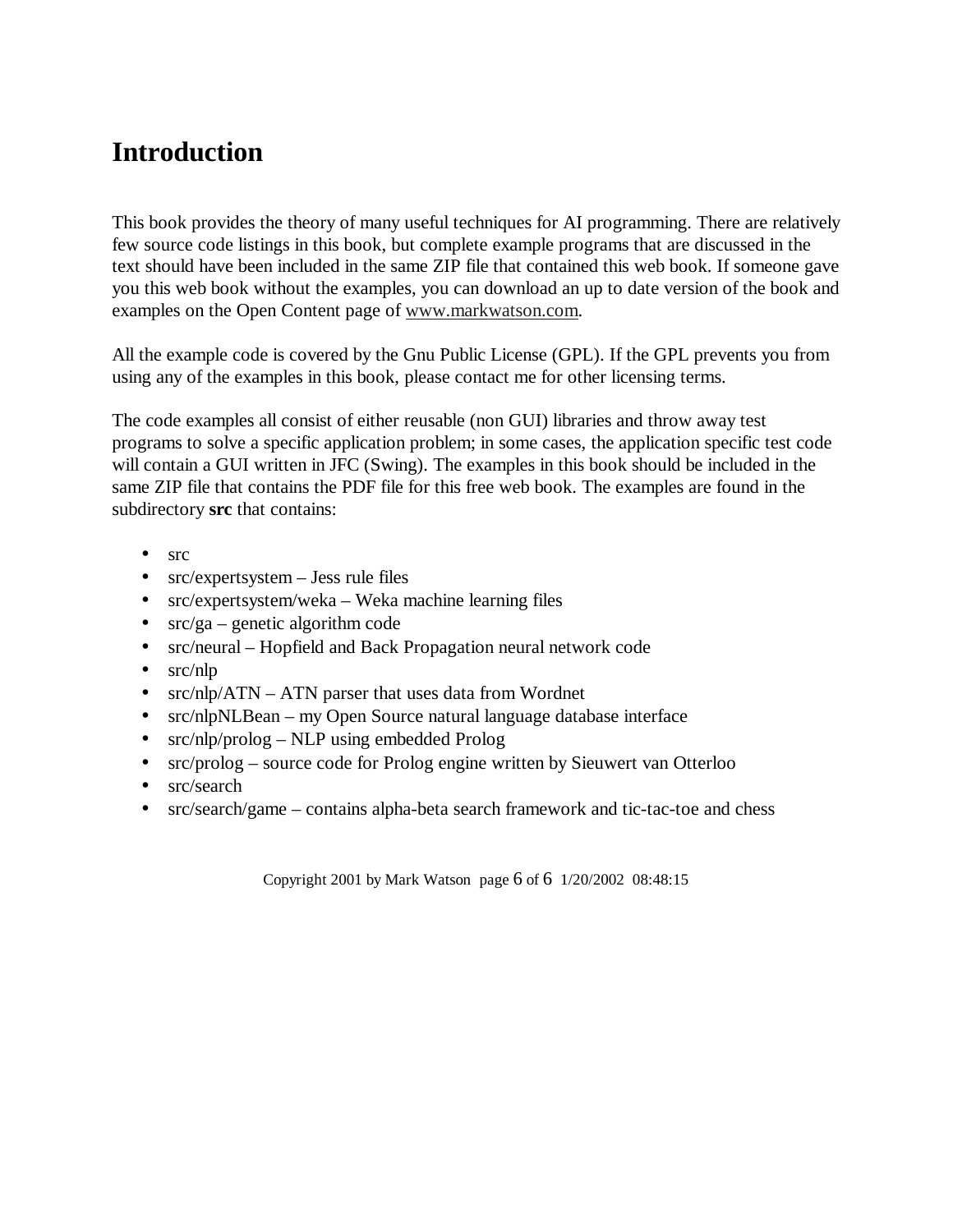# **Introduction**

This book provides the theory of many useful techniques for AI programming. There are relatively few source code listings in this book, but complete example programs that are discussed in the text should have been included in the same ZIP file that contained this web book. If someone gave you this web book without the examples, you can download an up to date version of the book and examples on the Open Content page of www.markwatson.com.

All the example code is covered by the Gnu Public License (GPL). If the GPL prevents you from using any of the examples in this book, please contact me for other licensing terms.

The code examples all consist of either reusable (non GUI) libraries and throw away test programs to solve a specific application problem; in some cases, the application specific test code will contain a GUI written in JFC (Swing). The examples in this book should be included in the same ZIP file that contains the PDF file for this free web book. The examples are found in the subdirectory **src** that contains:

- src
- src/expertsystem Jess rule files
- src/expertsystem/weka Weka machine learning files
- $src/ga genetic algorithm code$
- src/neural Hopfield and Back Propagation neural network code
- $\bullet$  src/nlp
- src/nlp/ATN ATN parser that uses data from Wordnet
- src/nlpNLBean my Open Source natural language database interface
- src/nlp/prolog NLP using embedded Prolog
- src/prolog source code for Prolog engine written by Sieuwert van Otterloo
- src/search
- src/search/game contains alpha-beta search framework and tic-tac-toe and chess

Copyright 2001 by Mark Watson page 6 of 6 1/20/2002 08:48:15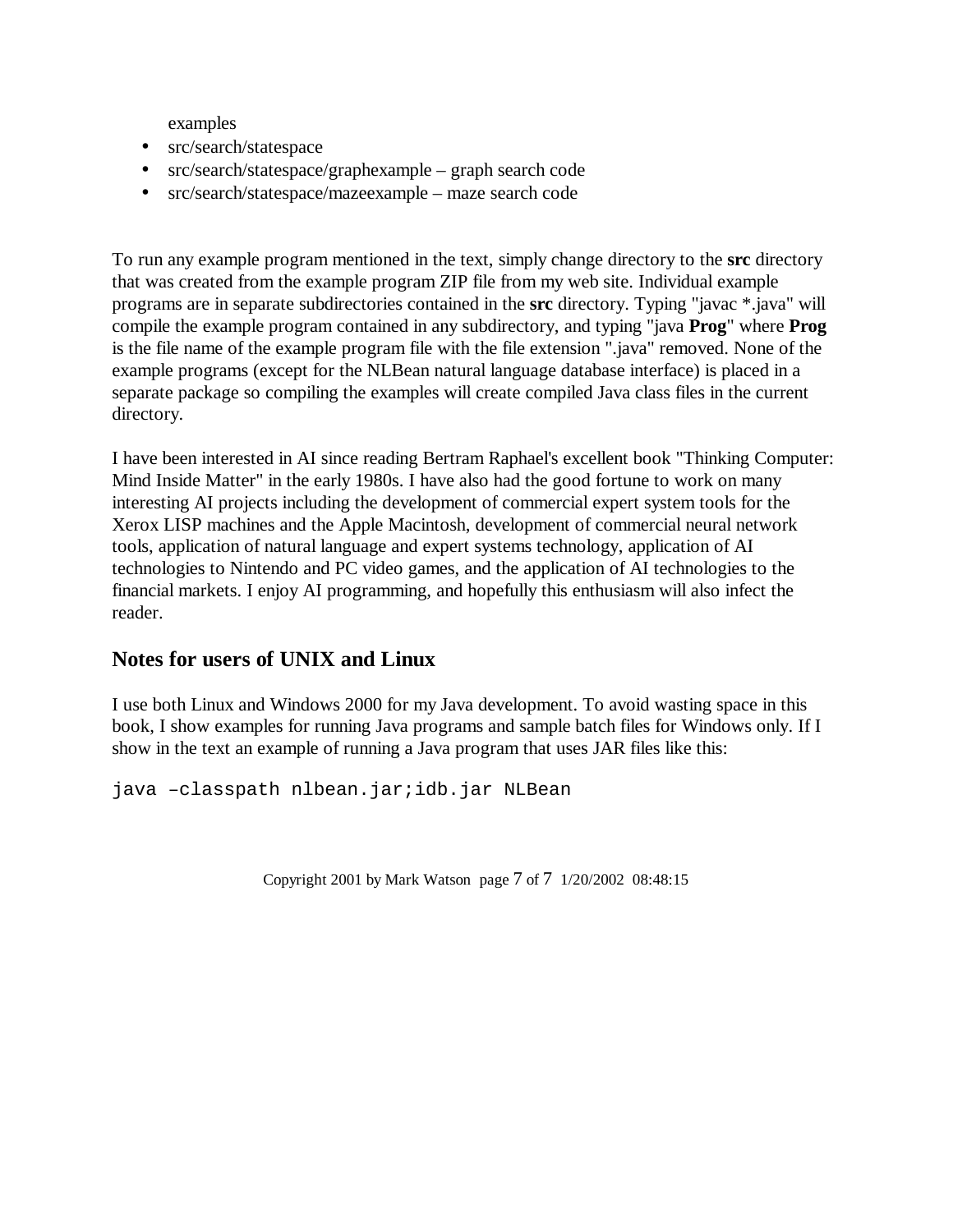examples

- src/search/statespace
- src/search/statespace/graphexample graph search code
- src/search/statespace/mazeexample maze search code

To run any example program mentioned in the text, simply change directory to the **src** directory that was created from the example program ZIP file from my web site. Individual example programs are in separate subdirectories contained in the **src** directory. Typing "javac \*.java" will compile the example program contained in any subdirectory, and typing "java **Prog**" where **Prog** is the file name of the example program file with the file extension ".java" removed. None of the example programs (except for the NLBean natural language database interface) is placed in a separate package so compiling the examples will create compiled Java class files in the current directory.

I have been interested in AI since reading Bertram Raphael's excellent book "Thinking Computer: Mind Inside Matter" in the early 1980s. I have also had the good fortune to work on many interesting AI projects including the development of commercial expert system tools for the Xerox LISP machines and the Apple Macintosh, development of commercial neural network tools, application of natural language and expert systems technology, application of AI technologies to Nintendo and PC video games, and the application of AI technologies to the financial markets. I enjoy AI programming, and hopefully this enthusiasm will also infect the reader.

### **Notes for users of UNIX and Linux**

I use both Linux and Windows 2000 for my Java development. To avoid wasting space in this book, I show examples for running Java programs and sample batch files for Windows only. If I show in the text an example of running a Java program that uses JAR files like this:

```
java –classpath nlbean.jar;idb.jar NLBean
```
Copyright 2001 by Mark Watson page 7 of 7 1/20/2002 08:48:15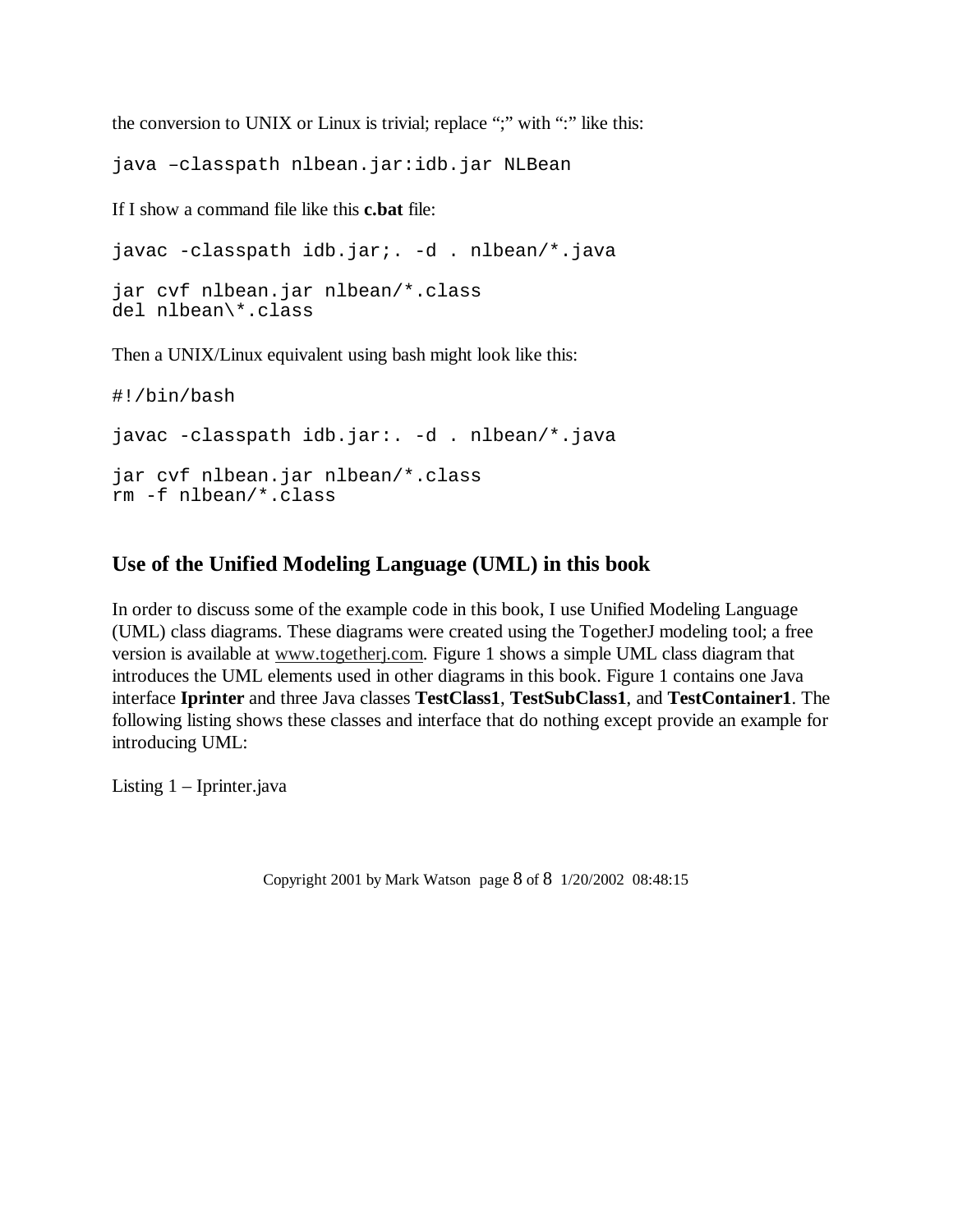the conversion to UNIX or Linux is trivial; replace ";" with ":" like this:

java –classpath nlbean.jar:idb.jar NLBean

If I show a command file like this **c.bat** file:

javac -classpath idb.jar;. -d . nlbean/\*.java

jar cvf nlbean.jar nlbean/\*.class del nlbean\\*.class

Then a UNIX/Linux equivalent using bash might look like this:

#!/bin/bash javac -classpath idb.jar:. -d . nlbean/\*.java jar cvf nlbean.jar nlbean/\*.class rm -f nlbean/\*.class

#### **Use of the Unified Modeling Language (UML) in this book**

In order to discuss some of the example code in this book, I use Unified Modeling Language (UML) class diagrams. These diagrams were created using the TogetherJ modeling tool; a free version is available at www.togetherj.com. Figure 1 shows a simple UML class diagram that introduces the UML elements used in other diagrams in this book. Figure 1 contains one Java interface **Iprinter** and three Java classes **TestClass1**, **TestSubClass1**, and **TestContainer1**. The following listing shows these classes and interface that do nothing except provide an example for introducing UML:

Listing 1 – Iprinter.java

Copyright 2001 by Mark Watson page 8 of 8 1/20/2002 08:48:15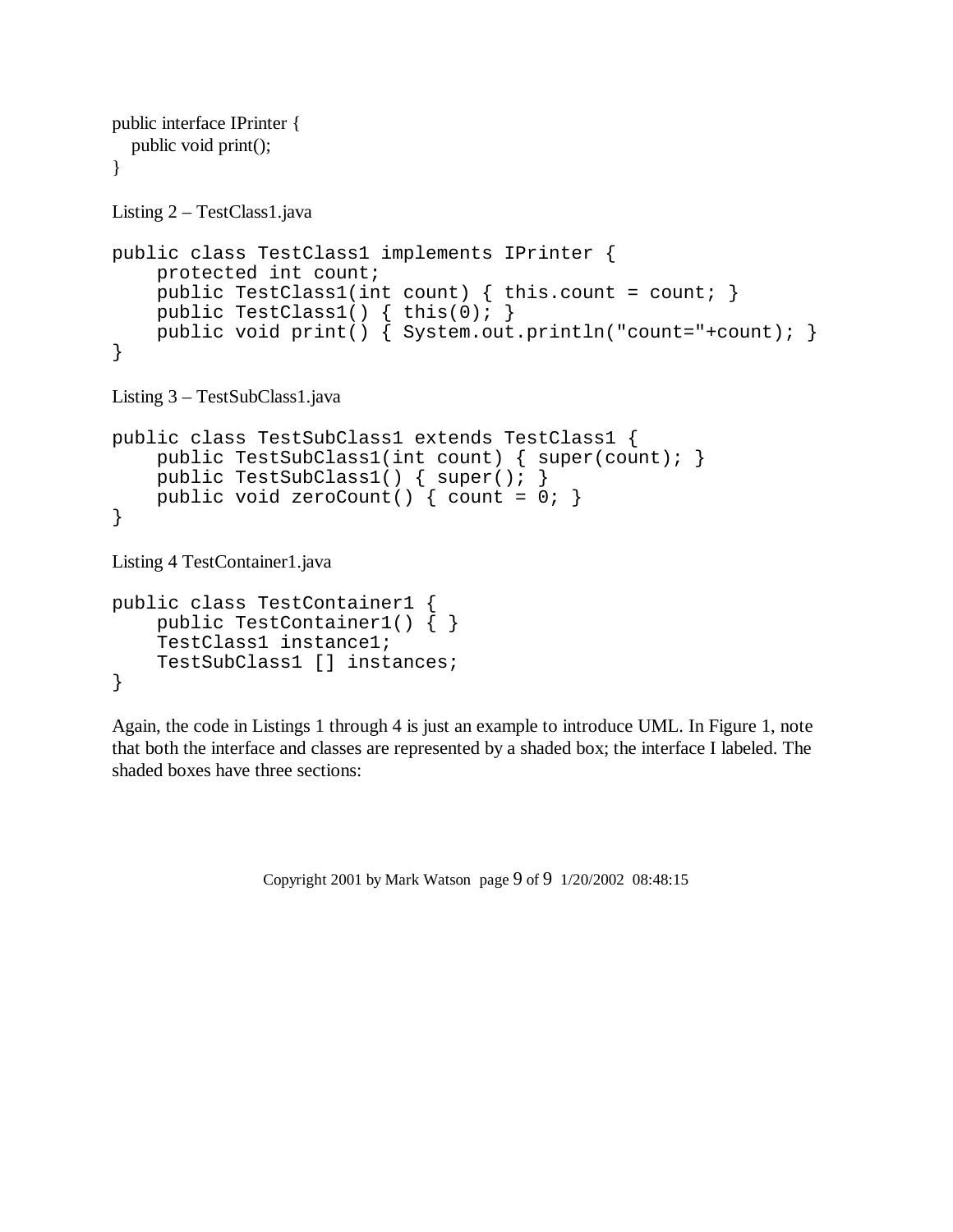```
public interface IPrinter {
 public void print();
}
Listing 2 – TestClass1.java
public class TestClass1 implements IPrinter {
    protected int count;
    public TestClass1(int count) { this.count = count; }
    public TestClass1() \{ this(0): \}public void print() { System.out.println("count="+count); }
}
```
Listing 3 – TestSubClass1.java

```
public class TestSubClass1 extends TestClass1 {
    public TestSubClass1(int count) { super(count); }
    public TestSubClass1() { super(); }
    public void zeroCount() { count = 0; }
}
```
Listing 4 TestContainer1.java

```
public class TestContainer1 {
    public TestContainer1() { }
    TestClass1 instance1;
    TestSubClass1 [] instances;
}
```
Again, the code in Listings 1 through 4 is just an example to introduce UML. In Figure 1, note that both the interface and classes are represented by a shaded box; the interface I labeled. The shaded boxes have three sections:

Copyright 2001 by Mark Watson page 9 of 9 1/20/2002 08:48:15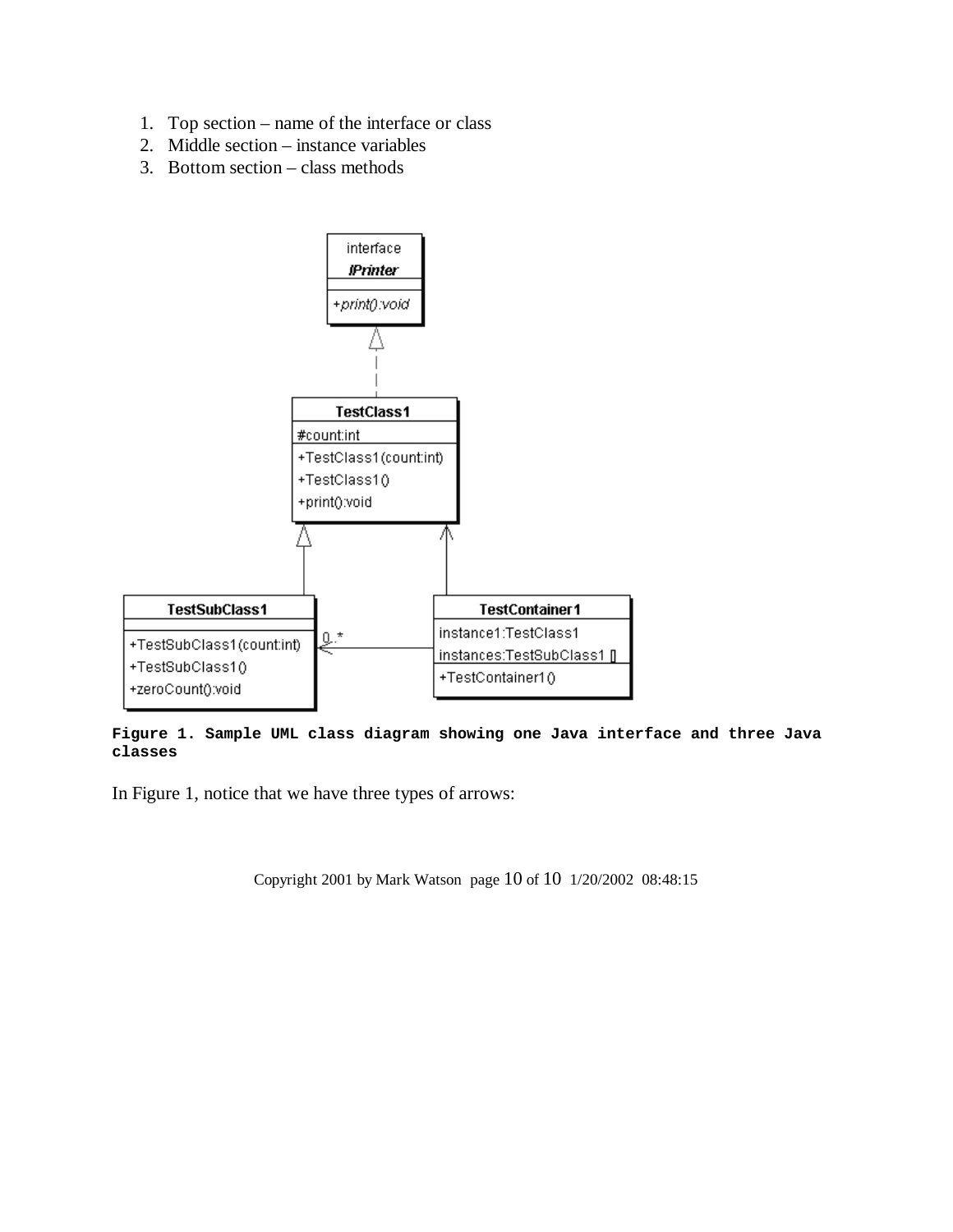- 1. Top section name of the interface or class
- 2. Middle section instance variables
- 3. Bottom section class methods



**Figure 1. Sample UML class diagram showing one Java interface and three Java classes**

In Figure 1, notice that we have three types of arrows:

Copyright 2001 by Mark Watson page 10 of 10 1/20/2002 08:48:15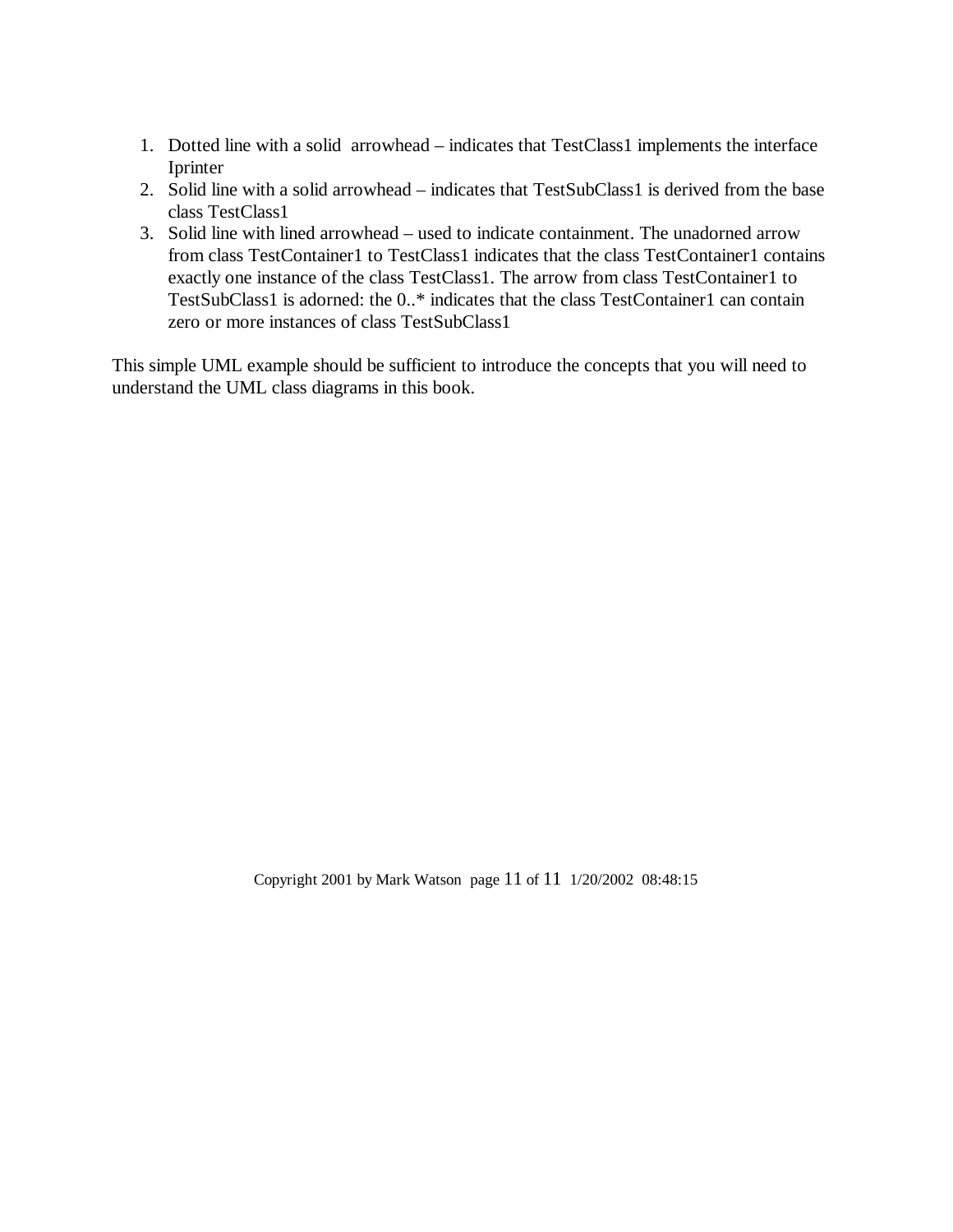- 1. Dotted line with a solid arrowhead indicates that TestClass1 implements the interface Iprinter
- 2. Solid line with a solid arrowhead indicates that TestSubClass1 is derived from the base class TestClass1
- 3. Solid line with lined arrowhead used to indicate containment. The unadorned arrow from class TestContainer1 to TestClass1 indicates that the class TestContainer1 contains exactly one instance of the class TestClass1. The arrow from class TestContainer1 to TestSubClass1 is adorned: the 0..\* indicates that the class TestContainer1 can contain zero or more instances of class TestSubClass1

This simple UML example should be sufficient to introduce the concepts that you will need to understand the UML class diagrams in this book.

Copyright 2001 by Mark Watson page 11 of 11 1/20/2002 08:48:15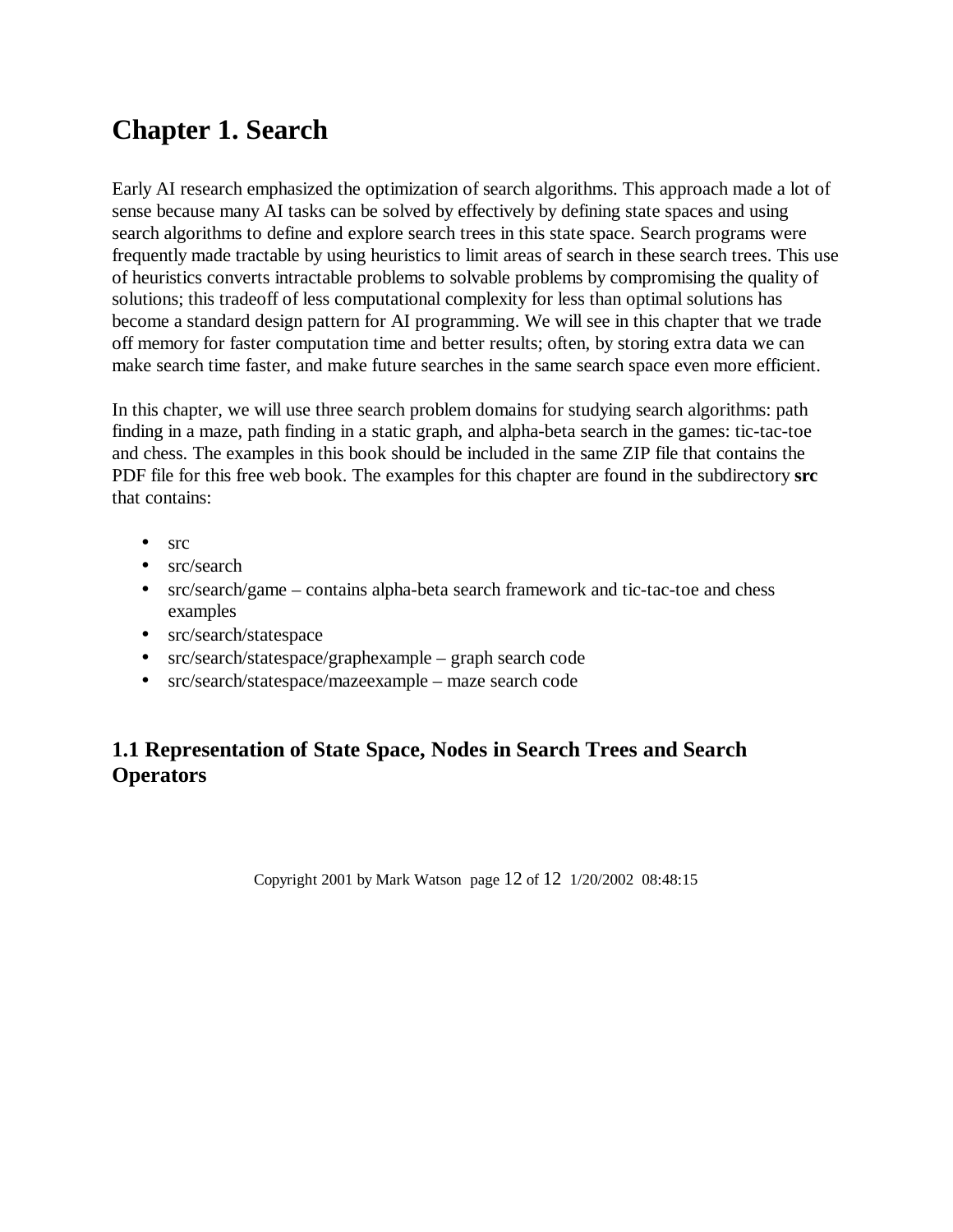# **Chapter 1. Search**

Early AI research emphasized the optimization of search algorithms. This approach made a lot of sense because many AI tasks can be solved by effectively by defining state spaces and using search algorithms to define and explore search trees in this state space. Search programs were frequently made tractable by using heuristics to limit areas of search in these search trees. This use of heuristics converts intractable problems to solvable problems by compromising the quality of solutions; this tradeoff of less computational complexity for less than optimal solutions has become a standard design pattern for AI programming. We will see in this chapter that we trade off memory for faster computation time and better results; often, by storing extra data we can make search time faster, and make future searches in the same search space even more efficient.

In this chapter, we will use three search problem domains for studying search algorithms: path finding in a maze, path finding in a static graph, and alpha-beta search in the games: tic-tac-toe and chess. The examples in this book should be included in the same ZIP file that contains the PDF file for this free web book. The examples for this chapter are found in the subdirectory **src** that contains:

- src
- src/search
- src/search/game contains alpha-beta search framework and tic-tac-toe and chess examples
- src/search/statespace
- src/search/statespace/graphexample graph search code
- src/search/statespace/mazeexample maze search code

# **1.1 Representation of State Space, Nodes in Search Trees and Search Operators**

Copyright 2001 by Mark Watson page 12 of 12 1/20/2002 08:48:15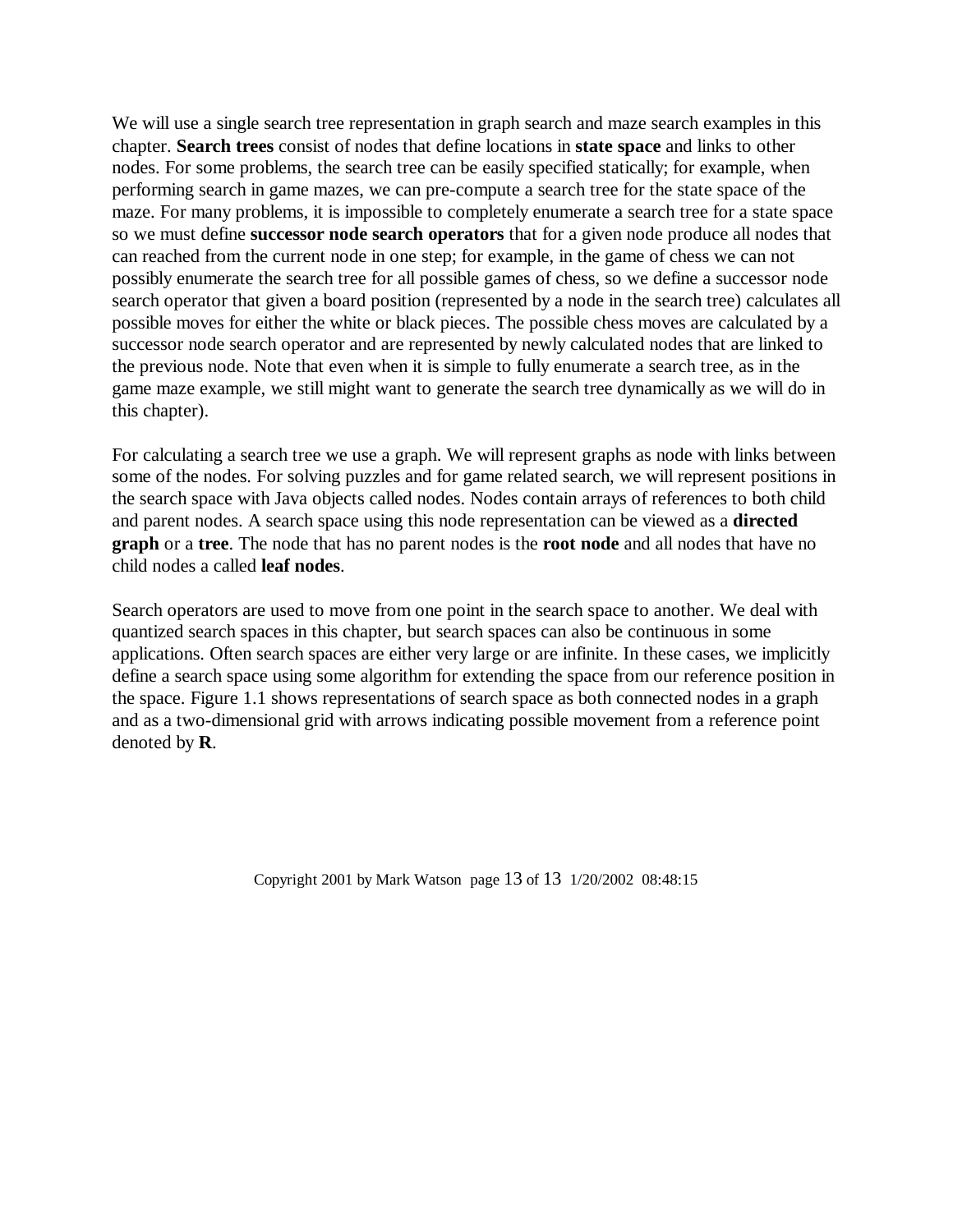We will use a single search tree representation in graph search and maze search examples in this chapter. **Search trees** consist of nodes that define locations in **state space** and links to other nodes. For some problems, the search tree can be easily specified statically; for example, when performing search in game mazes, we can pre-compute a search tree for the state space of the maze. For many problems, it is impossible to completely enumerate a search tree for a state space so we must define **successor node search operators** that for a given node produce all nodes that can reached from the current node in one step; for example, in the game of chess we can not possibly enumerate the search tree for all possible games of chess, so we define a successor node search operator that given a board position (represented by a node in the search tree) calculates all possible moves for either the white or black pieces. The possible chess moves are calculated by a successor node search operator and are represented by newly calculated nodes that are linked to the previous node. Note that even when it is simple to fully enumerate a search tree, as in the game maze example, we still might want to generate the search tree dynamically as we will do in this chapter).

For calculating a search tree we use a graph. We will represent graphs as node with links between some of the nodes. For solving puzzles and for game related search, we will represent positions in the search space with Java objects called nodes. Nodes contain arrays of references to both child and parent nodes. A search space using this node representation can be viewed as a **directed graph** or a **tree**. The node that has no parent nodes is the **root node** and all nodes that have no child nodes a called **leaf nodes**.

Search operators are used to move from one point in the search space to another. We deal with quantized search spaces in this chapter, but search spaces can also be continuous in some applications. Often search spaces are either very large or are infinite. In these cases, we implicitly define a search space using some algorithm for extending the space from our reference position in the space. Figure 1.1 shows representations of search space as both connected nodes in a graph and as a two-dimensional grid with arrows indicating possible movement from a reference point denoted by **R**.

Copyright 2001 by Mark Watson page 13 of 13 1/20/2002 08:48:15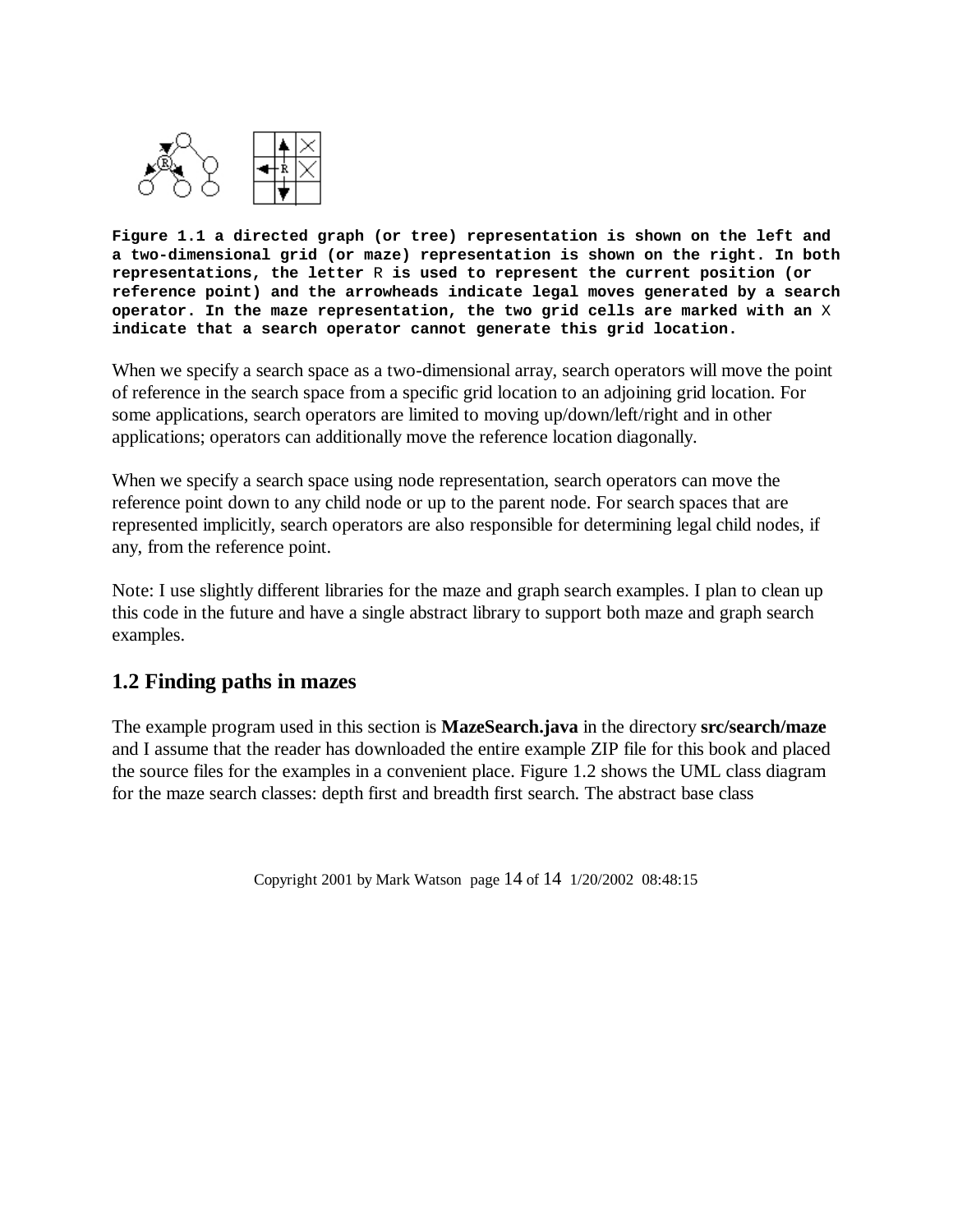

**Figure 1.1 a directed graph (or tree) representation is shown on the left and a two-dimensional grid (or maze) representation is shown on the right. In both representations, the letter** R **is used to represent the current position (or reference point) and the arrowheads indicate legal moves generated by a search operator. In the maze representation, the two grid cells are marked with an** X **indicate that a search operator cannot generate this grid location.**

When we specify a search space as a two-dimensional array, search operators will move the point of reference in the search space from a specific grid location to an adjoining grid location. For some applications, search operators are limited to moving up/down/left/right and in other applications; operators can additionally move the reference location diagonally.

When we specify a search space using node representation, search operators can move the reference point down to any child node or up to the parent node. For search spaces that are represented implicitly, search operators are also responsible for determining legal child nodes, if any, from the reference point.

Note: I use slightly different libraries for the maze and graph search examples. I plan to clean up this code in the future and have a single abstract library to support both maze and graph search examples.

### **1.2 Finding paths in mazes**

The example program used in this section is **MazeSearch.java** in the directory **src/search/maze** and I assume that the reader has downloaded the entire example ZIP file for this book and placed the source files for the examples in a convenient place. Figure 1.2 shows the UML class diagram for the maze search classes: depth first and breadth first search. The abstract base class

Copyright 2001 by Mark Watson page 14 of 14 1/20/2002 08:48:15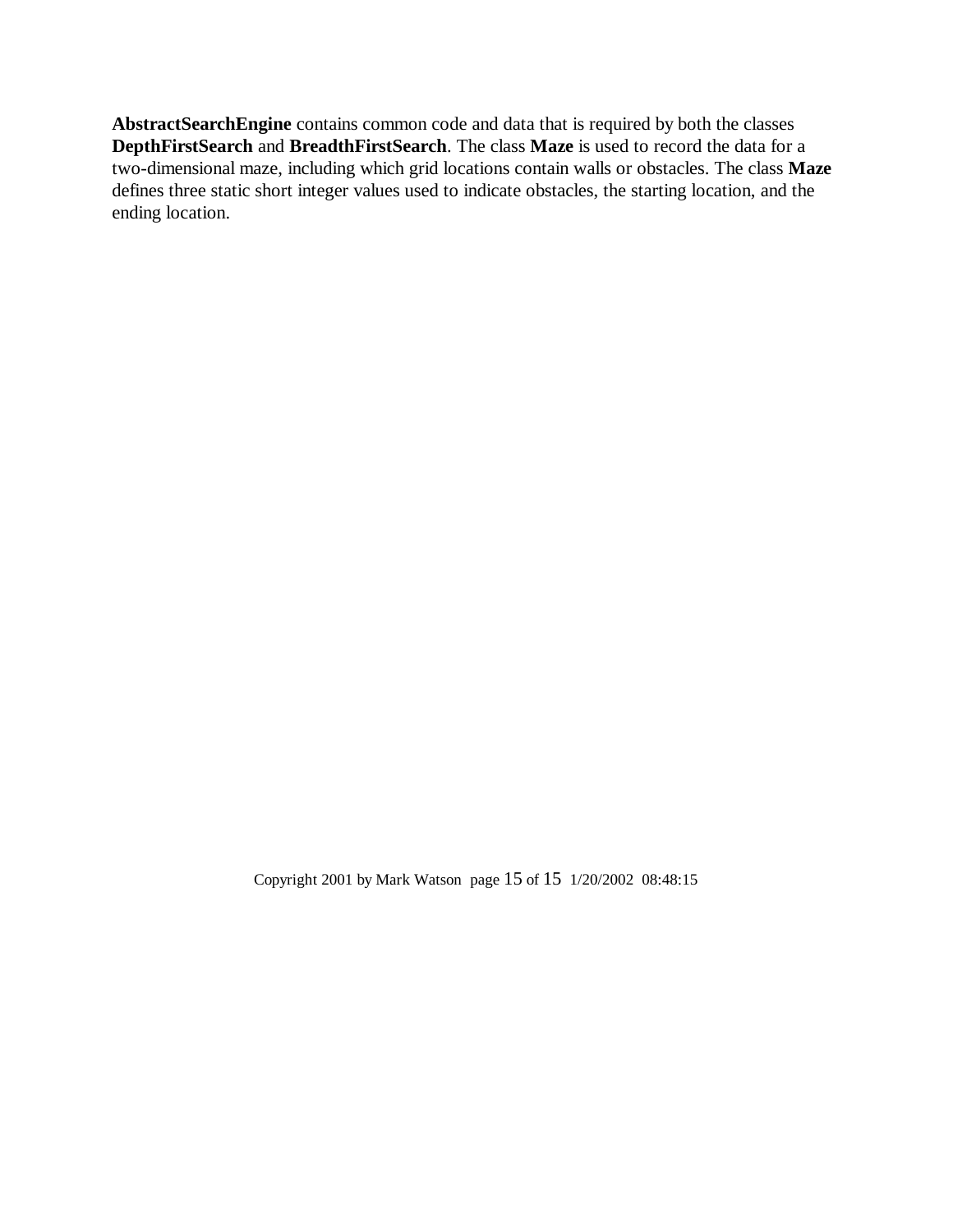**AbstractSearchEngine** contains common code and data that is required by both the classes **DepthFirstSearch** and **BreadthFirstSearch**. The class **Maze** is used to record the data for a two-dimensional maze, including which grid locations contain walls or obstacles. The class **Maze** defines three static short integer values used to indicate obstacles, the starting location, and the ending location.

Copyright 2001 by Mark Watson page 15 of 15 1/20/2002 08:48:15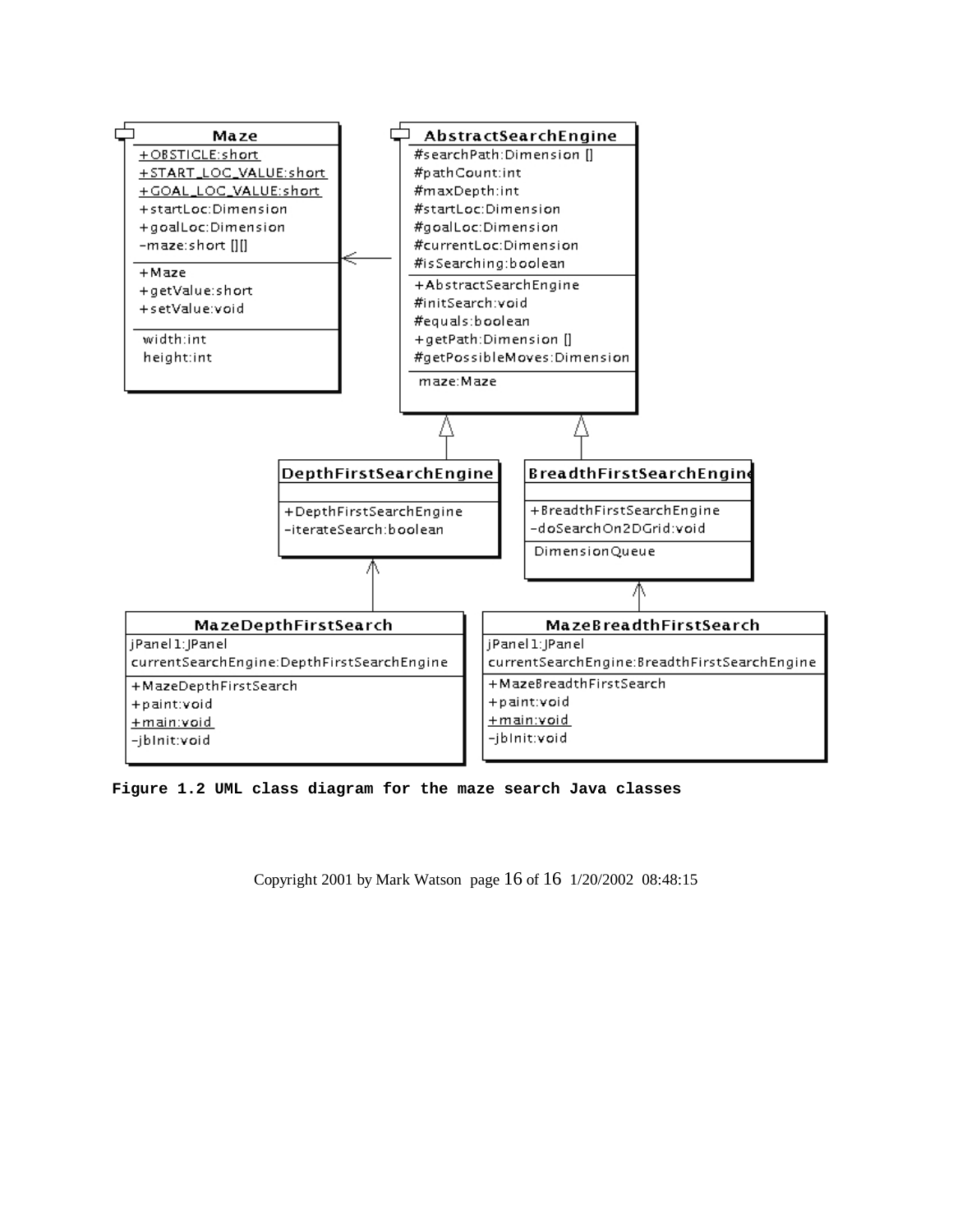

**Figure 1.2 UML class diagram for the maze search Java classes**

Copyright 2001 by Mark Watson page 16 of 16 1/20/2002 08:48:15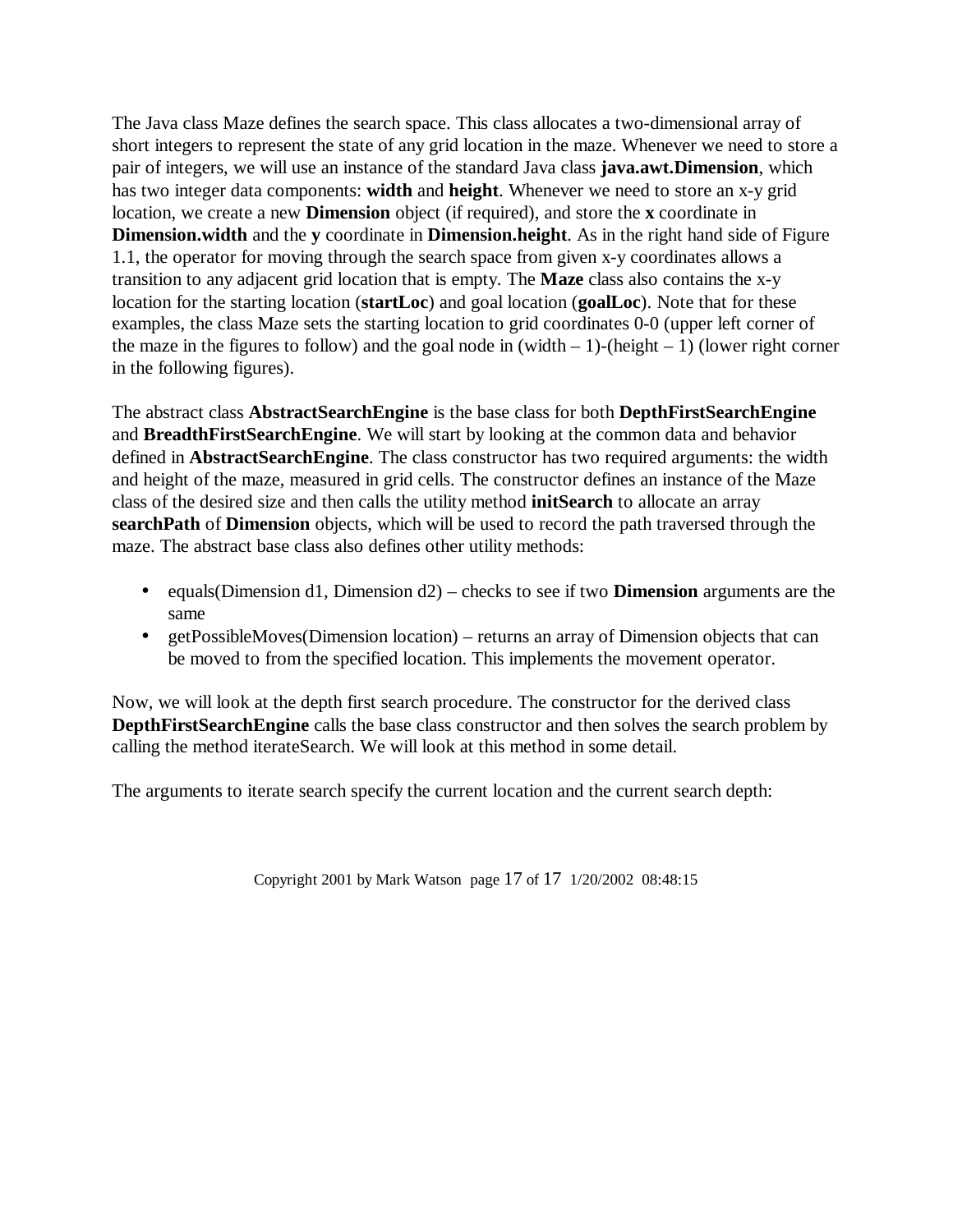The Java class Maze defines the search space. This class allocates a two-dimensional array of short integers to represent the state of any grid location in the maze. Whenever we need to store a pair of integers, we will use an instance of the standard Java class **java.awt.Dimension**, which has two integer data components: **width** and **height**. Whenever we need to store an x-y grid location, we create a new **Dimension** object (if required), and store the **x** coordinate in **Dimension.width** and the **y** coordinate in **Dimension.height**. As in the right hand side of Figure 1.1, the operator for moving through the search space from given x-y coordinates allows a transition to any adjacent grid location that is empty. The **Maze** class also contains the x-y location for the starting location (**startLoc**) and goal location (**goalLoc**). Note that for these examples, the class Maze sets the starting location to grid coordinates 0-0 (upper left corner of the maze in the figures to follow) and the goal node in (width  $- 1$ )-(height  $- 1$ ) (lower right corner in the following figures).

The abstract class **AbstractSearchEngine** is the base class for both **DepthFirstSearchEngine** and **BreadthFirstSearchEngine**. We will start by looking at the common data and behavior defined in **AbstractSearchEngine**. The class constructor has two required arguments: the width and height of the maze, measured in grid cells. The constructor defines an instance of the Maze class of the desired size and then calls the utility method **initSearch** to allocate an array **searchPath** of **Dimension** objects, which will be used to record the path traversed through the maze. The abstract base class also defines other utility methods:

- equals(Dimension d1, Dimension d2) checks to see if two **Dimension** arguments are the same
- getPossibleMoves(Dimension location) returns an array of Dimension objects that can be moved to from the specified location. This implements the movement operator.

Now, we will look at the depth first search procedure. The constructor for the derived class **DepthFirstSearchEngine** calls the base class constructor and then solves the search problem by calling the method iterateSearch. We will look at this method in some detail.

The arguments to iterate search specify the current location and the current search depth:

Copyright 2001 by Mark Watson page 17 of 17 1/20/2002 08:48:15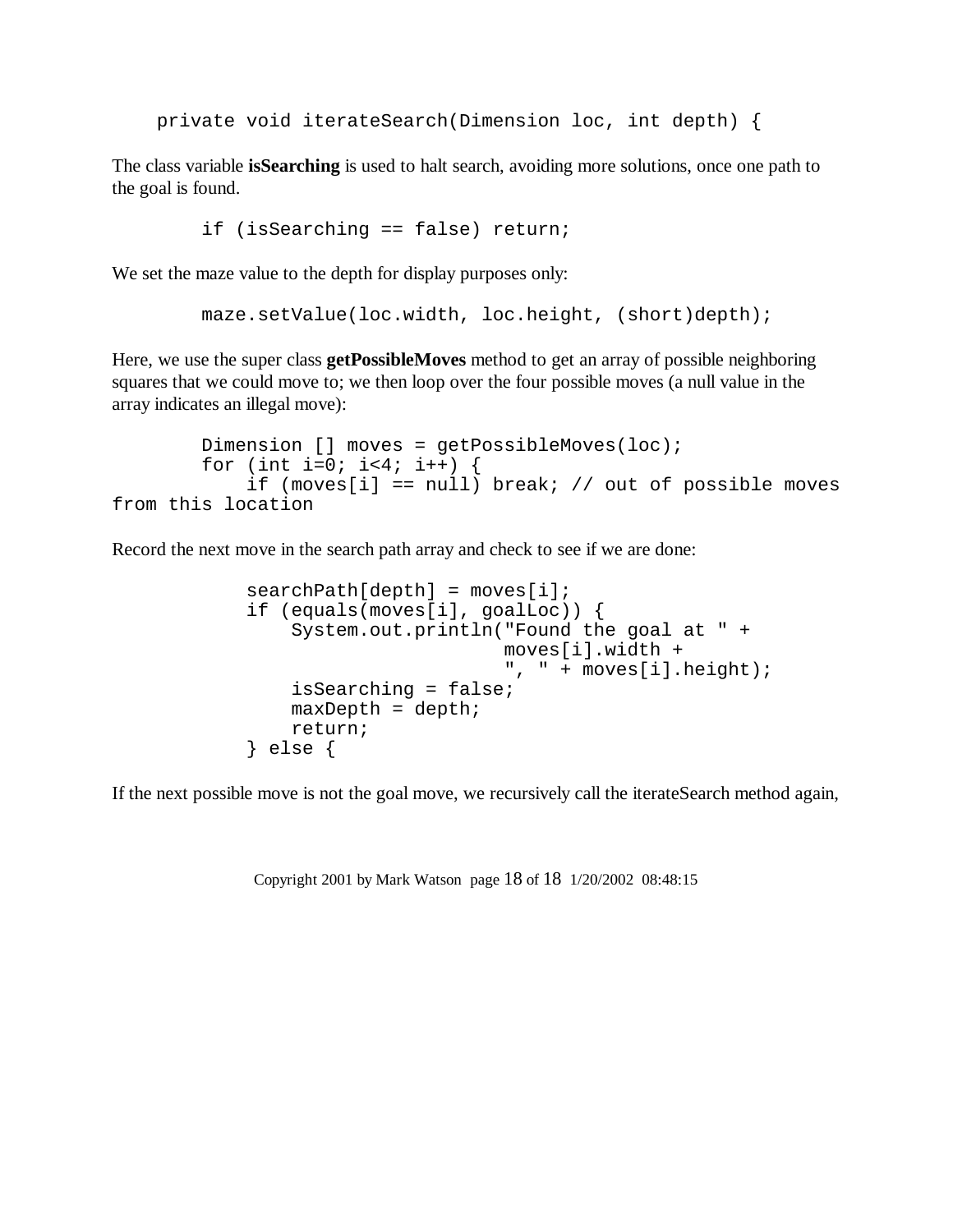private void iterateSearch(Dimension loc, int depth) {

The class variable **isSearching** is used to halt search, avoiding more solutions, once one path to the goal is found.

```
if (isSearching == false) return;
```
We set the maze value to the depth for display purposes only:

```
maze.setValue(loc.width, loc.height, (short)depth);
```
Here, we use the super class **getPossibleMoves** method to get an array of possible neighboring squares that we could move to; we then loop over the four possible moves (a null value in the array indicates an illegal move):

```
Dimension [] moves = getPossibleMoves(loc);
        for (int i=0; i<4; i++) {
            if (moves[i] == null) break; // out of possible moves
from this location
```
Record the next move in the search path array and check to see if we are done:

```
searchPath[depth] = moves[i];
if (equals(moves[i], goalLoc)) {
    System.out.println("Found the goal at " +
                       moves[i].width +
                       ", " + moves[i].height);
    isSearching = false;
   maxDepth = depth;
   return;
} else {
```
If the next possible move is not the goal move, we recursively call the iterateSearch method again,

Copyright 2001 by Mark Watson page 18 of 18 1/20/2002 08:48:15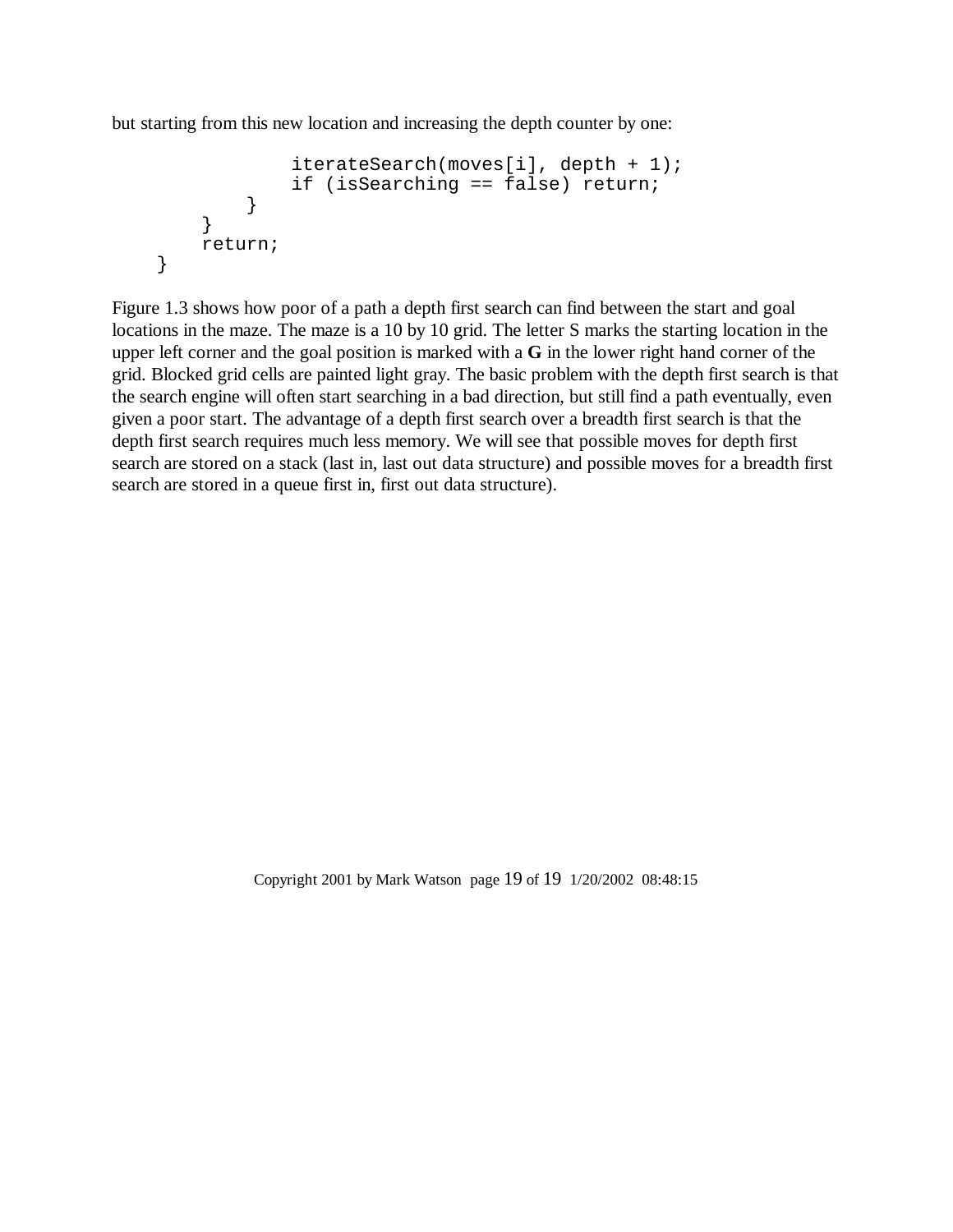but starting from this new location and increasing the depth counter by one:

}

```
iterateSearch(moves[i], depth + 1);
        if (isSearching == false) return;
    }
}
return;
```
Figure 1.3 shows how poor of a path a depth first search can find between the start and goal locations in the maze. The maze is a 10 by 10 grid. The letter S marks the starting location in the upper left corner and the goal position is marked with a **G** in the lower right hand corner of the grid. Blocked grid cells are painted light gray. The basic problem with the depth first search is that the search engine will often start searching in a bad direction, but still find a path eventually, even given a poor start. The advantage of a depth first search over a breadth first search is that the depth first search requires much less memory. We will see that possible moves for depth first search are stored on a stack (last in, last out data structure) and possible moves for a breadth first search are stored in a queue first in, first out data structure).

Copyright 2001 by Mark Watson page 19 of 19 1/20/2002 08:48:15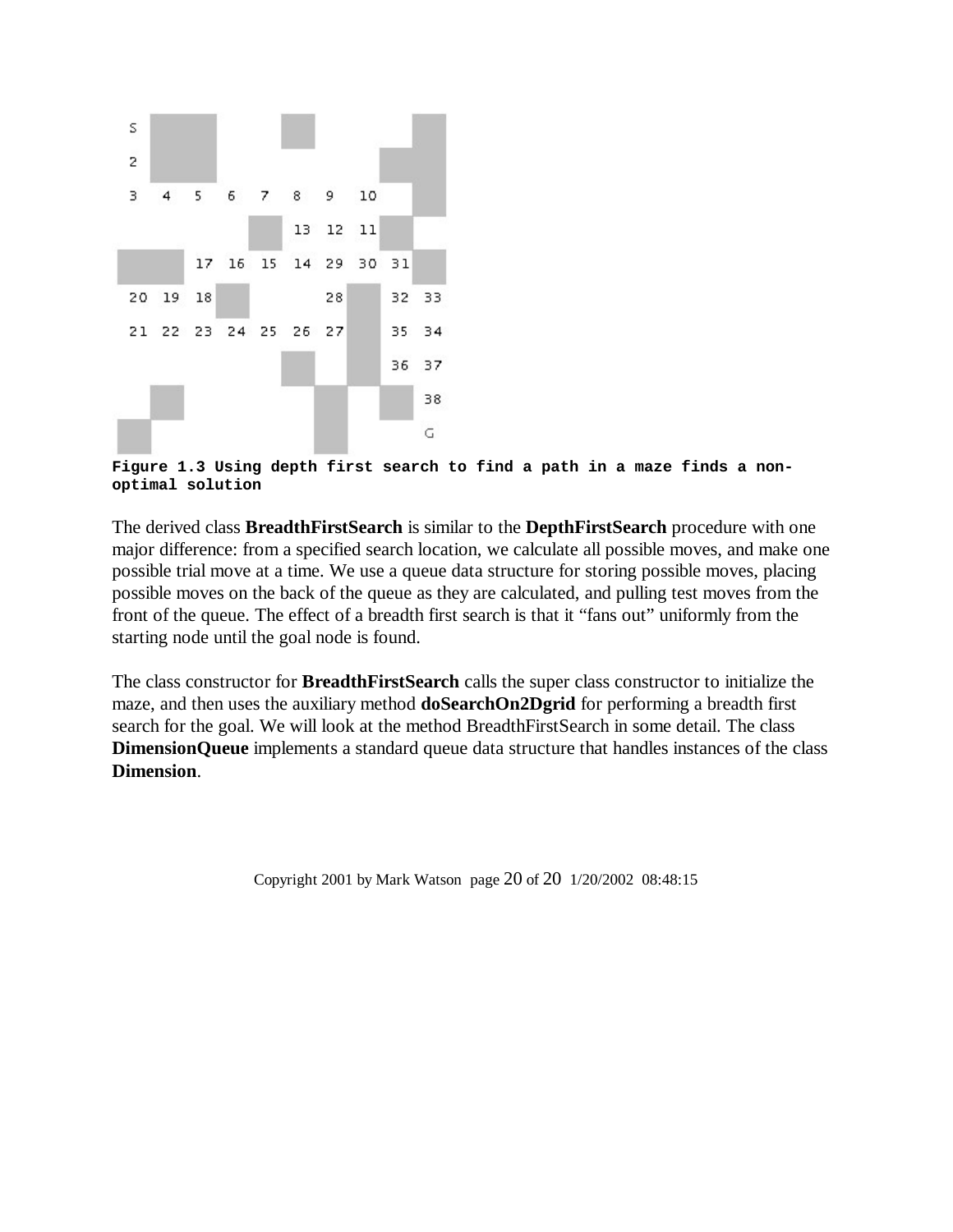

**Figure 1.3 Using depth first search to find a path in a maze finds a nonoptimal solution**

The derived class **BreadthFirstSearch** is similar to the **DepthFirstSearch** procedure with one major difference: from a specified search location, we calculate all possible moves, and make one possible trial move at a time. We use a queue data structure for storing possible moves, placing possible moves on the back of the queue as they are calculated, and pulling test moves from the front of the queue. The effect of a breadth first search is that it "fans out" uniformly from the starting node until the goal node is found.

The class constructor for **BreadthFirstSearch** calls the super class constructor to initialize the maze, and then uses the auxiliary method **doSearchOn2Dgrid** for performing a breadth first search for the goal. We will look at the method BreadthFirstSearch in some detail. The class **DimensionQueue** implements a standard queue data structure that handles instances of the class **Dimension**.

Copyright 2001 by Mark Watson page 20 of 20 1/20/2002 08:48:15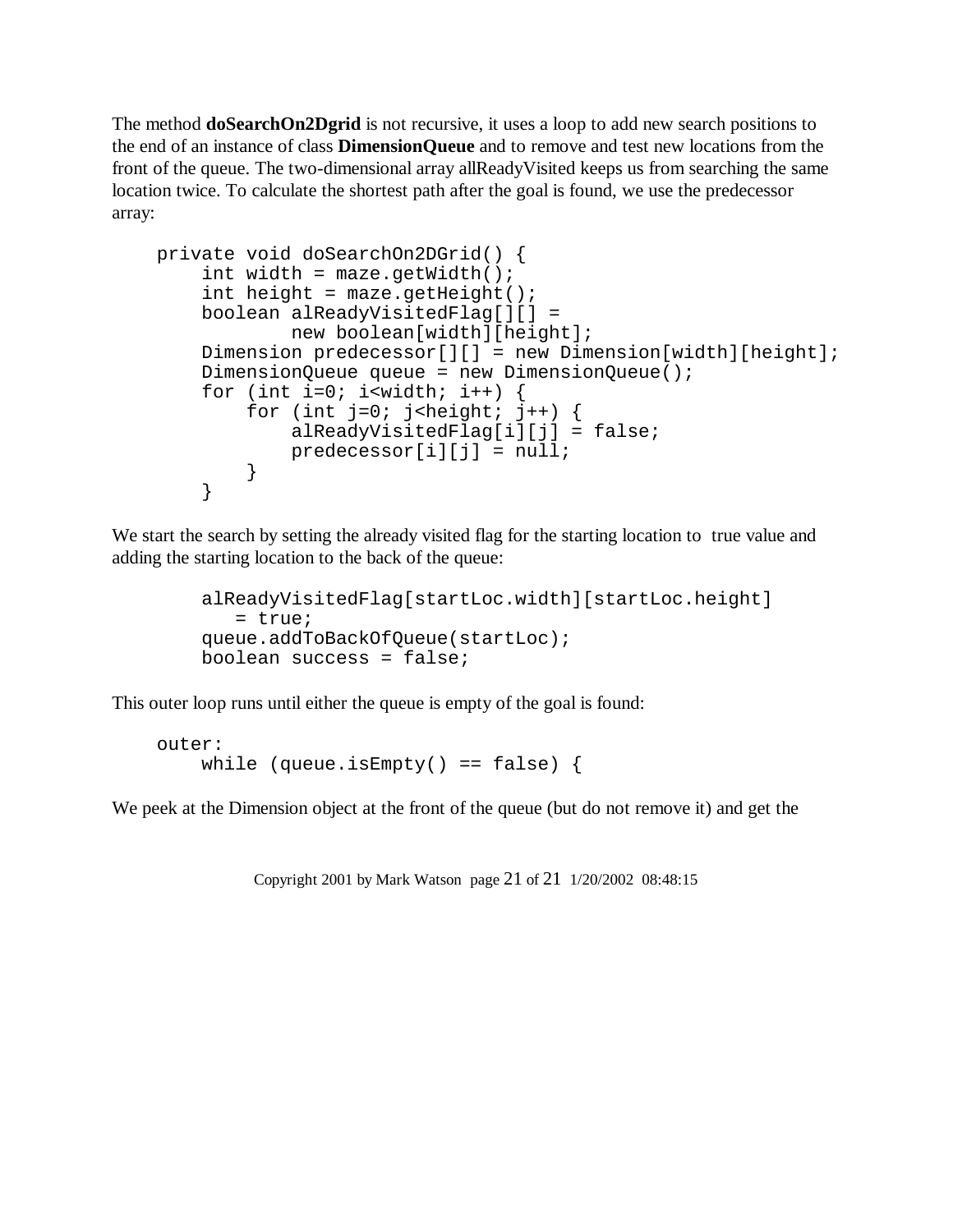The method **doSearchOn2Dgrid** is not recursive, it uses a loop to add new search positions to the end of an instance of class **DimensionQueue** and to remove and test new locations from the front of the queue. The two-dimensional array allReadyVisited keeps us from searching the same location twice. To calculate the shortest path after the goal is found, we use the predecessor array:

```
private void doSearchOn2DGrid() {
    int width = \text{maxe.getWidth}();
    int height = maxe.getHeight();
    boolean alReadyVisitedFlag[][] =
            new boolean[width][height];
    Dimension predecessor[][] = new Dimension[width][height];
    DimensionQueue queue = new DimensionQueue();
    for (int i=0; i<width; i++) {
        for (int j=0; j<height; j++) {
            alReadyVisitedFlag[i][j] = false;
            predecessor[i][j] = null;}
    }
```
We start the search by setting the already visited flag for the starting location to true value and adding the starting location to the back of the queue:

```
alReadyVisitedFlag[startLoc.width][startLoc.height]
   = true;
queue.addToBackOfQueue(startLoc);
boolean success = false;
```
This outer loop runs until either the queue is empty of the goal is found:

```
outer:
    while (queue.isEmpty() == false) {
```
We peek at the Dimension object at the front of the queue (but do not remove it) and get the

Copyright 2001 by Mark Watson page 21 of 21 1/20/2002 08:48:15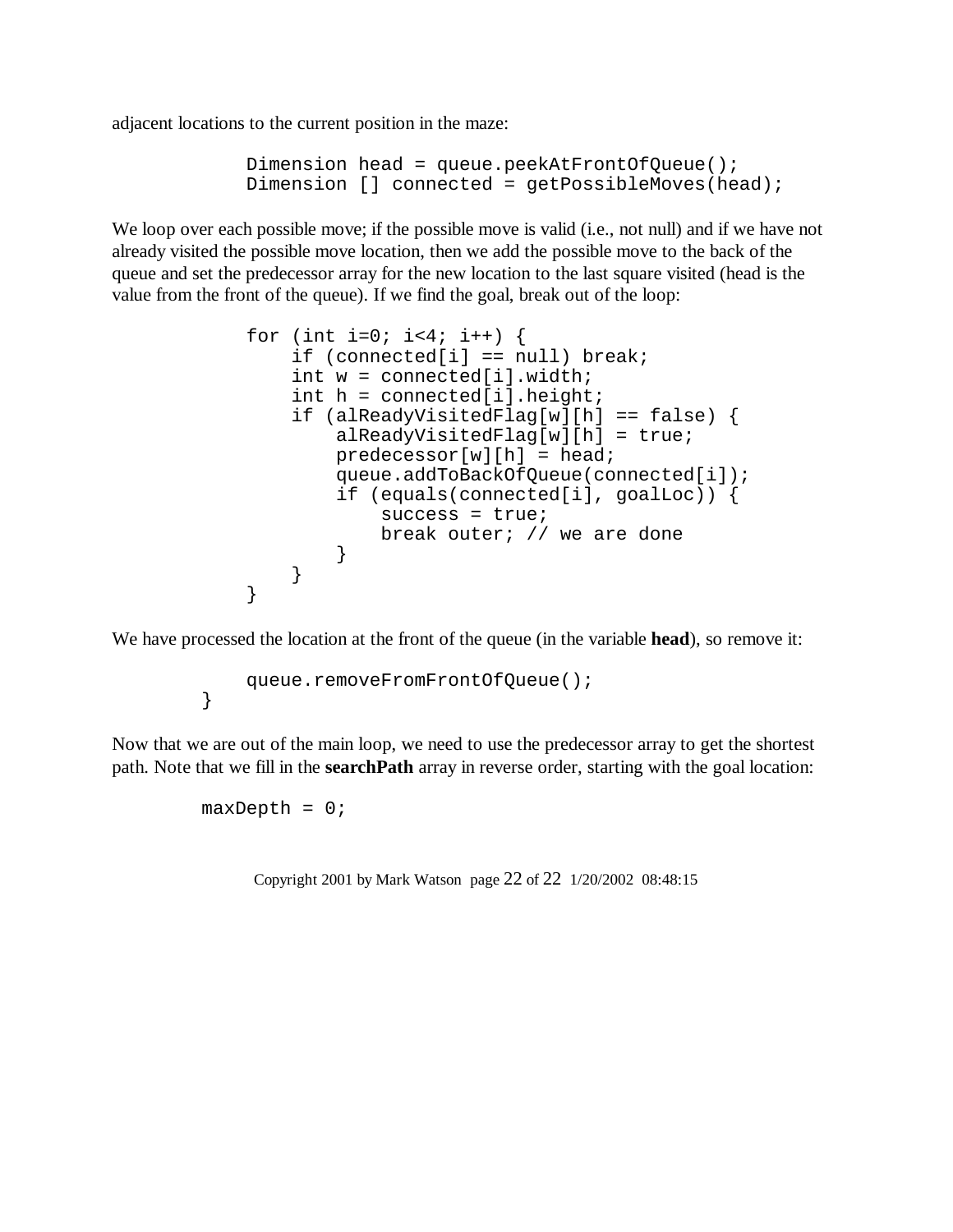adjacent locations to the current position in the maze:

```
Dimension head = queue.peekAtFrontOfOueue();
Dimension [] connected = getPossibleMoves(head);
```
We loop over each possible move; if the possible move is valid (i.e., not null) and if we have not already visited the possible move location, then we add the possible move to the back of the queue and set the predecessor array for the new location to the last square visited (head is the value from the front of the queue). If we find the goal, break out of the loop:

```
for (int i=0; i<4; i++) {
    if (connected[i] == null) break;
    int w = connected[i].width;
    int h = connected[i].height;
    if (alReadyVisitedFlag[w][h] == false) {
        alReadyVisitedFlag[w][h] = true;
        predecessor[w][h] = head;queue.addToBackOfQueue(connected[i]);
        if (equals(connected[i], goalLoc)) {
            success = true;
            break outer; // we are done
        }
    }
}
```
We have processed the location at the front of the queue (in the variable **head**), so remove it:

```
queue.removeFromFrontOfQueue();
}
```
Now that we are out of the main loop, we need to use the predecessor array to get the shortest path. Note that we fill in the **searchPath** array in reverse order, starting with the goal location:

 $maxDepth = 0;$ 

Copyright 2001 by Mark Watson page 22 of 22 1/20/2002 08:48:15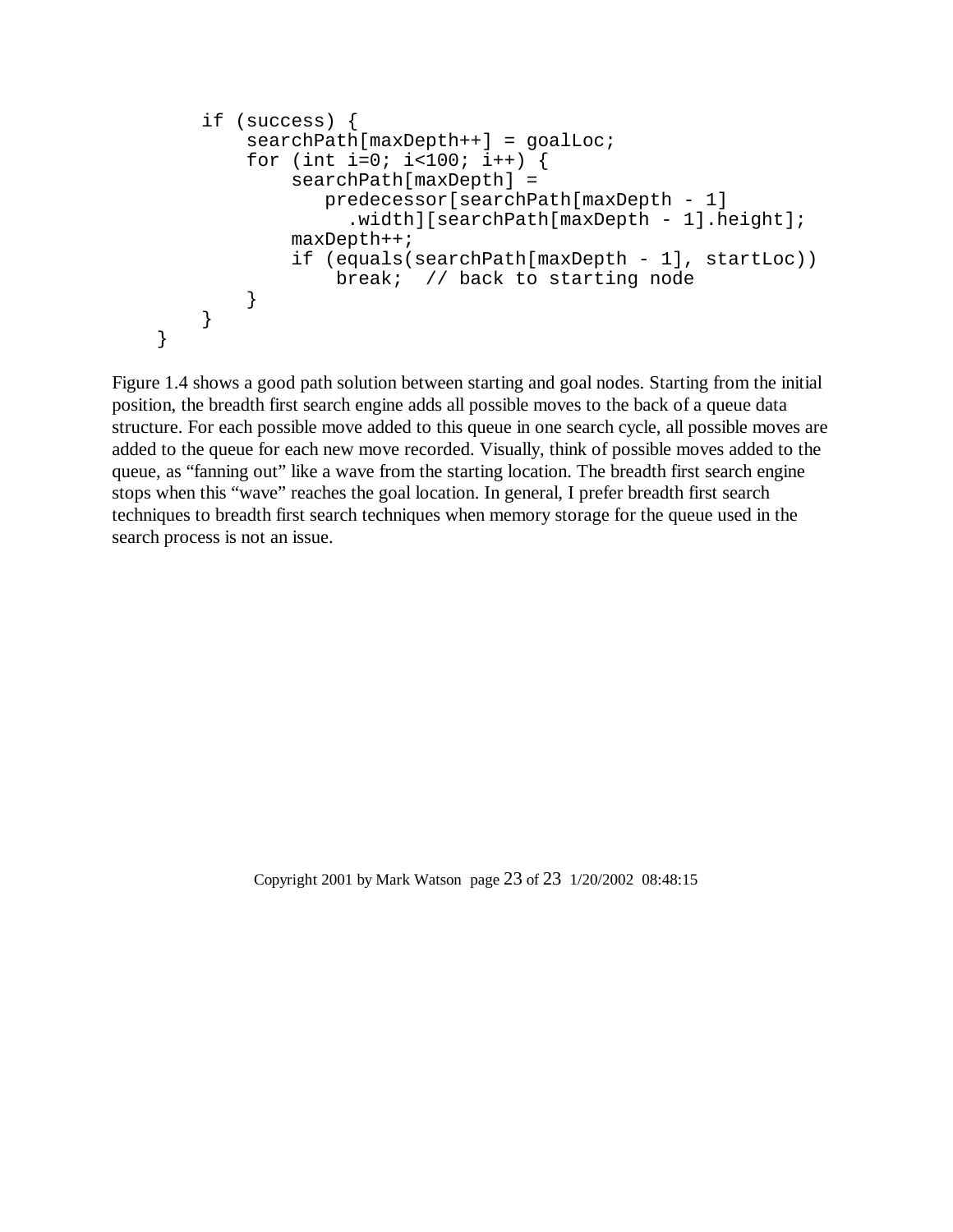```
if (success) {
        searchPath[maxDepth++] = goalLoc;for (int i=0; i<100; i++) {
            searchPath[maxDepth] =
               predecessor[searchPath[maxDepth - 1]
                 .width][searchPath[maxDepth - 1].height];
            maxDepth++;
            if (equals(searchPath[maxDepth - 1], startLoc))
                break; // back to starting node
        }
    }
}
```
Figure 1.4 shows a good path solution between starting and goal nodes. Starting from the initial position, the breadth first search engine adds all possible moves to the back of a queue data structure. For each possible move added to this queue in one search cycle, all possible moves are added to the queue for each new move recorded. Visually, think of possible moves added to the queue, as "fanning out" like a wave from the starting location. The breadth first search engine stops when this "wave" reaches the goal location. In general, I prefer breadth first search techniques to breadth first search techniques when memory storage for the queue used in the search process is not an issue.

Copyright 2001 by Mark Watson page 23 of 23 1/20/2002 08:48:15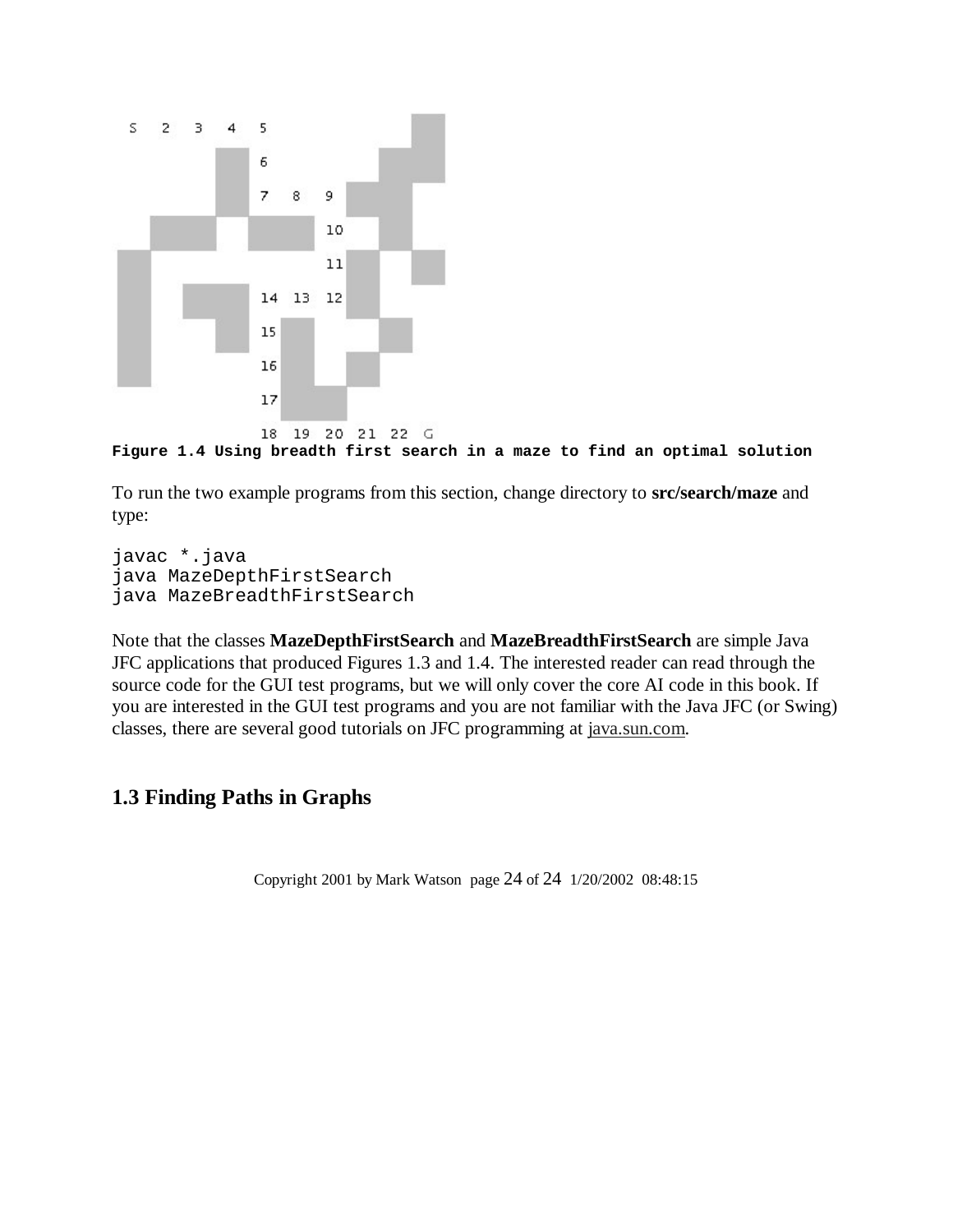

**Figure 1.4 Using breadth first search in a maze to find an optimal solution**

To run the two example programs from this section, change directory to **src/search/maze** and type:

javac \*.java java MazeDepthFirstSearch java MazeBreadthFirstSearch

Note that the classes **MazeDepthFirstSearch** and **MazeBreadthFirstSearch** are simple Java JFC applications that produced Figures 1.3 and 1.4. The interested reader can read through the source code for the GUI test programs, but we will only cover the core AI code in this book. If you are interested in the GUI test programs and you are not familiar with the Java JFC (or Swing) classes, there are several good tutorials on JFC programming at java.sun.com.

### **1.3 Finding Paths in Graphs**

Copyright 2001 by Mark Watson page 24 of 24 1/20/2002 08:48:15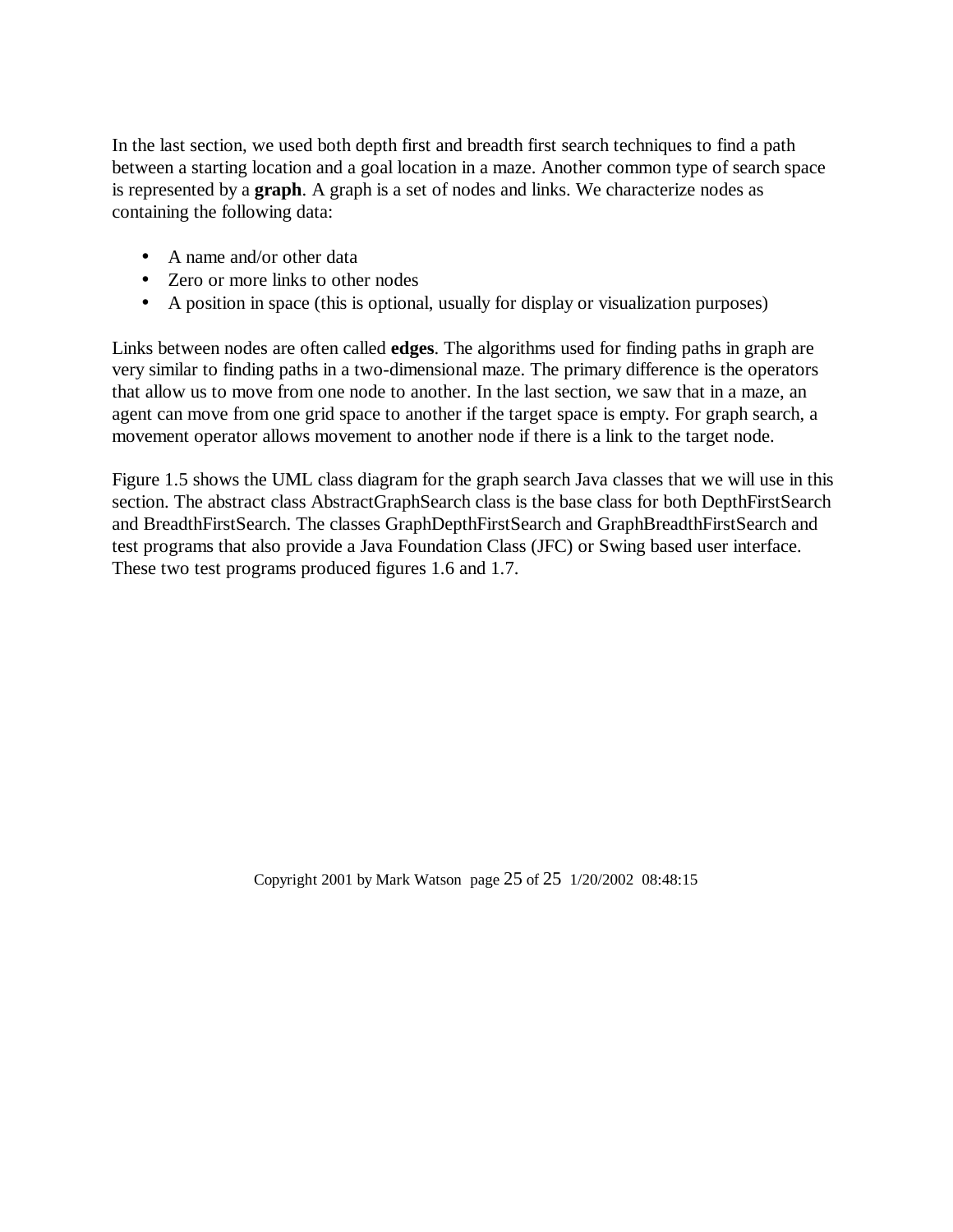In the last section, we used both depth first and breadth first search techniques to find a path between a starting location and a goal location in a maze. Another common type of search space is represented by a **graph**. A graph is a set of nodes and links. We characterize nodes as containing the following data:

- A name and/or other data
- Zero or more links to other nodes
- A position in space (this is optional, usually for display or visualization purposes)

Links between nodes are often called **edges**. The algorithms used for finding paths in graph are very similar to finding paths in a two-dimensional maze. The primary difference is the operators that allow us to move from one node to another. In the last section, we saw that in a maze, an agent can move from one grid space to another if the target space is empty. For graph search, a movement operator allows movement to another node if there is a link to the target node.

Figure 1.5 shows the UML class diagram for the graph search Java classes that we will use in this section. The abstract class AbstractGraphSearch class is the base class for both DepthFirstSearch and BreadthFirstSearch. The classes GraphDepthFirstSearch and GraphBreadthFirstSearch and test programs that also provide a Java Foundation Class (JFC) or Swing based user interface. These two test programs produced figures 1.6 and 1.7.

Copyright 2001 by Mark Watson page 25 of 25 1/20/2002 08:48:15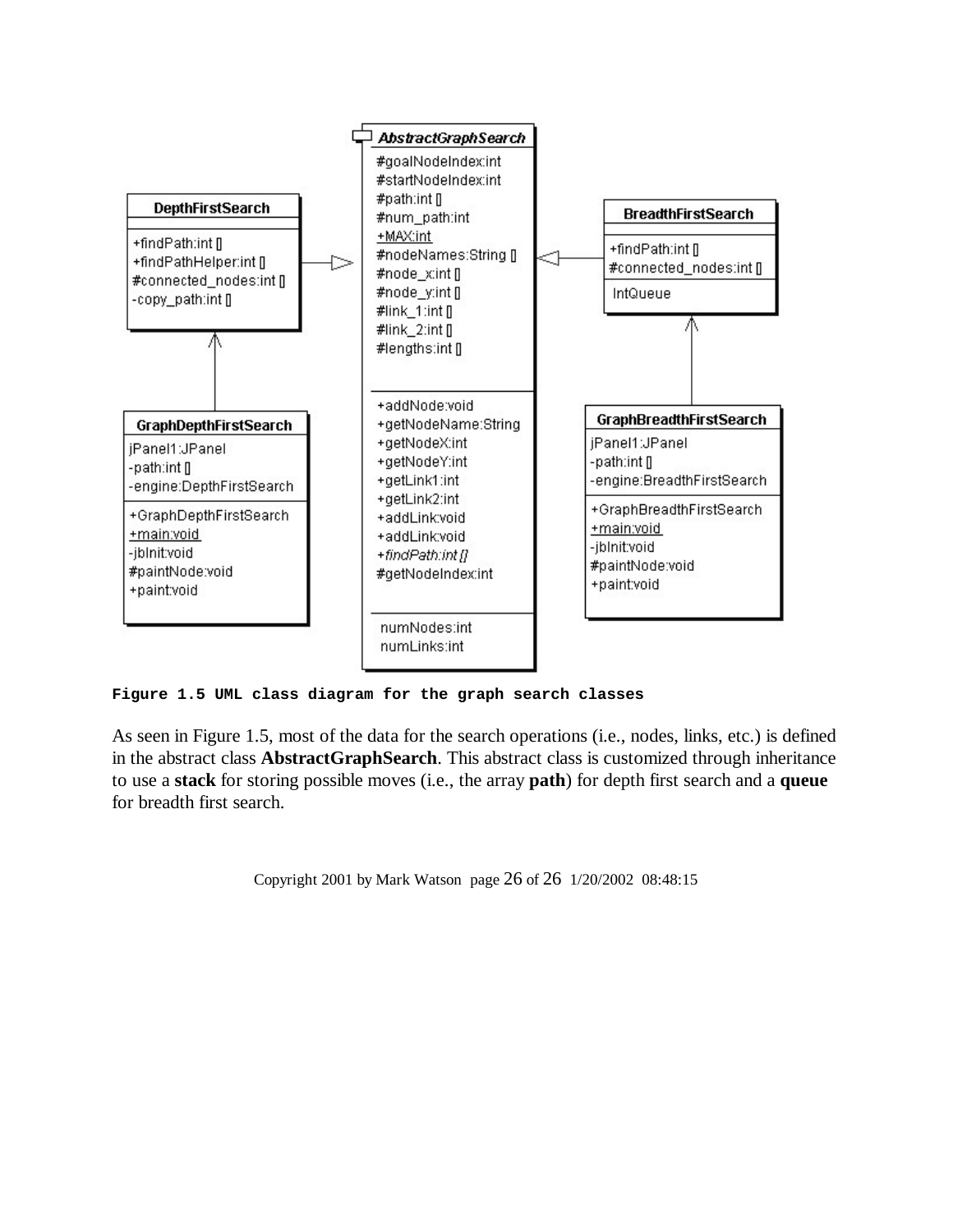

**Figure 1.5 UML class diagram for the graph search classes**

As seen in Figure 1.5, most of the data for the search operations (i.e., nodes, links, etc.) is defined in the abstract class **AbstractGraphSearch**. This abstract class is customized through inheritance to use a **stack** for storing possible moves (i.e., the array **path**) for depth first search and a **queue** for breadth first search.

Copyright 2001 by Mark Watson page 26 of 26 1/20/2002 08:48:15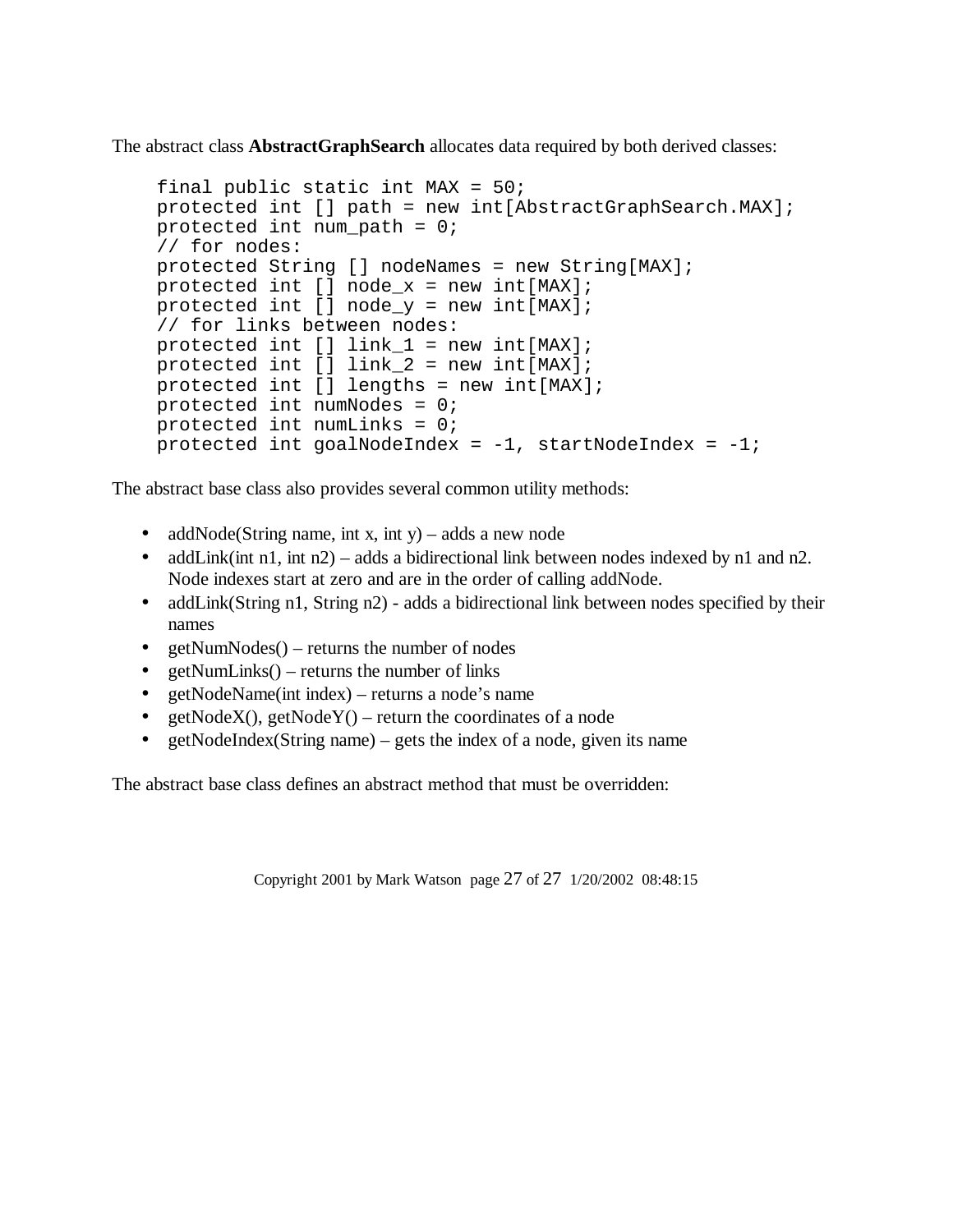The abstract class **AbstractGraphSearch** allocates data required by both derived classes:

```
final public static int MAX = 50;
protected int [] path = new int[AbstractGraphSearch.MAX];
protected int num path = 0;
// for nodes:
protected String [] nodeNames = new String[MAX];
protected int [] node x = new int[MAX];
protected int [] node_y = new int[MAX];
// for links between nodes:
protected int [] link 1 = new int[MAX];
protected int [] link 2 = new int[MAX];
protected int [] lengths = new int[MAX];
protected int numNodes = 0;
protected int numLinks = 0;
protected int goalNodeIndex = -1, startNodeIndex = -1;
```
The abstract base class also provides several common utility methods:

- addNode(String name, int x, int y) adds a new node
- addLink(int n1, int n2) adds a bidirectional link between nodes indexed by n1 and n2. Node indexes start at zero and are in the order of calling addNode.
- addLink(String n1, String n2) adds a bidirectional link between nodes specified by their names
- getNumNodes() returns the number of nodes
- getNumLinks $()$  returns the number of links
- getNodeName(int index) returns a node's name
- getNodeX(), getNodeY() return the coordinates of a node
- getNodeIndex(String name) gets the index of a node, given its name

The abstract base class defines an abstract method that must be overridden:

Copyright 2001 by Mark Watson page 27 of 27 1/20/2002 08:48:15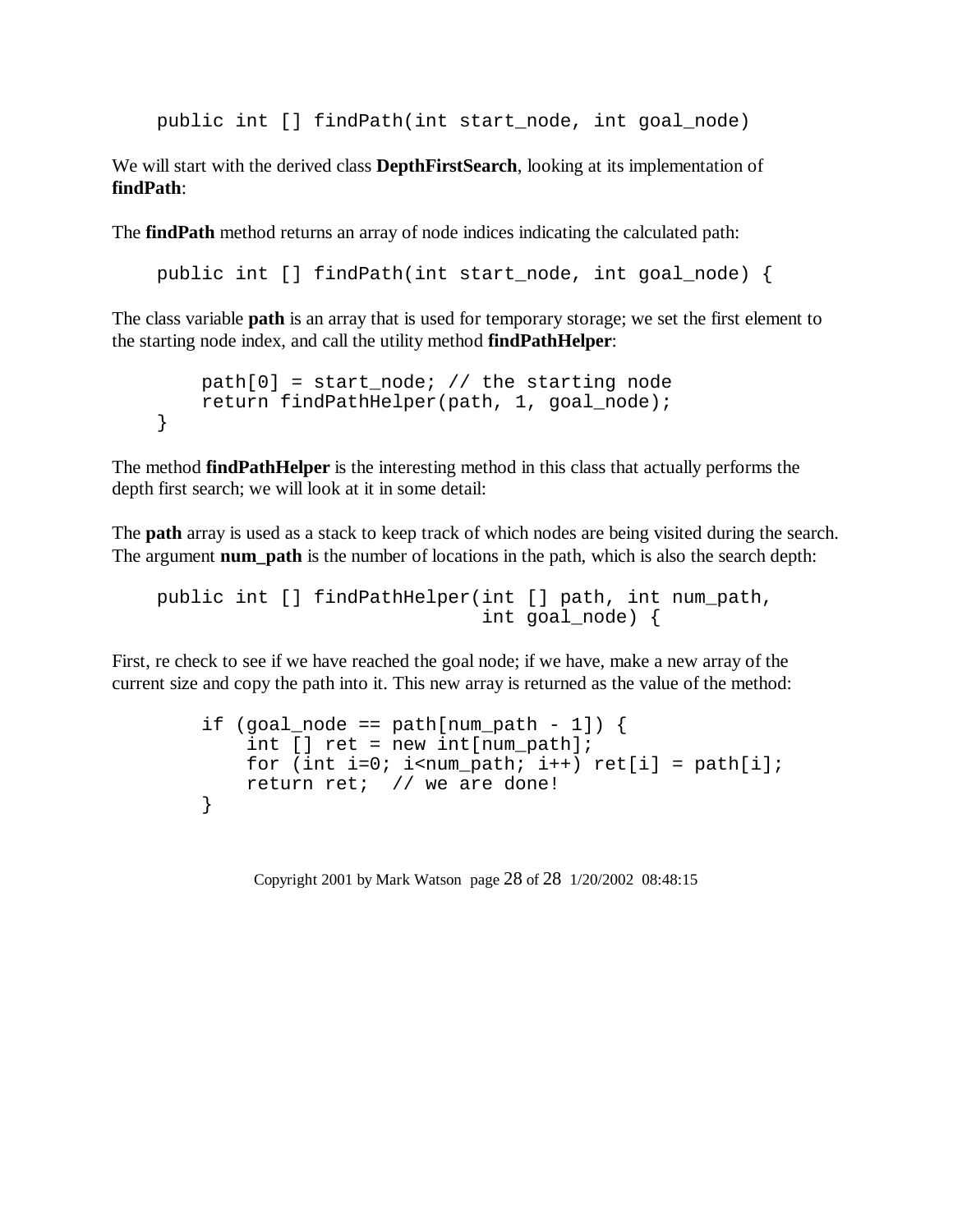public int [] findPath(int start\_node, int goal\_node)

We will start with the derived class **DepthFirstSearch**, looking at its implementation of **findPath**:

The **findPath** method returns an array of node indices indicating the calculated path:

public int [] findPath(int start\_node, int goal\_node) {

The class variable **path** is an array that is used for temporary storage; we set the first element to the starting node index, and call the utility method **findPathHelper**:

```
path[0] = start\_node; // the starting nodereturn findPathHelper(path, 1, goal_node);
}
```
The method **findPathHelper** is the interesting method in this class that actually performs the depth first search; we will look at it in some detail:

The **path** array is used as a stack to keep track of which nodes are being visited during the search. The argument **num\_path** is the number of locations in the path, which is also the search depth:

```
public int [] findPathHelper(int [] path, int num_path,
                             int goal_node) {
```
First, re check to see if we have reached the goal node; if we have, make a new array of the current size and copy the path into it. This new array is returned as the value of the method:

```
if (goal_model = path[num_path - 1]) {
   int [] ret = new int[num_path];
   for (int i=0; i<num_path; i++) ret[i] = path[i];
   return ret; // we are done!
}
```
Copyright 2001 by Mark Watson page 28 of 28 1/20/2002 08:48:15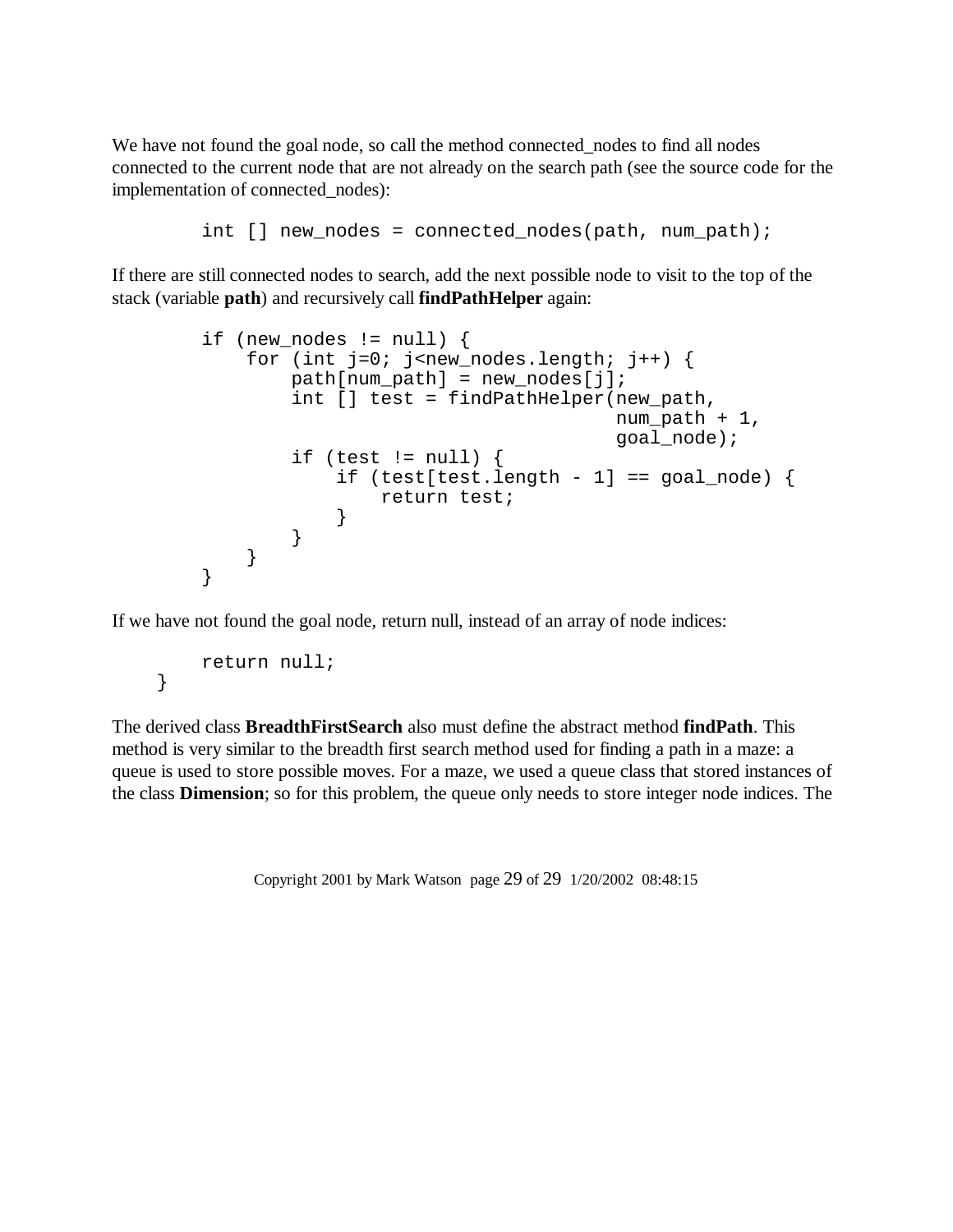We have not found the goal node, so call the method connected\_nodes to find all nodes connected to the current node that are not already on the search path (see the source code for the implementation of connected\_nodes):

```
int [] new_nodes = connected_nodes(path, num_path);
```
If there are still connected nodes to search, add the next possible node to visit to the top of the stack (variable **path**) and recursively call **findPathHelper** again:

```
if (new nodes != null) {
    for (int j=0; j<new_nodes.length; j++) {
        path[num\_path] = new\_nodes[j];int [] test = findPathHelper(new_path,
                                      num_path + 1,
                                      goal_node);
        if (test != null) {
            if (test[test.length - 1] == goal\_node) {
                return test;
            }
        }
    }
}
```
If we have not found the goal node, return null, instead of an array of node indices:

```
return null;
}
```
The derived class **BreadthFirstSearch** also must define the abstract method **findPath**. This method is very similar to the breadth first search method used for finding a path in a maze: a queue is used to store possible moves. For a maze, we used a queue class that stored instances of the class **Dimension**; so for this problem, the queue only needs to store integer node indices. The

Copyright 2001 by Mark Watson page 29 of 29 1/20/2002 08:48:15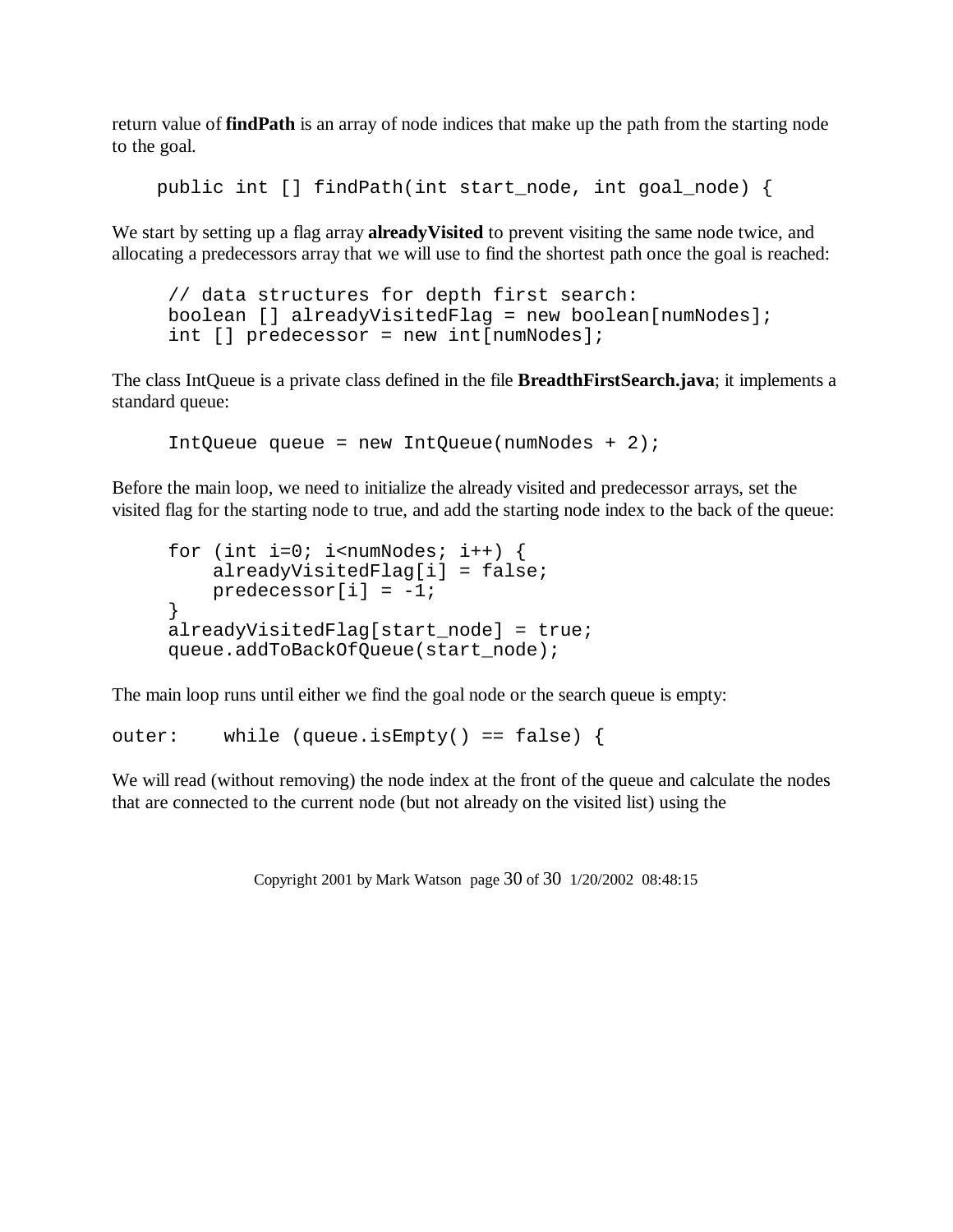return value of **findPath** is an array of node indices that make up the path from the starting node to the goal.

```
public int [] findPath(int start_node, int goal_node) {
```
We start by setting up a flag array **alreadyVisited** to prevent visiting the same node twice, and allocating a predecessors array that we will use to find the shortest path once the goal is reached:

```
// data structures for depth first search:
boolean [] alreadyVisitedFlag = new boolean[numNodes];
int [] predecessor = new int[numNodes];
```
The class IntQueue is a private class defined in the file **BreadthFirstSearch.java**; it implements a standard queue:

```
IntQueue queue = new IntQueue(numNodes + 2);
```
Before the main loop, we need to initialize the already visited and predecessor arrays, set the visited flag for the starting node to true, and add the starting node index to the back of the queue:

```
for (int i=0; i<numNodes; i++) {
    alreadyVisitedFlag[i] = false;
    predecessor[i] = -1;}
alreadyVisitedFlag[start_node] = true;
queue.addToBackOfQueue(start_node);
```
The main loop runs until either we find the goal node or the search queue is empty:

outer: while (queue.isEmpty() == false) {

We will read (without removing) the node index at the front of the queue and calculate the nodes that are connected to the current node (but not already on the visited list) using the

Copyright 2001 by Mark Watson page 30 of 30 1/20/2002 08:48:15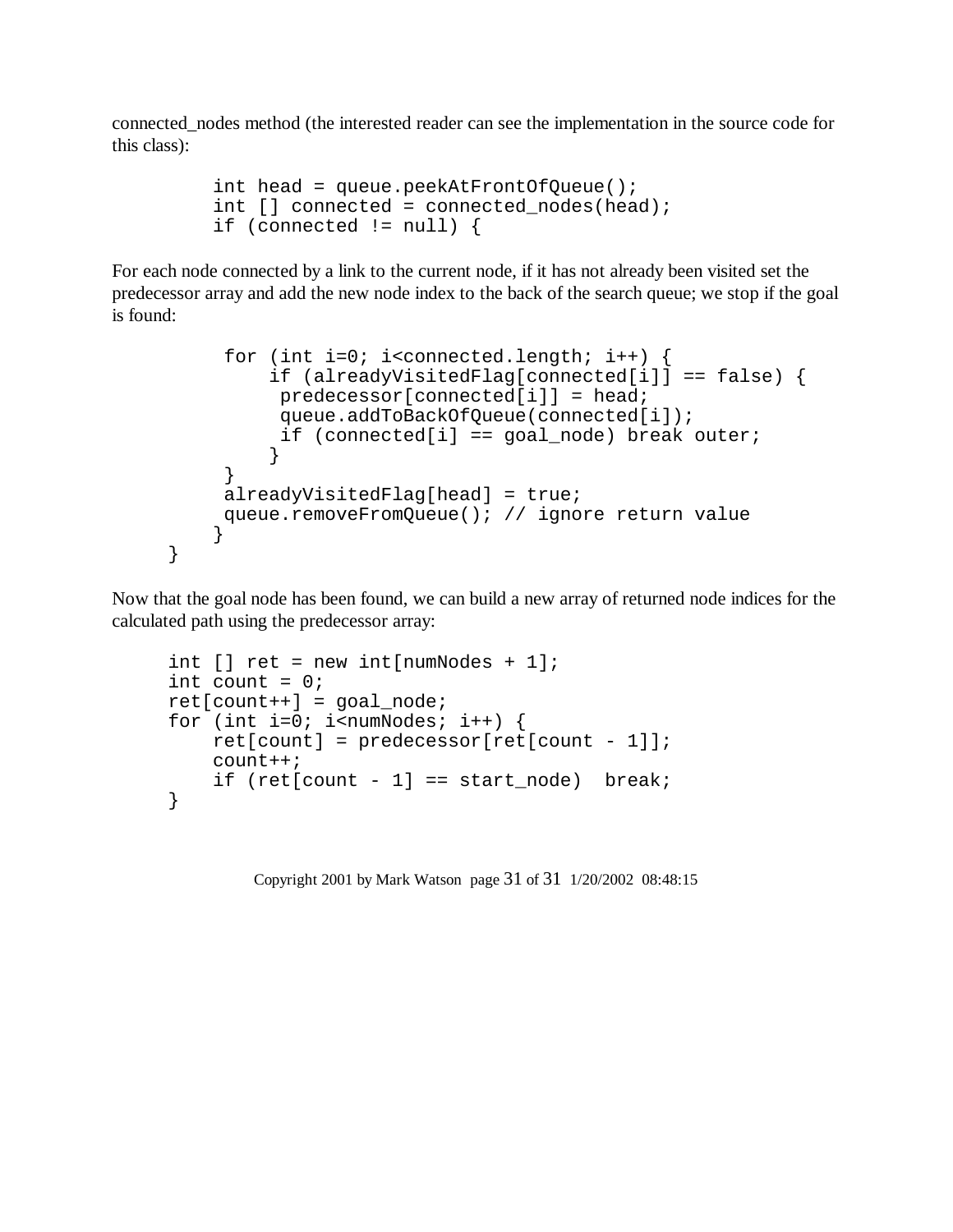connected\_nodes method (the interested reader can see the implementation in the source code for this class):

```
int head = queue.peekAtFrontOfQueue();
int [] connected = connected nodes(head);
if (connected != null) {
```
For each node connected by a link to the current node, if it has not already been visited set the predecessor array and add the new node index to the back of the search queue; we stop if the goal is found:

```
for (int i=0; i<connected.length; i++) {
    if (alreadyVisitedFlag[connected[i]] == false) {
     predecessor[connected[i]] = head;
     queue.addToBackOfQueue(connected[i]);
     if (connected[i] == goal_model) break outer;
    }
}
alreadyVisitedFlag[head] = true;
queue.removeFromQueue(); // ignore return value
}
```
Now that the goal node has been found, we can build a new array of returned node indices for the calculated path using the predecessor array:

```
int [] ret = new int[numNodes + 1];
int count = 0;
ret[count++] = goalnode;for (int i=0; i<numNodes; i++) {
   ret[count] = predecessor[ret[count - 1]];
   count++;
    if ret[count - 1] == start node break;
}
```
}

Copyright 2001 by Mark Watson page 31 of 31 1/20/2002 08:48:15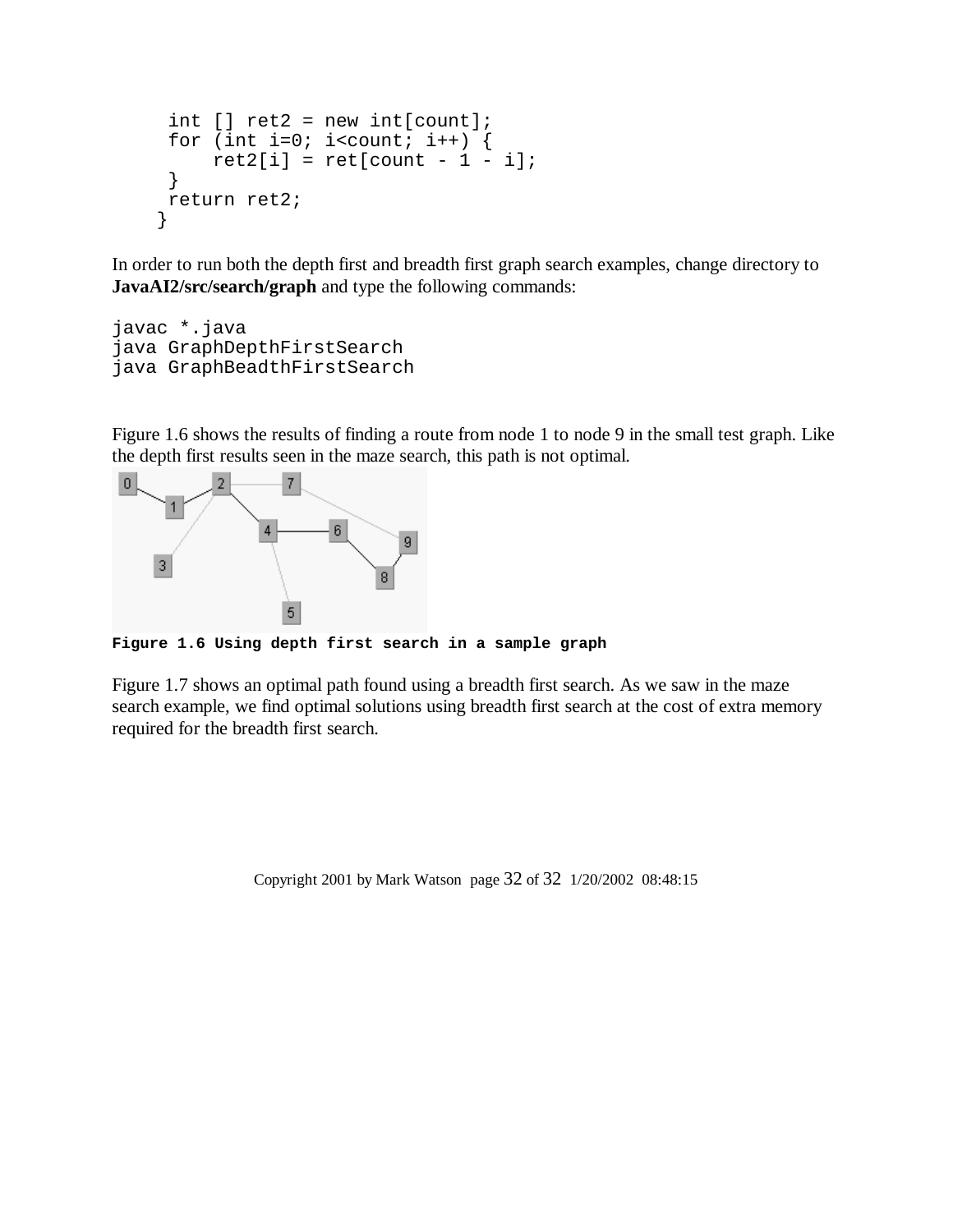```
int [] ret2 = new int[count];
for (int i=0; i<count; i++) {
    ret2[i] = ret[count - 1 - i];}
return ret2;
}
```
In order to run both the depth first and breadth first graph search examples, change directory to **JavaAI2/src/search/graph** and type the following commands:

javac \*.java java GraphDepthFirstSearch java GraphBeadthFirstSearch

Figure 1.6 shows the results of finding a route from node 1 to node 9 in the small test graph. Like the depth first results seen in the maze search, this path is not optimal.



**Figure 1.6 Using depth first search in a sample graph**

Figure 1.7 shows an optimal path found using a breadth first search. As we saw in the maze search example, we find optimal solutions using breadth first search at the cost of extra memory required for the breadth first search.

Copyright 2001 by Mark Watson page 32 of 32 1/20/2002 08:48:15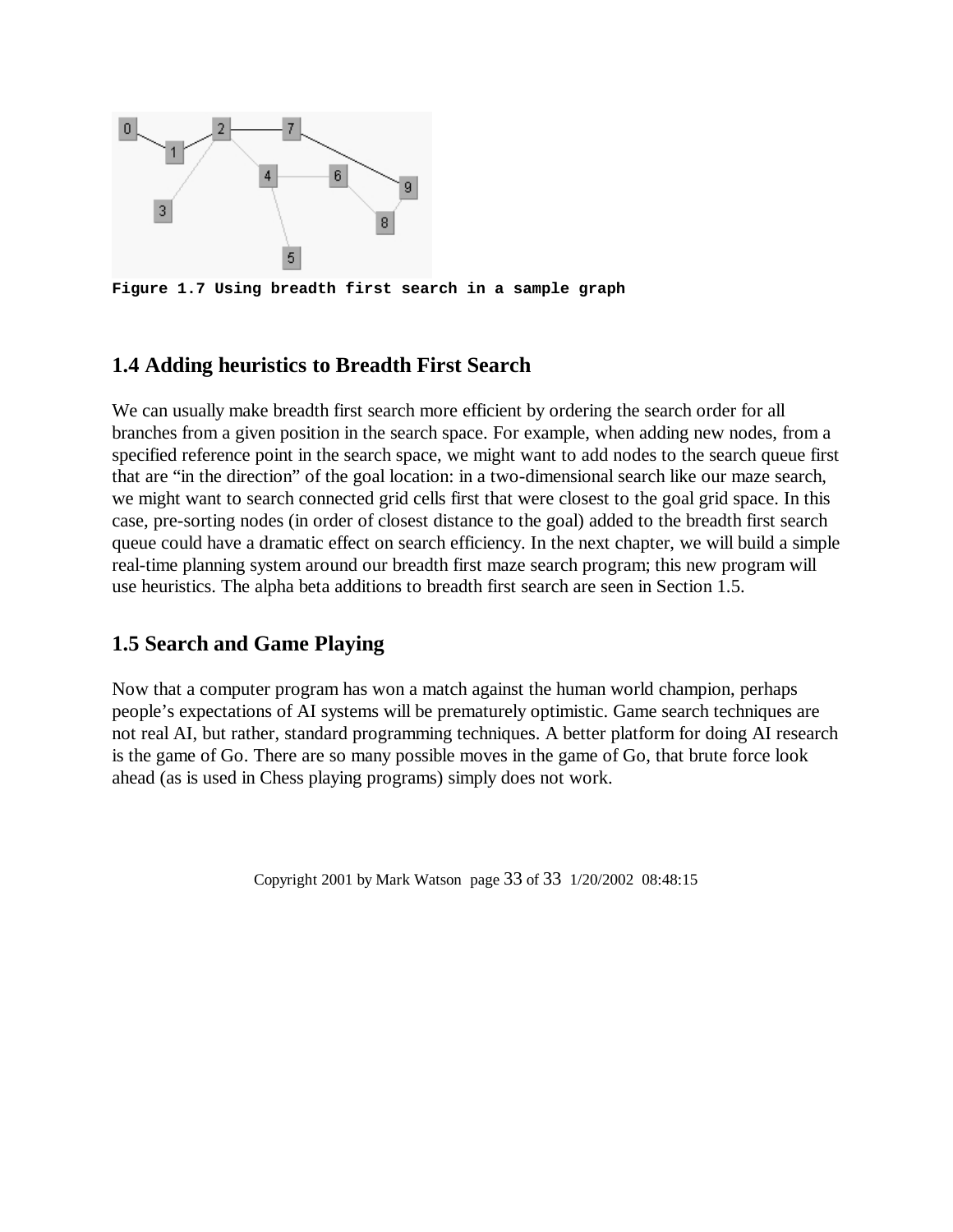

**Figure 1.7 Using breadth first search in a sample graph**

### **1.4 Adding heuristics to Breadth First Search**

We can usually make breadth first search more efficient by ordering the search order for all branches from a given position in the search space. For example, when adding new nodes, from a specified reference point in the search space, we might want to add nodes to the search queue first that are "in the direction" of the goal location: in a two-dimensional search like our maze search, we might want to search connected grid cells first that were closest to the goal grid space. In this case, pre-sorting nodes (in order of closest distance to the goal) added to the breadth first search queue could have a dramatic effect on search efficiency. In the next chapter, we will build a simple real-time planning system around our breadth first maze search program; this new program will use heuristics. The alpha beta additions to breadth first search are seen in Section 1.5.

## **1.5 Search and Game Playing**

Now that a computer program has won a match against the human world champion, perhaps people's expectations of AI systems will be prematurely optimistic. Game search techniques are not real AI, but rather, standard programming techniques. A better platform for doing AI research is the game of Go. There are so many possible moves in the game of Go, that brute force look ahead (as is used in Chess playing programs) simply does not work.

Copyright 2001 by Mark Watson page 33 of 33 1/20/2002 08:48:15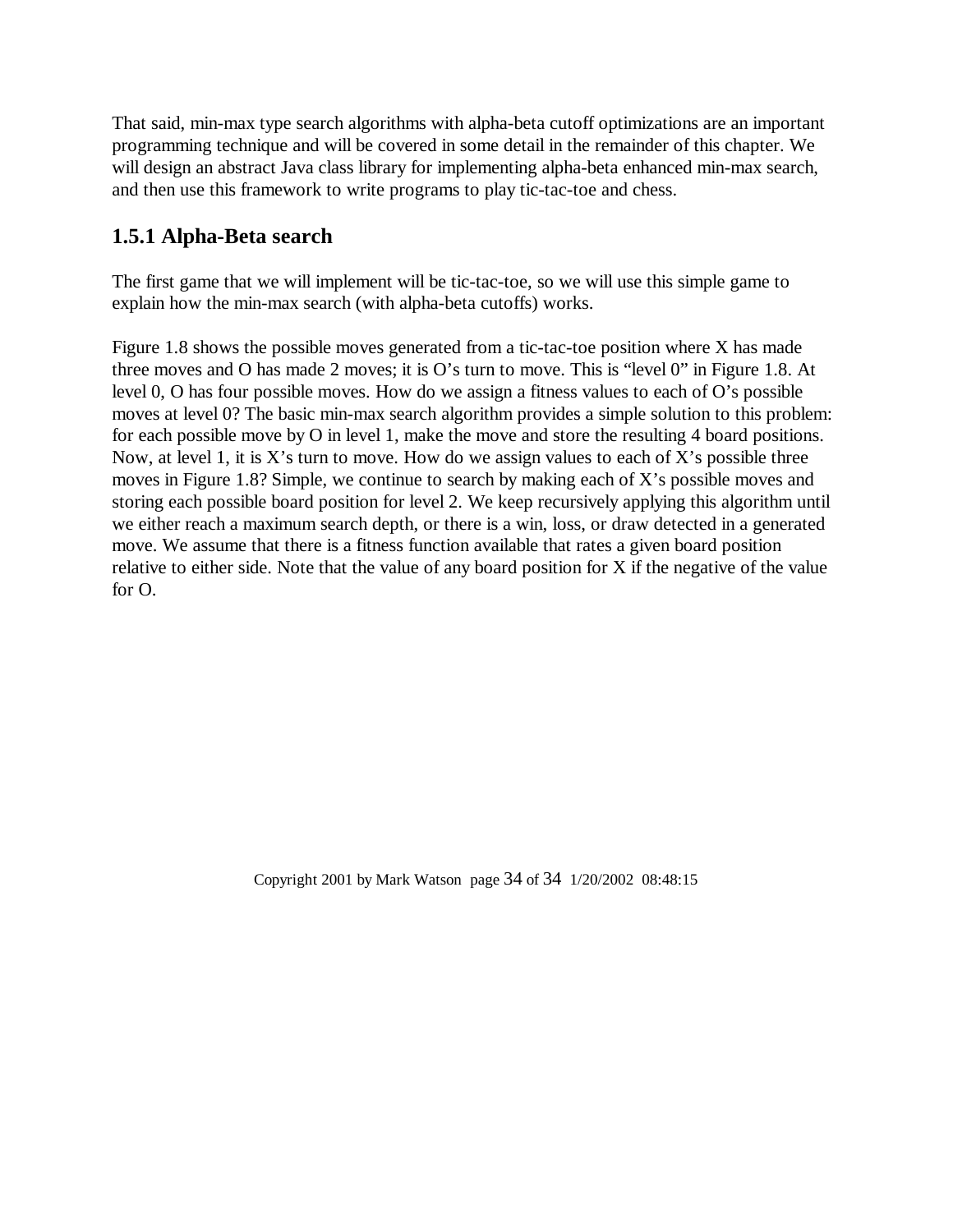That said, min-max type search algorithms with alpha-beta cutoff optimizations are an important programming technique and will be covered in some detail in the remainder of this chapter. We will design an abstract Java class library for implementing alpha-beta enhanced min-max search, and then use this framework to write programs to play tic-tac-toe and chess.

#### **1.5.1 Alpha-Beta search**

The first game that we will implement will be tic-tac-toe, so we will use this simple game to explain how the min-max search (with alpha-beta cutoffs) works.

Figure 1.8 shows the possible moves generated from a tic-tac-toe position where X has made three moves and O has made 2 moves; it is O's turn to move. This is "level 0" in Figure 1.8. At level 0, O has four possible moves. How do we assign a fitness values to each of O's possible moves at level 0? The basic min-max search algorithm provides a simple solution to this problem: for each possible move by O in level 1, make the move and store the resulting 4 board positions. Now, at level 1, it is  $X$ 's turn to move. How do we assign values to each of  $X$ 's possible three moves in Figure 1.8? Simple, we continue to search by making each of X's possible moves and storing each possible board position for level 2. We keep recursively applying this algorithm until we either reach a maximum search depth, or there is a win, loss, or draw detected in a generated move. We assume that there is a fitness function available that rates a given board position relative to either side. Note that the value of any board position for X if the negative of the value for O.

Copyright 2001 by Mark Watson page 34 of 34 1/20/2002 08:48:15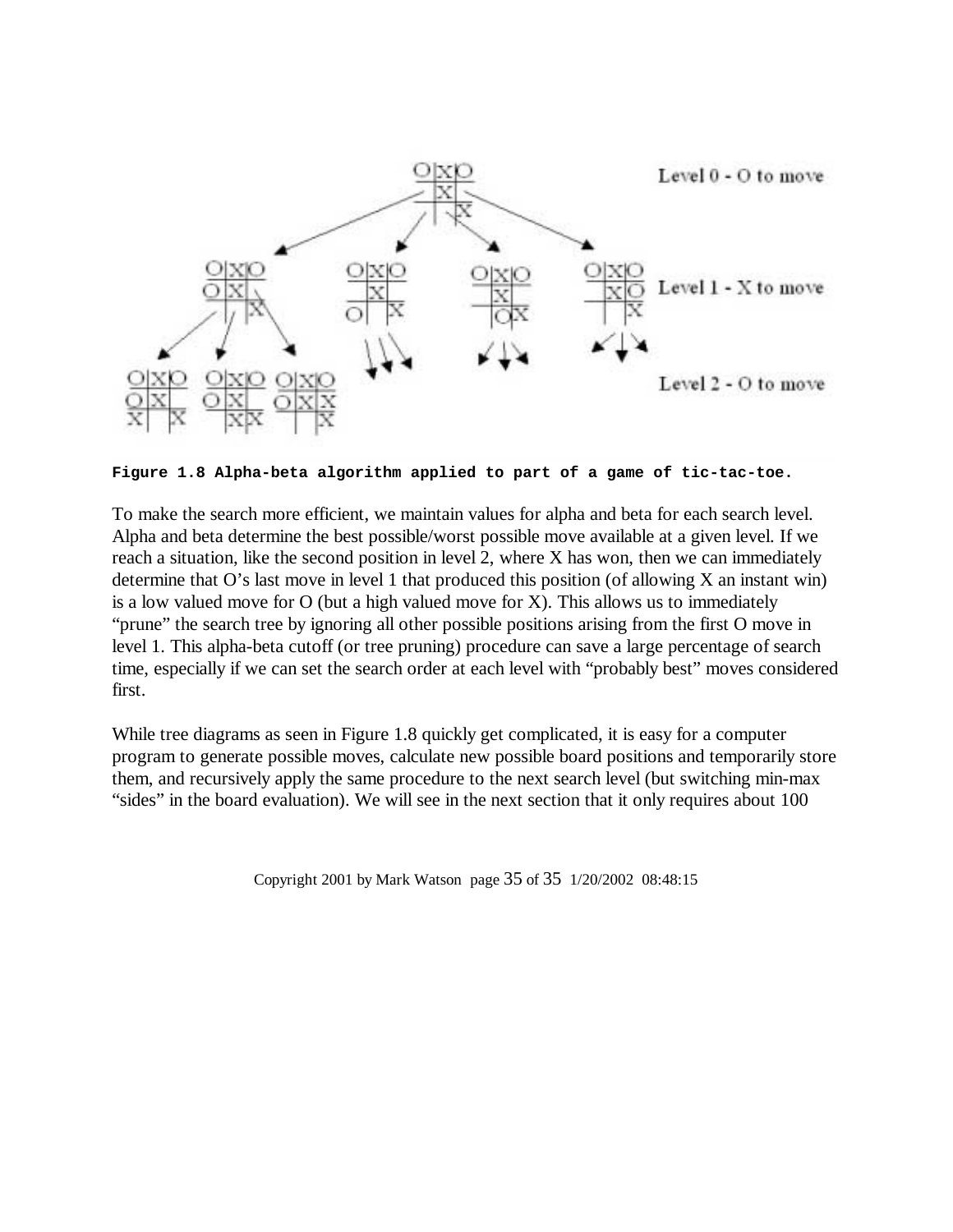

**Figure 1.8 Alpha-beta algorithm applied to part of a game of tic-tac-toe.**

To make the search more efficient, we maintain values for alpha and beta for each search level. Alpha and beta determine the best possible/worst possible move available at a given level. If we reach a situation, like the second position in level 2, where X has won, then we can immediately determine that O's last move in level 1 that produced this position (of allowing X an instant win) is a low valued move for  $O$  (but a high valued move for X). This allows us to immediately "prune" the search tree by ignoring all other possible positions arising from the first O move in level 1. This alpha-beta cutoff (or tree pruning) procedure can save a large percentage of search time, especially if we can set the search order at each level with "probably best" moves considered first.

While tree diagrams as seen in Figure 1.8 quickly get complicated, it is easy for a computer program to generate possible moves, calculate new possible board positions and temporarily store them, and recursively apply the same procedure to the next search level (but switching min-max "sides" in the board evaluation). We will see in the next section that it only requires about 100

Copyright 2001 by Mark Watson page 35 of 35 1/20/2002 08:48:15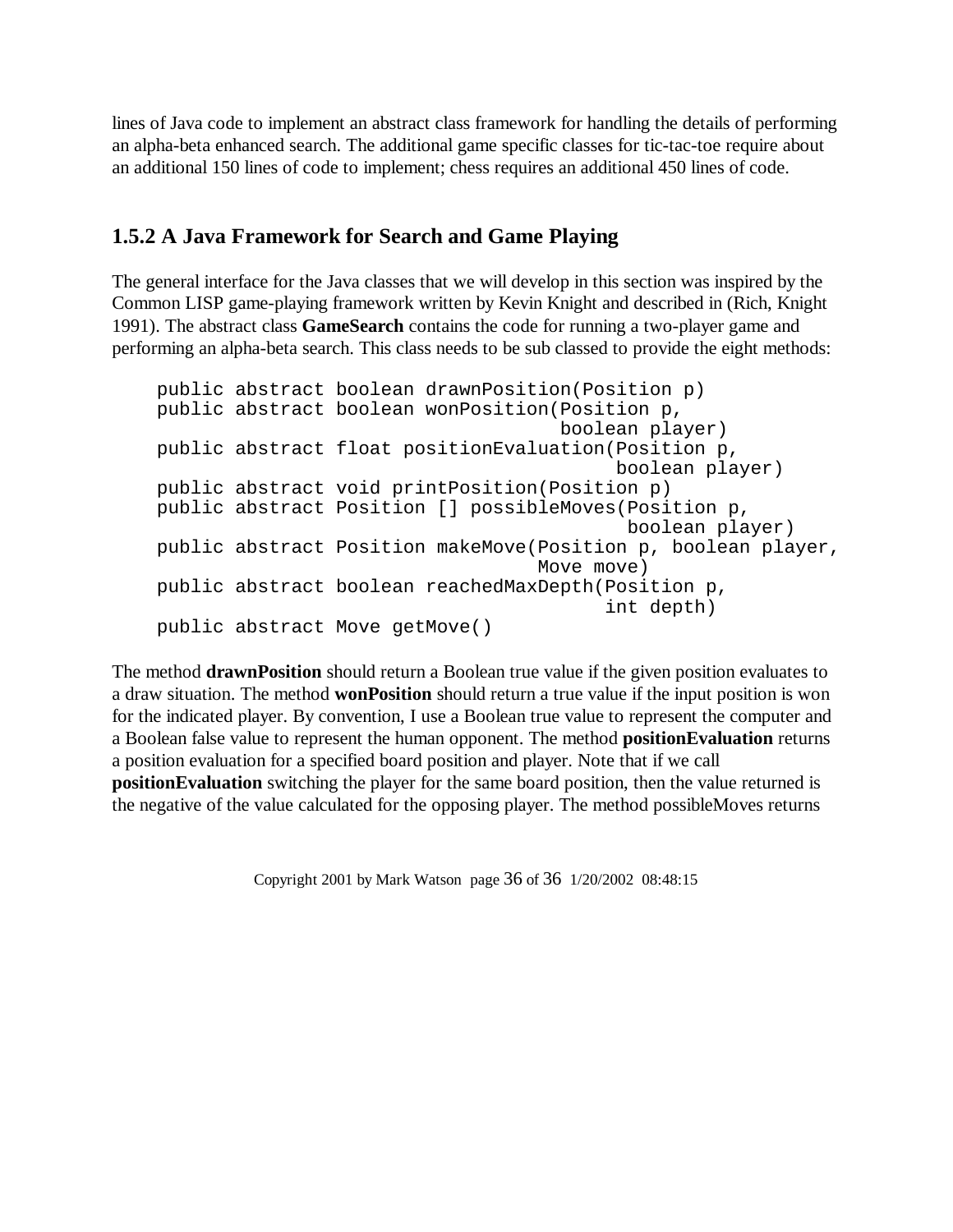lines of Java code to implement an abstract class framework for handling the details of performing an alpha-beta enhanced search. The additional game specific classes for tic-tac-toe require about an additional 150 lines of code to implement; chess requires an additional 450 lines of code.

### **1.5.2 A Java Framework for Search and Game Playing**

The general interface for the Java classes that we will develop in this section was inspired by the Common LISP game-playing framework written by Kevin Knight and described in (Rich, Knight 1991). The abstract class **GameSearch** contains the code for running a two-player game and performing an alpha-beta search. This class needs to be sub classed to provide the eight methods:

```
public abstract boolean drawnPosition(Position p)
public abstract boolean wonPosition(Position p,
                                    boolean player)
public abstract float positionEvaluation(Position p,
                                         boolean player)
public abstract void printPosition(Position p)
public abstract Position [] possibleMoves(Position p,
                                          boolean player)
public abstract Position makeMove(Position p, boolean player,
                                  Move move)
public abstract boolean reachedMaxDepth(Position p,
                                        int depth)
public abstract Move getMove()
```
The method **drawnPosition** should return a Boolean true value if the given position evaluates to a draw situation. The method **wonPosition** should return a true value if the input position is won for the indicated player. By convention, I use a Boolean true value to represent the computer and a Boolean false value to represent the human opponent. The method **positionEvaluation** returns a position evaluation for a specified board position and player. Note that if we call **positionEvaluation** switching the player for the same board position, then the value returned is the negative of the value calculated for the opposing player. The method possibleMoves returns

Copyright 2001 by Mark Watson page 36 of 36 1/20/2002 08:48:15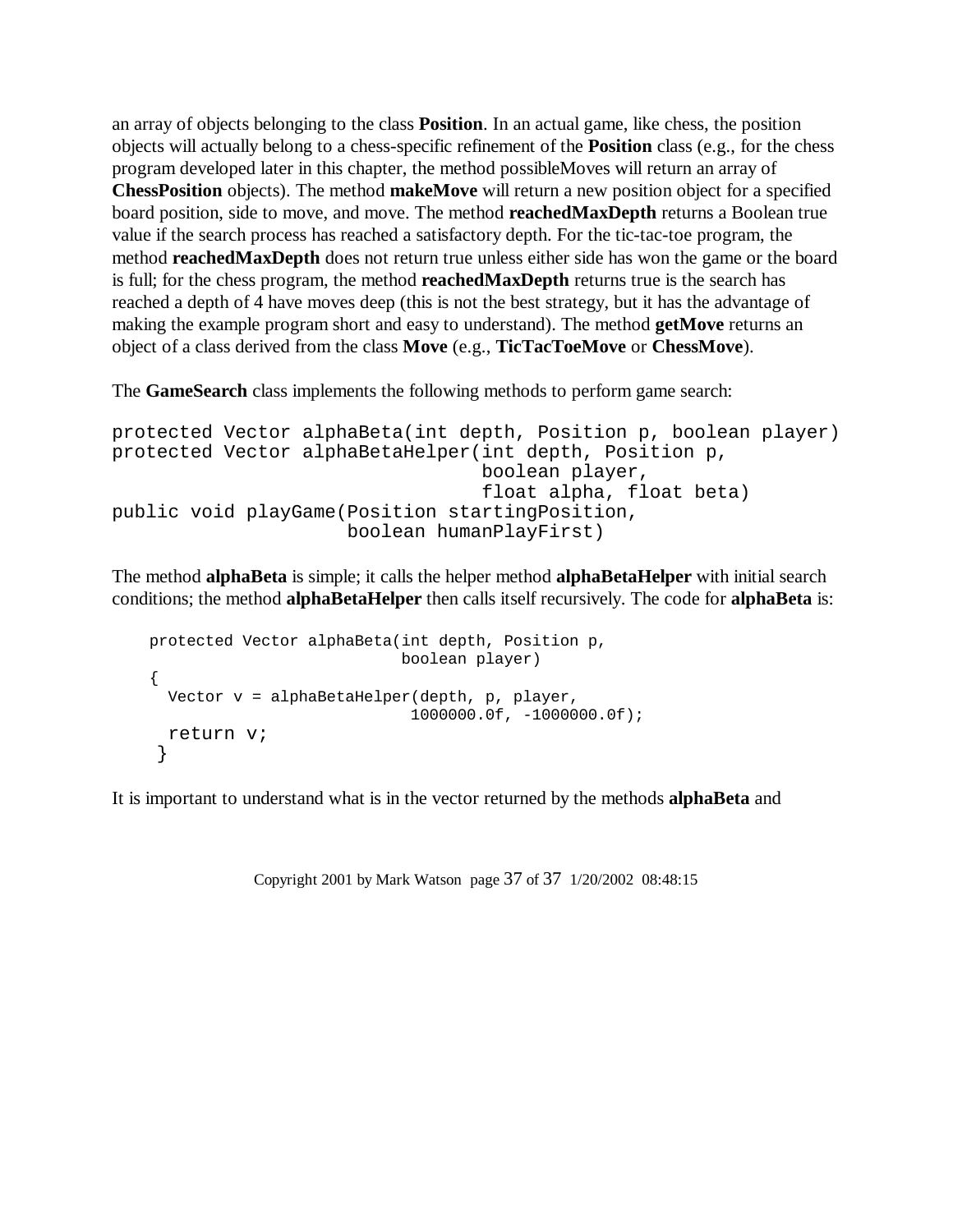an array of objects belonging to the class **Position**. In an actual game, like chess, the position objects will actually belong to a chess-specific refinement of the **Position** class (e.g., for the chess program developed later in this chapter, the method possibleMoves will return an array of **ChessPosition** objects). The method **makeMove** will return a new position object for a specified board position, side to move, and move. The method **reachedMaxDepth** returns a Boolean true value if the search process has reached a satisfactory depth. For the tic-tac-toe program, the method **reachedMaxDepth** does not return true unless either side has won the game or the board is full; for the chess program, the method **reachedMaxDepth** returns true is the search has reached a depth of 4 have moves deep (this is not the best strategy, but it has the advantage of making the example program short and easy to understand). The method **getMove** returns an object of a class derived from the class **Move** (e.g., **TicTacToeMove** or **ChessMove**).

The **GameSearch** class implements the following methods to perform game search:

```
protected Vector alphaBeta(int depth, Position p, boolean player)
protected Vector alphaBetaHelper(int depth, Position p,
                                 boolean player,
                                 float alpha, float beta)
public void playGame(Position startingPosition,
                     boolean humanPlayFirst)
```
The method **alphaBeta** is simple; it calls the helper method **alphaBetaHelper** with initial search conditions; the method **alphaBetaHelper** then calls itself recursively. The code for **alphaBeta** is:

```
protected Vector alphaBeta(int depth, Position p,
                         boolean player)
{
 Vector v = alphaBetaHelper(depth, p, player,
                           1000000.0f, -1000000.0f);
 return v;
 }
```
It is important to understand what is in the vector returned by the methods **alphaBeta** and

Copyright 2001 by Mark Watson page 37 of 37 1/20/2002 08:48:15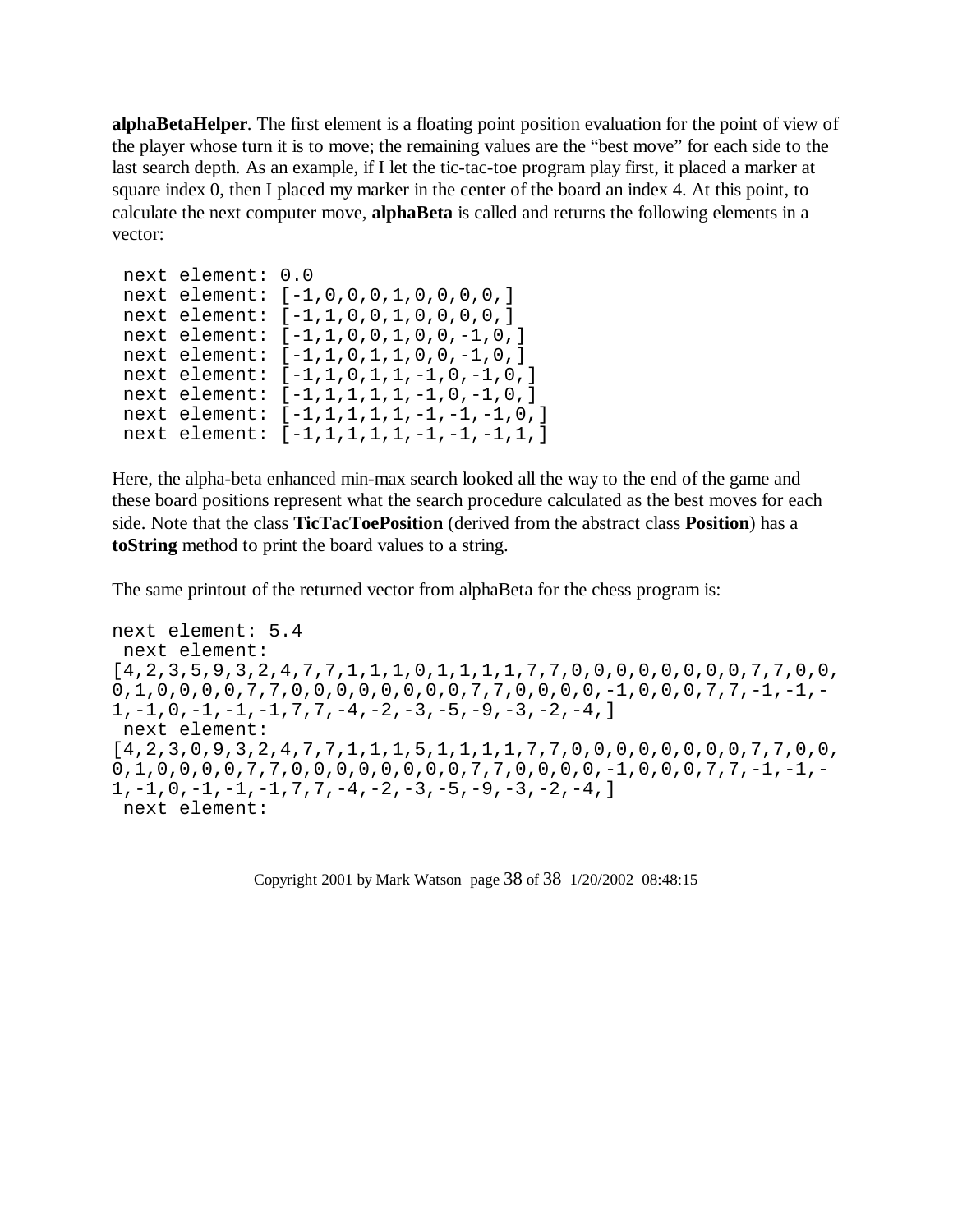**alphaBetaHelper**. The first element is a floating point position evaluation for the point of view of the player whose turn it is to move; the remaining values are the "best move" for each side to the last search depth. As an example, if I let the tic-tac-toe program play first, it placed a marker at square index 0, then I placed my marker in the center of the board an index 4. At this point, to calculate the next computer move, **alphaBeta** is called and returns the following elements in a vector:

```
next element: 0.0
next element: [-1,0,0,0,1,0,0,0,0,]
next element: [-1,1,0,0,1,0,0,0,0,]
next element: [-1,1,0,0,1,0,0,-1,0,]
next element: [-1,1,0,1,1,0,0,-1,0,]
next element: [-1,1,0,1,1,-1,0,-1,0,]
next element: [-1,1,1,1,1,-1,0,-1,0,]
next element: [-1,1,1,1,1,-1,-1,-1,0,]
next element: [-1,1,1,1,1,-1,-1,-1,1,]
```
Here, the alpha-beta enhanced min-max search looked all the way to the end of the game and these board positions represent what the search procedure calculated as the best moves for each side. Note that the class **TicTacToePosition** (derived from the abstract class **Position**) has a **toString** method to print the board values to a string.

The same printout of the returned vector from alphaBeta for the chess program is:

```
next element: 5.4
next element:
[4,2,3,5,9,3,2,4,7,7,1,1,1,0,1,1,1,1,7,7,0,0,0,0,0,0,0,0,7,7,0,0,
0,1,0,0,0,0,7,7,0,0,0,0,0,0,0,0,7,7,0,0,0,0,0,0,0,7,7,7,-1,-1,-1,-
1,-1,0,-1,-1,-1,7,7,-4,-2,-3,-5,-9,-3,-2,-4,]
next element:
[4,2,3,0,9,3,2,4,7,7,1,1,1,5,1,1,1,1,7,7,0,0,0,0,0,0,0,0,7,7,0,0,
0,1,0,0,0,0,7,7,0,0,0,0,0,0,0,0,7,7,0,0,0,0,-1,0,0,0,7,7,-1,-1,-
1,-1,0,-1,-1,-1,7,7,-4,-2,-3,-5,-9,-3,-2,-4,]
next element:
```
Copyright 2001 by Mark Watson page 38 of 38 1/20/2002 08:48:15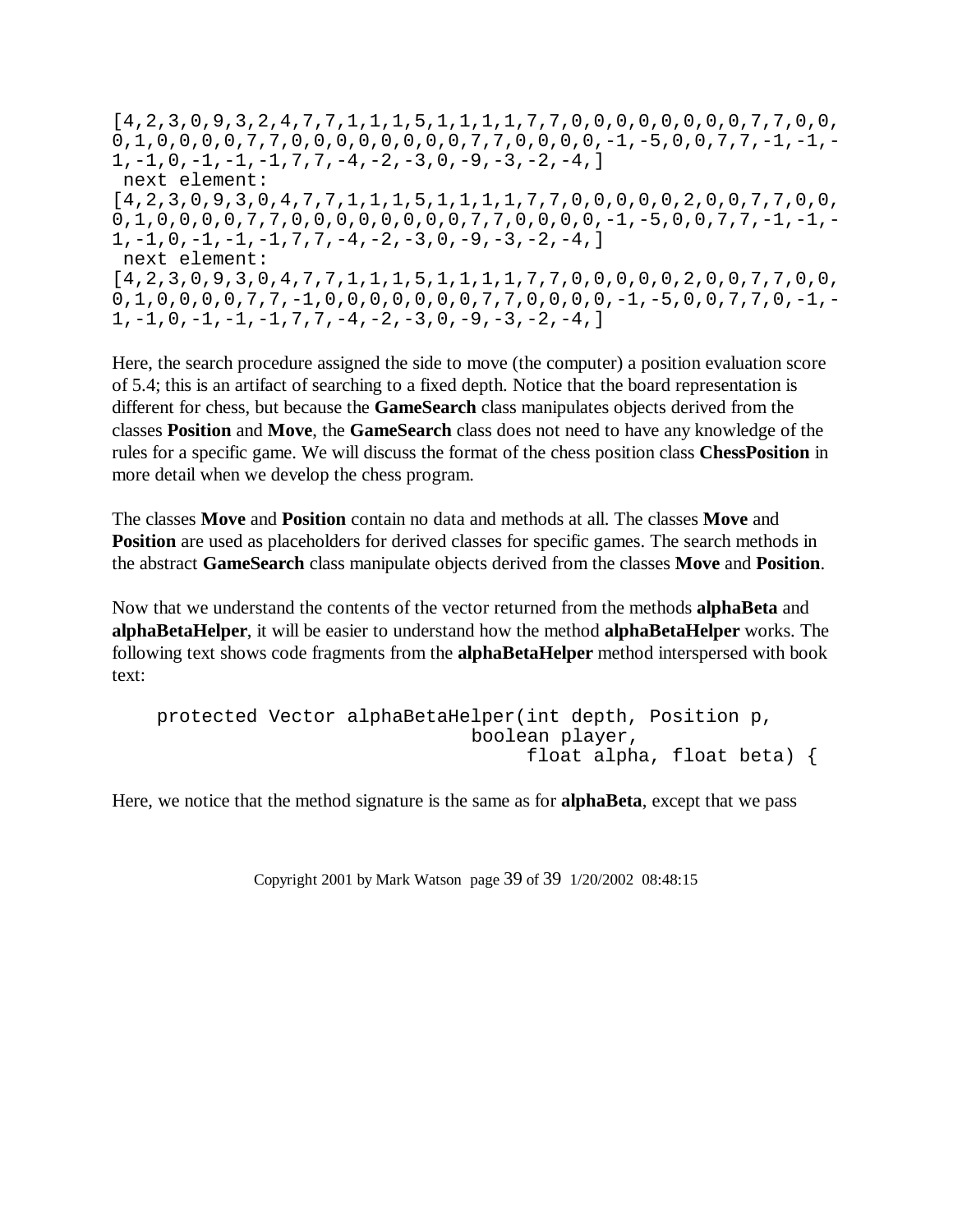[4,2,3,0,9,3,2,4,7,7,1,1,1,5,1,1,1,1,7,7,0,0,0,0,0,0,0,0,7,7,0,0, 0,1,0,0,0,0,7,7,0,0,0,0,0,0,0,0,7,7,0,0,0,0,-1,-5,0,0,7,7,-1,-1,-1,-1,0,-1,-1,-1,7,7,-4,-2,-3,0,-9,-3,-2,-4,] next element: [4,2,3,0,9,3,0,4,7,7,1,1,1,5,1,1,1,1,7,7,0,0,0,0,0,2,0,0,7,7,0,0, 0,1,0,0,0,0,7,7,0,0,0,0,0,0,0,0,7,7,0,0,0,0,-1,-5,0,0,7,7,-1,-1,- $1, -1, 0, -1, -1, -1, 7, 7, -4, -2, -3, 0, -9, -3, -2, -4,$ next element: [4,2,3,0,9,3,0,4,7,7,1,1,1,5,1,1,1,1,7,7,0,0,0,0,0,2,0,0,7,7,0,0, 0,1,0,0,0,0,7,7,-1,0,0,0,0,0,0,0,7,7,0,0,0,0,-1,-5,0,0,7,7,0,-1,- 1,-1,0,-1,-1,-1,7,7,-4,-2,-3,0,-9,-3,-2,-4,]

Here, the search procedure assigned the side to move (the computer) a position evaluation score of 5.4; this is an artifact of searching to a fixed depth. Notice that the board representation is different for chess, but because the **GameSearch** class manipulates objects derived from the classes **Position** and **Move**, the **GameSearch** class does not need to have any knowledge of the rules for a specific game. We will discuss the format of the chess position class **ChessPosition** in more detail when we develop the chess program.

The classes **Move** and **Position** contain no data and methods at all. The classes **Move** and **Position** are used as placeholders for derived classes for specific games. The search methods in the abstract **GameSearch** class manipulate objects derived from the classes **Move** and **Position**.

Now that we understand the contents of the vector returned from the methods **alphaBeta** and **alphaBetaHelper**, it will be easier to understand how the method **alphaBetaHelper** works. The following text shows code fragments from the **alphaBetaHelper** method interspersed with book text:

```
protected Vector alphaBetaHelper(int depth, Position p,
                            boolean player,
                                 float alpha, float beta) {
```
Here, we notice that the method signature is the same as for **alphaBeta**, except that we pass

Copyright 2001 by Mark Watson page 39 of 39 1/20/2002 08:48:15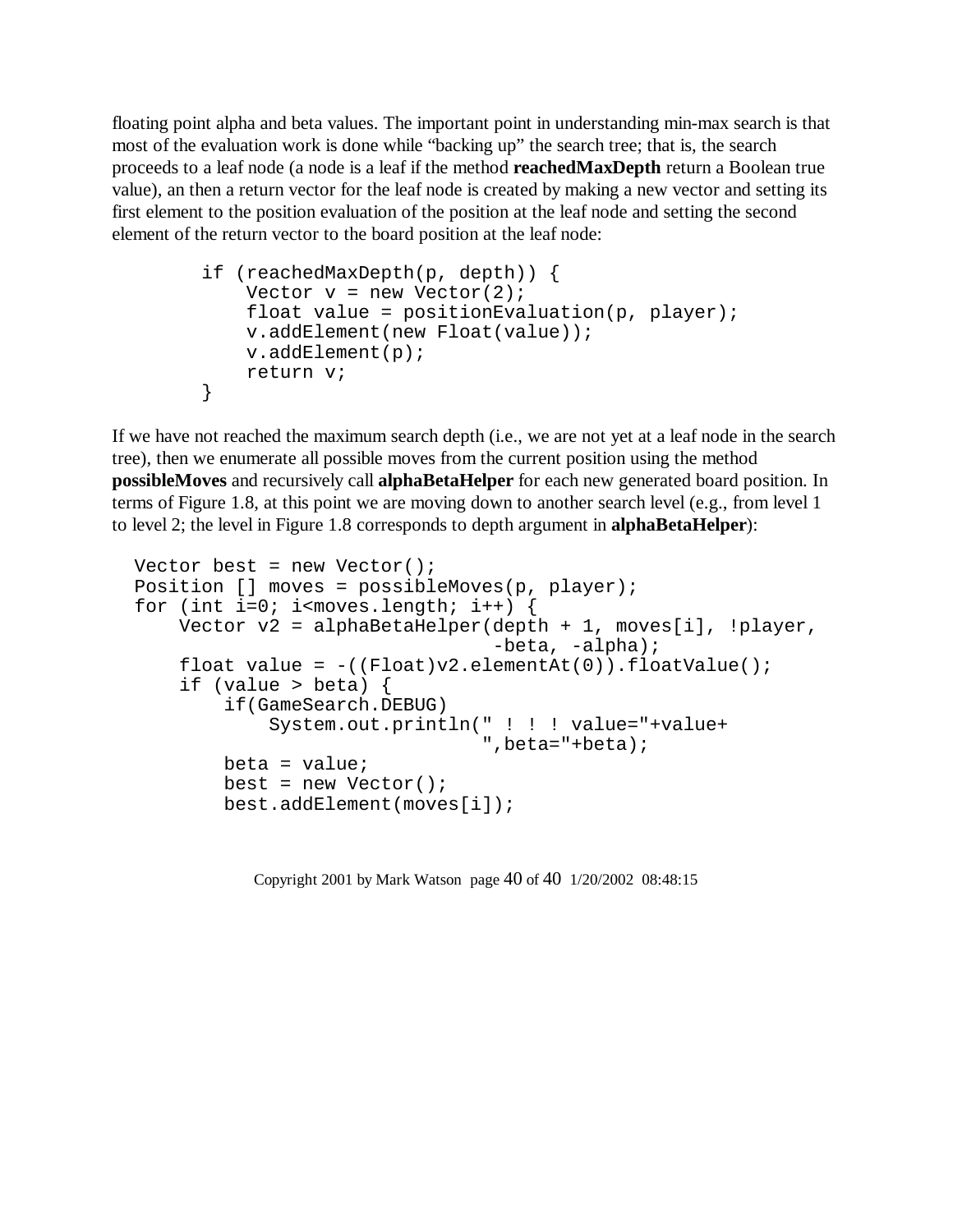floating point alpha and beta values. The important point in understanding min-max search is that most of the evaluation work is done while "backing up" the search tree; that is, the search proceeds to a leaf node (a node is a leaf if the method **reachedMaxDepth** return a Boolean true value), an then a return vector for the leaf node is created by making a new vector and setting its first element to the position evaluation of the position at the leaf node and setting the second element of the return vector to the board position at the leaf node:

```
if (reachedMaxDepth(p, depth)) {
   Vector v = new Vector(2);
   float value = positionEvaluation(p, player);
   v.addElement(new Float(value));
   v.addElement(p);
   return v;
}
```
If we have not reached the maximum search depth (i.e., we are not yet at a leaf node in the search tree), then we enumerate all possible moves from the current position using the method **possibleMoves** and recursively call **alphaBetaHelper** for each new generated board position. In terms of Figure 1.8, at this point we are moving down to another search level (e.g., from level 1 to level 2; the level in Figure 1.8 corresponds to depth argument in **alphaBetaHelper**):

```
Vector best = new Vector();
Position [] moves = possibleMoves(p, player);
for (int i=0; i<moves.length; i++) {
    Vector v2 = alphaBetaHelper(depth + 1, moves[i], !player,
                                -beta, -alpha);
    float value = -((Float<math>)v2.elementAt(0)).floatValue(i);
    if (value > beta) {
        if(GameSearch.DEBUG)
            System.out.println("!!! value="+value+
                                ",beta="+beta);
        beta = value;
        best = new Vector();
        best.addElement(moves[i]);
```
Copyright 2001 by Mark Watson page 40 of 40 1/20/2002 08:48:15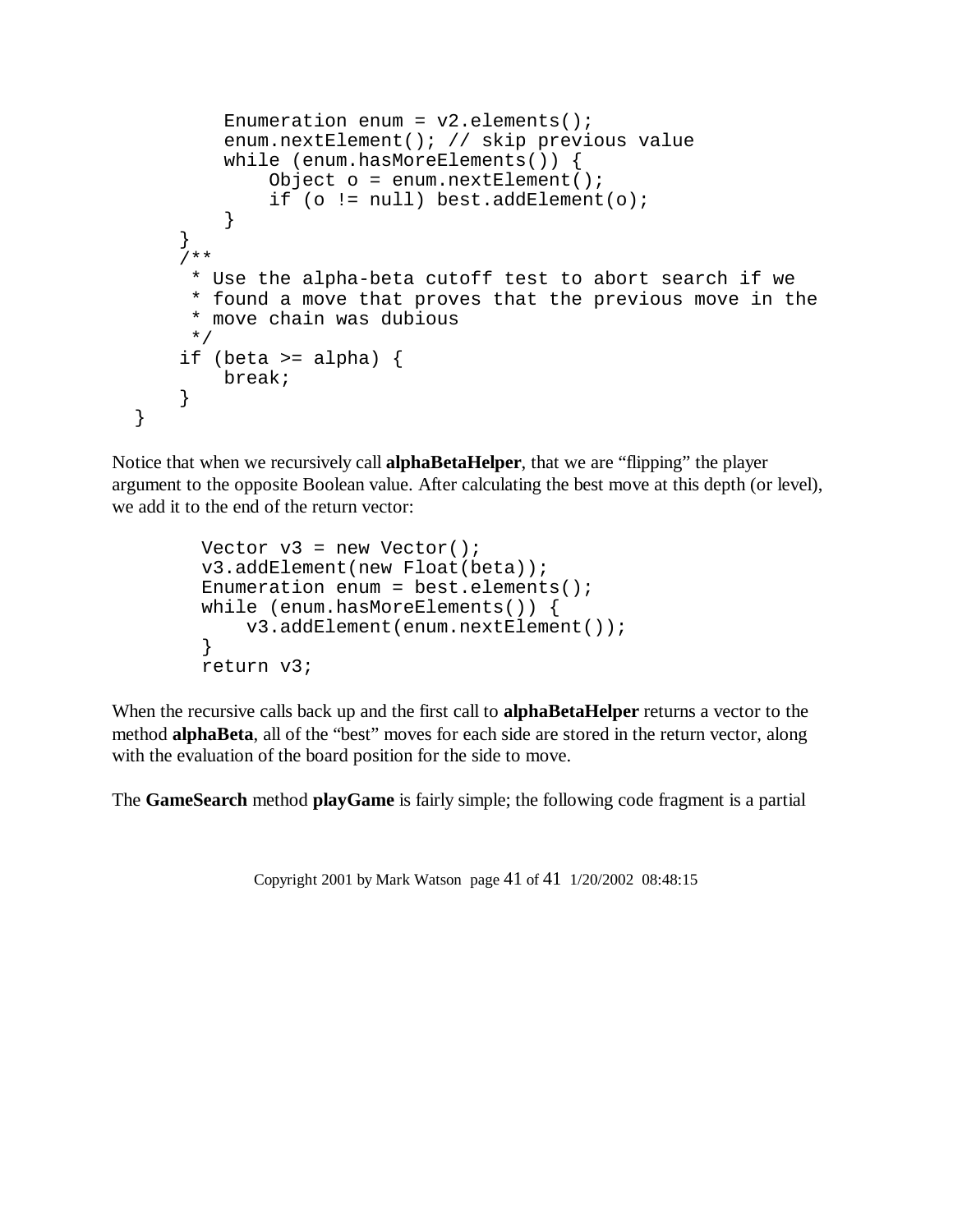```
Enumeration enum = v2. elements();
        enum.nextElement(); // skip previous value
        while (enum.hasMoreElements()) {
            Object o = enum.nextElement();
            if (o != null) best.addElement(o);
        }
    }
    /**
     * Use the alpha-beta cutoff test to abort search if we
     * found a move that proves that the previous move in the
     * move chain was dubious
     */
    if (beta >= alpha) {
       break;
    }
}
```
Notice that when we recursively call **alphaBetaHelper**, that we are "flipping" the player argument to the opposite Boolean value. After calculating the best move at this depth (or level), we add it to the end of the return vector:

```
Vector v3 = new Vector();
v3.addElement(new Float(beta));
Enumeration enum = best.elements();
while (enum.hasMoreElements()) {
    v3.addElement(enum.nextElement());
}
return v3;
```
When the recursive calls back up and the first call to **alphaBetaHelper** returns a vector to the method **alphaBeta**, all of the "best" moves for each side are stored in the return vector, along with the evaluation of the board position for the side to move.

The **GameSearch** method **playGame** is fairly simple; the following code fragment is a partial

Copyright 2001 by Mark Watson page 41 of 41 1/20/2002 08:48:15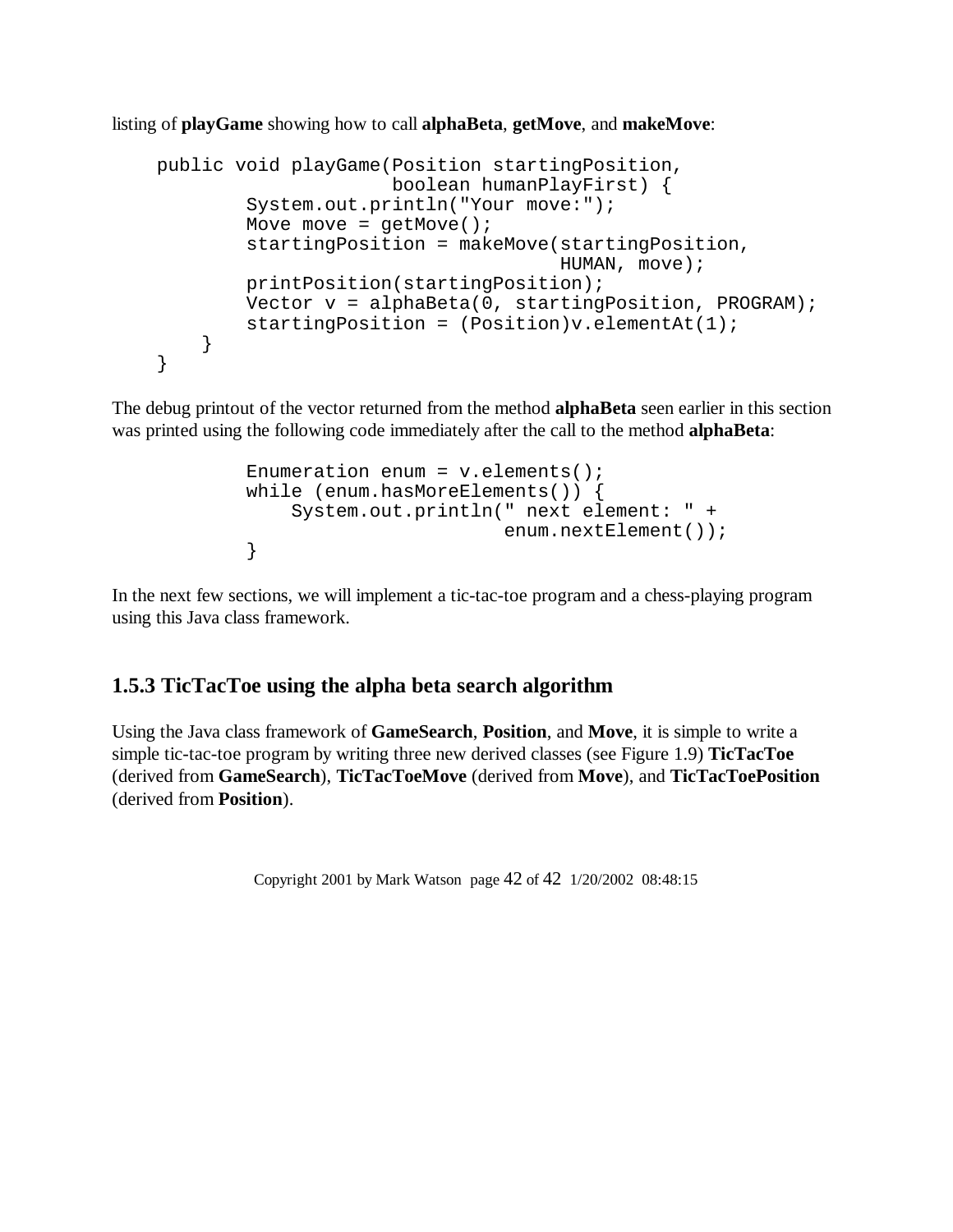listing of **playGame** showing how to call **alphaBeta**, **getMove**, and **makeMove**:

```
public void playGame(Position startingPosition,
                     boolean humanPlayFirst) {
        System.out.println("Your move:");
        Move move = getMove();
        startingPosition = makeMove(startingPosition,
                                    HUMAN, move);
        printPosition(startingPosition);
        Vector v = alphaBeta(0, startingPosition, PROGRAM);
        startingPosition = (Position)v.elementAt(1);}
}
```
The debug printout of the vector returned from the method **alphaBeta** seen earlier in this section was printed using the following code immediately after the call to the method **alphaBeta**:

```
Enumeration enum = v.elements();
while (enum.hasMoreElements()) {
    System.out.println(" next element: " +
                       enum.nextElement());
}
```
In the next few sections, we will implement a tic-tac-toe program and a chess-playing program using this Java class framework.

### **1.5.3 TicTacToe using the alpha beta search algorithm**

Using the Java class framework of **GameSearch**, **Position**, and **Move**, it is simple to write a simple tic-tac-toe program by writing three new derived classes (see Figure 1.9) **TicTacToe** (derived from **GameSearch**), **TicTacToeMove** (derived from **Move**), and **TicTacToePosition** (derived from **Position**).

Copyright 2001 by Mark Watson page 42 of 42 1/20/2002 08:48:15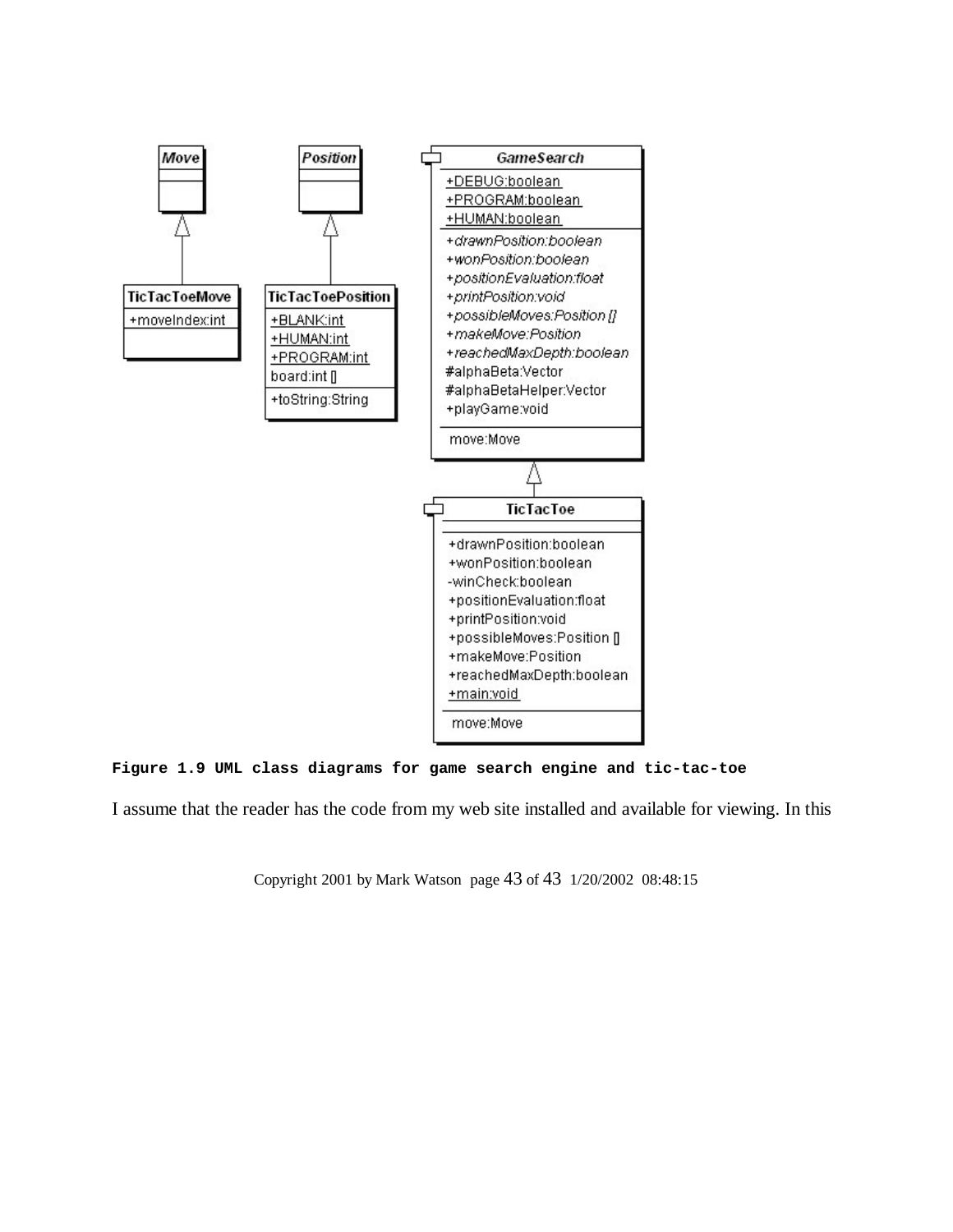

**Figure 1.9 UML class diagrams for game search engine and tic-tac-toe**

I assume that the reader has the code from my web site installed and available for viewing. In this

Copyright 2001 by Mark Watson page 43 of 43 1/20/2002 08:48:15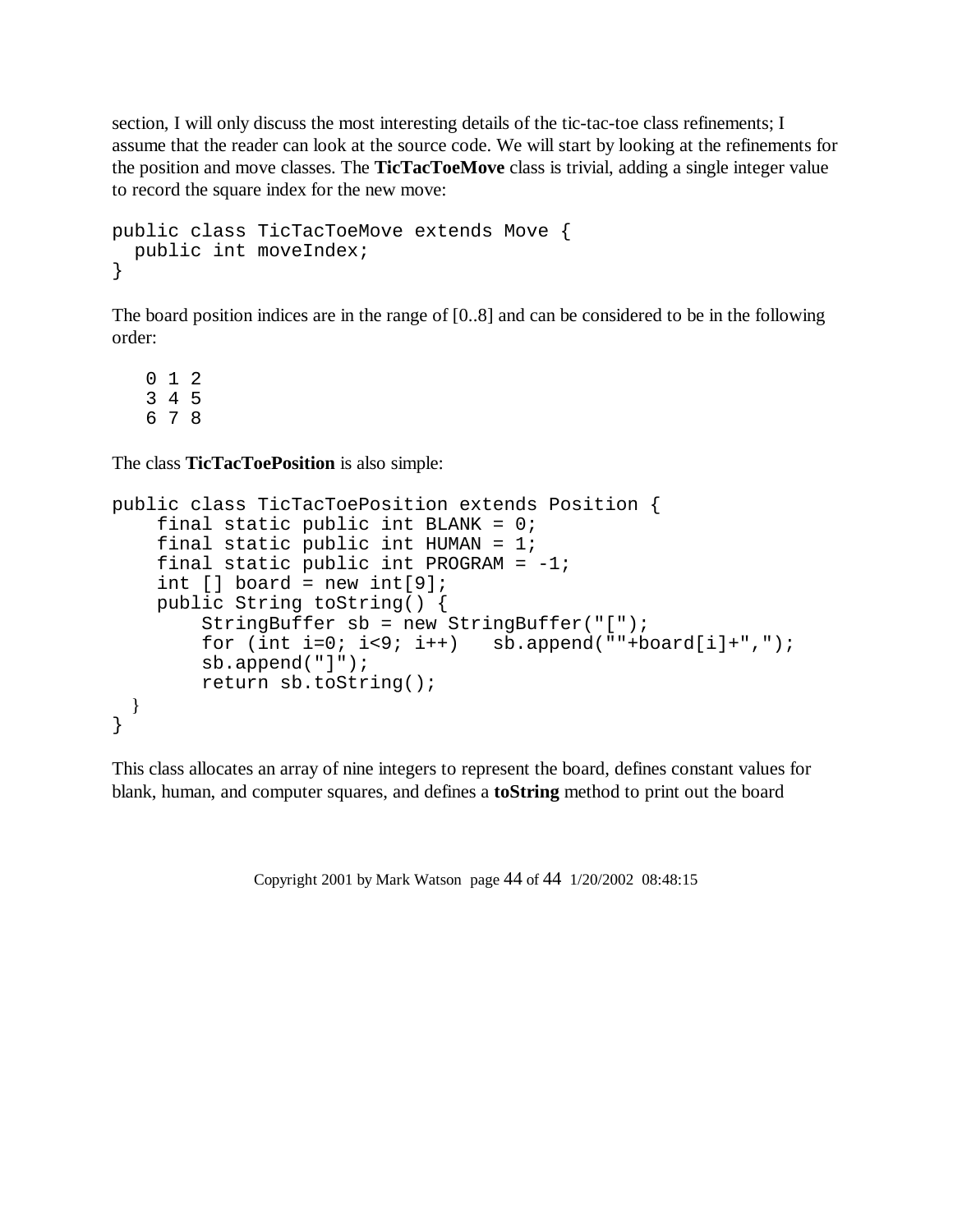section, I will only discuss the most interesting details of the tic-tac-toe class refinements; I assume that the reader can look at the source code. We will start by looking at the refinements for the position and move classes. The **TicTacToeMove** class is trivial, adding a single integer value to record the square index for the new move:

```
public class TicTacToeMove extends Move {
  public int moveIndex;
}
```
The board position indices are in the range of [0..8] and can be considered to be in the following order:

012 345 678

The class **TicTacToePosition** is also simple:

```
public class TicTacToePosition extends Position {
    final static public int BLANK = 0;
    final static public int HUMAN = 1;
    final static public int PROGRAM = -1;
    int [] board = new int[9];
    public String toString() {
        StringBuffer sb = new StringBuffer("[");
        for (int i=0; i<9; i++) sb.append(""+board[i]+",");
        sb.append("]");
        return sb.toString();
 }
}
```
This class allocates an array of nine integers to represent the board, defines constant values for blank, human, and computer squares, and defines a **toString** method to print out the board

Copyright 2001 by Mark Watson page 44 of 44 1/20/2002 08:48:15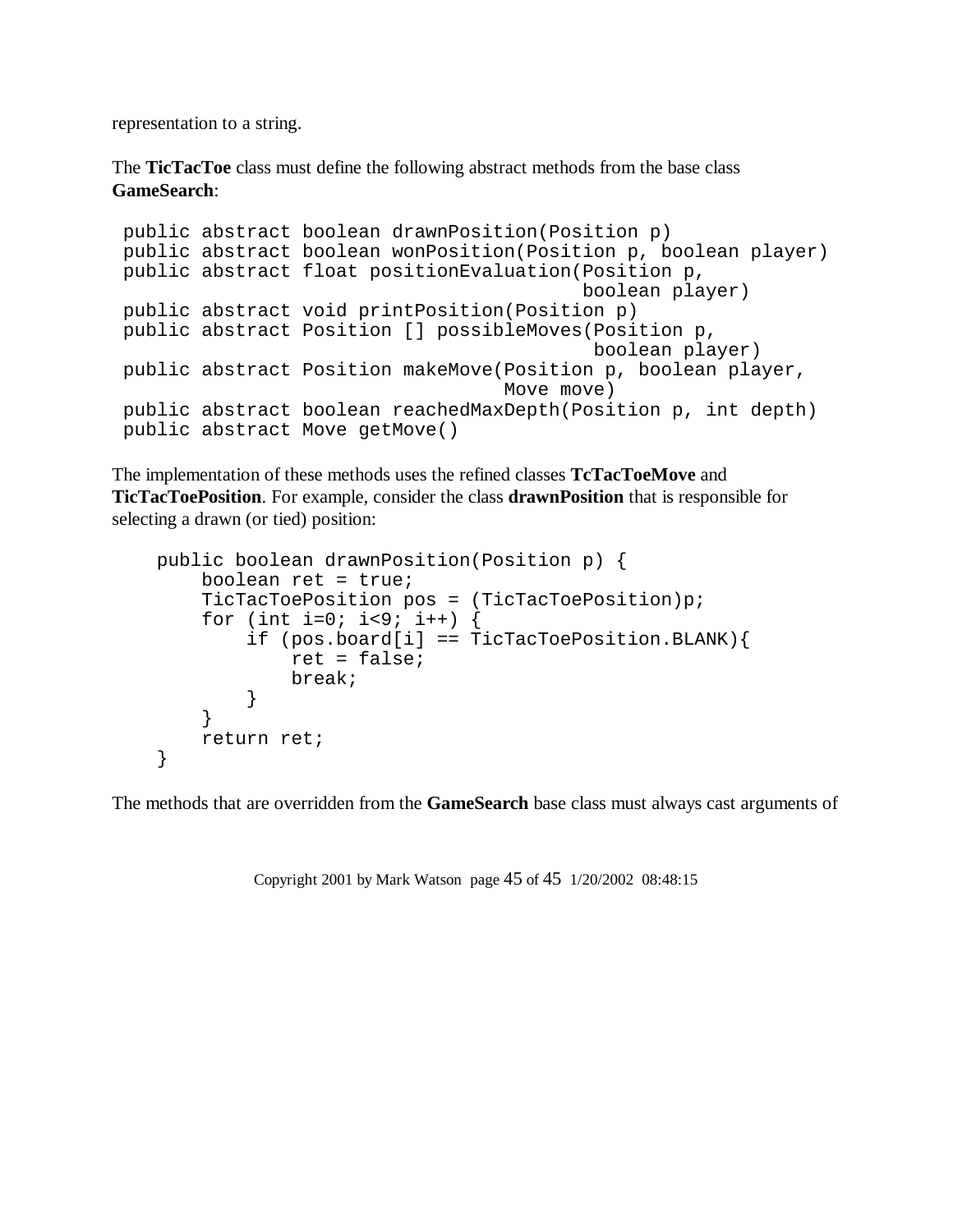representation to a string.

The **TicTacToe** class must define the following abstract methods from the base class **GameSearch**:

```
public abstract boolean drawnPosition(Position p)
public abstract boolean wonPosition(Position p, boolean player)
public abstract float positionEvaluation(Position p,
                                         boolean player)
public abstract void printPosition(Position p)
public abstract Position [] possibleMoves(Position p,
                                          boolean player)
public abstract Position makeMove(Position p, boolean player,
                                  Move move)
public abstract boolean reachedMaxDepth(Position p, int depth)
public abstract Move getMove()
```
The implementation of these methods uses the refined classes **TcTacToeMove** and **TicTacToePosition**. For example, consider the class **drawnPosition** that is responsible for selecting a drawn (or tied) position:

```
public boolean drawnPosition(Position p) {
    boolean ret = true;
    TicTacToePosition pos = (TicTacToePosition)p;
    for (int i=0; i<9; i++) {
        if (pos.board[i] == TicTacToePosition.BLANK){
            ret = false;
            break;
        }
    }
    return ret;
}
```
The methods that are overridden from the **GameSearch** base class must always cast arguments of

Copyright 2001 by Mark Watson page 45 of 45 1/20/2002 08:48:15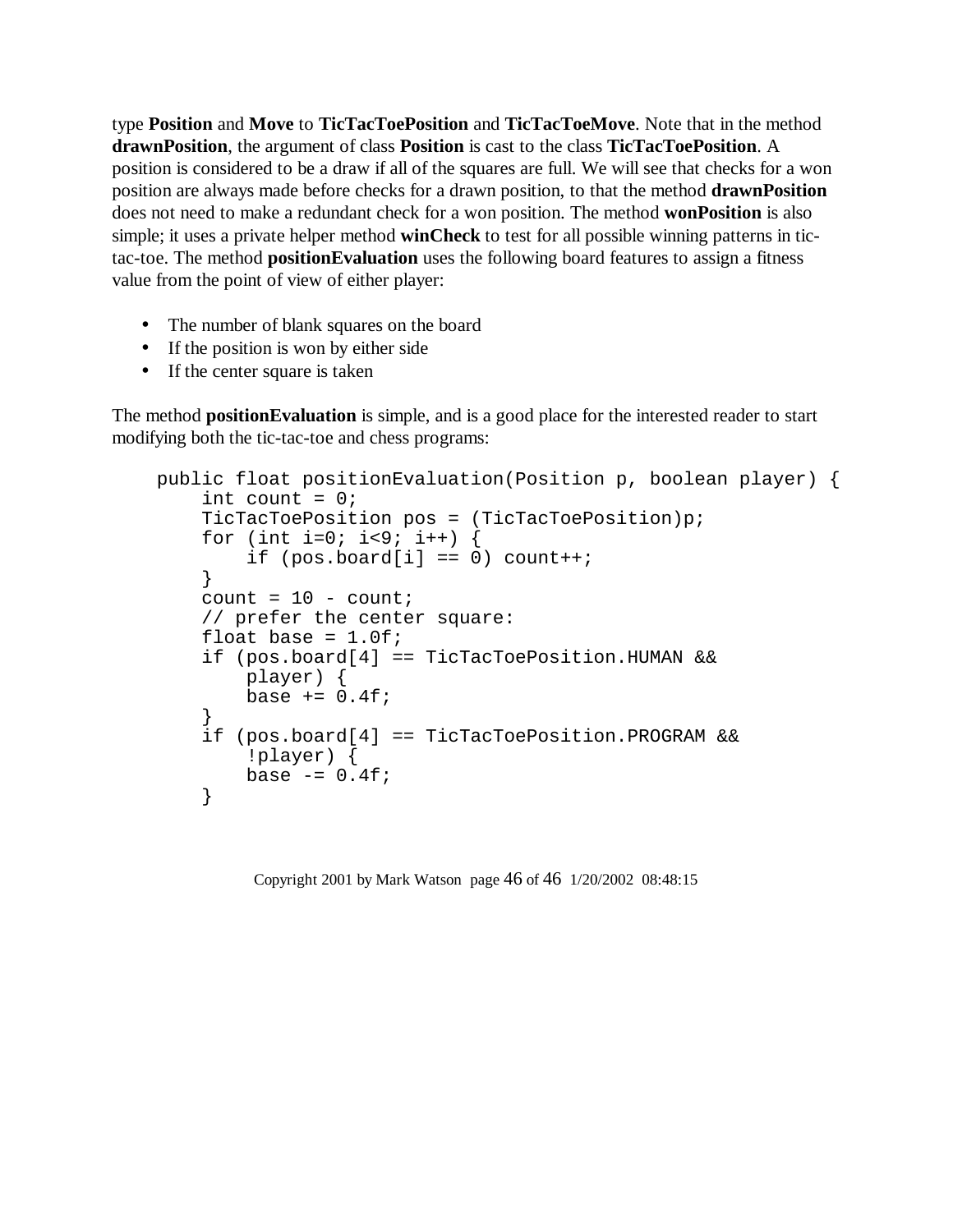type **Position** and **Move** to **TicTacToePosition** and **TicTacToeMove**. Note that in the method **drawnPosition**, the argument of class **Position** is cast to the class **TicTacToePosition**. A position is considered to be a draw if all of the squares are full. We will see that checks for a won position are always made before checks for a drawn position, to that the method **drawnPosition** does not need to make a redundant check for a won position. The method **wonPosition** is also simple; it uses a private helper method **winCheck** to test for all possible winning patterns in tictac-toe. The method **positionEvaluation** uses the following board features to assign a fitness value from the point of view of either player:

- The number of blank squares on the board
- If the position is won by either side
- If the center square is taken

The method **positionEvaluation** is simple, and is a good place for the interested reader to start modifying both the tic-tac-toe and chess programs:

```
public float positionEvaluation(Position p, boolean player) {
    int count = 0;
    TicTacToePosition pos = (TicTacToePosition)p;
    for (int i=0; i<9; i++) {
        if (pos.bcard[i] == 0) count++;}
    count = 10 - count;// prefer the center square:
    float base = 1.0f;
    if (pos.board[4] == TicTacToePosition.HUMAN &&
        player) {
        base += 0.4f;
    }
    if (pos.board[4] == TicTacToePosition.PROGRAM &&
        !player) {
        base -= 0.4f;
    }
```
Copyright 2001 by Mark Watson page 46 of 46 1/20/2002 08:48:15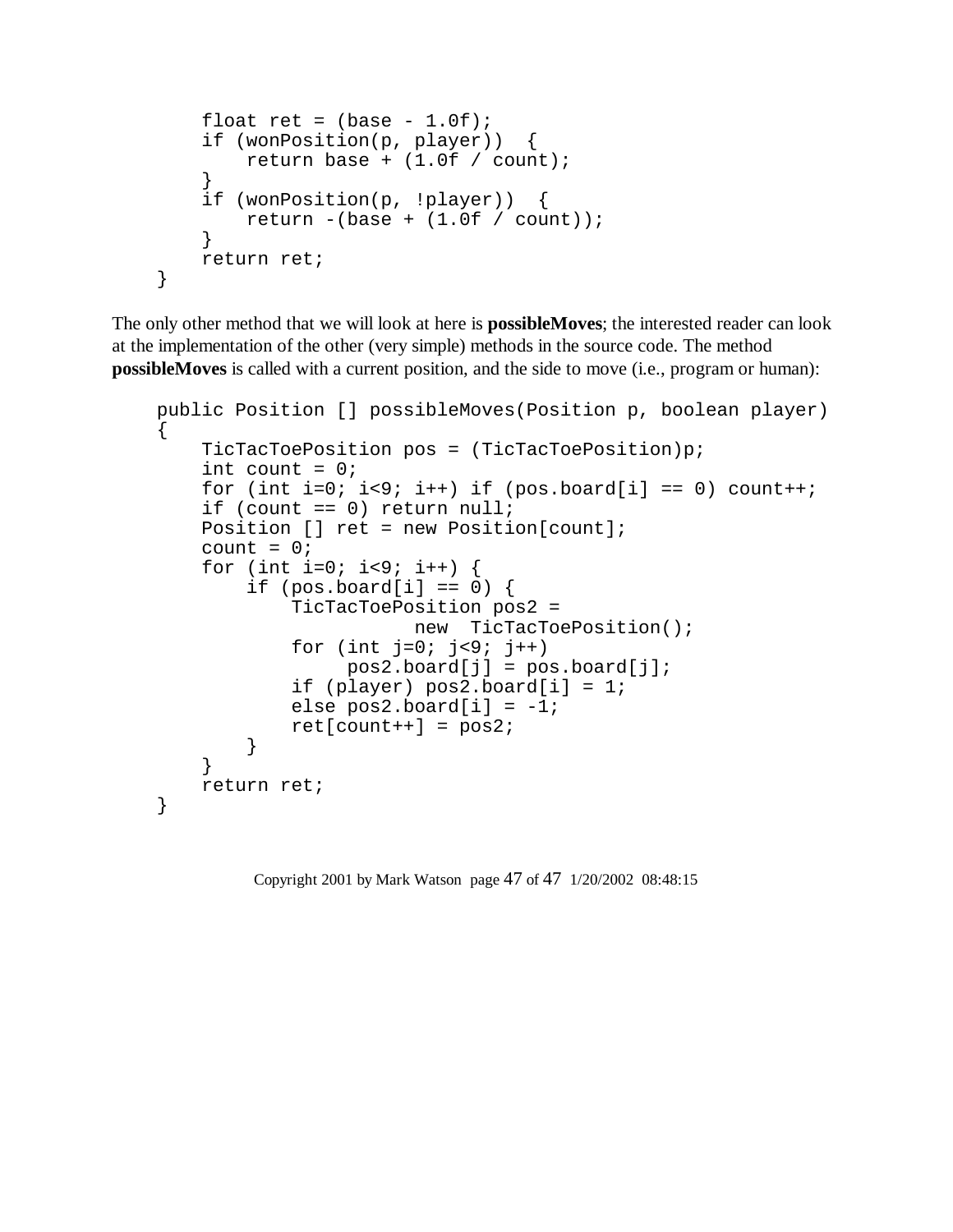```
float ret = (base - 1.0f);
    if (wonPosition(p, player)) {
        return base + (1.0f / count);
    }
    if (wonPosition(p, !player)) {
       return -(base + (1.0f / count));
    }
   return ret;
}
```
The only other method that we will look at here is **possibleMoves**; the interested reader can look at the implementation of the other (very simple) methods in the source code. The method **possibleMoves** is called with a current position, and the side to move (i.e., program or human):

```
public Position [] possibleMoves(Position p, boolean player)
\{TicTacToePosition pos = (TicTacToePosition)p;
    int count = 0;
    for (int i=0; i<9; i++) if (pos.board[i] == 0) count++;
    if (count == 0) return null;
    Position [] ret = new Position[count];
    count = 0;
    for (int i=0; i<9; i++) {
        if (pos.board[i] == 0) {
            TicTacToePosition pos2 =
                       new TicTacToePosition();
            for (int j=0; j<9; j++)pos2.bcard[j] = pos.bcard[j];if (player) pos2.board[i] = 1;
            else pos2.bcard[i] = -1;ret[count++] = pos2;}
    }
    return ret;
}
```
Copyright 2001 by Mark Watson page 47 of 47 1/20/2002 08:48:15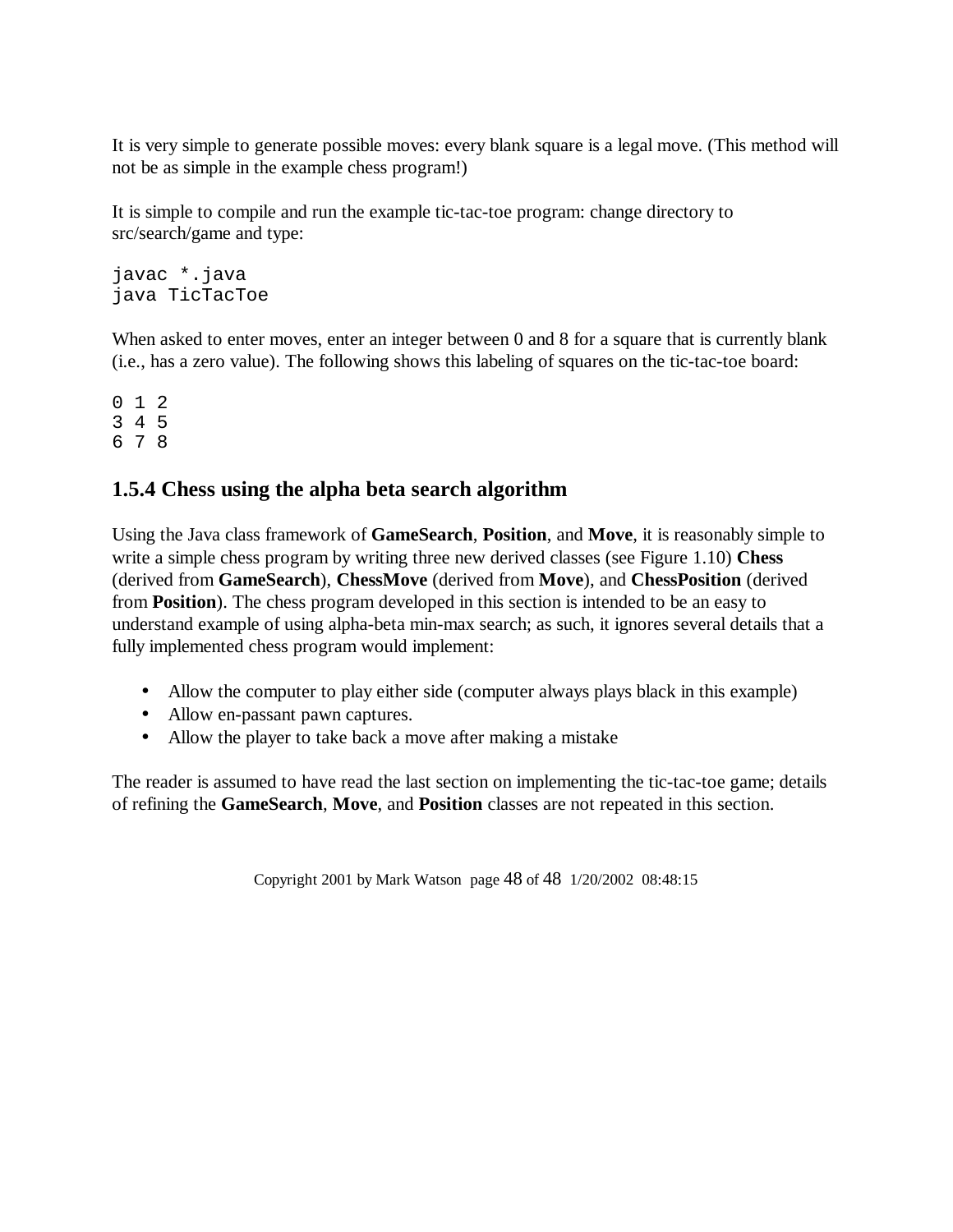It is very simple to generate possible moves: every blank square is a legal move. (This method will not be as simple in the example chess program!)

It is simple to compile and run the example tic-tac-toe program: change directory to src/search/game and type:

javac \*.java java TicTacToe

When asked to enter moves, enter an integer between 0 and 8 for a square that is currently blank (i.e., has a zero value). The following shows this labeling of squares on the tic-tac-toe board:

012 345 678

## **1.5.4 Chess using the alpha beta search algorithm**

Using the Java class framework of **GameSearch**, **Position**, and **Move**, it is reasonably simple to write a simple chess program by writing three new derived classes (see Figure 1.10) **Chess** (derived from **GameSearch**), **ChessMove** (derived from **Move**), and **ChessPosition** (derived from **Position**). The chess program developed in this section is intended to be an easy to understand example of using alpha-beta min-max search; as such, it ignores several details that a fully implemented chess program would implement:

- Allow the computer to play either side (computer always plays black in this example)
- Allow en-passant pawn captures.
- Allow the player to take back a move after making a mistake

The reader is assumed to have read the last section on implementing the tic-tac-toe game; details of refining the **GameSearch**, **Move**, and **Position** classes are not repeated in this section.

Copyright 2001 by Mark Watson page 48 of 48 1/20/2002 08:48:15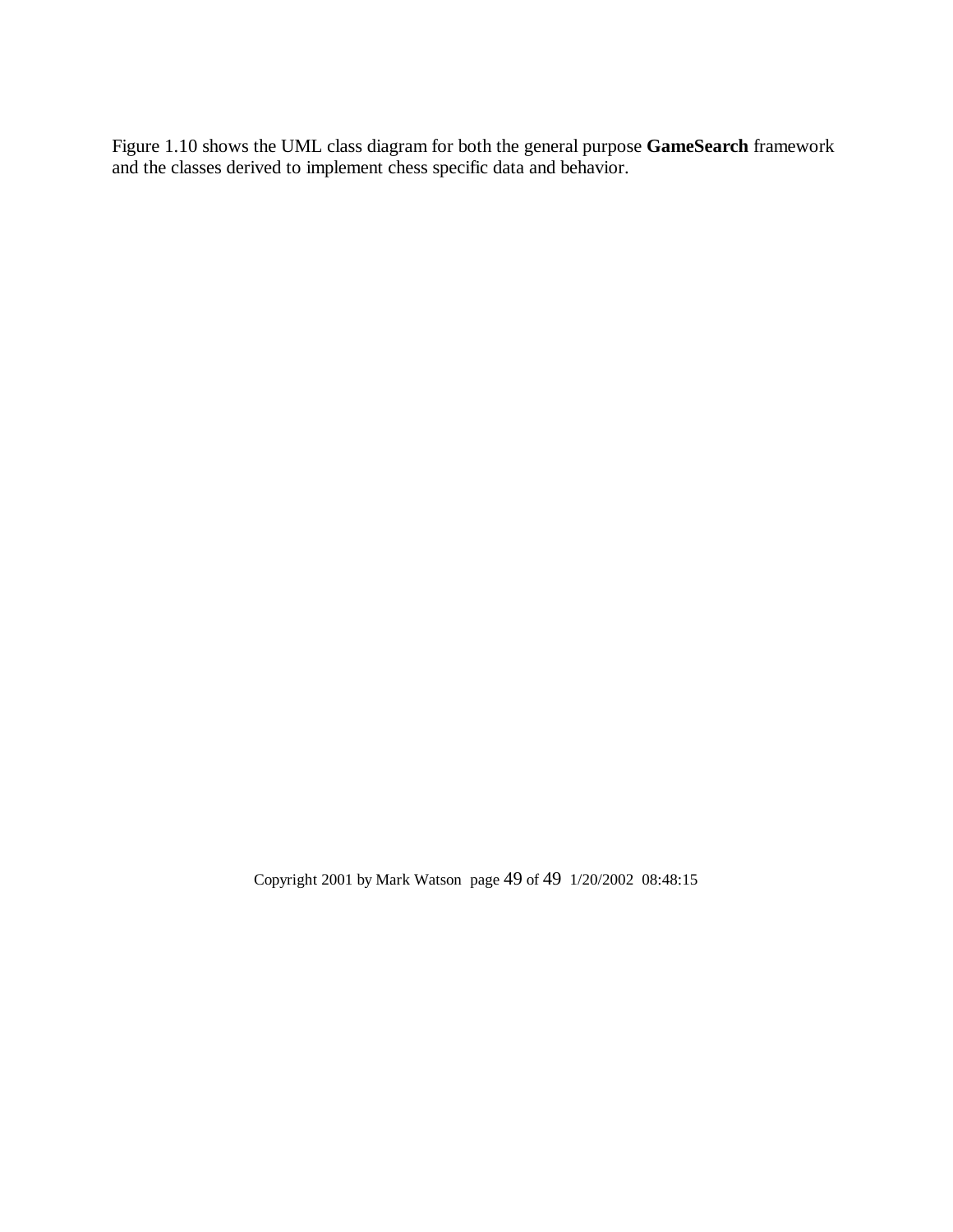Figure 1.10 shows the UML class diagram for both the general purpose **GameSearch** framework and the classes derived to implement chess specific data and behavior.

Copyright 2001 by Mark Watson page 49 of 49 1/20/2002 08:48:15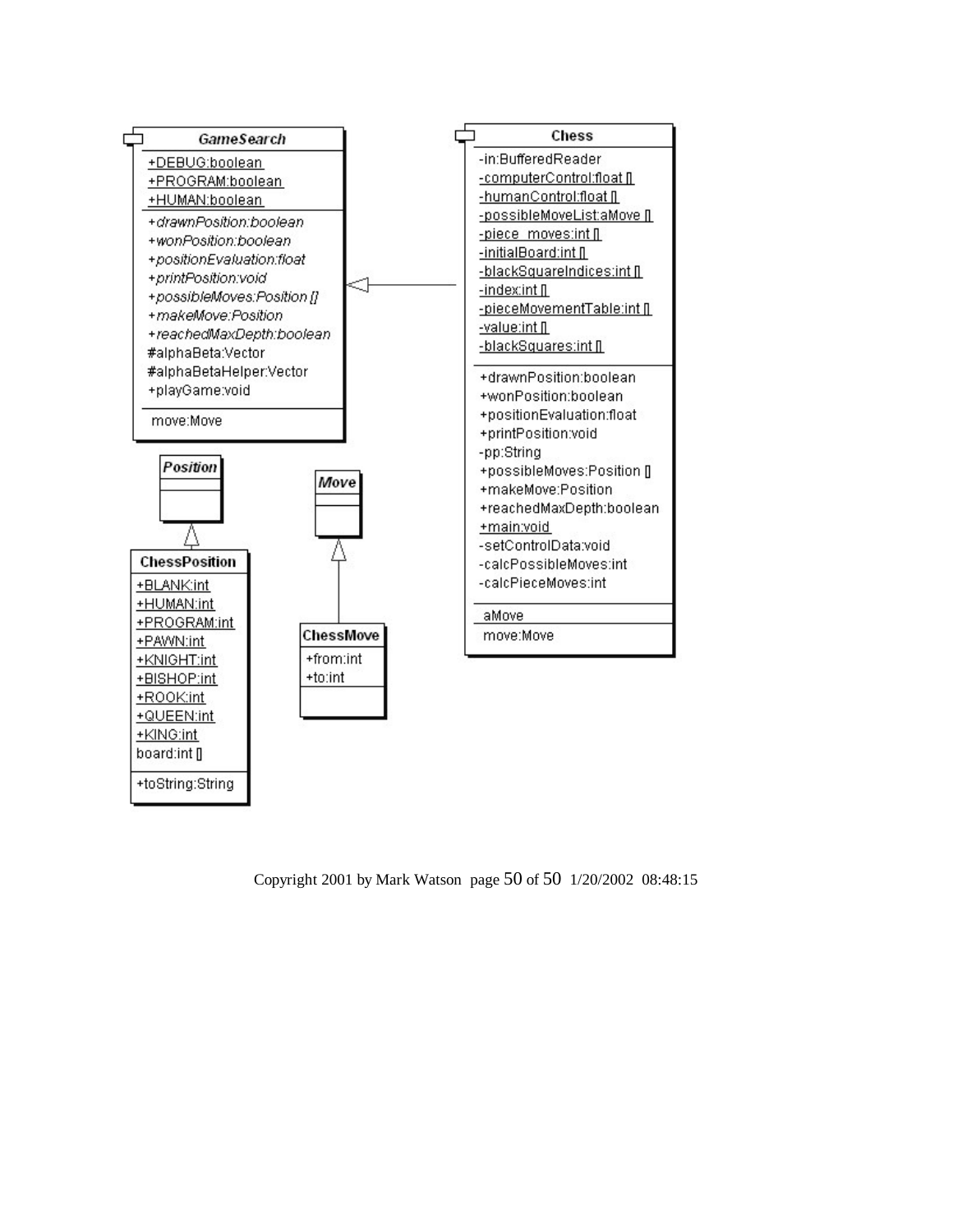

Copyright 2001 by Mark Watson page 50 of 50 1/20/2002 08:48:15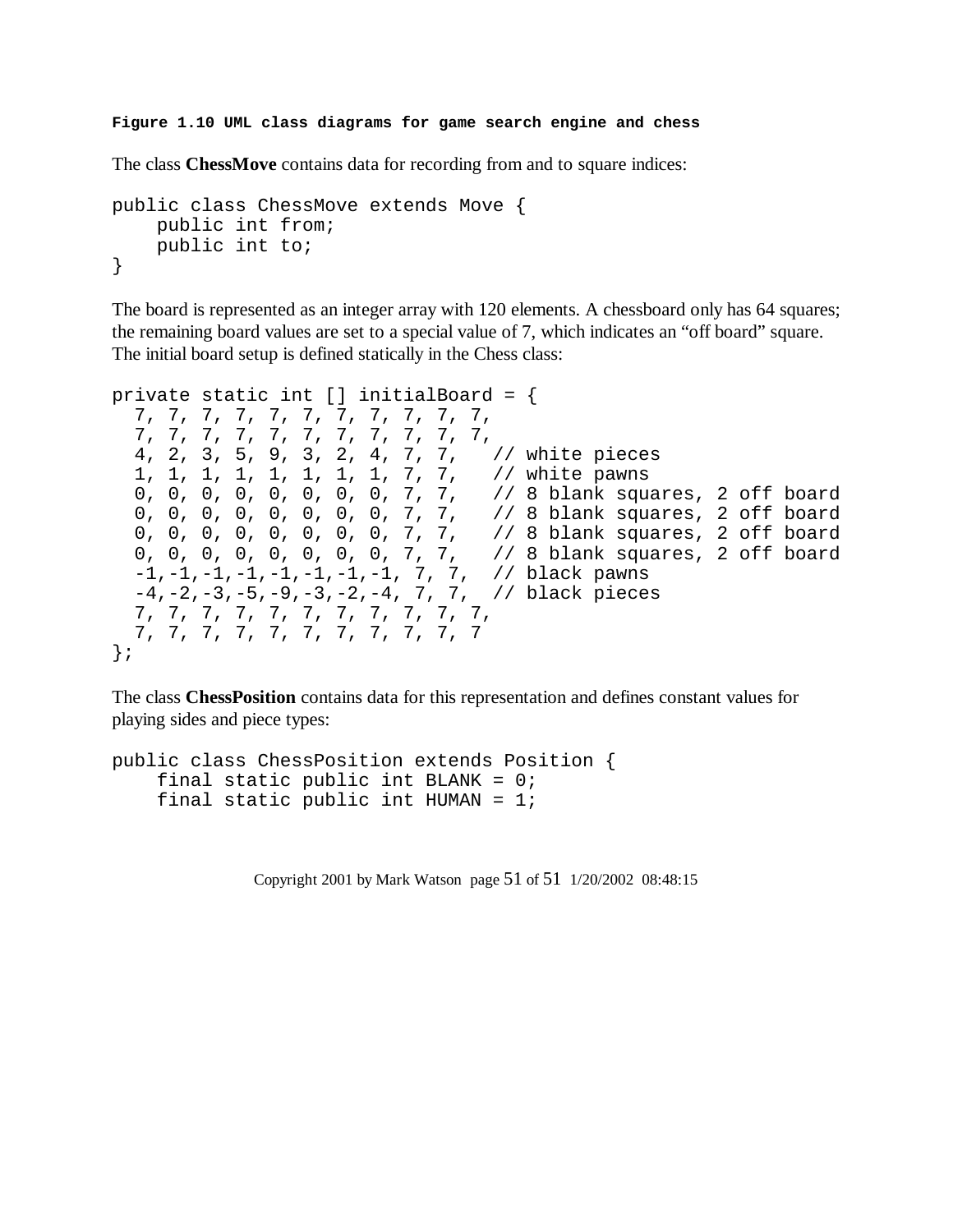#### **Figure 1.10 UML class diagrams for game search engine and chess**

The class **ChessMove** contains data for recording from and to square indices:

```
public class ChessMove extends Move {
    public int from;
    public int to;
}
```
The board is represented as an integer array with 120 elements. A chessboard only has 64 squares; the remaining board values are set to a special value of 7, which indicates an "off board" square. The initial board setup is defined statically in the Chess class:

```
private static int [] initialBoard = {
  7, 7, 7, 7, 7, 7, 7, 7, 7, 7, 7,
  7, 7, 7, 7, 7, 7, 7, 7, 7, 7, 7,
  4, 2, 3, 5, 9, 3, 2, 4, 7, 7, // white pieces<br>1, 1, 1, 1, 1, 1, 1, 1, 7, 7, // white pawns
  1, 1, 1, 1, 1, 1, 1, 1, 7, 7,
  0, 0, 0, 0, 0, 0, 0, 0, 7, 7, // 8 blank squares, 2 off board
  0, 0, 0, 0, 0, 0, 0, 0, 7, 7, // 8 blank squares, 2 off board
  0, 0, 0, 0, 0, 0, 0, 0, 7, 7, // 8 blank squares, 2 off board
  0, 0, 0, 0, 0, 0, 0, 0, 7, 7, // 8 blank squares, 2 off board
  -1,-1,-1,-1,-1,-1,-1,-1, 7, 7, // black pawns
  -4,-2,-3,-5,-9,-3,-2,-4, 7, 7, // black pieces
  7, 7, 7, 7, 7, 7, 7, 7, 7, 7, 7,
  7, 7, 7, 7, 7, 7, 7, 7, 7, 7, 7
};
```
The class **ChessPosition** contains data for this representation and defines constant values for playing sides and piece types:

```
public class ChessPosition extends Position {
    final static public int BLANK = 0;
    final static public int HUMAN = 1;
```
Copyright 2001 by Mark Watson page 51 of 51 1/20/2002 08:48:15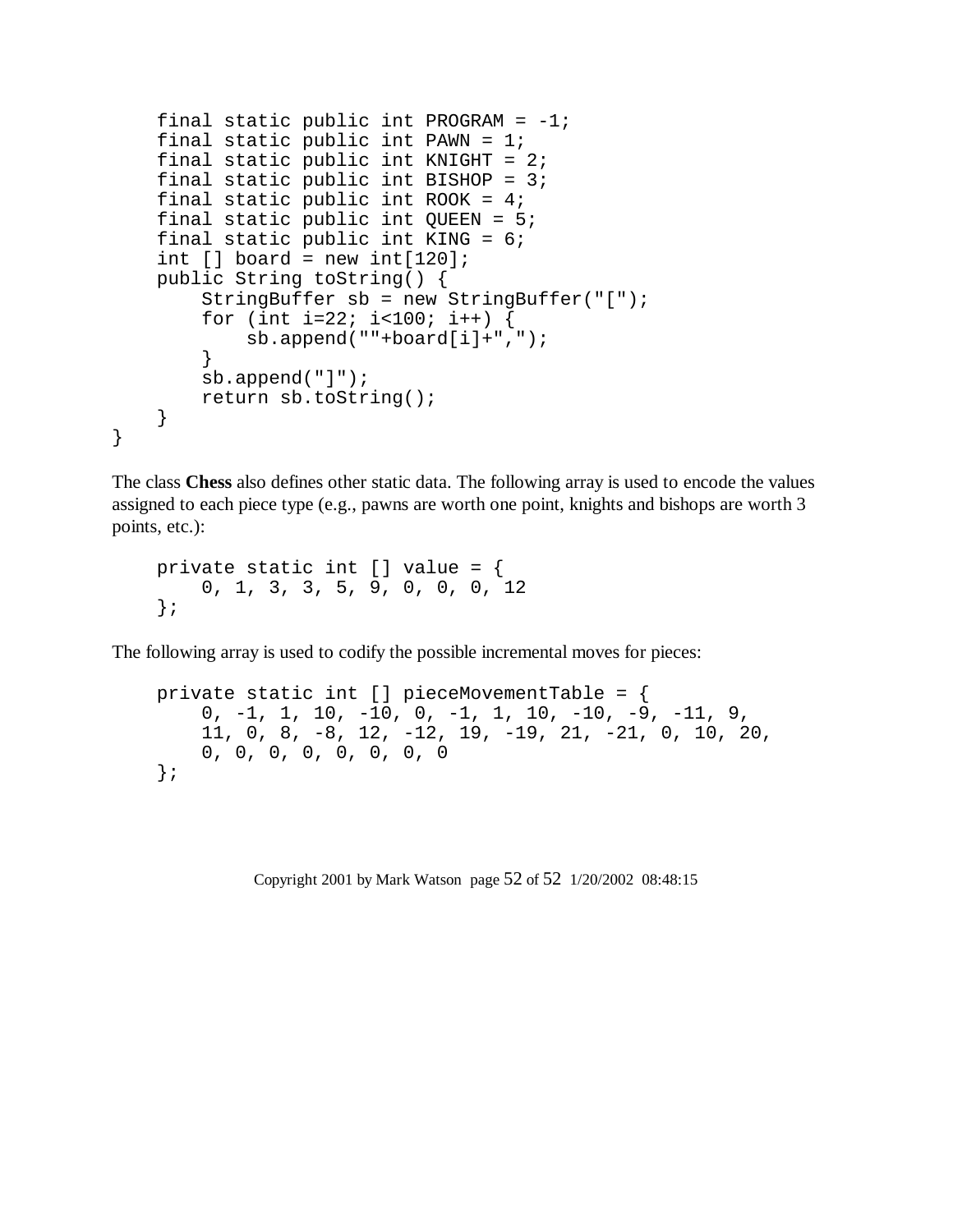```
final static public int PROGRAM = -1;
final static public int PAWN = 1;
final static public int KNIGHT = 2;
final static public int BISHOP = 3;
final static public int ROOK = 4;
final static public int QUEEN = 5;
final static public int KING = 6iint [] board = new int[120];
public String toString() {
    StringBuffer sb = new StringBuffer("[");
    for (int i=22; i<100; i++) {
        sb.append(""+board[i]+",");
    }
    sb.append("]");
    return sb.toString();
}
```
The class **Chess** also defines other static data. The following array is used to encode the values assigned to each piece type (e.g., pawns are worth one point, knights and bishops are worth 3 points, etc.):

```
private static int [] value = {
    0, 1, 3, 3, 5, 9, 0, 0, 0, 12
};
```
}

The following array is used to codify the possible incremental moves for pieces:

private static int [] pieceMovementTable = {  $0, -1, 1, 10, -10, 0, -1, 1, 10, -10, -9, -11, 9,$ 11, 0, 8, -8, 12, -12, 19, -19, 21, -21, 0, 10, 20, 0, 0, 0, 0, 0, 0, 0, 0 };

Copyright 2001 by Mark Watson page 52 of 52 1/20/2002 08:48:15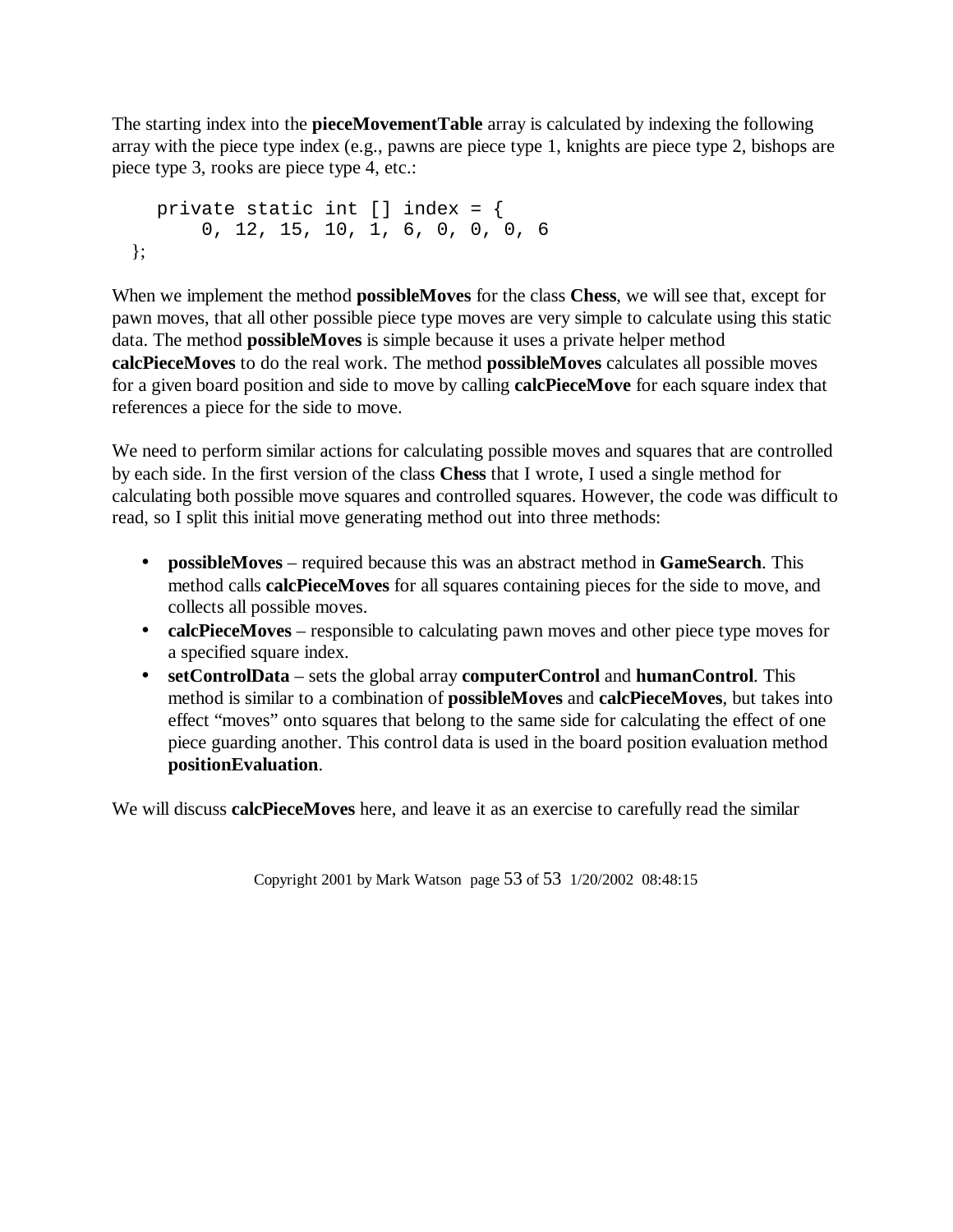The starting index into the **pieceMovementTable** array is calculated by indexing the following array with the piece type index (e.g., pawns are piece type 1, knights are piece type 2, bishops are piece type 3, rooks are piece type 4, etc.:

```
private static int [] index = {
      0, 12, 15, 10, 1, 6, 0, 0, 0, 6
};
```
When we implement the method **possibleMoves** for the class **Chess**, we will see that, except for pawn moves, that all other possible piece type moves are very simple to calculate using this static data. The method **possibleMoves** is simple because it uses a private helper method **calcPieceMoves** to do the real work. The method **possibleMoves** calculates all possible moves for a given board position and side to move by calling **calcPieceMove** for each square index that references a piece for the side to move.

We need to perform similar actions for calculating possible moves and squares that are controlled by each side. In the first version of the class **Chess** that I wrote, I used a single method for calculating both possible move squares and controlled squares. However, the code was difficult to read, so I split this initial move generating method out into three methods:

- **possibleMoves** required because this was an abstract method in **GameSearch**. This method calls **calcPieceMoves** for all squares containing pieces for the side to move, and collects all possible moves.
- **calcPieceMoves** responsible to calculating pawn moves and other piece type moves for a specified square index.
- **setControlData** sets the global array **computerControl** and **humanControl**. This method is similar to a combination of **possibleMoves** and **calcPieceMoves**, but takes into effect "moves" onto squares that belong to the same side for calculating the effect of one piece guarding another. This control data is used in the board position evaluation method **positionEvaluation**.

We will discuss **calcPieceMoves** here, and leave it as an exercise to carefully read the similar

Copyright 2001 by Mark Watson page 53 of 53 1/20/2002 08:48:15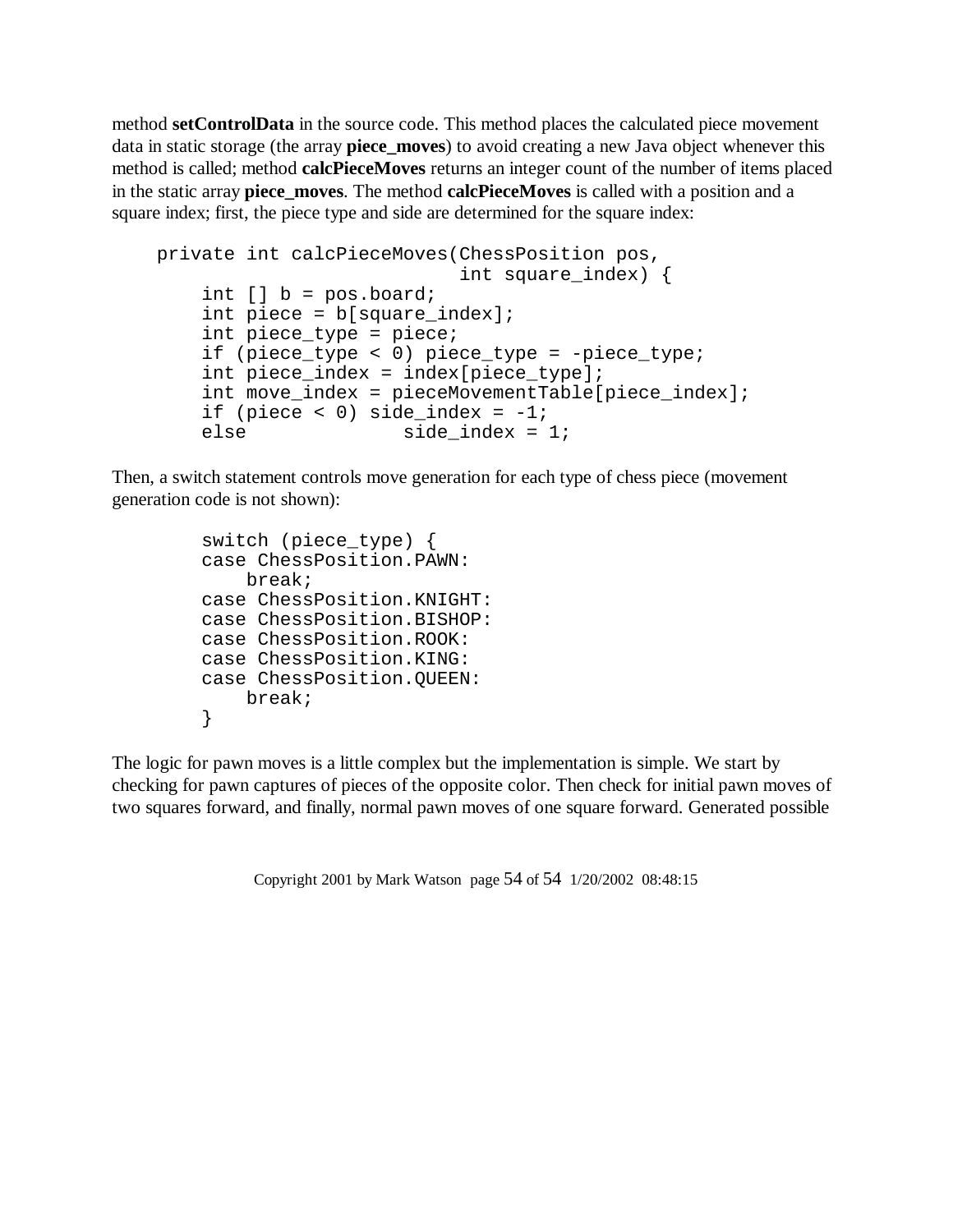method **setControlData** in the source code. This method places the calculated piece movement data in static storage (the array **piece\_moves**) to avoid creating a new Java object whenever this method is called; method **calcPieceMoves** returns an integer count of the number of items placed in the static array **piece moves**. The method **calcPieceMoves** is called with a position and a square index; first, the piece type and side are determined for the square index:

```
private int calcPieceMoves(ChessPosition pos,
                          int square_index) {
    int [] b = pos.board;
    int piece = b[square_index];
    int piece_type = piece;
    if (piece_type < 0) piece_type = -piece_type;
    int piece_index = index[piece_type];
    int move_index = pieceMovementTable[piece_index];
    if (piece < 0) side index = -1;
    else side index = 1;
```
Then, a switch statement controls move generation for each type of chess piece (movement generation code is not shown):

```
switch (piece_type) {
case ChessPosition.PAWN:
    break;
case ChessPosition.KNIGHT:
case ChessPosition.BISHOP:
case ChessPosition.ROOK:
case ChessPosition.KING:
case ChessPosition.QUEEN:
    break;
}
```
The logic for pawn moves is a little complex but the implementation is simple. We start by checking for pawn captures of pieces of the opposite color. Then check for initial pawn moves of two squares forward, and finally, normal pawn moves of one square forward. Generated possible

Copyright 2001 by Mark Watson page 54 of 54 1/20/2002 08:48:15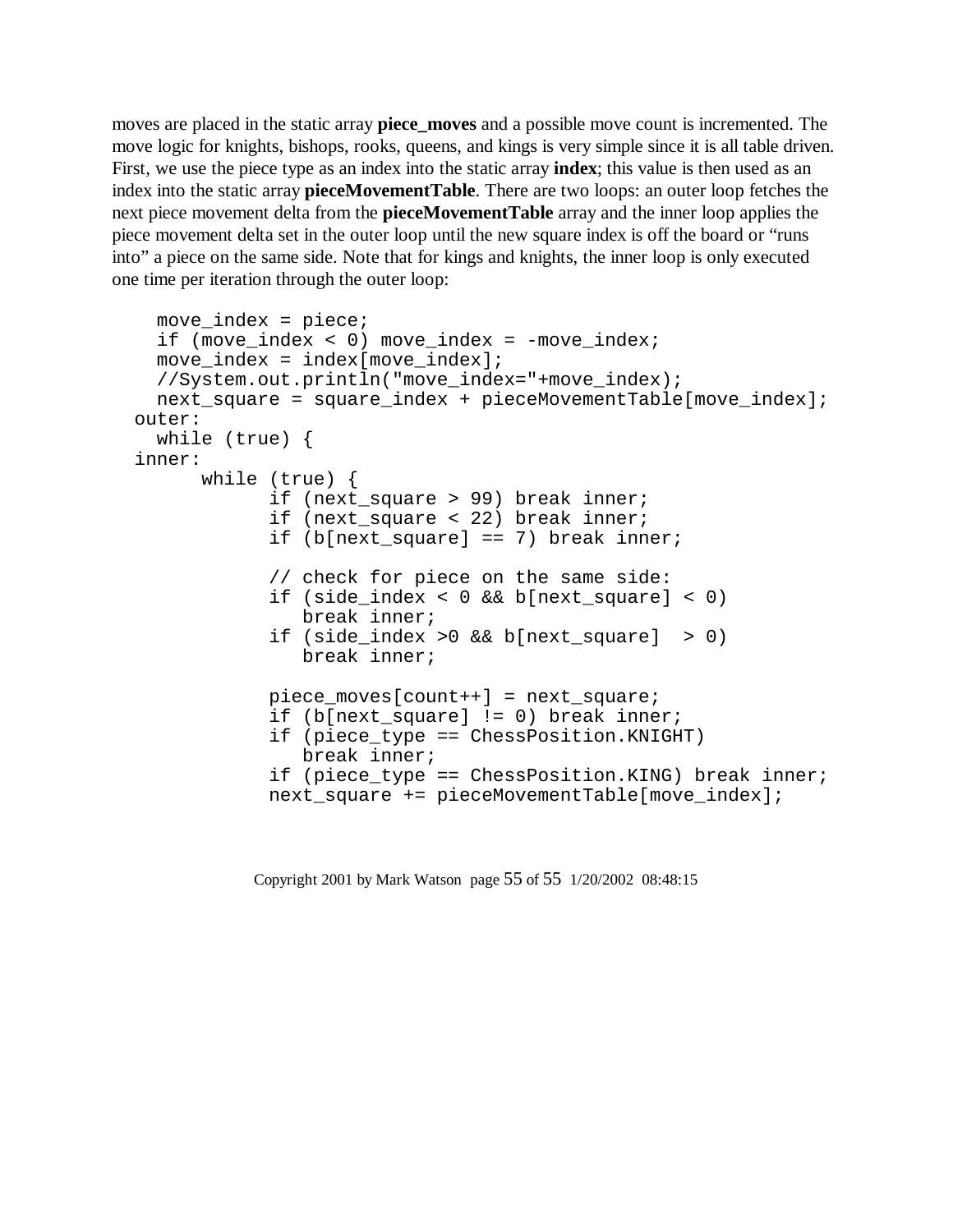moves are placed in the static array **piece\_moves** and a possible move count is incremented. The move logic for knights, bishops, rooks, queens, and kings is very simple since it is all table driven. First, we use the piece type as an index into the static array **index**; this value is then used as an index into the static array **pieceMovementTable**. There are two loops: an outer loop fetches the next piece movement delta from the **pieceMovementTable** array and the inner loop applies the piece movement delta set in the outer loop until the new square index is off the board or "runs into" a piece on the same side. Note that for kings and knights, the inner loop is only executed one time per iteration through the outer loop:

```
move index = piece;
  if (move_index < 0) move_index = -move_index;
  move\_index = index[move\_index];//System.out.println("move_index="+move_index);
 next_square = square_index + pieceMovementTable[move_index];
outer:
  while (true) {
inner:
      while (true) {
            if (next_square > 99) break inner;
            if (next_square < 22) break inner;
            if (b[next_square] == 7) break inner;
            // check for piece on the same side:
            if (side_index < 0 && b[next_square] < 0)
               break inner;
            if (side_index >0 && b[next_square] > 0)
               break inner;
            piece_moves[count++] = next_square;
            if (b[next_square] != 0) break inner;
            if (piece_type == ChessPosition.KNIGHT)
               break inner;
            if (piece_type == ChessPosition.KING) break inner;
            next_square += pieceMovementTable[move_index];
```
Copyright 2001 by Mark Watson page 55 of 55 1/20/2002 08:48:15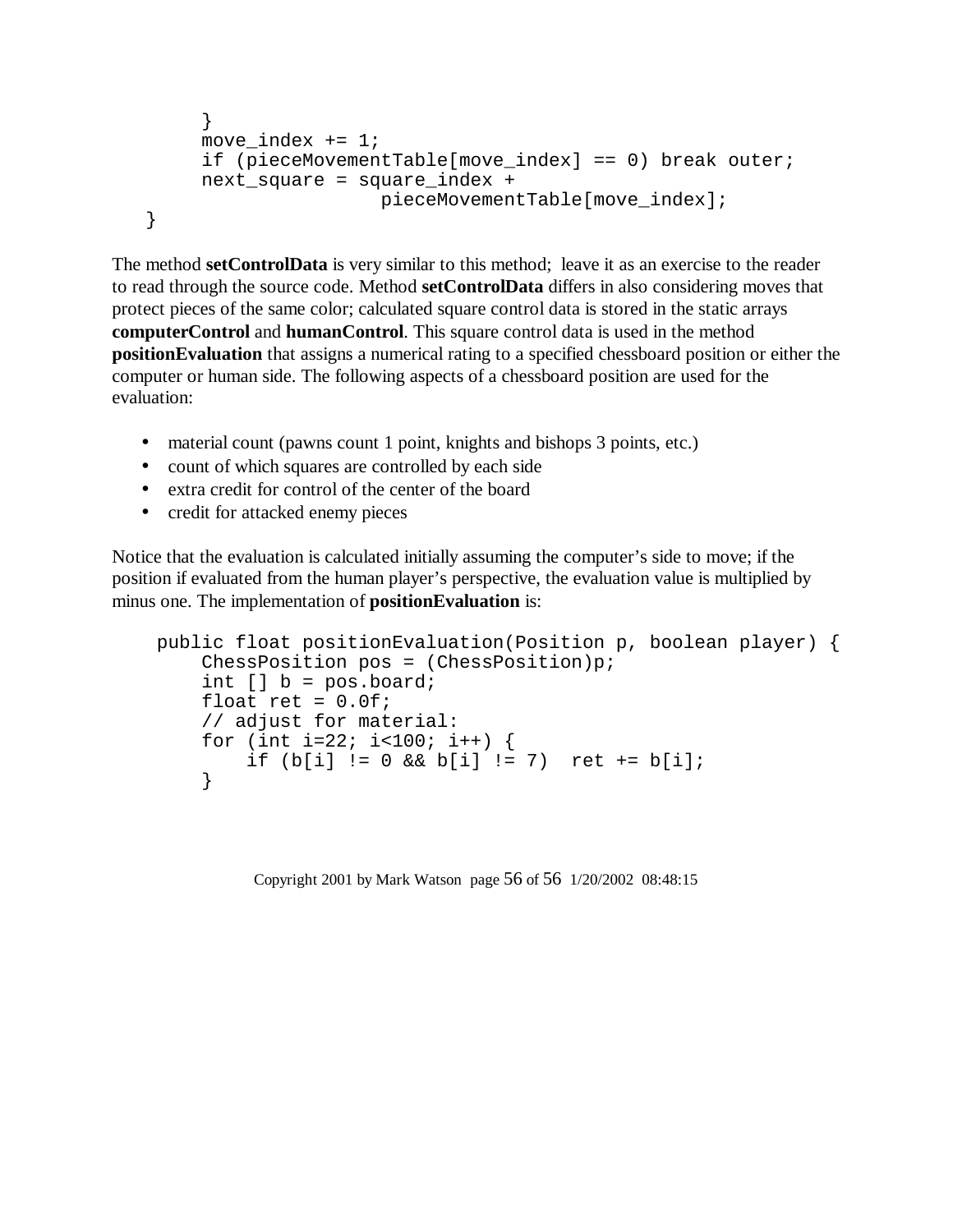```
}
    move_index += 1;if (pieceMovementTable[move_index] == 0) break outer;
    next_square = square_index +
                     pieceMovementTable[move_index];
}
```
The method **setControlData** is very similar to this method; leave it as an exercise to the reader to read through the source code. Method **setControlData** differs in also considering moves that protect pieces of the same color; calculated square control data is stored in the static arrays **computerControl** and **humanControl**. This square control data is used in the method **positionEvaluation** that assigns a numerical rating to a specified chessboard position or either the computer or human side. The following aspects of a chessboard position are used for the evaluation:

- material count (pawns count 1 point, knights and bishops 3 points, etc.)
- count of which squares are controlled by each side
- extra credit for control of the center of the board
- credit for attacked enemy pieces

Notice that the evaluation is calculated initially assuming the computer's side to move; if the position if evaluated from the human player's perspective, the evaluation value is multiplied by minus one. The implementation of **positionEvaluation** is:

```
public float positionEvaluation(Position p, boolean player) {
    ChessPosition pos = (ChessPosition)p;
    int [] b = pos.board;
    float ret = 0.0f;
    // adjust for material:
    for (int i=22; i<100; i++) {
        if (b[i] := 0 \& b[i] := 7) ret += b[i];}
```
Copyright 2001 by Mark Watson page 56 of 56 1/20/2002 08:48:15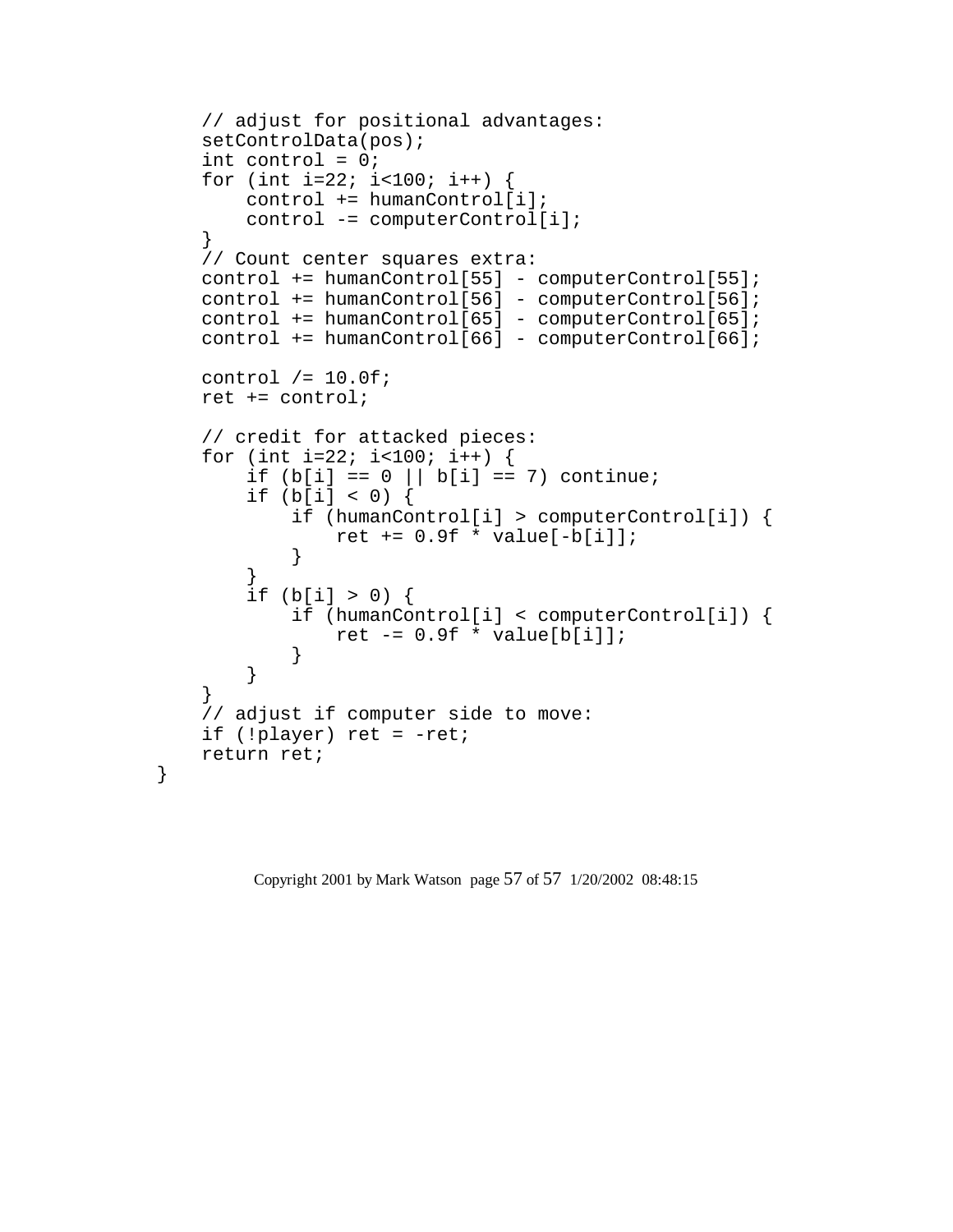```
// adjust for positional advantages:
setControlData(pos);
int control = 0;for (int i=22; i<100; i++) {
    control += humanControl[i];
    control -= computerControl[i];
}
// Count center squares extra:
control += humanControl[55] - computerControl[55];
control += humanControl[56] - computerControl[56];
control += humanControl[65] - computerControl[65];
control += humanControl[66] - computerControl[66];
control /= 10.0f;
ret += control;
// credit for attacked pieces:
for (int i=22; i<100; i++) {
    if (b[i] == 0 || b[i] == 7) continue;
    if (b[i] < 0) {
        if (humanControl[i] > computerControl[i]) {
            ret += 0.9f * value[-b[i]];}
    }
    if (b[i] > 0) {
        if (humanControl[i] < computerControl[i]) {
            ret - 0.9f * value[b[i]];
        }
    }
}
// adjust if computer side to move:
if (!player) ret = -ret;
return ret;
```
Copyright 2001 by Mark Watson page 57 of 57 1/20/2002 08:48:15

}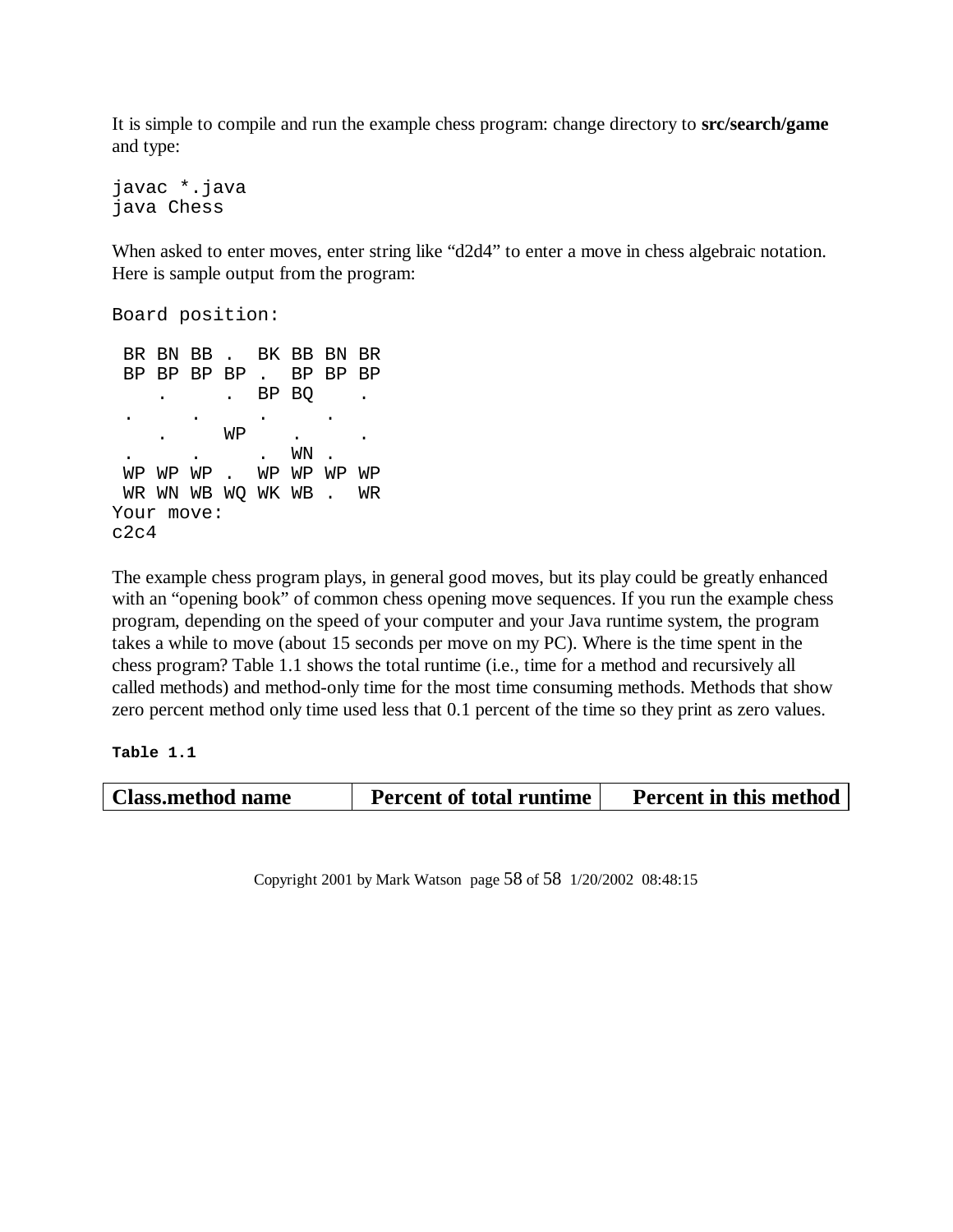It is simple to compile and run the example chess program: change directory to **src/search/game** and type:

javac \*.java java Chess

When asked to enter moves, enter string like "d2d4" to enter a move in chess algebraic notation. Here is sample output from the program:

Board position:

BR BN BB . BK BB BN BR BP BP BP BP . BP BP BP . . BP BQ . .... . WP . . . WN . WP WP WP . WP WP WP WP WR WN WB WQ WK WB . WR Your move: c2c4

The example chess program plays, in general good moves, but its play could be greatly enhanced with an "opening book" of common chess opening move sequences. If you run the example chess program, depending on the speed of your computer and your Java runtime system, the program takes a while to move (about 15 seconds per move on my PC). Where is the time spent in the chess program? Table 1.1 shows the total runtime (i.e., time for a method and recursively all called methods) and method-only time for the most time consuming methods. Methods that show zero percent method only time used less that 0.1 percent of the time so they print as zero values.

#### **Table 1.1**

| <b>Class, method name</b> | <b>Percent of total runtime</b> | <b>Percent in this method</b> |
|---------------------------|---------------------------------|-------------------------------|
|                           |                                 |                               |

Copyright 2001 by Mark Watson page 58 of 58 1/20/2002 08:48:15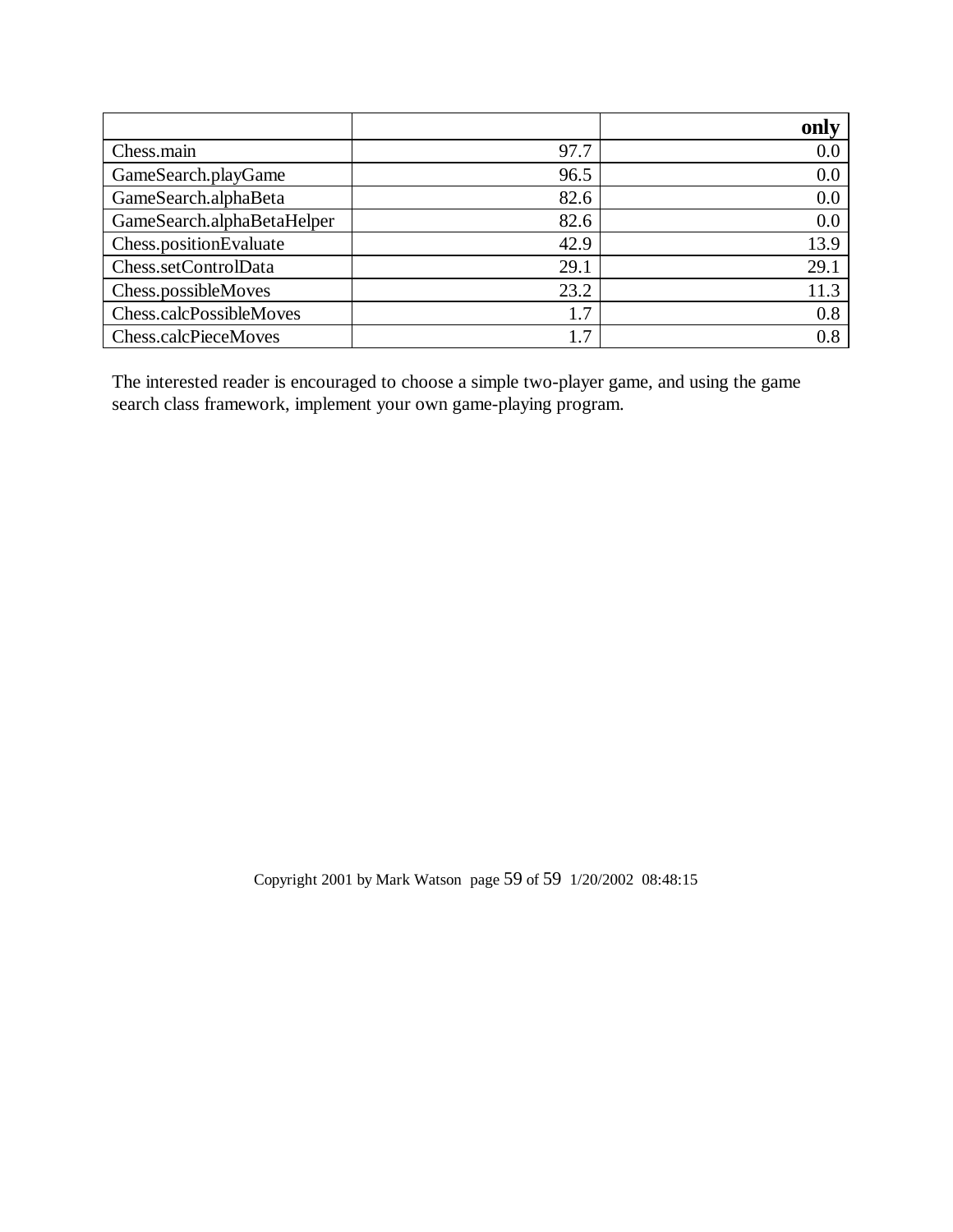|                            |      | only |
|----------------------------|------|------|
| Chess.main                 | 97.7 | 0.0  |
| GameSearch.playGame        | 96.5 | 0.0  |
| GameSearch.alphaBeta       | 82.6 | 0.0  |
| GameSearch.alphaBetaHelper | 82.6 | 0.0  |
| Chess.positionEvaluate     | 42.9 | 13.9 |
| Chess.setControlData       | 29.1 | 29.1 |
| Chess.possibleMoves        | 23.2 | 11.3 |
| Chess.calcPossibleMoves    | 1.7  | 0.8  |
| Chess.calcPieceMoves       | 1.7  | 0.8  |

The interested reader is encouraged to choose a simple two-player game, and using the game search class framework, implement your own game-playing program.

Copyright 2001 by Mark Watson page 59 of 59 1/20/2002 08:48:15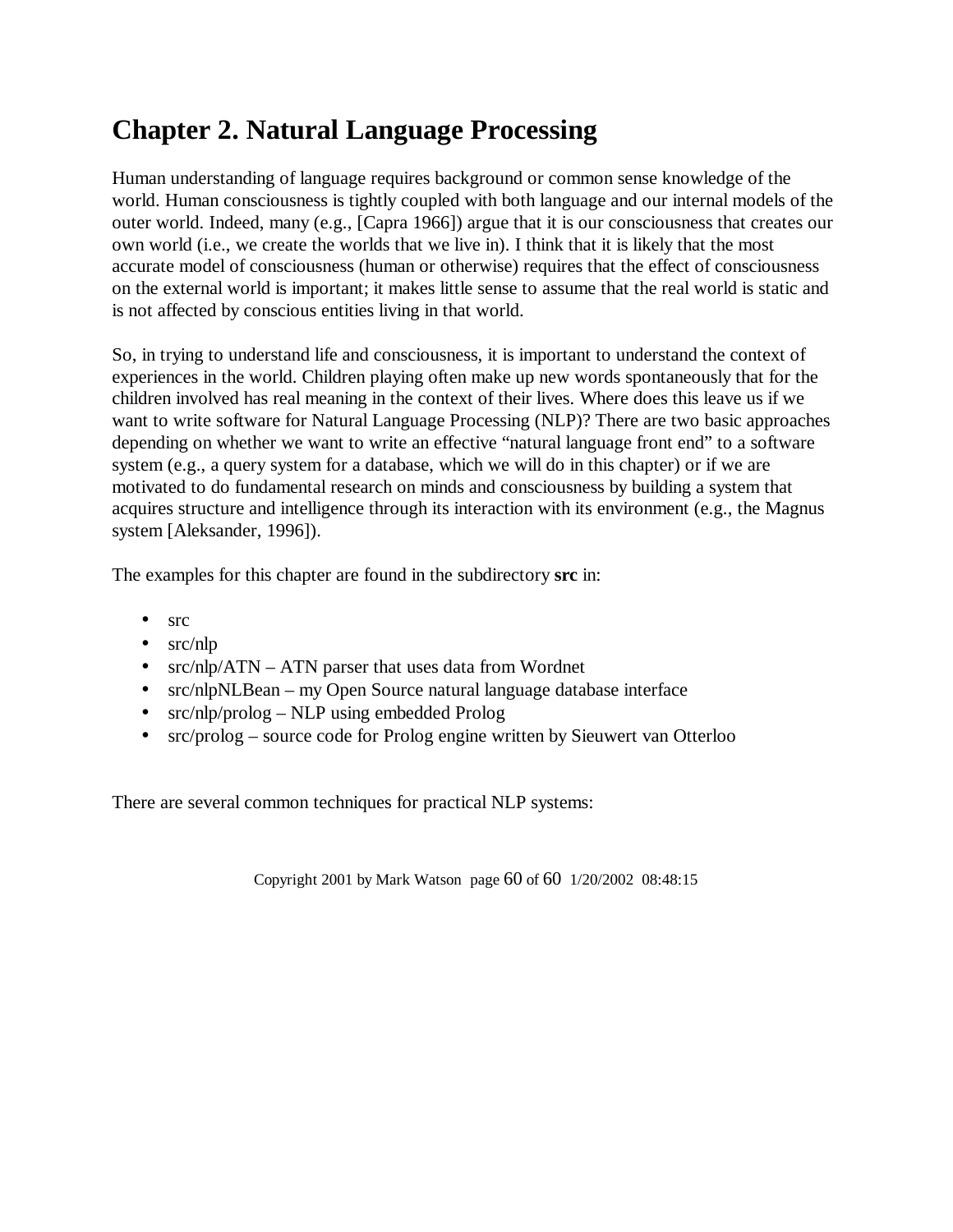# **Chapter 2. Natural Language Processing**

Human understanding of language requires background or common sense knowledge of the world. Human consciousness is tightly coupled with both language and our internal models of the outer world. Indeed, many (e.g., [Capra 1966]) argue that it is our consciousness that creates our own world (i.e., we create the worlds that we live in). I think that it is likely that the most accurate model of consciousness (human or otherwise) requires that the effect of consciousness on the external world is important; it makes little sense to assume that the real world is static and is not affected by conscious entities living in that world.

So, in trying to understand life and consciousness, it is important to understand the context of experiences in the world. Children playing often make up new words spontaneously that for the children involved has real meaning in the context of their lives. Where does this leave us if we want to write software for Natural Language Processing (NLP)? There are two basic approaches depending on whether we want to write an effective "natural language front end" to a software system (e.g., a query system for a database, which we will do in this chapter) or if we are motivated to do fundamental research on minds and consciousness by building a system that acquires structure and intelligence through its interaction with its environment (e.g., the Magnus system [Aleksander, 1996]).

The examples for this chapter are found in the subdirectory **src** in:

- src
- $\bullet$  src/nlp
- src/nlp/ATN ATN parser that uses data from Wordnet
- src/nlpNLBean my Open Source natural language database interface
- src/nlp/prolog NLP using embedded Prolog
- src/prolog source code for Prolog engine written by Sieuwert van Otterloo

There are several common techniques for practical NLP systems:

Copyright 2001 by Mark Watson page 60 of 60 1/20/2002 08:48:15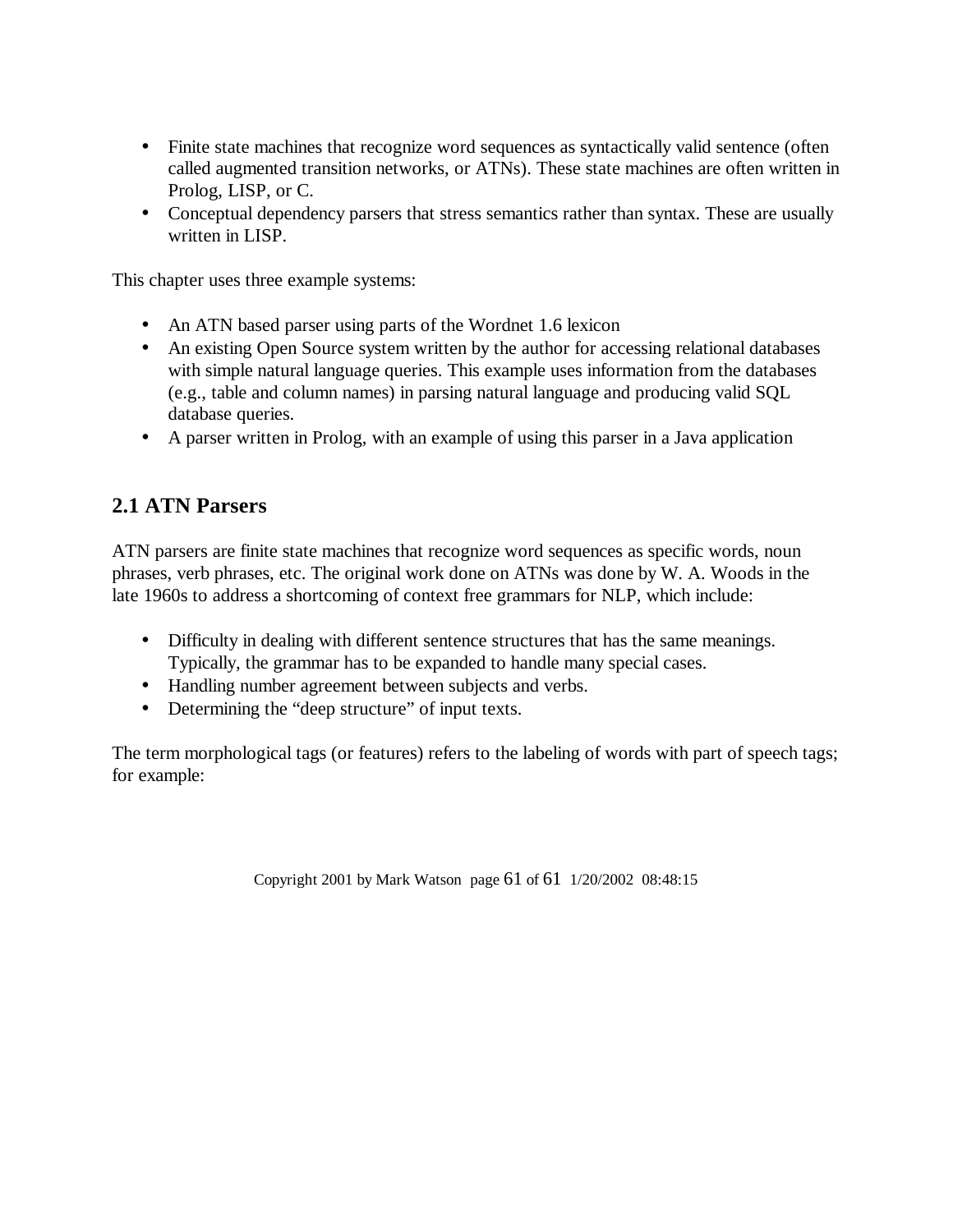- Finite state machines that recognize word sequences as syntactically valid sentence (often called augmented transition networks, or ATNs). These state machines are often written in Prolog, LISP, or C.
- Conceptual dependency parsers that stress semantics rather than syntax. These are usually written in LISP.

This chapter uses three example systems:

- An ATN based parser using parts of the Wordnet 1.6 lexicon
- An existing Open Source system written by the author for accessing relational databases with simple natural language queries. This example uses information from the databases (e.g., table and column names) in parsing natural language and producing valid SQL database queries.
- A parser written in Prolog, with an example of using this parser in a Java application

### **2.1 ATN Parsers**

ATN parsers are finite state machines that recognize word sequences as specific words, noun phrases, verb phrases, etc. The original work done on ATNs was done by W. A. Woods in the late 1960s to address a shortcoming of context free grammars for NLP, which include:

- Difficulty in dealing with different sentence structures that has the same meanings. Typically, the grammar has to be expanded to handle many special cases.
- Handling number agreement between subjects and verbs.
- Determining the "deep structure" of input texts.

The term morphological tags (or features) refers to the labeling of words with part of speech tags; for example:

Copyright 2001 by Mark Watson page 61 of 61 1/20/2002 08:48:15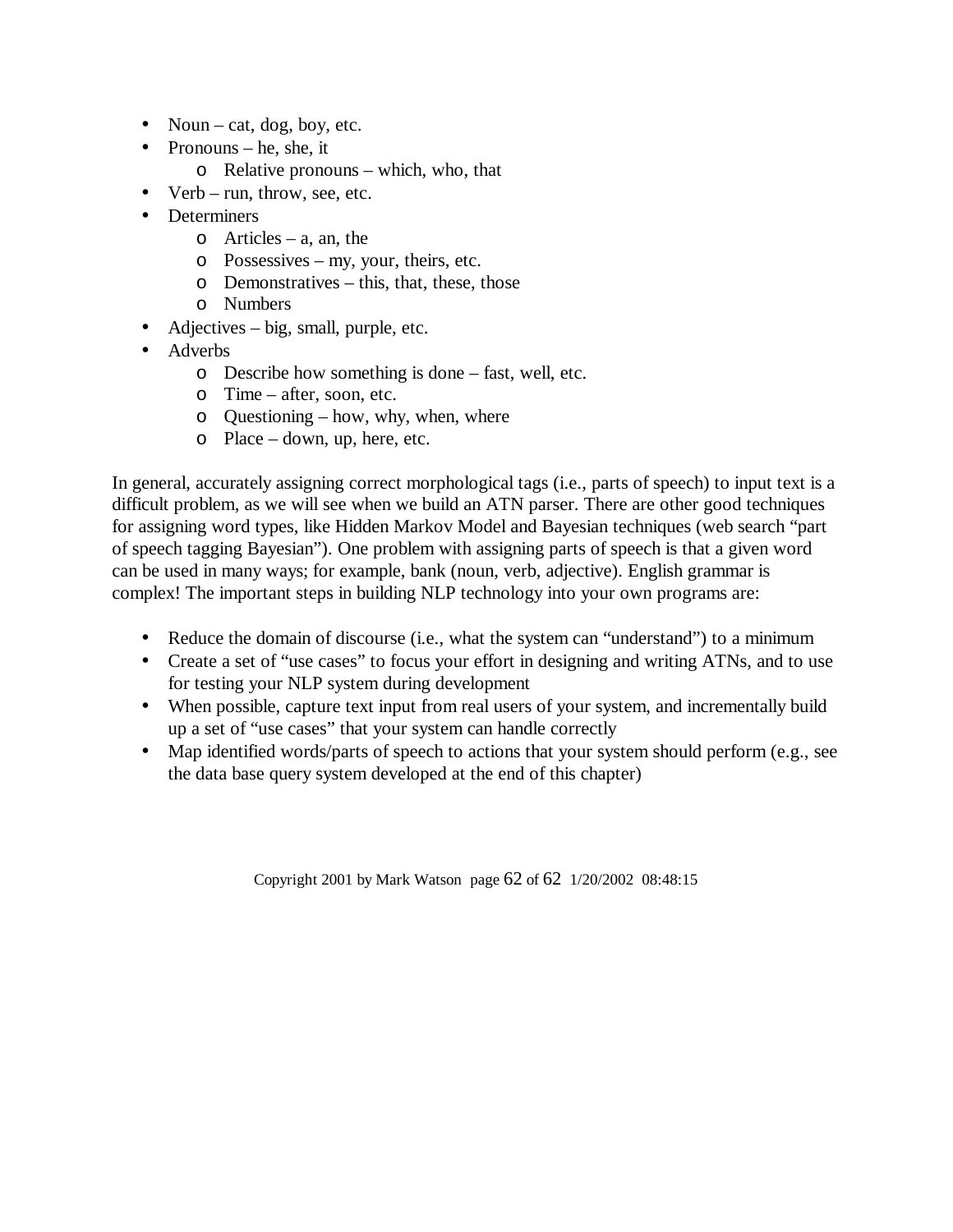- Noun cat, dog, boy, etc.
- Pronouns he, she, it
	- o Relative pronouns which, who, that
- Verb run, throw, see, etc.
- Determiners
	- o Articles a, an, the
	- o Possessives my, your, theirs, etc.
	- o Demonstratives this, that, these, those
	- o Numbers
- Adjectives big, small, purple, etc.
- Adverbs
	- o Describe how something is done fast, well, etc.
	- o Time after, soon, etc.
	- o Questioning how, why, when, where
	- o Place down, up, here, etc.

In general, accurately assigning correct morphological tags (i.e., parts of speech) to input text is a difficult problem, as we will see when we build an ATN parser. There are other good techniques for assigning word types, like Hidden Markov Model and Bayesian techniques (web search "part of speech tagging Bayesian"). One problem with assigning parts of speech is that a given word can be used in many ways; for example, bank (noun, verb, adjective). English grammar is complex! The important steps in building NLP technology into your own programs are:

- Reduce the domain of discourse (i.e., what the system can "understand") to a minimum
- Create a set of "use cases" to focus your effort in designing and writing ATNs, and to use for testing your NLP system during development
- When possible, capture text input from real users of your system, and incrementally build up a set of "use cases" that your system can handle correctly
- Map identified words/parts of speech to actions that your system should perform (e.g., see the data base query system developed at the end of this chapter)

Copyright 2001 by Mark Watson page 62 of 62 1/20/2002 08:48:15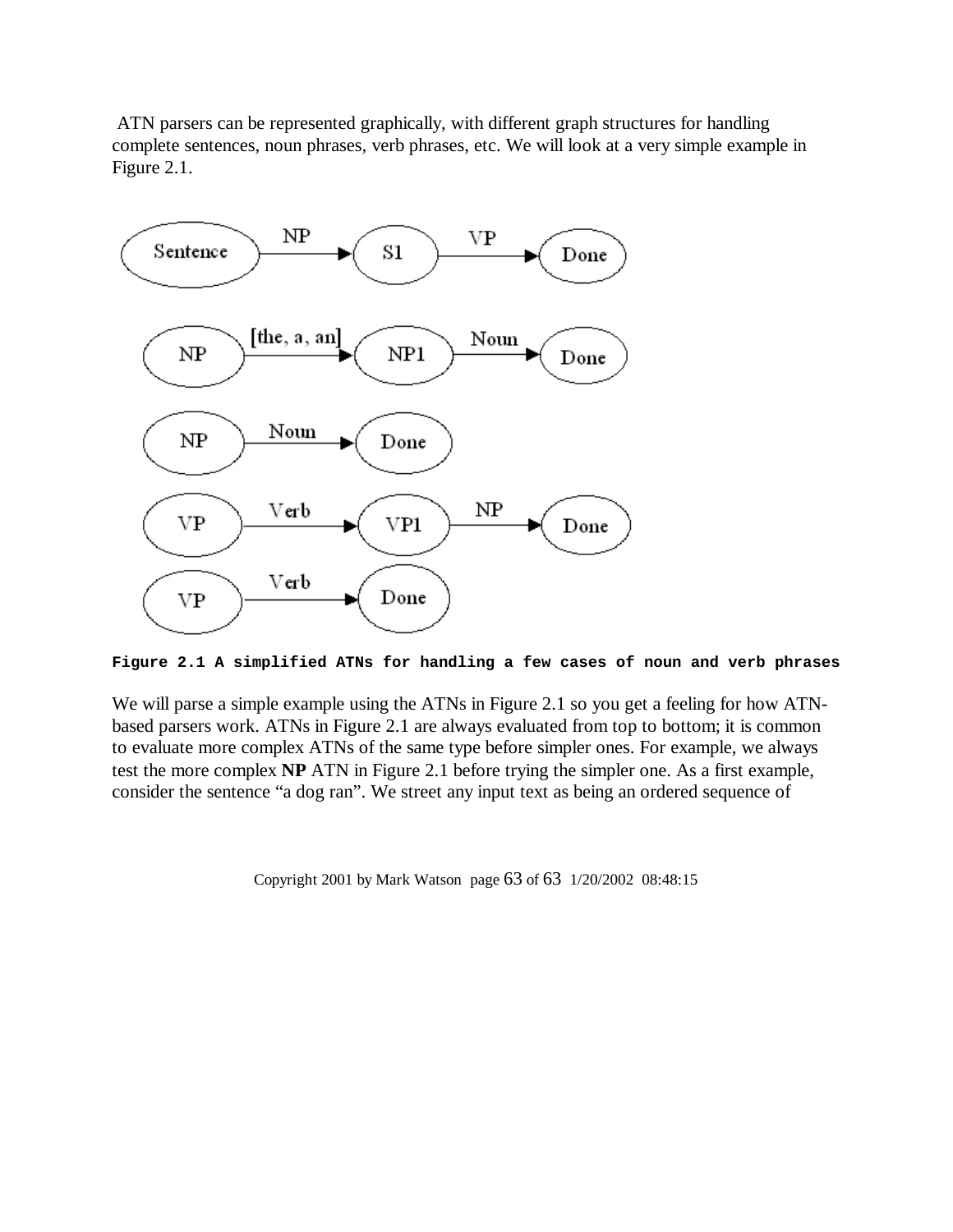ATN parsers can be represented graphically, with different graph structures for handling complete sentences, noun phrases, verb phrases, etc. We will look at a very simple example in Figure 2.1.



**Figure 2.1 A simplified ATNs for handling a few cases of noun and verb phrases**

We will parse a simple example using the ATNs in Figure 2.1 so you get a feeling for how ATNbased parsers work. ATNs in Figure 2.1 are always evaluated from top to bottom; it is common to evaluate more complex ATNs of the same type before simpler ones. For example, we always test the more complex **NP** ATN in Figure 2.1 before trying the simpler one. As a first example, consider the sentence "a dog ran". We street any input text as being an ordered sequence of

Copyright 2001 by Mark Watson page 63 of 63 1/20/2002 08:48:15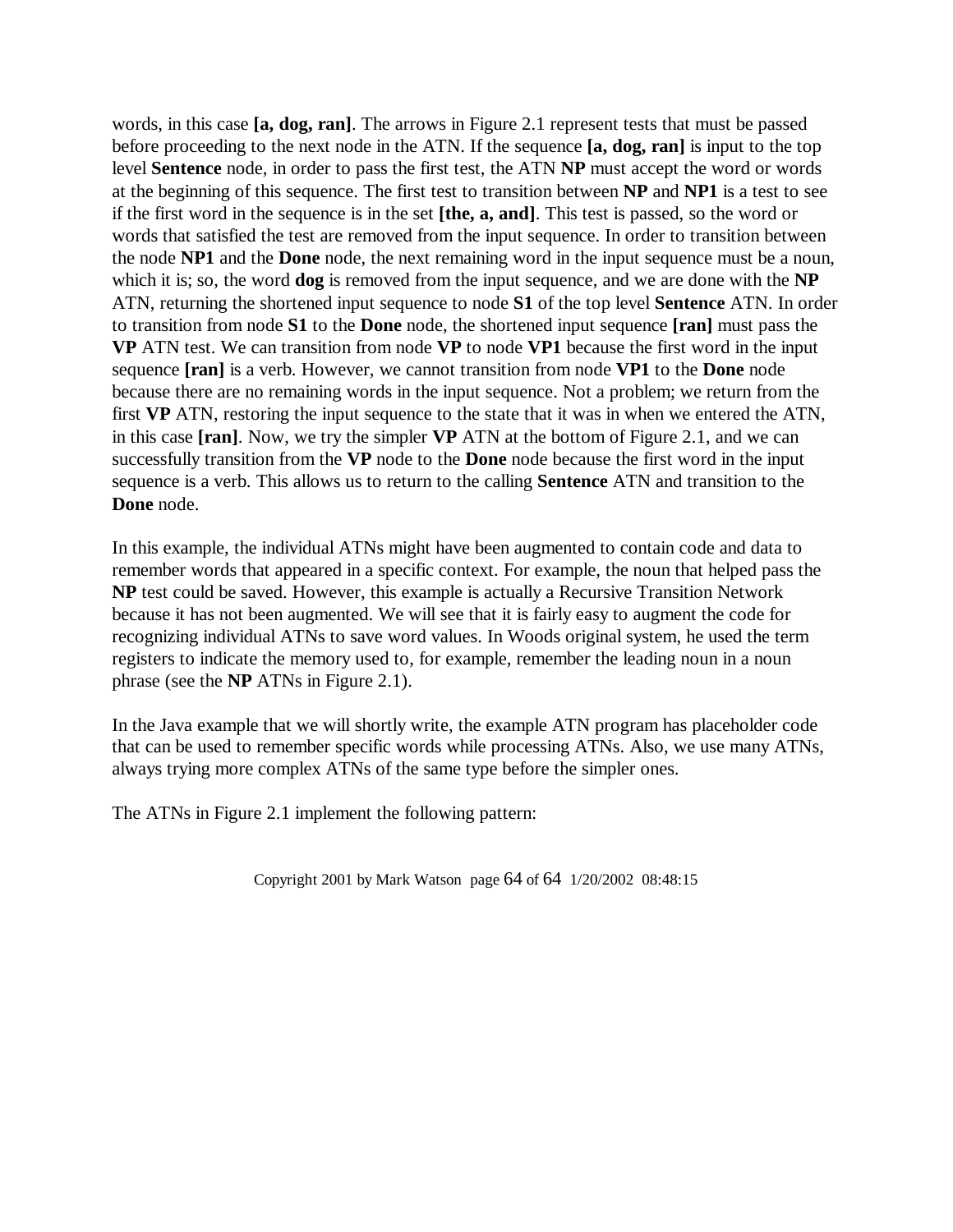words, in this case **[a, dog, ran]**. The arrows in Figure 2.1 represent tests that must be passed before proceeding to the next node in the ATN. If the sequence **[a, dog, ran]** is input to the top level **Sentence** node, in order to pass the first test, the ATN **NP** must accept the word or words at the beginning of this sequence. The first test to transition between **NP** and **NP1** is a test to see if the first word in the sequence is in the set **[the, a, and]**. This test is passed, so the word or words that satisfied the test are removed from the input sequence. In order to transition between the node **NP1** and the **Done** node, the next remaining word in the input sequence must be a noun, which it is; so, the word **dog** is removed from the input sequence, and we are done with the **NP** ATN, returning the shortened input sequence to node **S1** of the top level **Sentence** ATN. In order to transition from node **S1** to the **Done** node, the shortened input sequence **[ran]** must pass the **VP** ATN test. We can transition from node **VP** to node **VP1** because the first word in the input sequence **[ran]** is a verb. However, we cannot transition from node **VP1** to the **Done** node because there are no remaining words in the input sequence. Not a problem; we return from the first **VP** ATN, restoring the input sequence to the state that it was in when we entered the ATN, in this case **[ran]**. Now, we try the simpler **VP** ATN at the bottom of Figure 2.1, and we can successfully transition from the **VP** node to the **Done** node because the first word in the input sequence is a verb. This allows us to return to the calling **Sentence** ATN and transition to the **Done** node.

In this example, the individual ATNs might have been augmented to contain code and data to remember words that appeared in a specific context. For example, the noun that helped pass the **NP** test could be saved. However, this example is actually a Recursive Transition Network because it has not been augmented. We will see that it is fairly easy to augment the code for recognizing individual ATNs to save word values. In Woods original system, he used the term registers to indicate the memory used to, for example, remember the leading noun in a noun phrase (see the **NP** ATNs in Figure 2.1).

In the Java example that we will shortly write, the example ATN program has placeholder code that can be used to remember specific words while processing ATNs. Also, we use many ATNs, always trying more complex ATNs of the same type before the simpler ones.

The ATNs in Figure 2.1 implement the following pattern:

Copyright 2001 by Mark Watson page 64 of 64 1/20/2002 08:48:15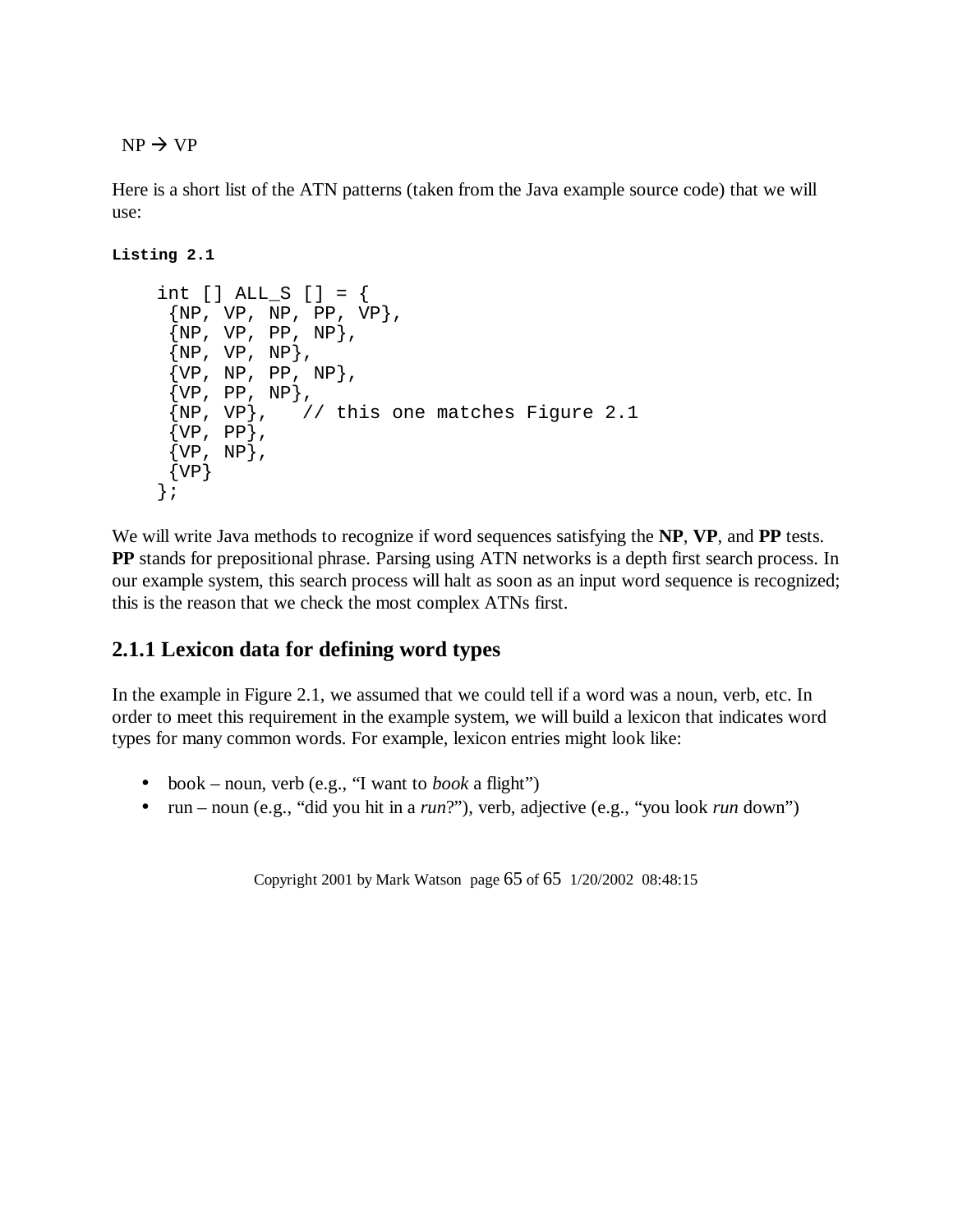$NP \rightarrow VP$ 

Here is a short list of the ATN patterns (taken from the Java example source code) that we will use:

```
Listing 2.1
```

```
int [] ALL_S [] = {
 \{NP, VP, NP, PP, VP\},
 \{NP, VP, PP, NP\},
 \{NP, VP, NP\},
 \{VP, NP, PP, NP\},
 \{VP, PP, NP\},
 \{NP, VP\}, // this one matches Figure 2.1
 \{VP, PP\},\{VP, NP\},
 \{VP\}};
```
We will write Java methods to recognize if word sequences satisfying the **NP**, **VP**, and **PP** tests. **PP** stands for prepositional phrase. Parsing using ATN networks is a depth first search process. In our example system, this search process will halt as soon as an input word sequence is recognized; this is the reason that we check the most complex ATNs first.

### **2.1.1 Lexicon data for defining word types**

In the example in Figure 2.1, we assumed that we could tell if a word was a noun, verb, etc. In order to meet this requirement in the example system, we will build a lexicon that indicates word types for many common words. For example, lexicon entries might look like:

- book noun, verb (e.g., "I want to *book* a flight")
- run noun (e.g., "did you hit in a *run*?"), verb, adjective (e.g., "you look *run* down")

Copyright 2001 by Mark Watson page 65 of 65 1/20/2002 08:48:15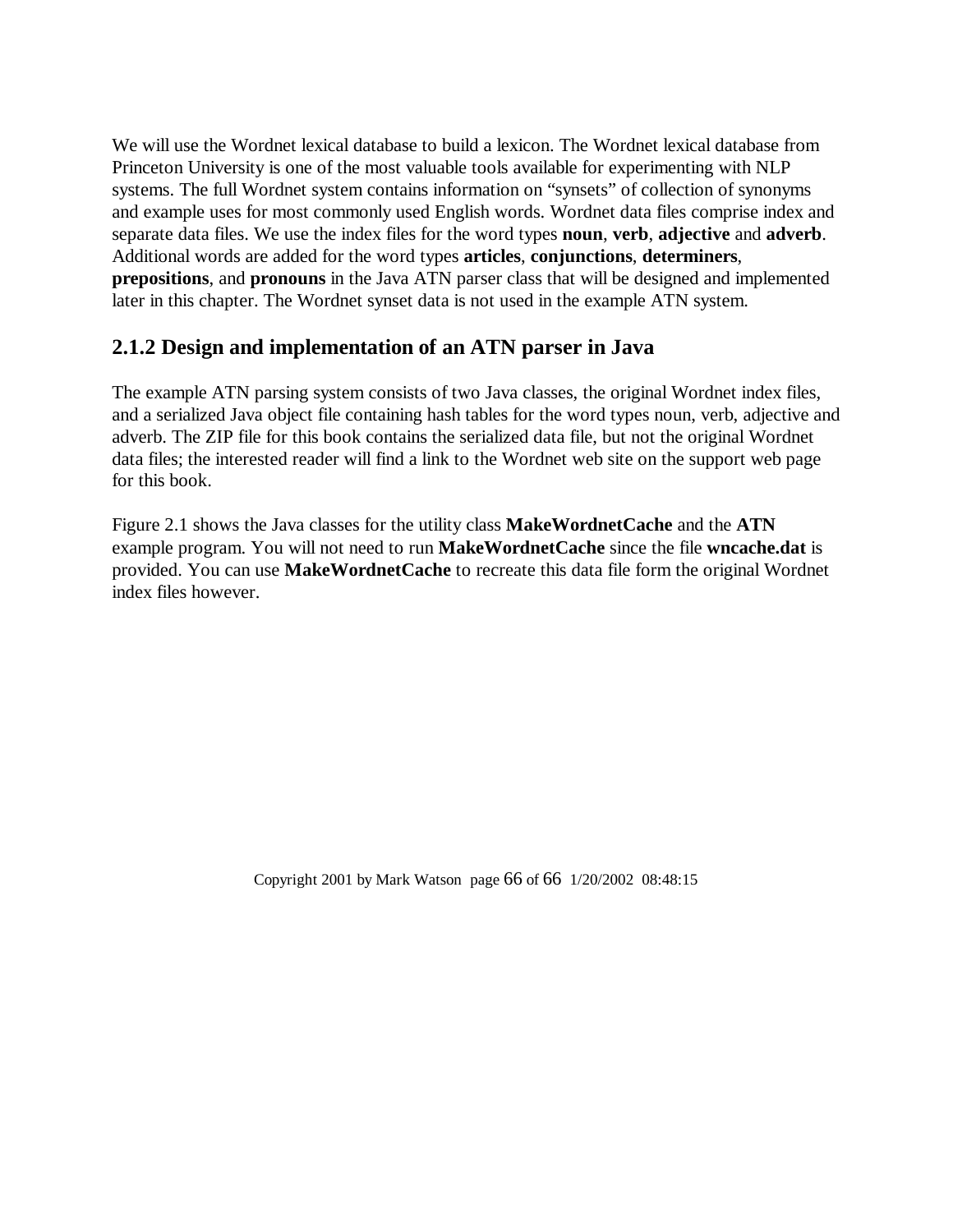We will use the Wordnet lexical database to build a lexicon. The Wordnet lexical database from Princeton University is one of the most valuable tools available for experimenting with NLP systems. The full Wordnet system contains information on "synsets" of collection of synonyms and example uses for most commonly used English words. Wordnet data files comprise index and separate data files. We use the index files for the word types **noun**, **verb**, **adjective** and **adverb**. Additional words are added for the word types **articles**, **conjunctions**, **determiners**, **prepositions**, and **pronouns** in the Java ATN parser class that will be designed and implemented later in this chapter. The Wordnet synset data is not used in the example ATN system.

### **2.1.2 Design and implementation of an ATN parser in Java**

The example ATN parsing system consists of two Java classes, the original Wordnet index files, and a serialized Java object file containing hash tables for the word types noun, verb, adjective and adverb. The ZIP file for this book contains the serialized data file, but not the original Wordnet data files; the interested reader will find a link to the Wordnet web site on the support web page for this book.

Figure 2.1 shows the Java classes for the utility class **MakeWordnetCache** and the **ATN** example program. You will not need to run **MakeWordnetCache** since the file **wncache.dat** is provided. You can use **MakeWordnetCache** to recreate this data file form the original Wordnet index files however.

Copyright 2001 by Mark Watson page 66 of 66 1/20/2002 08:48:15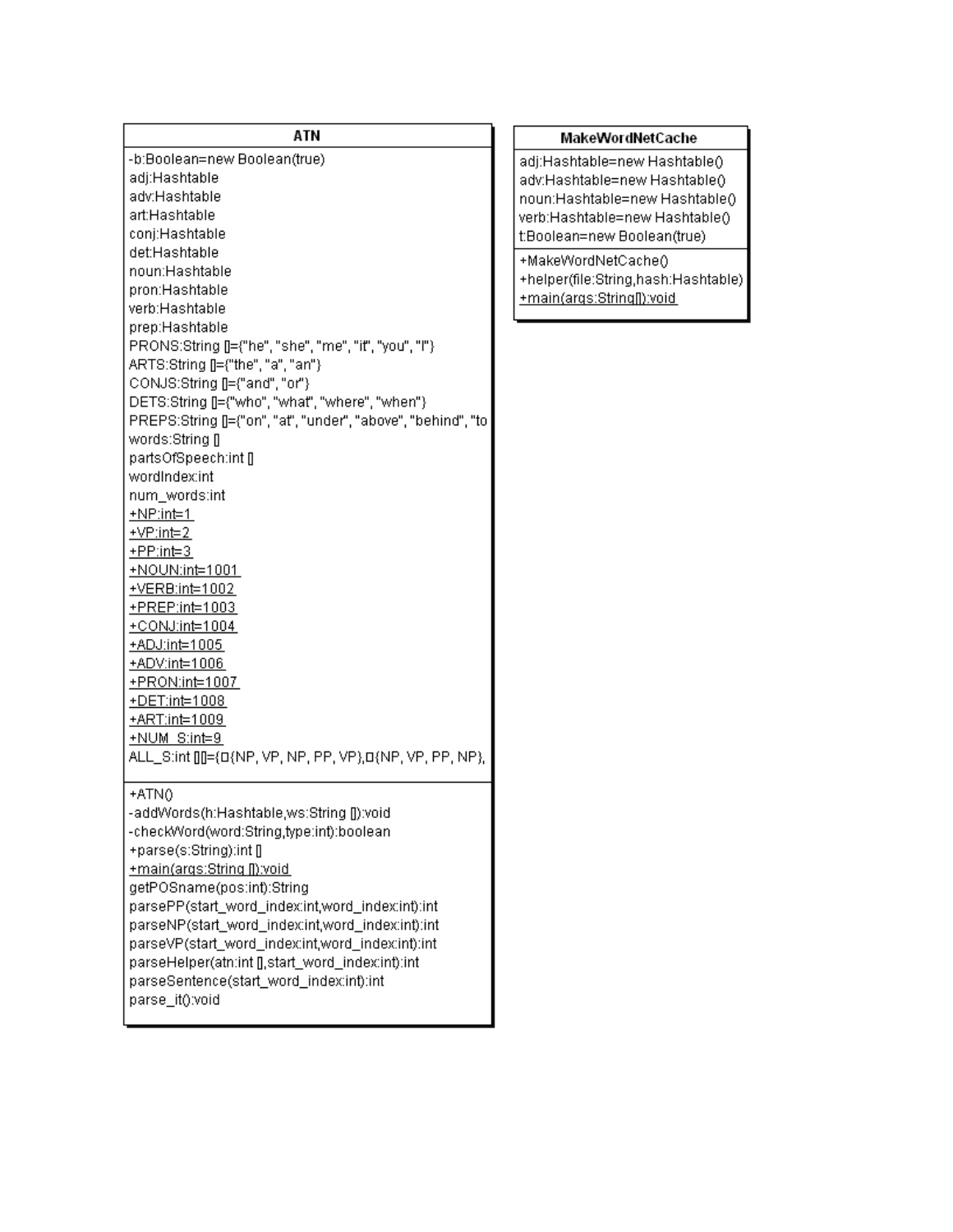#### **ATN**

-b:Boolean=new Boolean(true) adi:Hashtable adv:Hashtable art:Hashtable coni:Hashtable det:Hashtable noun:Hashtable pron:Hashtable verb:Hashtable prep:Hashtable PRONS:String []={"he", "she", "me", "it", "you", "I"} ARTS:String []={"the", "a", "an"} CONJS:String []={"and", "or"} DETS:String []={"who", "what", "where", "when"} PREPS:String [J={"on", "at", "under", "above", "behind", "to words:String [] partsOfSpeech:int [] wordIndex:int num\_words:int  $+NP$ :int=1  $+VP$ :int=2  $+PP(int=3)$ +NOUN:int=1001  $+VERB$ :int=1002 +PREP:int=1003 +CONJ:int=1004 +ADJ:int=1005 +ADV:int=1006 +PRON:int=1007  $+$ DET:int=1008 +ART:int=1009 +NUM S:int=9 ALL\_S:int [I]={D{NP, VP, NP, PP, VP},D{NP, VP, PP, NP}, +ATN<sub>0</sub> -addWords(h:Hashtable,ws:String []):void -checkWord(word:String,type:int):boolean +parse(s:String):int [] Copyright 2001 by Mark Watson page 67 of 67 1/20/2002 08:48:15parsePP(start\_word\_index:int,word\_index:int):int parseNP(start\_word\_index:int,word\_index:int):int parseVP(start\_word\_index:int,word\_index:int):int parseHelper(atn:int [],start\_word\_index:int):int parseSentence(start\_word\_index:int):int parse\_it():void

#### MakeWordNetCache

adj:Hashtable=new Hashtable() adv:Hashtable=new Hashtable() noun:Hashtable=new Hashtable() verb:Hashtable=new Hashtable() t:Boolean=new Boolean(true)

+MakeWordNetCache() +helper(file:String,hash:Hashtable) +main(args:String[]):void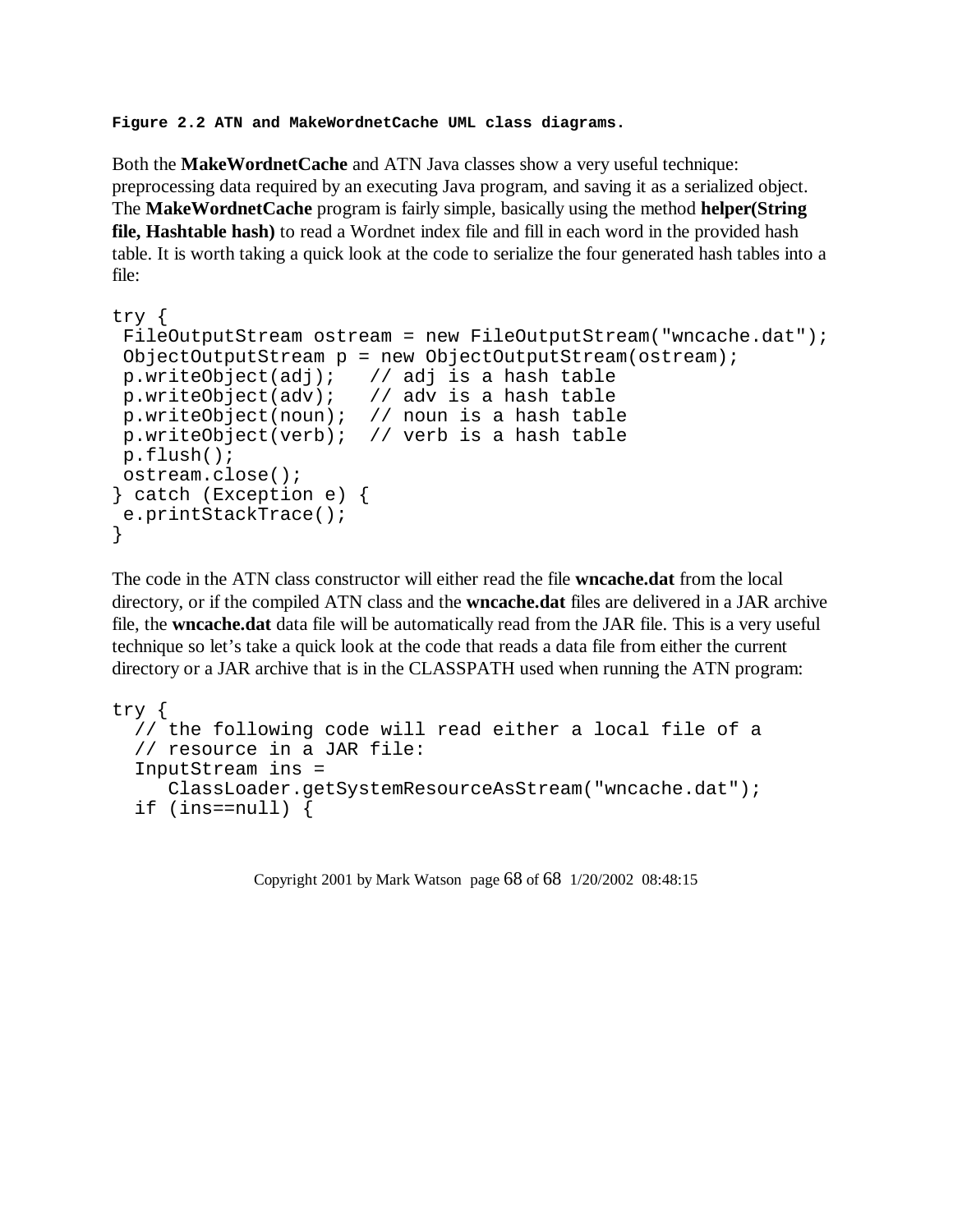#### **Figure 2.2 ATN and MakeWordnetCache UML class diagrams.**

Both the **MakeWordnetCache** and ATN Java classes show a very useful technique: preprocessing data required by an executing Java program, and saving it as a serialized object. The **MakeWordnetCache** program is fairly simple, basically using the method **helper(String file, Hashtable hash)** to read a Wordnet index file and fill in each word in the provided hash table. It is worth taking a quick look at the code to serialize the four generated hash tables into a file:

```
try {
 FileOutputStream ostream = new FileOutputStream("wncache.dat");
 ObjectOutputStream p = new ObjectOutputStream(ostream);
 p.writeObject(adj); // adj is a hash table
 p.writeObject(adv); // adv is a hash table
p.writeObject(noun); // noun is a hash table
p.writeObject(verb); // verb is a hash table
p.flush();
ostream.close();
} catch (Exception e) {
 e.printStackTrace();
}
```
The code in the ATN class constructor will either read the file **wncache.dat** from the local directory, or if the compiled ATN class and the **wncache.dat** files are delivered in a JAR archive file, the **wncache.dat** data file will be automatically read from the JAR file. This is a very useful technique so let's take a quick look at the code that reads a data file from either the current directory or a JAR archive that is in the CLASSPATH used when running the ATN program:

```
try {
  // the following code will read either a local file of a
  // resource in a JAR file:
  InputStream ins =
     ClassLoader.getSystemResourceAsStream("wncache.dat");
  if (ins==null) {
```
Copyright 2001 by Mark Watson page 68 of 68 1/20/2002 08:48:15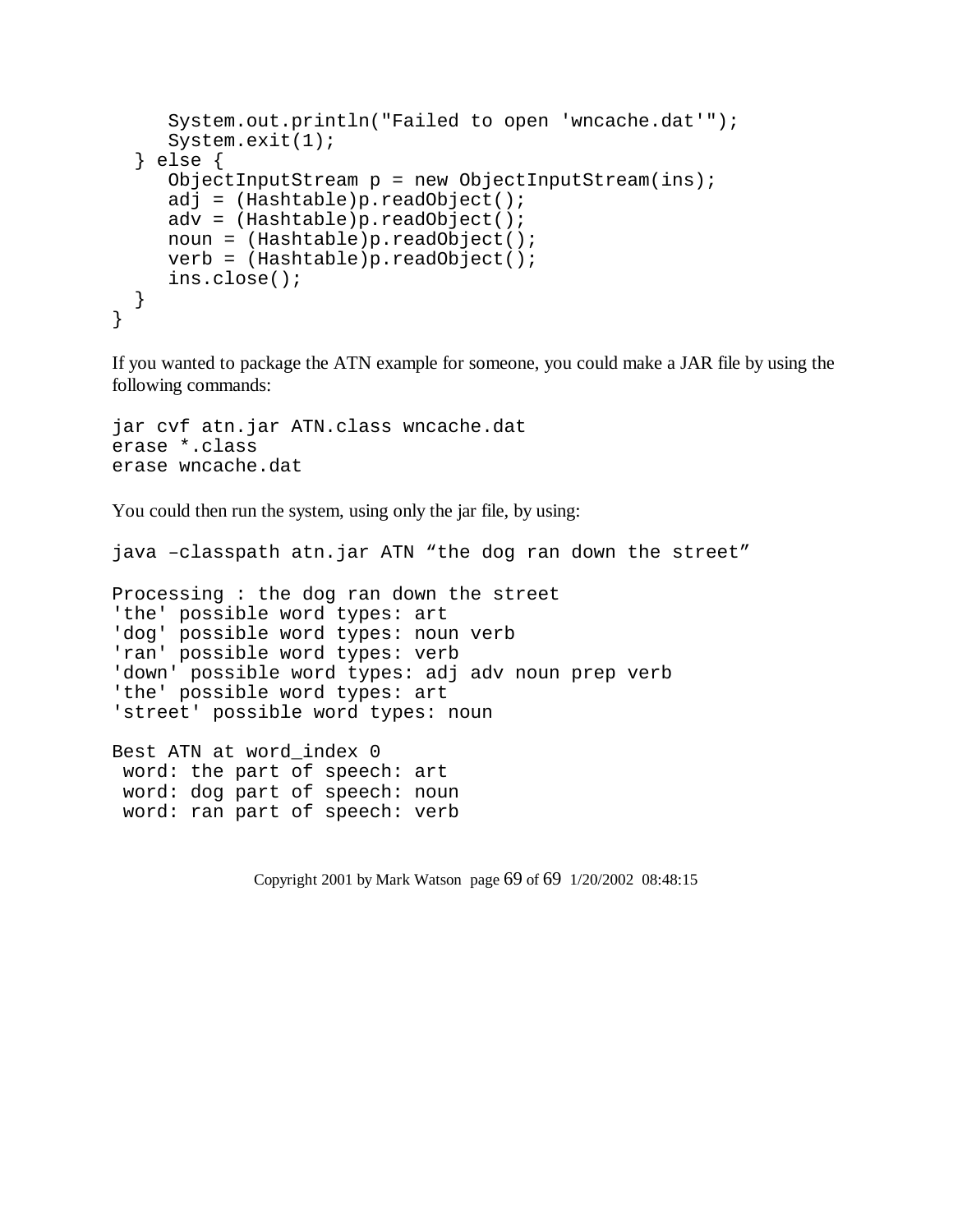```
System.out.println("Failed to open 'wncache.dat'");
    System.exit(1);
  } else {
    ObjectInputStream p = new ObjectInputStream(ins);
     adj = (Hashtable)p.readObject();
    adv = (Hashtable)p.readObject();
    noun = (Hashtable)p.readObject();
    verb = (Hashtable)p.readObject();
     ins.close();
  }
}
```
If you wanted to package the ATN example for someone, you could make a JAR file by using the following commands:

jar cvf atn.jar ATN.class wncache.dat erase \*.class erase wncache.dat

You could then run the system, using only the jar file, by using:

java –classpath atn.jar ATN "the dog ran down the street" Processing : the dog ran down the street

```
'the' possible word types: art
'dog' possible word types: noun verb
'ran' possible word types: verb
'down' possible word types: adj adv noun prep verb
'the' possible word types: art
'street' possible word types: noun
```
Best ATN at word\_index 0 word: the part of speech: art word: dog part of speech: noun word: ran part of speech: verb

Copyright 2001 by Mark Watson page 69 of 69 1/20/2002 08:48:15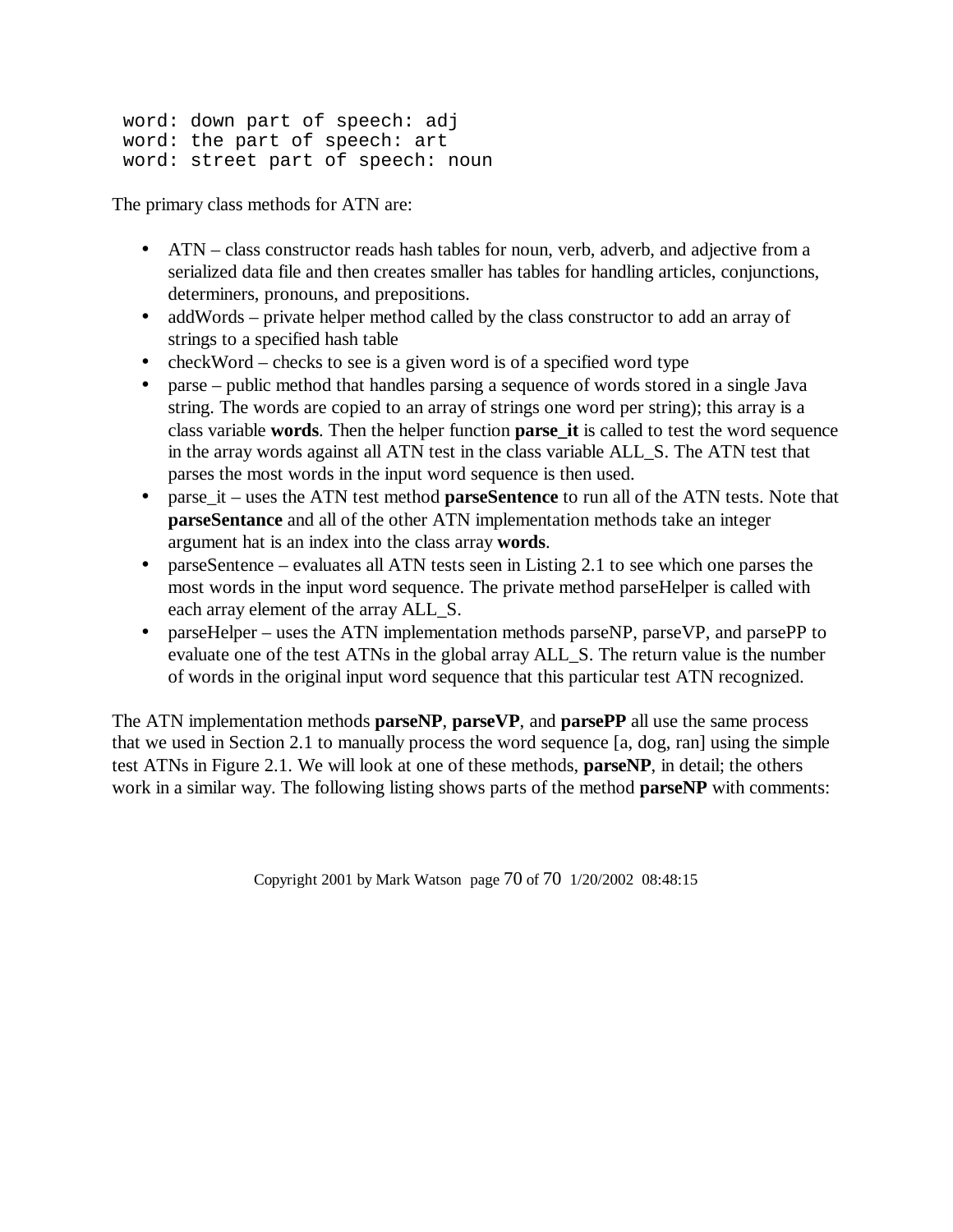```
word: down part of speech: adj
word: the part of speech: art
word: street part of speech: noun
```
The primary class methods for ATN are:

- ATN class constructor reads hash tables for noun, verb, adverb, and adjective from a serialized data file and then creates smaller has tables for handling articles, conjunctions, determiners, pronouns, and prepositions.
- addWords private helper method called by the class constructor to add an array of strings to a specified hash table
- checkWord checks to see is a given word is of a specified word type
- parse public method that handles parsing a sequence of words stored in a single Java string. The words are copied to an array of strings one word per string); this array is a class variable **words**. Then the helper function **parse\_it** is called to test the word sequence in the array words against all ATN test in the class variable ALL\_S. The ATN test that parses the most words in the input word sequence is then used.
- parse\_it uses the ATN test method **parseSentence** to run all of the ATN tests. Note that **parseSentance** and all of the other ATN implementation methods take an integer argument hat is an index into the class array **words**.
- parseSentence evaluates all ATN tests seen in Listing 2.1 to see which one parses the most words in the input word sequence. The private method parseHelper is called with each array element of the array ALL\_S.
- parseHelper uses the ATN implementation methods parseNP, parseVP, and parsePP to evaluate one of the test ATNs in the global array ALL\_S. The return value is the number of words in the original input word sequence that this particular test ATN recognized.

The ATN implementation methods **parseNP**, **parseVP**, and **parsePP** all use the same process that we used in Section 2.1 to manually process the word sequence [a, dog, ran] using the simple test ATNs in Figure 2.1. We will look at one of these methods, **parseNP**, in detail; the others work in a similar way. The following listing shows parts of the method **parseNP** with comments:

Copyright 2001 by Mark Watson page 70 of 70 1/20/2002 08:48:15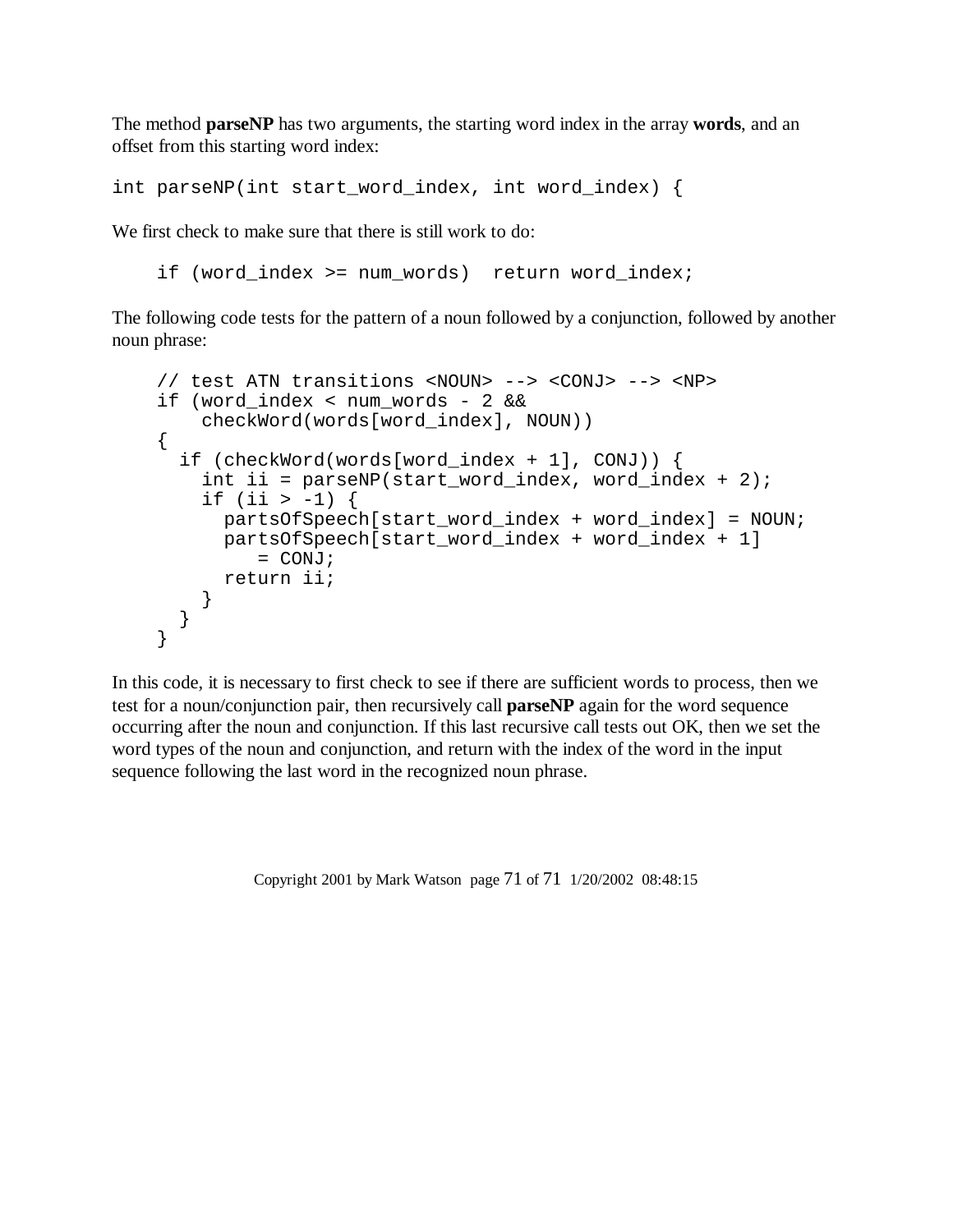The method **parseNP** has two arguments, the starting word index in the array **words**, and an offset from this starting word index:

int parseNP(int start\_word\_index, int word\_index) {

We first check to make sure that there is still work to do:

if (word\_index >= num\_words) return word\_index;

The following code tests for the pattern of a noun followed by a conjunction, followed by another noun phrase:

```
// test ATN transitions <NOUN> --> <CONJ> --> <NP>
if (word_index < num_words - 2 &&
   checkWord(words[word_index], NOUN))
{
  if (checkWord(words[word_index + 1], CONJ)) {
    int ii = parseNP(start_word_index, word_index + 2);
    if (ii > -1) {
      partsOfSpeech[start_word_index + word_index] = NOUN;
      partsOfSpeech[start_word_index + word_index + 1]
         = CONJ;
     return ii;
    }
  }
}
```
In this code, it is necessary to first check to see if there are sufficient words to process, then we test for a noun/conjunction pair, then recursively call **parseNP** again for the word sequence occurring after the noun and conjunction. If this last recursive call tests out OK, then we set the word types of the noun and conjunction, and return with the index of the word in the input sequence following the last word in the recognized noun phrase.

Copyright 2001 by Mark Watson page 71 of 71 1/20/2002 08:48:15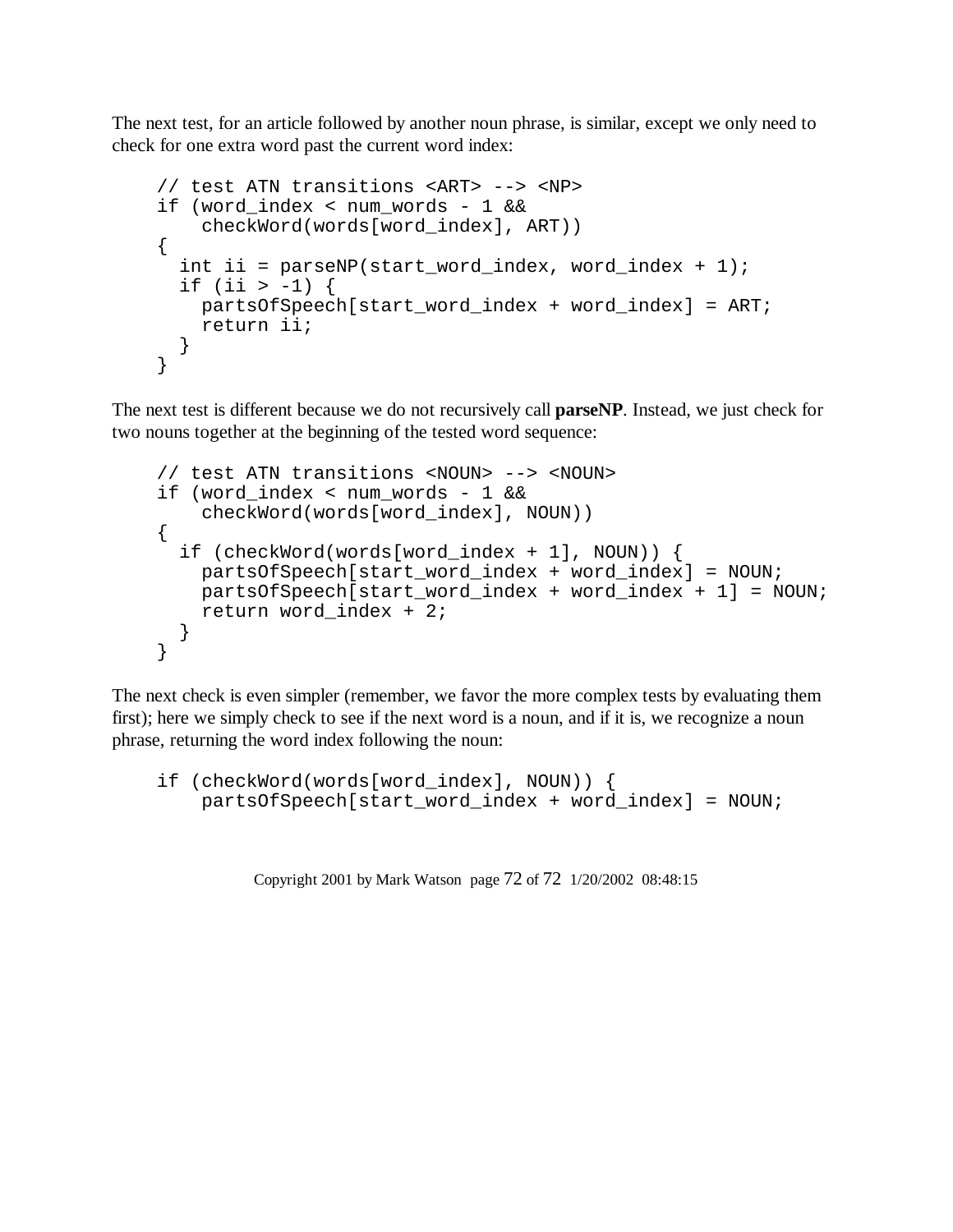The next test, for an article followed by another noun phrase, is similar, except we only need to check for one extra word past the current word index:

```
// test ATN transitions <ART> --> <NP>
if (word_index < num_words - 1 &&
    checkWord(words[word_index], ART))
{
 int ii = parseNP(start word index, word index + 1);
  if (ii > -1) {
   partsOfSpeech[start_word_index + word_index] = ART;
   return ii;
  }
}
```
The next test is different because we do not recursively call **parseNP**. Instead, we just check for two nouns together at the beginning of the tested word sequence:

```
// test ATN transitions <NOUN> --> <NOUN>
if (word_index < num_words - 1 &&
   checkWord(words[word_index], NOUN))
\{if (checkWord(words[word_index + 1], NOUN)) {
   partsOfSpeech[start_word_index + word_index] = NOUN;
   partsOfSpeech[start_word_index + word_index + 1] = NOUN;
   return word_index + 2;
  }
}
```
The next check is even simpler (remember, we favor the more complex tests by evaluating them first); here we simply check to see if the next word is a noun, and if it is, we recognize a noun phrase, returning the word index following the noun:

```
if (checkWord(words[word_index], NOUN)) {
   partsOfSpeech[start_word_index + word_index] = NOUN;
```
Copyright 2001 by Mark Watson page 72 of 72 1/20/2002 08:48:15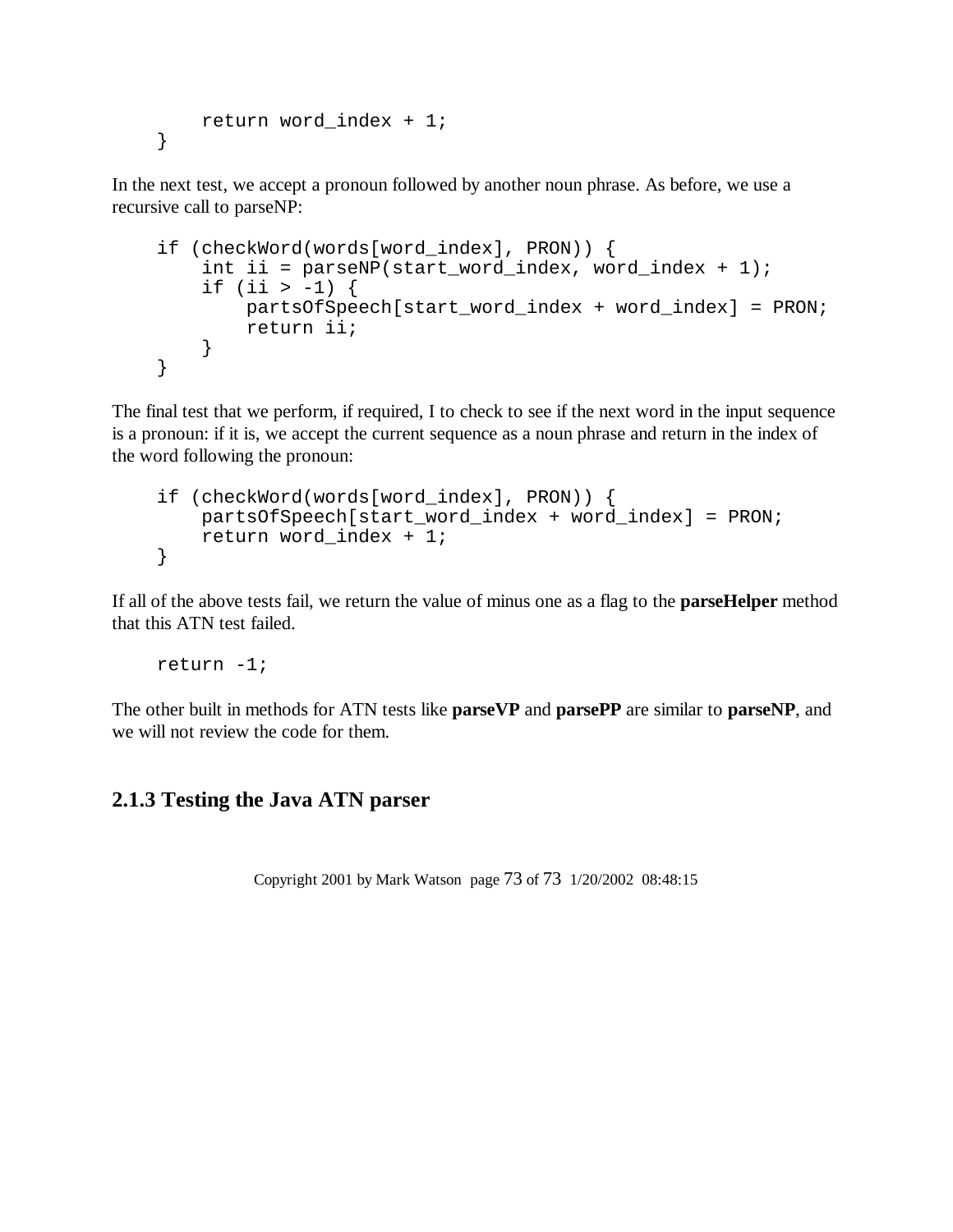```
return word_index + 1;
}
```
In the next test, we accept a pronoun followed by another noun phrase. As before, we use a recursive call to parseNP:

```
if (checkWord(words[word_index], PRON)) {
    int ii = parseNP(start_words, word_index + 1);
    if (ii > -1) {
       partsOfSpeech[start_word_index + word_index] = PRON;
       return ii;
    }
}
```
The final test that we perform, if required, I to check to see if the next word in the input sequence is a pronoun: if it is, we accept the current sequence as a noun phrase and return in the index of the word following the pronoun:

```
if (checkWord(words[word_index], PRON)) {
   partsOfSpeech[start_word_index + word_index] = PRON;
   return word_index + 1;
}
```
If all of the above tests fail, we return the value of minus one as a flag to the **parseHelper** method that this ATN test failed.

return  $-1;$ 

The other built in methods for ATN tests like **parseVP** and **parsePP** are similar to **parseNP**, and we will not review the code for them.

#### **2.1.3 Testing the Java ATN parser**

Copyright 2001 by Mark Watson page 73 of 73 1/20/2002 08:48:15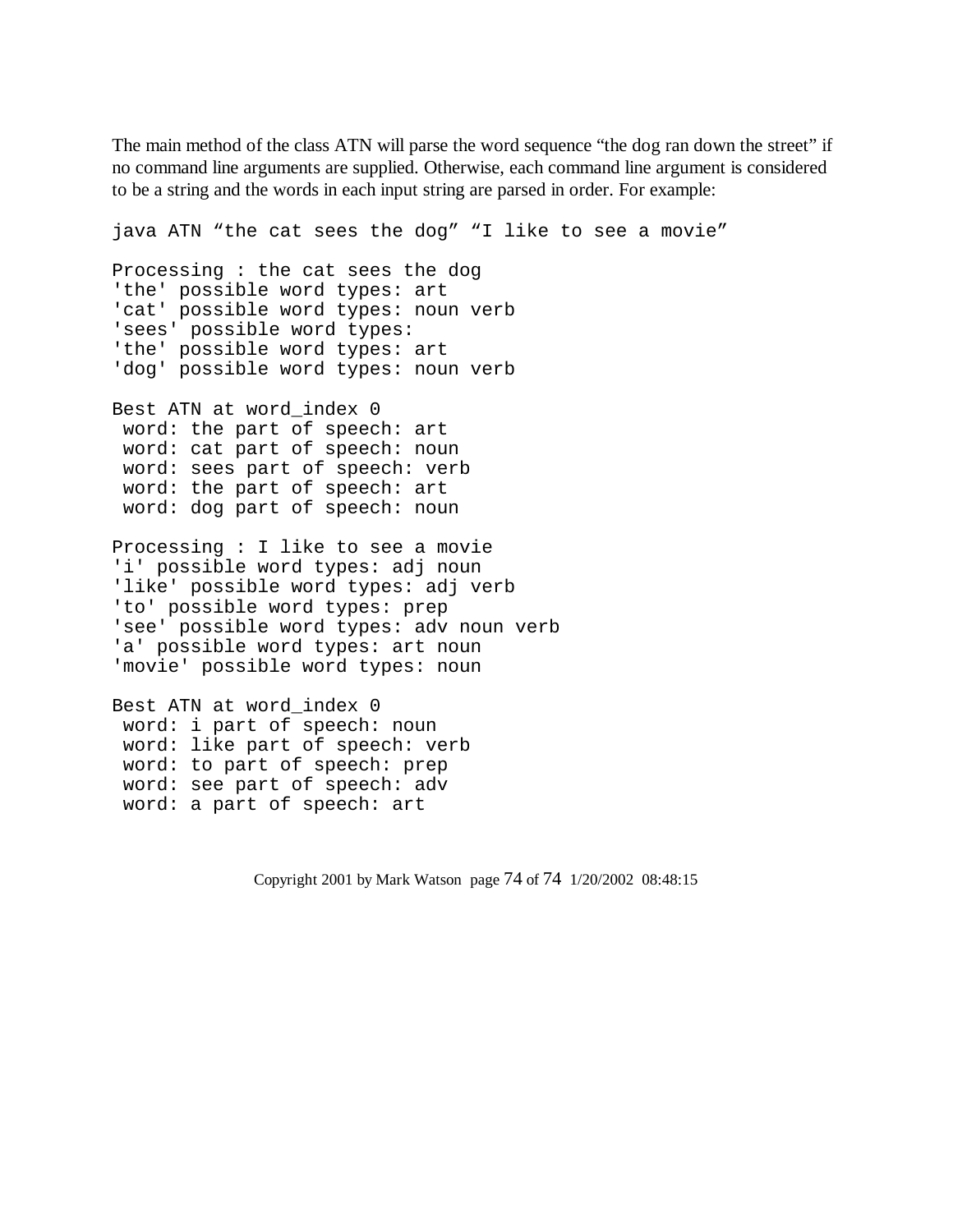The main method of the class ATN will parse the word sequence "the dog ran down the street" if no command line arguments are supplied. Otherwise, each command line argument is considered to be a string and the words in each input string are parsed in order. For example:

java ATN "the cat sees the dog" "I like to see a movie" Processing : the cat sees the dog 'the' possible word types: art 'cat' possible word types: noun verb 'sees' possible word types: 'the' possible word types: art 'dog' possible word types: noun verb Best ATN at word\_index 0 word: the part of speech: art word: cat part of speech: noun word: sees part of speech: verb word: the part of speech: art word: dog part of speech: noun Processing : I like to see a movie 'i' possible word types: adj noun 'like' possible word types: adj verb 'to' possible word types: prep 'see' possible word types: adv noun verb 'a' possible word types: art noun 'movie' possible word types: noun Best ATN at word\_index 0

word: i part of speech: noun word: like part of speech: verb word: to part of speech: prep word: see part of speech: adv word: a part of speech: art

Copyright 2001 by Mark Watson page 74 of 74 1/20/2002 08:48:15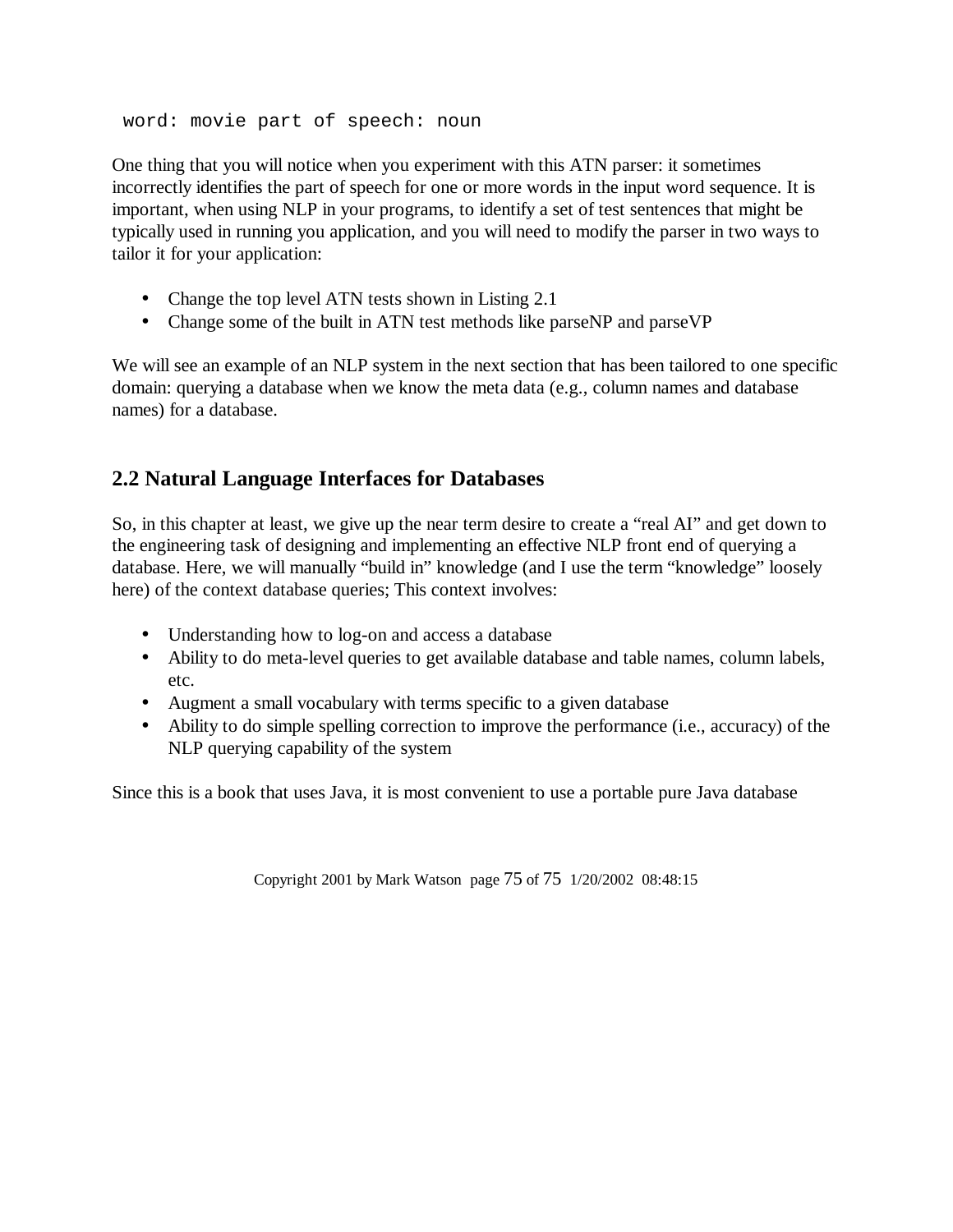word: movie part of speech: noun

One thing that you will notice when you experiment with this ATN parser: it sometimes incorrectly identifies the part of speech for one or more words in the input word sequence. It is important, when using NLP in your programs, to identify a set of test sentences that might be typically used in running you application, and you will need to modify the parser in two ways to tailor it for your application:

- Change the top level ATN tests shown in Listing 2.1
- Change some of the built in ATN test methods like parseNP and parseVP

We will see an example of an NLP system in the next section that has been tailored to one specific domain: querying a database when we know the meta data (e.g., column names and database names) for a database.

#### **2.2 Natural Language Interfaces for Databases**

So, in this chapter at least, we give up the near term desire to create a "real AI" and get down to the engineering task of designing and implementing an effective NLP front end of querying a database. Here, we will manually "build in" knowledge (and I use the term "knowledge" loosely here) of the context database queries; This context involves:

- Understanding how to log-on and access a database
- Ability to do meta-level queries to get available database and table names, column labels, etc.
- Augment a small vocabulary with terms specific to a given database
- Ability to do simple spelling correction to improve the performance (i.e., accuracy) of the NLP querying capability of the system

Since this is a book that uses Java, it is most convenient to use a portable pure Java database

Copyright 2001 by Mark Watson page 75 of 75 1/20/2002 08:48:15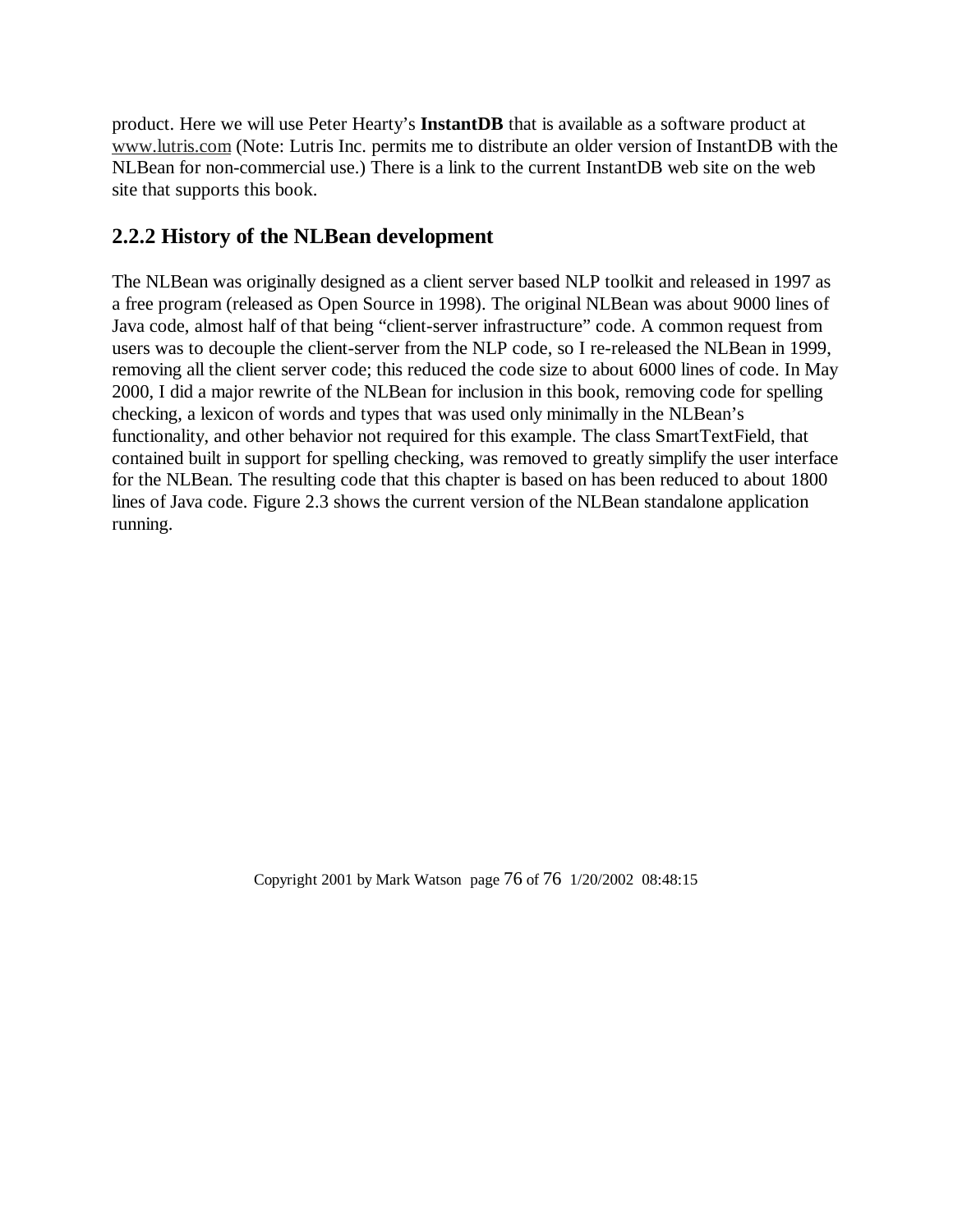product. Here we will use Peter Hearty's **InstantDB** that is available as a software product at www.lutris.com (Note: Lutris Inc. permits me to distribute an older version of InstantDB with the NLBean for non-commercial use.) There is a link to the current InstantDB web site on the web site that supports this book.

#### **2.2.2 History of the NLBean development**

The NLBean was originally designed as a client server based NLP toolkit and released in 1997 as a free program (released as Open Source in 1998). The original NLBean was about 9000 lines of Java code, almost half of that being "client-server infrastructure" code. A common request from users was to decouple the client-server from the NLP code, so I re-released the NLBean in 1999, removing all the client server code; this reduced the code size to about 6000 lines of code. In May 2000, I did a major rewrite of the NLBean for inclusion in this book, removing code for spelling checking, a lexicon of words and types that was used only minimally in the NLBean's functionality, and other behavior not required for this example. The class SmartTextField, that contained built in support for spelling checking, was removed to greatly simplify the user interface for the NLBean. The resulting code that this chapter is based on has been reduced to about 1800 lines of Java code. Figure 2.3 shows the current version of the NLBean standalone application running.

Copyright 2001 by Mark Watson page 76 of 76 1/20/2002 08:48:15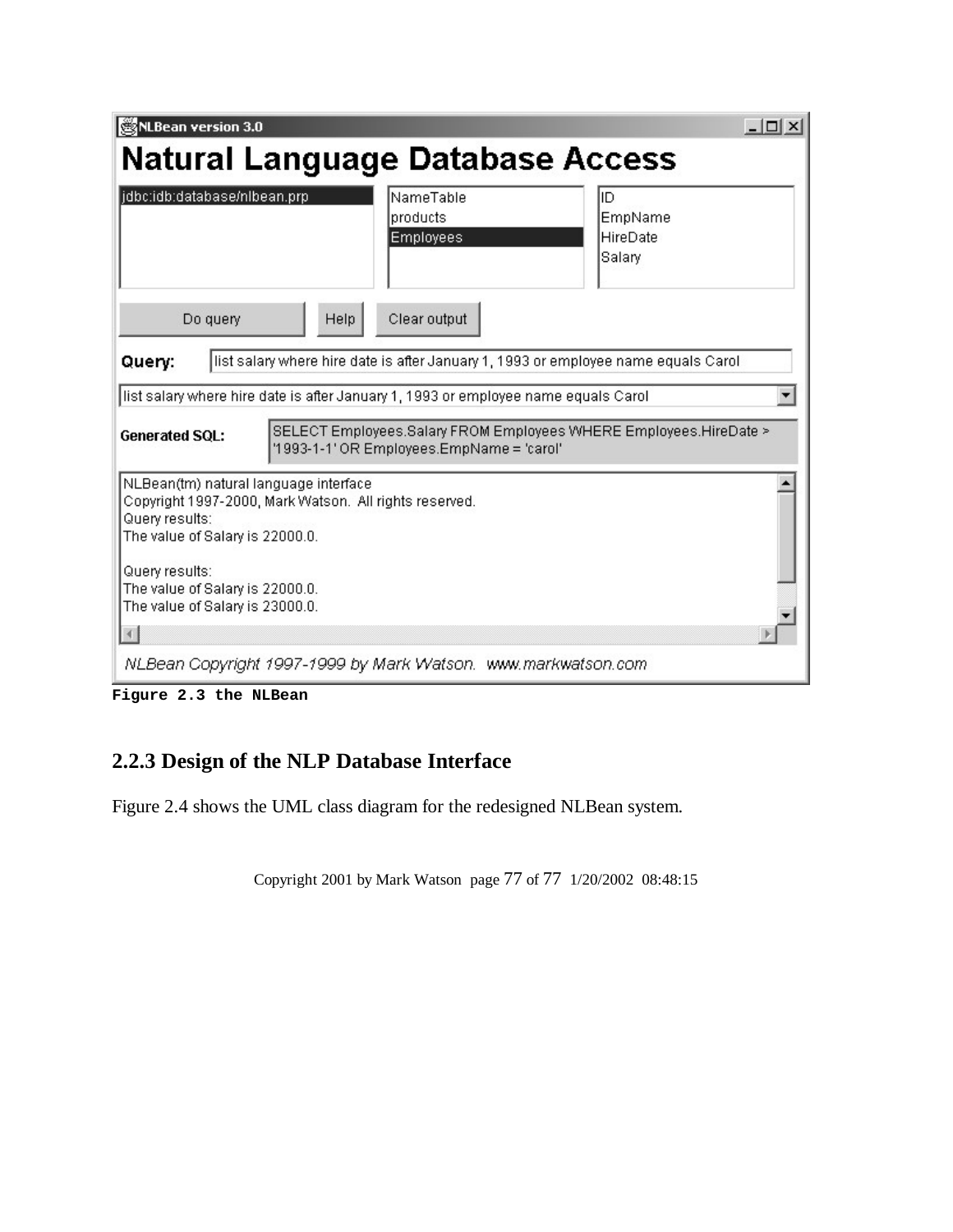| <b>Natural Language Database Access</b><br>jdbc:idb:database/nlbean.prp<br>Help<br>Do query<br>list salary where hire date is after January 1, 1993 or employee name equals Carol<br>Query: | NameTable<br>products<br><b>Employees</b><br>Clear output | ID<br>EmpName<br>HireDate<br>Salary |  |
|---------------------------------------------------------------------------------------------------------------------------------------------------------------------------------------------|-----------------------------------------------------------|-------------------------------------|--|
|                                                                                                                                                                                             |                                                           |                                     |  |
|                                                                                                                                                                                             |                                                           |                                     |  |
|                                                                                                                                                                                             |                                                           |                                     |  |
|                                                                                                                                                                                             |                                                           |                                     |  |
| list salary where hire date is after January 1, 1993 or employee name equals Carol                                                                                                          |                                                           |                                     |  |
| SELECT Employees.Salary FROM Employees WHERE Employees.HireDate ><br><b>Generated SOL:</b><br>'1993-1-1' OR Employees.EmpName = 'carol'                                                     |                                                           |                                     |  |
| NLBean(tm) natural language interface<br>Copyright 1997-2000, Mark Watson. All rights reserved.<br>Query results:<br>The value of Salary is 22000.0.                                        |                                                           |                                     |  |
| Query results:<br>The value of Salary is 22000.0.<br>The value of Salary is 23000.0.                                                                                                        |                                                           |                                     |  |
|                                                                                                                                                                                             |                                                           |                                     |  |
| NLBean Copyright 1997-1999 by Mark Watson.  www.markwatson.com                                                                                                                              |                                                           |                                     |  |

# **2.2.3 Design of the NLP Database Interface**

Figure 2.4 shows the UML class diagram for the redesigned NLBean system.

Copyright 2001 by Mark Watson page 77 of 77 1/20/2002 08:48:15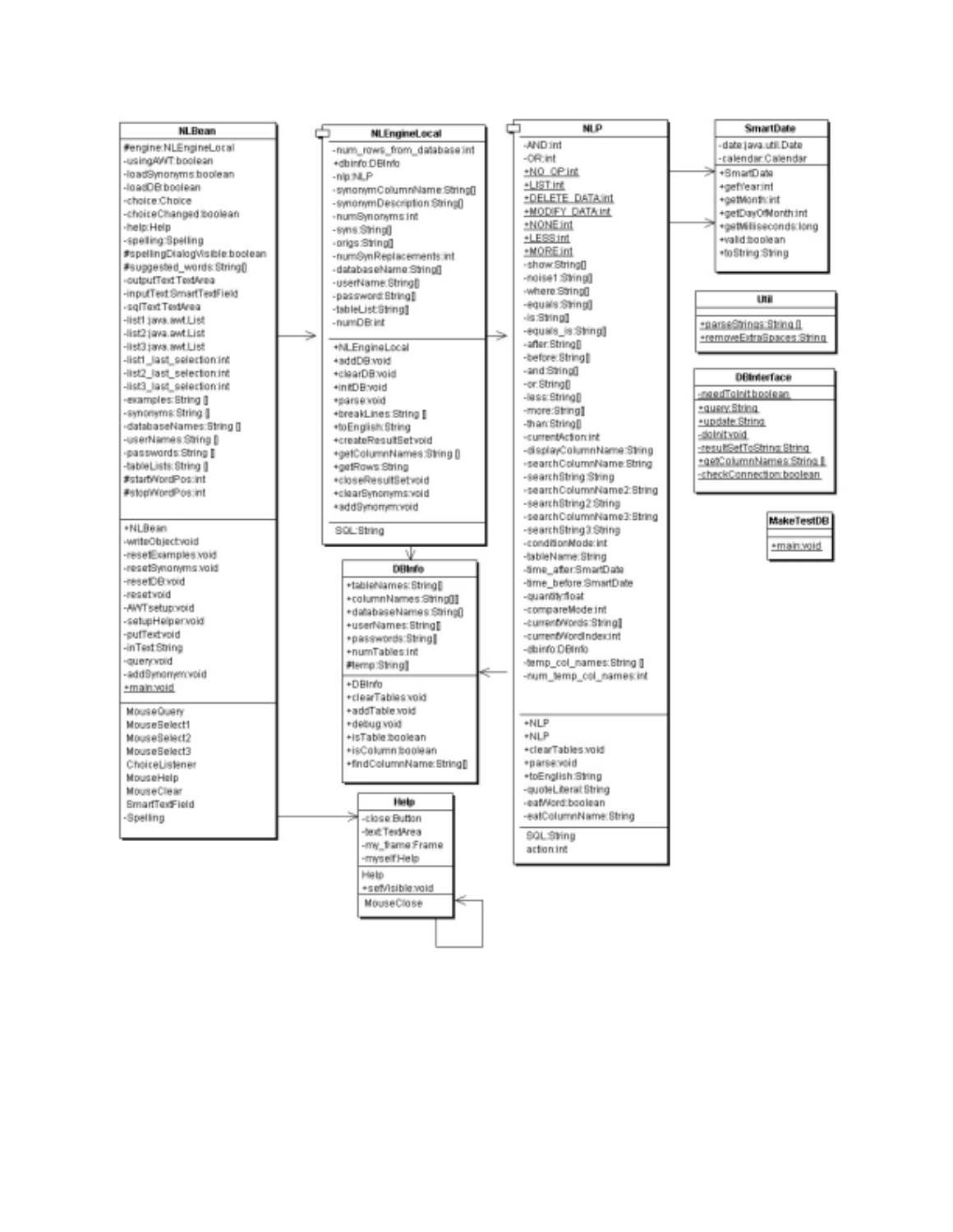| <b>NLBean</b>                                                                                                                                                                                                                                                                                                                                                                                                                                                                                                                                                                                                                                                                                                                                                                                                                                                                                                     | <b>NLEngineLocal</b>                                                                                                                                                                                                                                                                                                                                                                                                                                                                                                                                                                                                                                                                                                                                                                                                                                | <b>NLP</b>                                                                                                                                                                                                                                                                                                                                                                                                                                                                                                                                                                                                                                                                                                                                                                                                                                                             | <b>SmartDate</b>                                                                                                                                                                                                                                                                                                                                                                                                                                                        |
|-------------------------------------------------------------------------------------------------------------------------------------------------------------------------------------------------------------------------------------------------------------------------------------------------------------------------------------------------------------------------------------------------------------------------------------------------------------------------------------------------------------------------------------------------------------------------------------------------------------------------------------------------------------------------------------------------------------------------------------------------------------------------------------------------------------------------------------------------------------------------------------------------------------------|-----------------------------------------------------------------------------------------------------------------------------------------------------------------------------------------------------------------------------------------------------------------------------------------------------------------------------------------------------------------------------------------------------------------------------------------------------------------------------------------------------------------------------------------------------------------------------------------------------------------------------------------------------------------------------------------------------------------------------------------------------------------------------------------------------------------------------------------------------|------------------------------------------------------------------------------------------------------------------------------------------------------------------------------------------------------------------------------------------------------------------------------------------------------------------------------------------------------------------------------------------------------------------------------------------------------------------------------------------------------------------------------------------------------------------------------------------------------------------------------------------------------------------------------------------------------------------------------------------------------------------------------------------------------------------------------------------------------------------------|-------------------------------------------------------------------------------------------------------------------------------------------------------------------------------------------------------------------------------------------------------------------------------------------------------------------------------------------------------------------------------------------------------------------------------------------------------------------------|
| #engine:NLEngineLocal<br>neelood:T/AApricu-<br>-loadSynonyms.boolean<br>healood:Booken<br>-choice:Choice<br>-choiceChanged boolean<br>-help: Help<br>-spelling:Spelling<br>#spellingDialogVisible.boolean<br>#suppested_words:String[]<br>cutputTextTextArea<br>-inputTextSmartTextField<br>-sqlTextTextArea<br>list1 java.awt.List<br>-list2.java.awt.List<br>-list3.java.awtList<br>list1 last selection int<br>-list2 last selection.int<br>hinoitaeles taal Etail-<br>-examples: String []<br>-synonyms: String []<br>-databaseNames:Btring []<br>-userNames:String []<br>passwords String [<br>-tableLists: String []<br>#startWordPos:int<br>#stopWordPos:int<br>*NLBean<br>writeObjectvoid<br>biow.asigness.com<br>biov.emynanyctsses-<br>biov.BChees-<br>biovtyses-<br>-AWTsetup:void<br>biovnegieHelger-<br>-puffextypid<br>-inTextString<br>-query void<br>-addSynonym:void<br>+main.void<br>MouseQuery | -num_rows_from_database.int<br>+dbinfo:DBInfo<br>$-ninMLP$<br>-synonymColumnName:String[]<br>-synonymDescription:String[]<br>-numSynonyms.int<br>-syns String()<br>-origs:String[]<br>-numSynReplacements:int<br>-databaseName:String[]<br>-userName:String[]<br>-password: String<br>-tableList:String]<br>-numDB:int<br>+NLEngineLocal<br>biov.@dbbs+<br>+clearDB:void<br>+initDB:void<br>+parse void<br>+breakLines String  <br>+to English: String<br>+createResultSetvoid<br>+getColumnNames:String []<br>+getRows.String<br>+closeResultSetvoid<br>+clearBynonyms:void<br>+addSynomym:void<br>SQL:String<br>w<br><b>DBInfo</b><br>*tableNames:String[]<br>+columnNames.String[]]<br>+databaseNames:String[]<br>+userNames: String[]<br>*passwords:String<br>+numTables.int<br>#temp:String]<br>+DBInfo<br>+clearTables void<br>+addTable void | -AND int<br>$-ORint$<br>+NO OP.int<br>+LIST.int<br>+DELETE DATA:int<br>+MODIFY DATA:int<br>+NONE int<br>+LESSint<br>+MORE int<br>-show:String[]<br>-noise1 String<br>-where String[]<br>-equals String<br>-is:String]<br>-equals is Stringt<br>⇒<br>-after: String[]<br>-before: String II<br>and:String[]<br>-or.String[]<br>-less:String[]<br>-more:String<br>-than: String[]<br>-currentAction:int<br>-displayColumnName:String<br>-searchColumnName:String<br>-searchString:String<br>-searchColumnName2:Btring<br>-searchString2.String<br>-searchColumnName3:Btring<br>-searchString3.String<br>-conditionMode: int<br>-tableName:String<br>-time_after:SmartDate<br>-time before SmartDate<br>-quantity:float<br>-compareMode.int<br>-current/Viords:String]<br>-current/VordIndex.int<br>dbinfo DBInfo<br>-temp_col_names:String []<br>-num_temp_col_names:int | date java.util.Date<br>-calendar:Calendar<br>→ +SmartDate<br>+geft/ear.inf<br>+getMonth:int<br>+getDayOfMonth.int<br>+getMiliseconds:long<br>+valid boolean<br>+to String:String<br>Util<br>*parseStrings:String []<br>+removeExtraSpaces.String<br><b>DBInterface</b><br>needToInitboolean<br>+query: String<br>+update:String<br>-dainit void<br>-resultSefToString String<br>+getColumnNames:String II<br>checkConnection:boolean<br><b>MakeTestDB</b><br>+main.yoid |
| MouseSelect1<br>MouseSelect2<br>MouseBelect3<br>ChoiceListener<br>MouseHelp<br>MouseClear<br><b>SmartTorField</b><br>-Spelling                                                                                                                                                                                                                                                                                                                                                                                                                                                                                                                                                                                                                                                                                                                                                                                    | biov.gudeb+<br>+isTable boolean<br>+isColumn boolean<br>+findColumnName: String[]<br>Help<br>close Button<br>-text TextArea<br>-my_frame Frame<br>-myself Help<br>Help<br>biov.pldiafv?pe+                                                                                                                                                                                                                                                                                                                                                                                                                                                                                                                                                                                                                                                          | +NLP<br>*NLP<br>+clearTables.void<br>*parse:void<br>+toEnglish:String<br>-quoteLiteral:String<br>-eaf/Aord:boolean<br>-eatColumnName: String<br>SQL:String<br>action.int                                                                                                                                                                                                                                                                                                                                                                                                                                                                                                                                                                                                                                                                                               |                                                                                                                                                                                                                                                                                                                                                                                                                                                                         |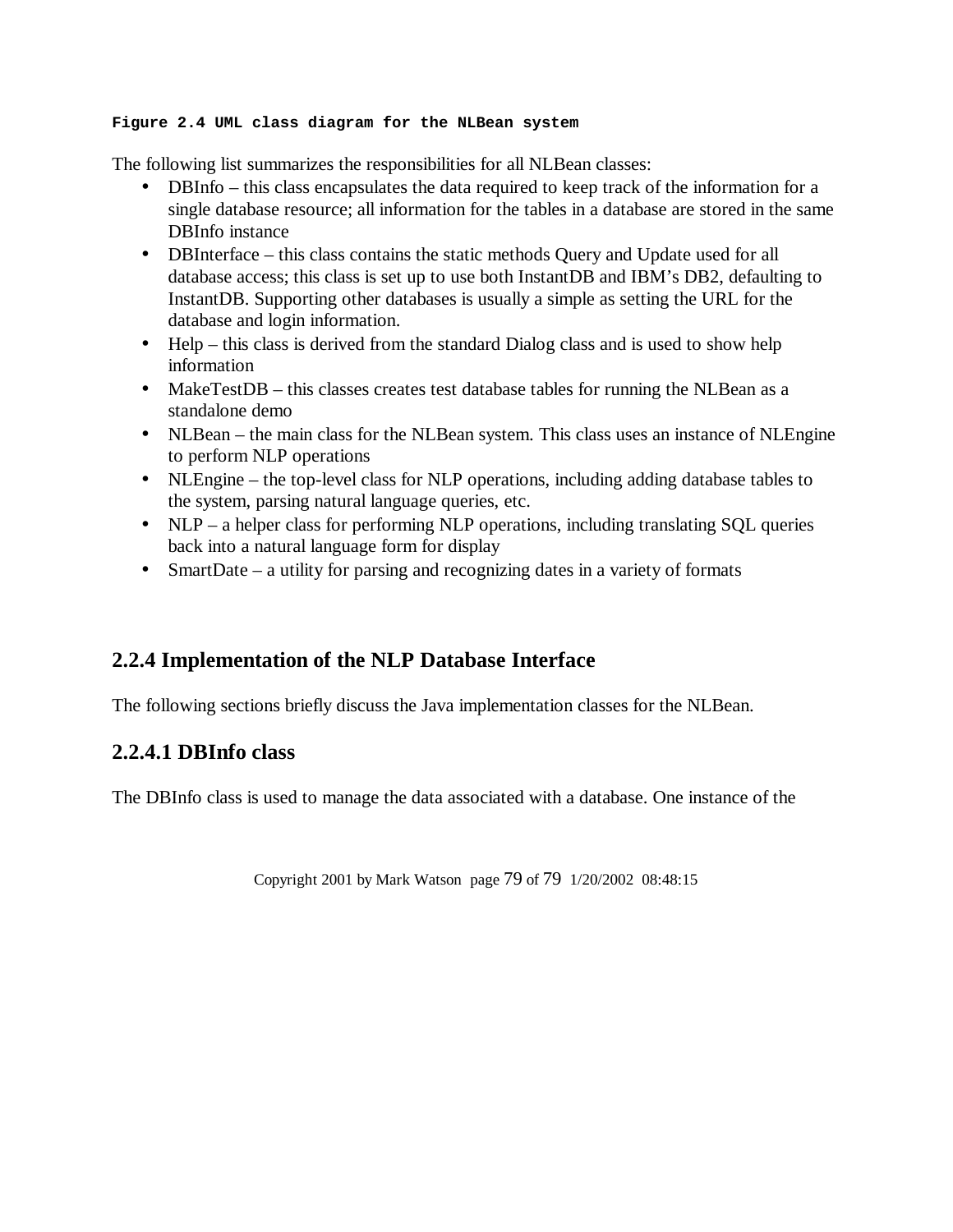#### **Figure 2.4 UML class diagram for the NLBean system**

The following list summarizes the responsibilities for all NLBean classes:

- DBInfo this class encapsulates the data required to keep track of the information for a single database resource; all information for the tables in a database are stored in the same DBInfo instance
- DBInterface this class contains the static methods Query and Update used for all database access; this class is set up to use both InstantDB and IBM's DB2, defaulting to InstantDB. Supporting other databases is usually a simple as setting the URL for the database and login information.
- Help this class is derived from the standard Dialog class and is used to show help information
- MakeTestDB this classes creates test database tables for running the NLBean as a standalone demo
- NLBean the main class for the NLBean system. This class uses an instance of NLEngine to perform NLP operations
- NLEngine the top-level class for NLP operations, including adding database tables to the system, parsing natural language queries, etc.
- NLP a helper class for performing NLP operations, including translating SQL queries back into a natural language form for display
- SmartDate a utility for parsing and recognizing dates in a variety of formats

## **2.2.4 Implementation of the NLP Database Interface**

The following sections briefly discuss the Java implementation classes for the NLBean.

## **2.2.4.1 DBInfo class**

The DBInfo class is used to manage the data associated with a database. One instance of the

Copyright 2001 by Mark Watson page 79 of 79 1/20/2002 08:48:15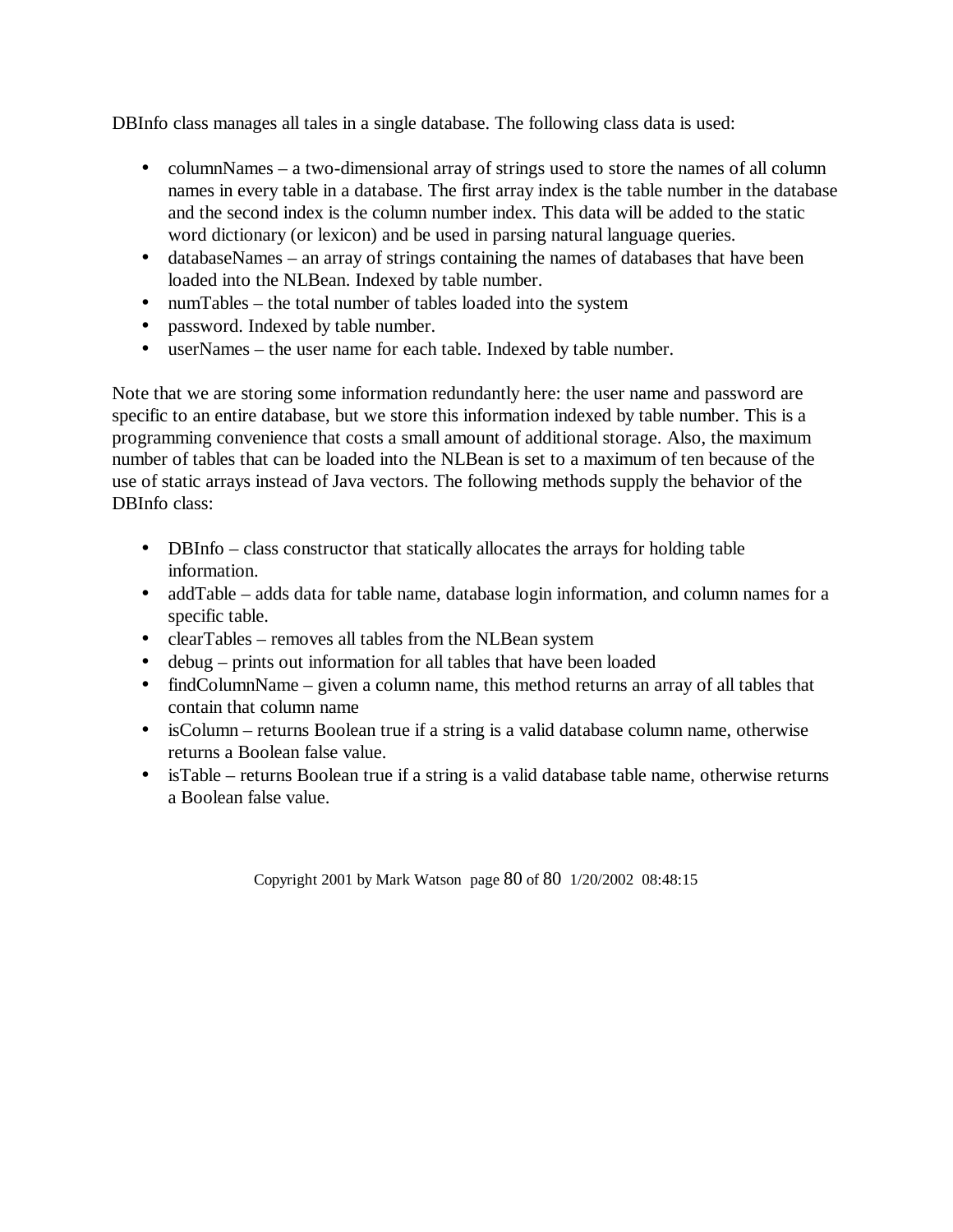DBInfo class manages all tales in a single database. The following class data is used:

- columnNames a two-dimensional array of strings used to store the names of all column names in every table in a database. The first array index is the table number in the database and the second index is the column number index. This data will be added to the static word dictionary (or lexicon) and be used in parsing natural language queries.
- databaseNames an array of strings containing the names of databases that have been loaded into the NLBean. Indexed by table number.
- numTables the total number of tables loaded into the system
- password. Indexed by table number.
- userNames the user name for each table. Indexed by table number.

Note that we are storing some information redundantly here: the user name and password are specific to an entire database, but we store this information indexed by table number. This is a programming convenience that costs a small amount of additional storage. Also, the maximum number of tables that can be loaded into the NLBean is set to a maximum of ten because of the use of static arrays instead of Java vectors. The following methods supply the behavior of the DBInfo class:

- DBInfo class constructor that statically allocates the arrays for holding table information.
- addTable adds data for table name, database login information, and column names for a specific table.
- clearTables removes all tables from the NLBean system
- debug prints out information for all tables that have been loaded
- findColumnName given a column name, this method returns an array of all tables that contain that column name
- isColumn returns Boolean true if a string is a valid database column name, otherwise returns a Boolean false value.
- isTable returns Boolean true if a string is a valid database table name, otherwise returns a Boolean false value.

Copyright 2001 by Mark Watson page 80 of 80 1/20/2002 08:48:15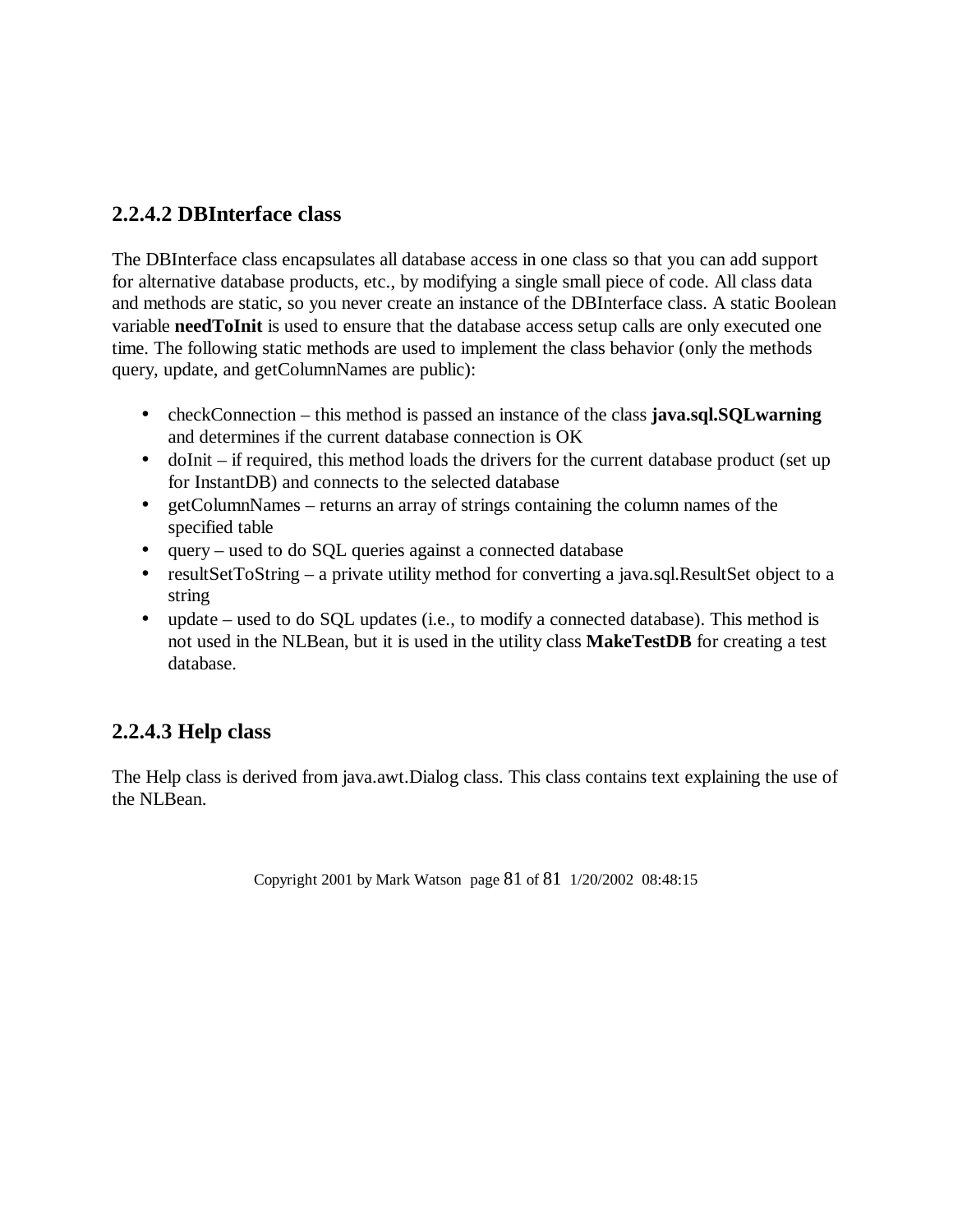## **2.2.4.2 DBInterface class**

The DBInterface class encapsulates all database access in one class so that you can add support for alternative database products, etc., by modifying a single small piece of code. All class data and methods are static, so you never create an instance of the DBInterface class. A static Boolean variable **needToInit** is used to ensure that the database access setup calls are only executed one time. The following static methods are used to implement the class behavior (only the methods query, update, and getColumnNames are public):

- checkConnection this method is passed an instance of the class **java.sql.SQL warning** and determines if the current database connection is OK
- doInit if required, this method loads the drivers for the current database product (set up for InstantDB) and connects to the selected database
- getColumnNames returns an array of strings containing the column names of the specified table
- query used to do SQL queries against a connected database
- resultSetToString a private utility method for converting a java.sql.ResultSet object to a string
- update used to do SQL updates (i.e., to modify a connected database). This method is not used in the NLBean, but it is used in the utility class **MakeTestDB** for creating a test database.

## **2.2.4.3 Help class**

The Help class is derived from java.awt.Dialog class. This class contains text explaining the use of the NLBean.

Copyright 2001 by Mark Watson page 81 of 81 1/20/2002 08:48:15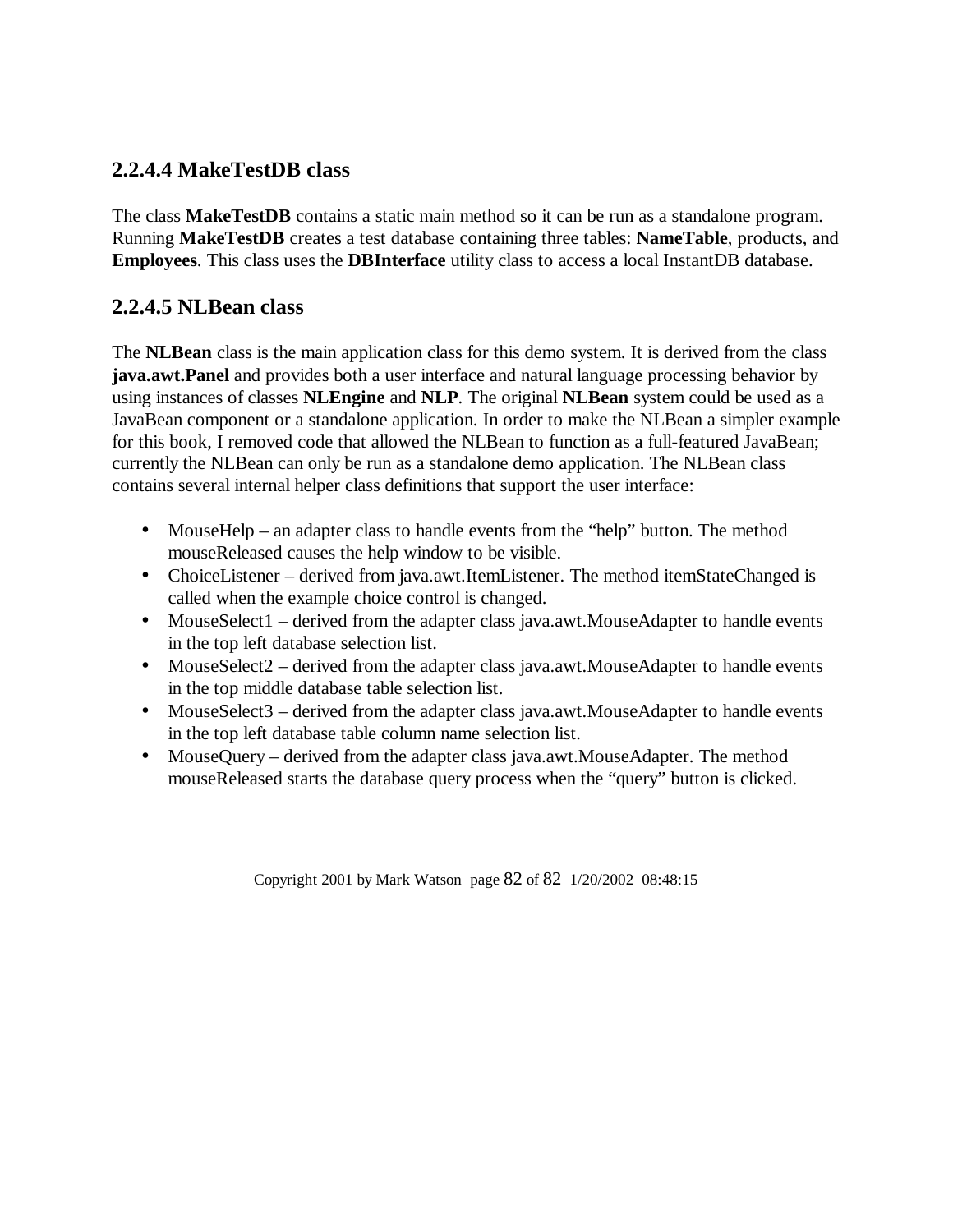# **2.2.4.4 MakeTestDB class**

The class **MakeTestDB** contains a static main method so it can be run as a standalone program. Running **MakeTestDB** creates a test database containing three tables: **NameTable**, products, and **Employees**. This class uses the **DBInterface** utility class to access a local InstantDB database.

# **2.2.4.5 NLBean class**

The **NLBean** class is the main application class for this demo system. It is derived from the class **java.awt.Panel** and provides both a user interface and natural language processing behavior by using instances of classes **NLEngine** and **NLP**. The original **NLBean** system could be used as a JavaBean component or a standalone application. In order to make the NLBean a simpler example for this book, I removed code that allowed the NLBean to function as a full-featured JavaBean; currently the NLBean can only be run as a standalone demo application. The NLBean class contains several internal helper class definitions that support the user interface:

- MouseHelp an adapter class to handle events from the "help" button. The method mouseReleased causes the help window to be visible.
- ChoiceListener derived from java.awt.ItemListener. The method itemStateChanged is called when the example choice control is changed.
- MouseSelect1 derived from the adapter class java.awt.MouseAdapter to handle events in the top left database selection list.
- MouseSelect2 derived from the adapter class java.awt.MouseAdapter to handle events in the top middle database table selection list.
- MouseSelect3 derived from the adapter class java.awt.MouseAdapter to handle events in the top left database table column name selection list.
- MouseQuery derived from the adapter class java.awt.MouseAdapter. The method mouseReleased starts the database query process when the "query" button is clicked.

Copyright 2001 by Mark Watson page 82 of 82 1/20/2002 08:48:15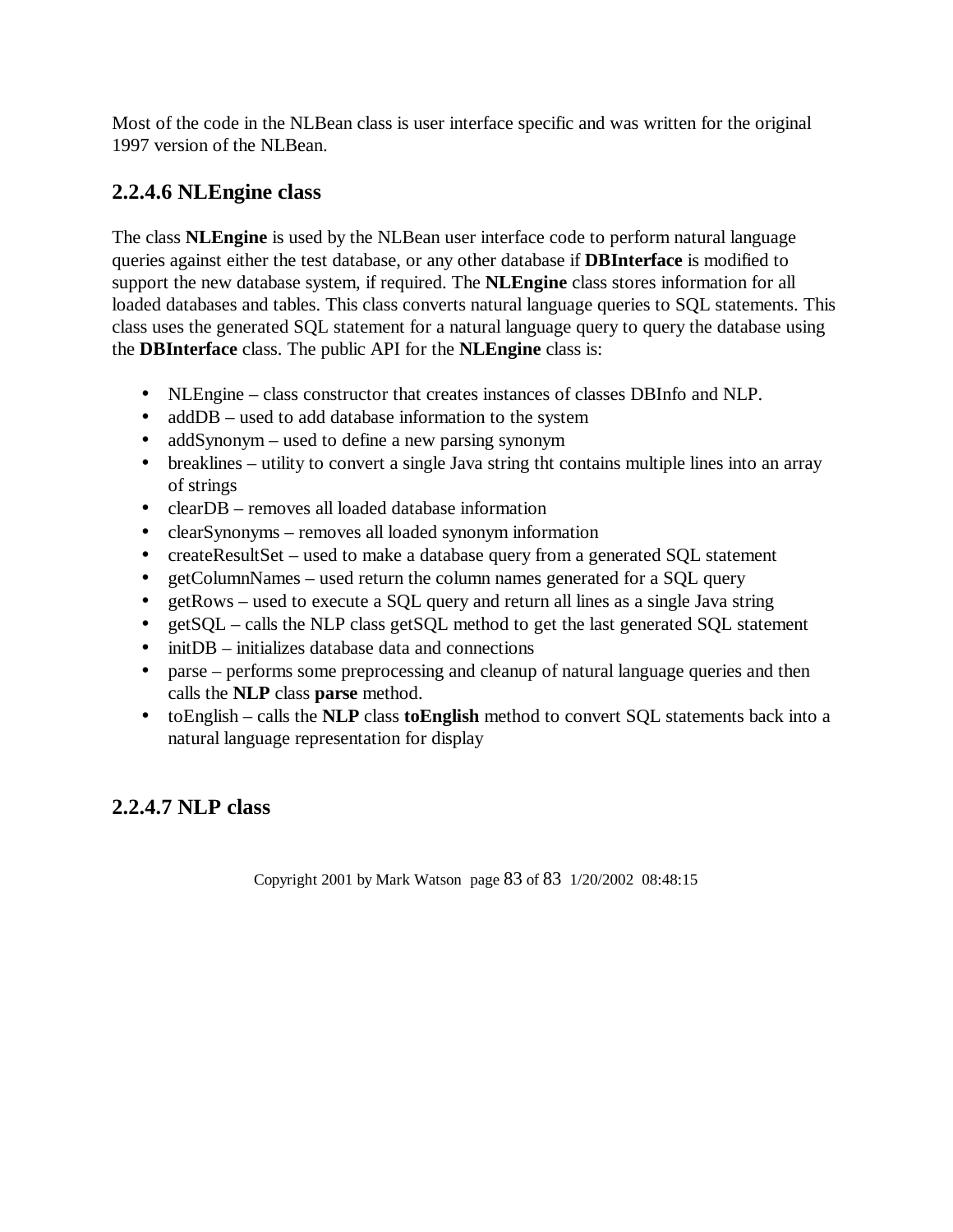Most of the code in the NLBean class is user interface specific and was written for the original 1997 version of the NLBean.

## **2.2.4.6 NLEngine class**

The class **NLEngine** is used by the NLBean user interface code to perform natural language queries against either the test database, or any other database if **DBInterface** is modified to support the new database system, if required. The **NLEngine** class stores information for all loaded databases and tables. This class converts natural language queries to SQL statements. This class uses the generated SQL statement for a natural language query to query the database using the **DBInterface** class. The public API for the **NLEngine** class is:

- NLEngine class constructor that creates instances of classes DBInfo and NLP.
- addDB used to add database information to the system
- addSynonym used to define a new parsing synonym
- breaklines utility to convert a single Java string the contains multiple lines into an array of strings
- clearDB removes all loaded database information
- clearSynonyms removes all loaded synonym information
- createResultSet used to make a database query from a generated SQL statement
- getColumnNames used return the column names generated for a SQL query
- getRows used to execute a SQL query and return all lines as a single Java string
- getSQL calls the NLP class getSQL method to get the last generated SQL statement
- initDB initializes database data and connections
- parse performs some preprocessing and cleanup of natural language queries and then calls the **NLP** class **parse** method.
- toEnglish calls the **NLP** class **toEnglish** method to convert SQL statements back into a natural language representation for display

# **2.2.4.7 NLP class**

Copyright 2001 by Mark Watson page 83 of 83 1/20/2002 08:48:15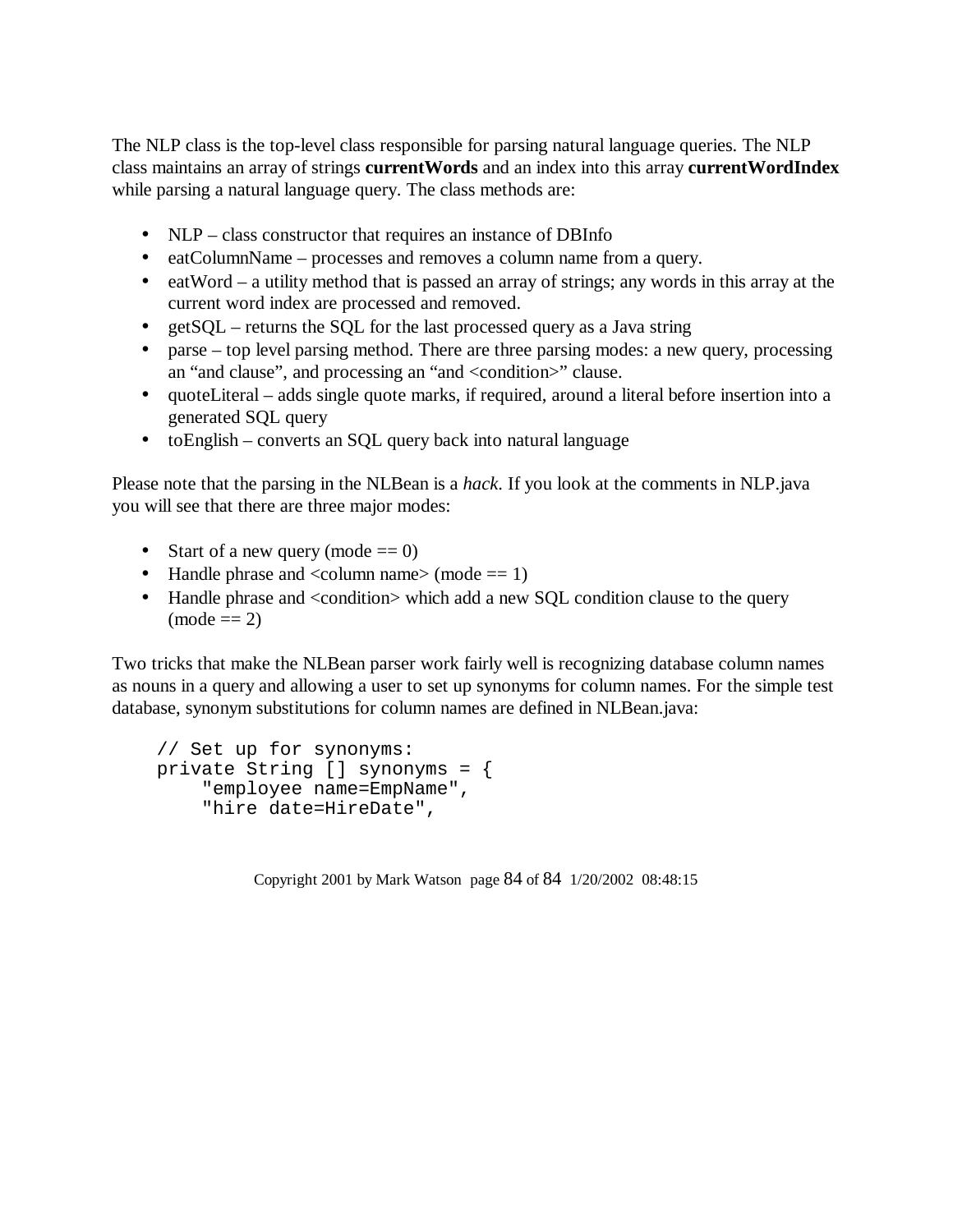The NLP class is the top-level class responsible for parsing natural language queries. The NLP class maintains an array of strings **currentWords** and an index into this array **currentWordIndex** while parsing a natural language query. The class methods are:

- NLP class constructor that requires an instance of DBInfo
- eatColumnName processes and removes a column name from a query.
- eatWord a utility method that is passed an array of strings; any words in this array at the current word index are processed and removed.
- getSQL returns the SQL for the last processed query as a Java string
- parse top level parsing method. There are three parsing modes: a new query, processing an "and clause", and processing an "and <condition>" clause.
- quoteLiteral adds single quote marks, if required, around a literal before insertion into a generated SQL query
- to English converts an SOL query back into natural language

Please note that the parsing in the NLBean is a *hack*. If you look at the comments in NLP.java you will see that there are three major modes:

- Start of a new query (mode  $== 0$ )
- Handle phrase and  $\ll$ column name $>$  (mode == 1)
- Handle phrase and <condition> which add a new SQL condition clause to the query  $(mod = 2)$

Two tricks that make the NLBean parser work fairly well is recognizing database column names as nouns in a query and allowing a user to set up synonyms for column names. For the simple test database, synonym substitutions for column names are defined in NLBean.java:

```
// Set up for synonyms:
private String [] synonyms = {
    "employee name=EmpName",
    "hire date=HireDate",
```
Copyright 2001 by Mark Watson page 84 of 84 1/20/2002 08:48:15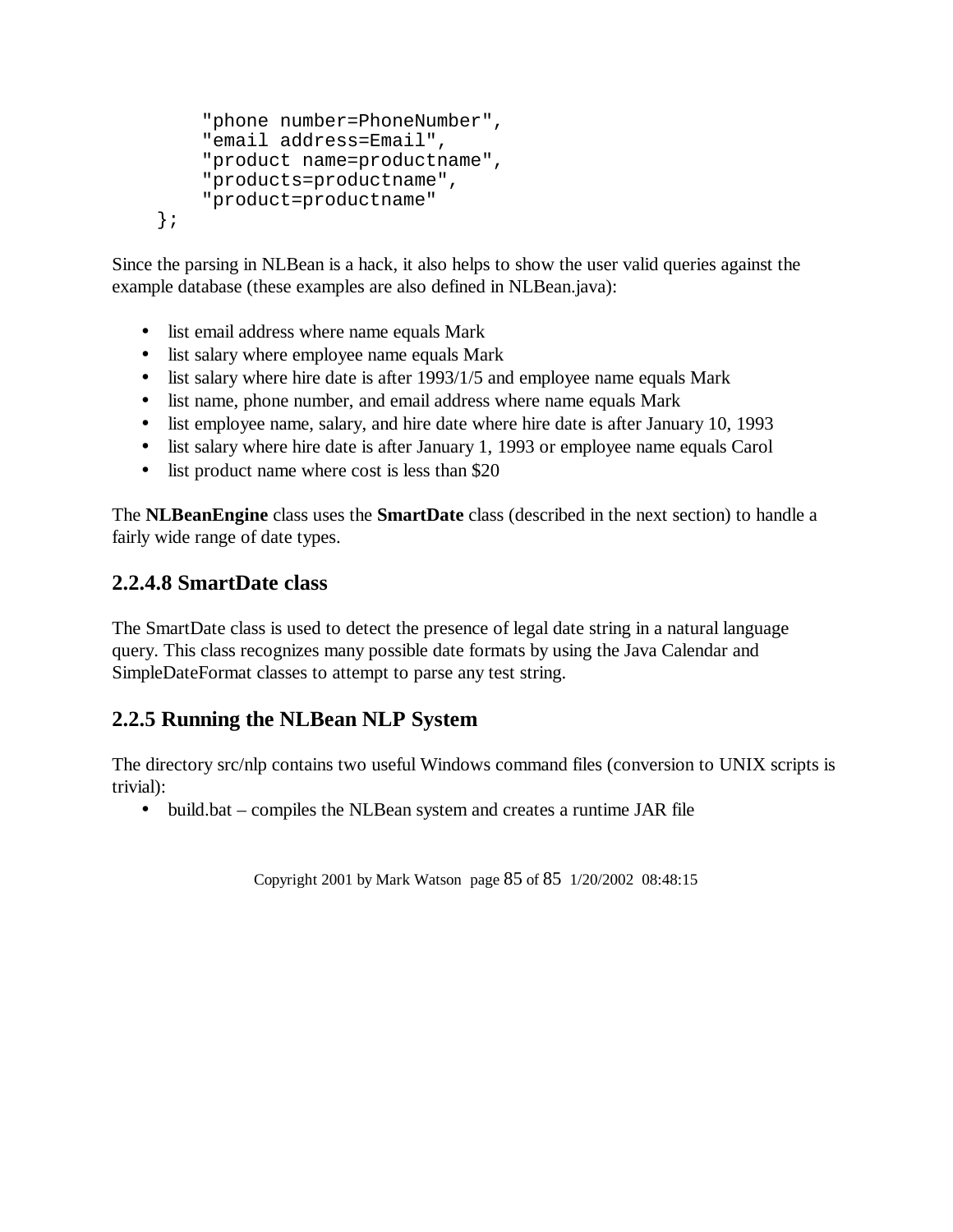```
"phone number=PhoneNumber",
    "email address=Email",
    "product name=productname",
    "products=productname",
    "product=productname"
};
```
Since the parsing in NLBean is a hack, it also helps to show the user valid queries against the example database (these examples are also defined in NLBean.java):

- list email address where name equals Mark
- list salary where employee name equals Mark
- list salary where hire date is after 1993/1/5 and employee name equals Mark
- list name, phone number, and email address where name equals Mark
- list employee name, salary, and hire date where hire date is after January 10, 1993
- list salary where hire date is after January 1, 1993 or employee name equals Carol
- list product name where cost is less than \$20

The **NLBeanEngine** class uses the **SmartDate** class (described in the next section) to handle a fairly wide range of date types.

#### **2.2.4.8 SmartDate class**

The SmartDate class is used to detect the presence of legal date string in a natural language query. This class recognizes many possible date formats by using the Java Calendar and SimpleDateFormat classes to attempt to parse any test string.

#### **2.2.5 Running the NLBean NLP System**

The directory src/nlp contains two useful Windows command files (conversion to UNIX scripts is trivial):

• build.bat – compiles the NLBean system and creates a runtime JAR file

Copyright 2001 by Mark Watson page 85 of 85 1/20/2002 08:48:15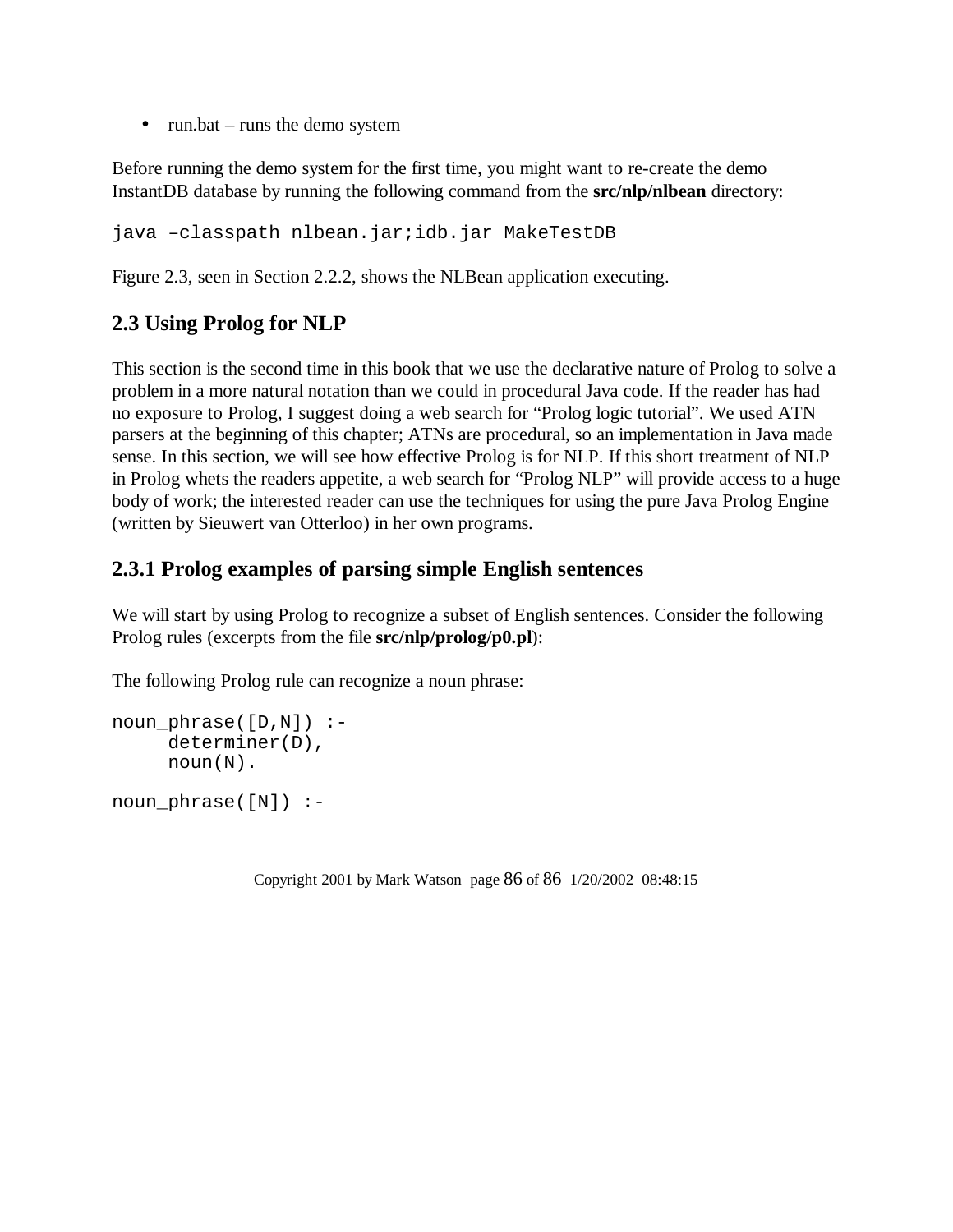• run.bat – runs the demo system

Before running the demo system for the first time, you might want to re-create the demo InstantDB database by running the following command from the **src/nlp/nlbean** directory:

java –classpath nlbean.jar;idb.jar MakeTestDB

Figure 2.3, seen in Section 2.2.2, shows the NLBean application executing.

# **2.3 Using Prolog for NLP**

This section is the second time in this book that we use the declarative nature of Prolog to solve a problem in a more natural notation than we could in procedural Java code. If the reader has had no exposure to Prolog, I suggest doing a web search for "Prolog logic tutorial". We used ATN parsers at the beginning of this chapter; ATNs are procedural, so an implementation in Java made sense. In this section, we will see how effective Prolog is for NLP. If this short treatment of NLP in Prolog whets the readers appetite, a web search for "Prolog NLP" will provide access to a huge body of work; the interested reader can use the techniques for using the pure Java Prolog Engine (written by Sieuwert van Otterloo) in her own programs.

#### **2.3.1 Prolog examples of parsing simple English sentences**

We will start by using Prolog to recognize a subset of English sentences. Consider the following Prolog rules (excerpts from the file **src/nlp/prolog/p0.pl**):

The following Prolog rule can recognize a noun phrase:

```
noun phrase([D,N]) :-
     determiner(D),
     noun(N).
noun phrase([N]) :-
```
Copyright 2001 by Mark Watson page 86 of 86 1/20/2002 08:48:15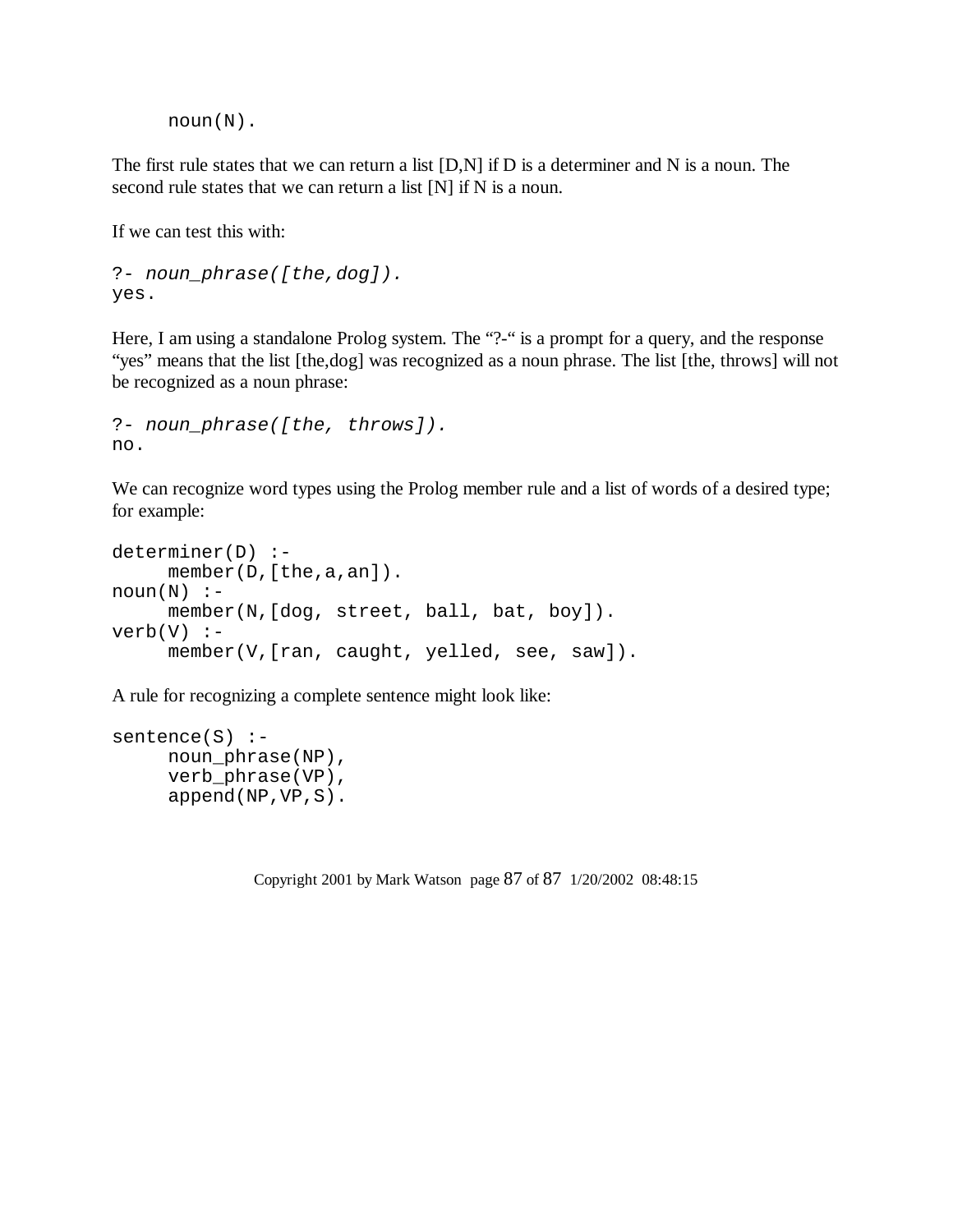noun(N).

The first rule states that we can return a list [D,N] if D is a determiner and N is a noun. The second rule states that we can return a list [N] if N is a noun.

If we can test this with:

```
?- noun phrase([the,dog]).
yes.
```
Here, I am using a standalone Prolog system. The "?-" is a prompt for a query, and the response "yes" means that the list [the,dog] was recognized as a noun phrase. The list [the, throws] will not be recognized as a noun phrase:

```
?- noun_phrase([the, throws]).
no.
```
We can recognize word types using the Prolog member rule and a list of words of a desired type; for example:

```
determiner(D) :-
    member(D,[the,a,an]).
noun(N) :-member(N,[dog, street, ball, bat, boy]).
verb(V) :-member(V,[ran, caught, yelled, see, saw]).
```
A rule for recognizing a complete sentence might look like:

```
sentence(S) :-
    noun_phrase(NP),
     verb_phrase(VP),
     append(NP,VP,S).
```
Copyright 2001 by Mark Watson page 87 of 87 1/20/2002 08:48:15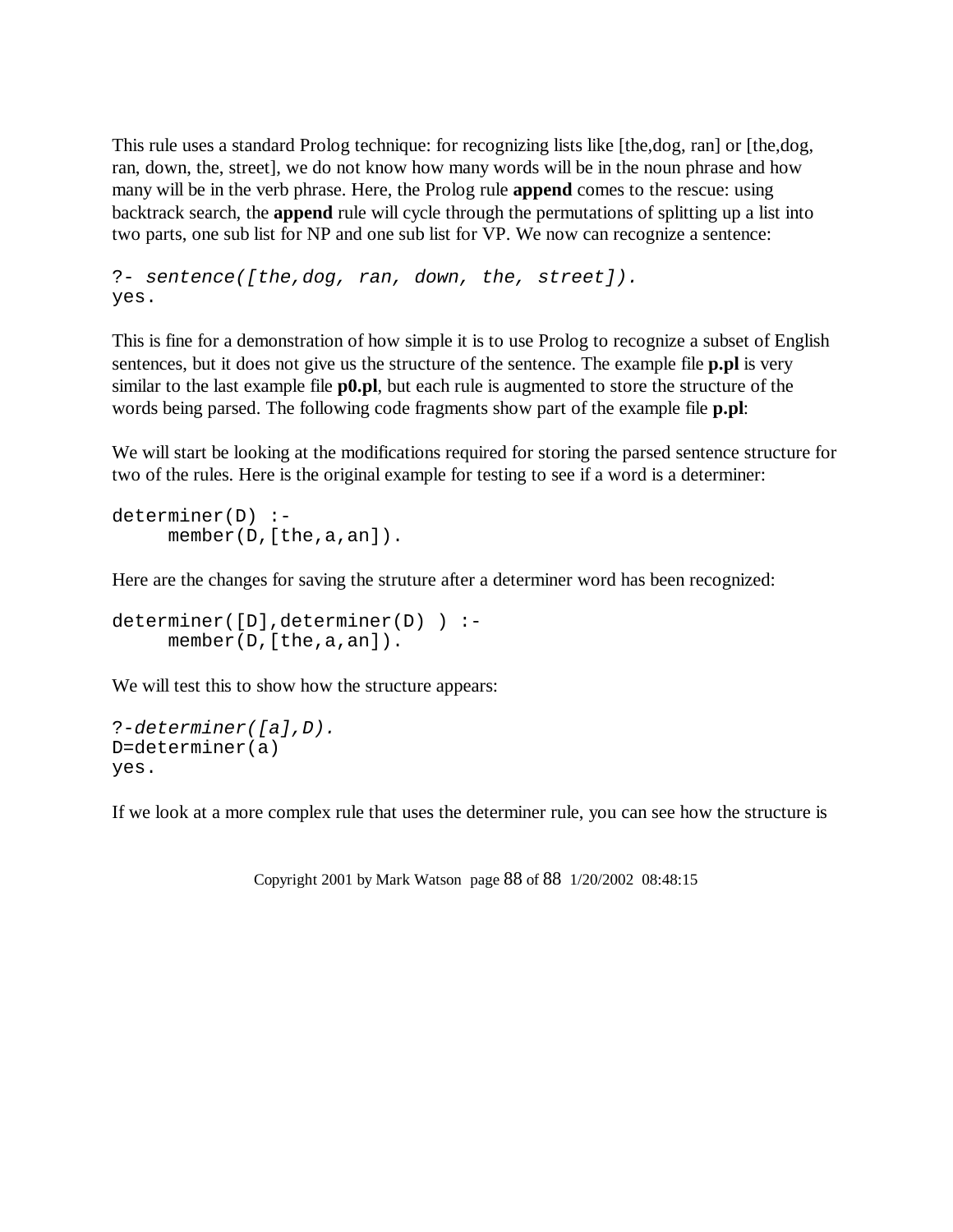This rule uses a standard Prolog technique: for recognizing lists like [the,dog, ran] or [the,dog, ran, down, the, street], we do not know how many words will be in the noun phrase and how many will be in the verb phrase. Here, the Prolog rule **append** comes to the rescue: using backtrack search, the **append** rule will cycle through the permutations of splitting up a list into two parts, one sub list for NP and one sub list for VP. We now can recognize a sentence:

```
?- sentence([the,dog, ran, down, the, street]).
yes.
```
This is fine for a demonstration of how simple it is to use Prolog to recognize a subset of English sentences, but it does not give us the structure of the sentence. The example file **p.pl** is very similar to the last example file **p0.pl**, but each rule is augmented to store the structure of the words being parsed. The following code fragments show part of the example file **p.pl**:

We will start be looking at the modifications required for storing the parsed sentence structure for two of the rules. Here is the original example for testing to see if a word is a determiner:

```
determiner(D) :-
     member(D, [the, a, an]).
```
Here are the changes for saving the struture after a determiner word has been recognized:

```
determiner([D],determiner(D) ) :-
     member(D,[the,a,an]).
```
We will test this to show how the structure appears:

```
?-determiner([a],D).
D=determiner(a)
yes.
```
If we look at a more complex rule that uses the determiner rule, you can see how the structure is

Copyright 2001 by Mark Watson page 88 of 88 1/20/2002 08:48:15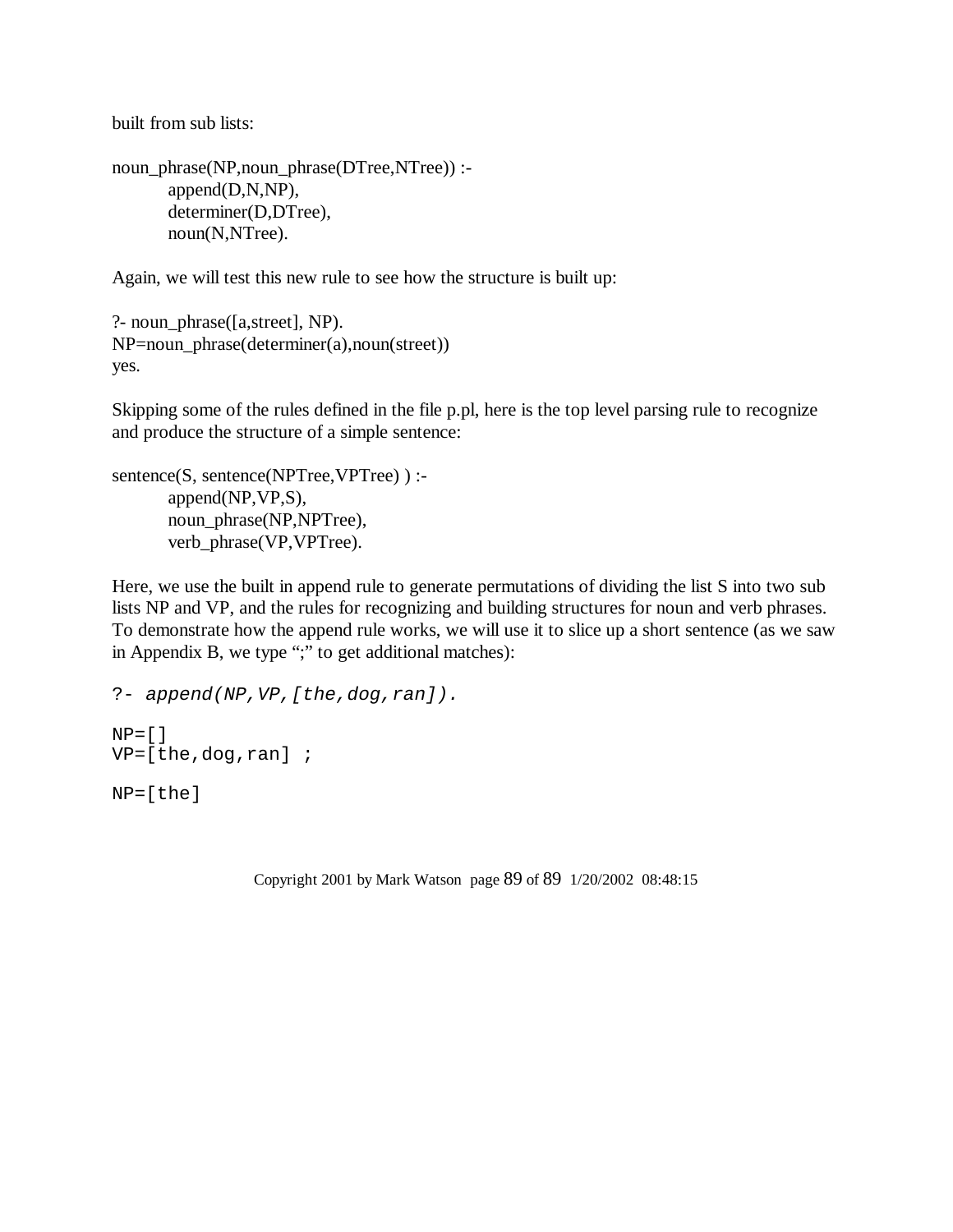built from sub lists:

```
noun_phrase(NP,noun_phrase(DTree,NTree)) :-
      append(D,N,NP),
      determiner(D,DTree),
      noun(N,NTree).
```
Again, we will test this new rule to see how the structure is built up:

```
?- noun_phrase([a,street], NP).
NP=noun phrase(determiner(a),noun(street))
yes.
```
Skipping some of the rules defined in the file p.pl, here is the top level parsing rule to recognize and produce the structure of a simple sentence:

sentence(S, sentence(NPTree, VPTree) ) :append(NP,VP,S), noun\_phrase(NP,NPTree), verb\_phrase(VP,VPTree).

Here, we use the built in append rule to generate permutations of dividing the list S into two sub lists NP and VP, and the rules for recognizing and building structures for noun and verb phrases. To demonstrate how the append rule works, we will use it to slice up a short sentence (as we saw in Appendix B, we type ";" to get additional matches):

```
?- append(NP,VP, [the,dog,ran]).
NP = [ ]VP=[the,dog,ran] ;
NP=[the]
```
Copyright 2001 by Mark Watson page 89 of 89 1/20/2002 08:48:15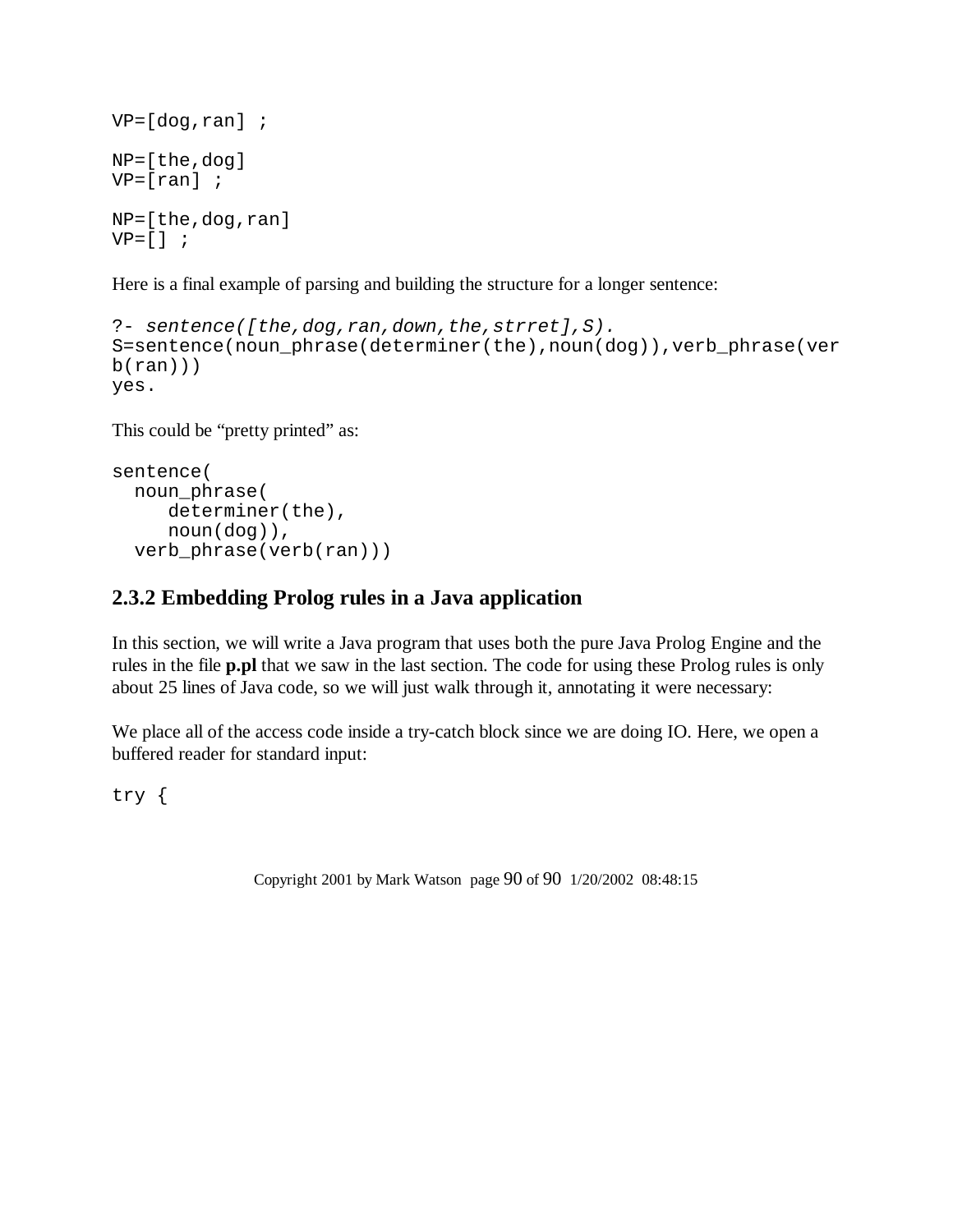```
VP=[dog,ran] ;
NP=[the,dog]
VP=[ran] ;
NP=[the,dog,ran]
VP=[] ;
```
Here is a final example of parsing and building the structure for a longer sentence:

```
?- sentence([the,dog,ran,down,the,strret],S).
S=sentence(noun_phrase(determiner(the),noun(dog)),verb_phrase(ver
b(\text{ran}))
yes.
```
This could be "pretty printed" as:

```
sentence(
 noun_phrase(
    determiner(the),
    noun(dog)),
 verb_phrase(verb(ran)))
```
## **2.3.2 Embedding Prolog rules in a Java application**

In this section, we will write a Java program that uses both the pure Java Prolog Engine and the rules in the file **p.pl** that we saw in the last section. The code for using these Prolog rules is only about 25 lines of Java code, so we will just walk through it, annotating it were necessary:

We place all of the access code inside a try-catch block since we are doing IO. Here, we open a buffered reader for standard input:

try {

Copyright 2001 by Mark Watson page 90 of 90 1/20/2002 08:48:15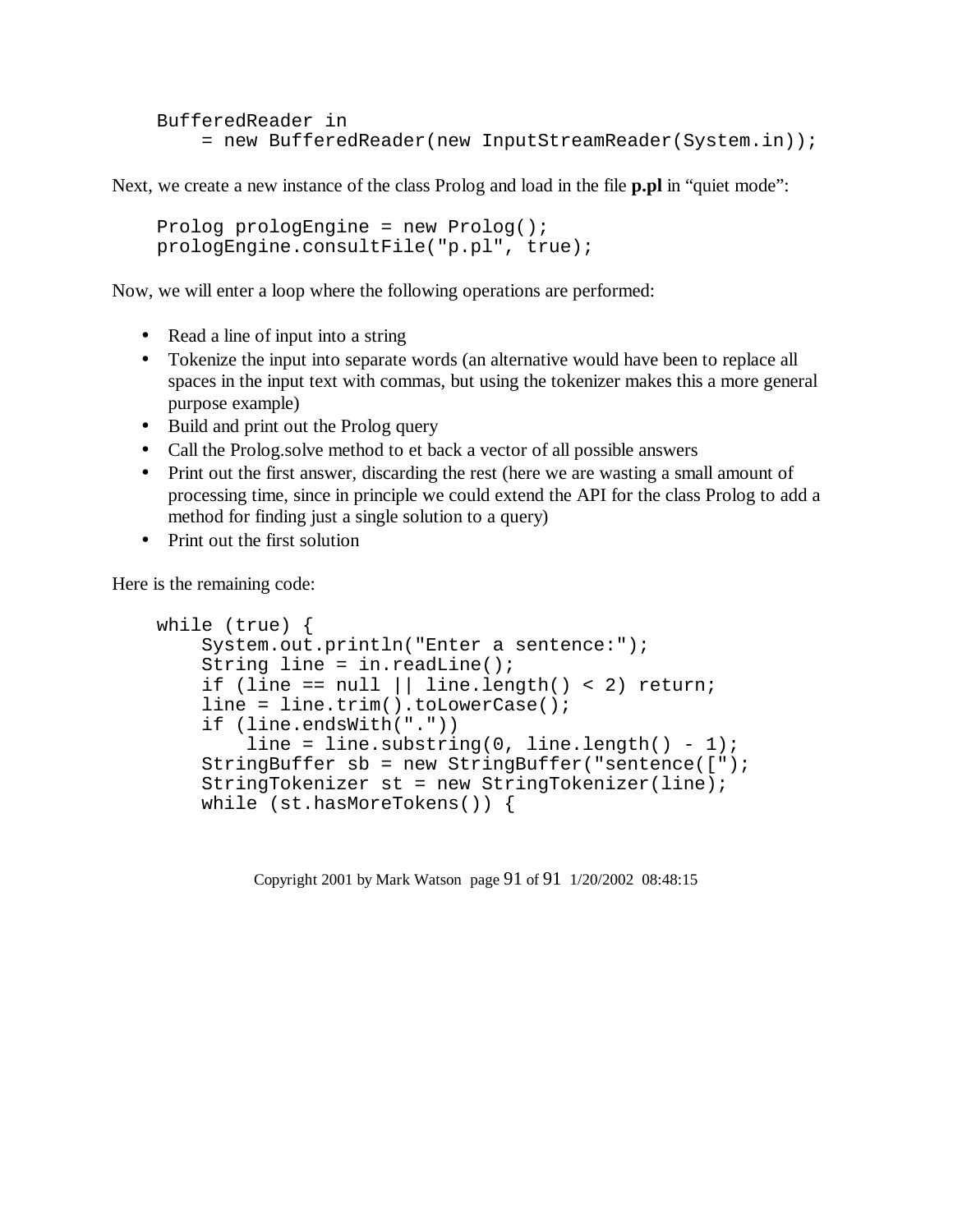```
BufferedReader in
    = new BufferedReader(new InputStreamReader(System.in));
```
Next, we create a new instance of the class Prolog and load in the file **p.pl** in "quiet mode":

```
Prolog prologEngine = new Prolog();
prologEngine.consultFile("p.pl", true);
```
Now, we will enter a loop where the following operations are performed:

- Read a line of input into a string
- Tokenize the input into separate words (an alternative would have been to replace all spaces in the input text with commas, but using the tokenizer makes this a more general purpose example)
- Build and print out the Prolog query
- Call the Prolog.solve method to et back a vector of all possible answers
- Print out the first answer, discarding the rest (here we are wasting a small amount of processing time, since in principle we could extend the API for the class Prolog to add a method for finding just a single solution to a query)
- Print out the first solution

Here is the remaining code:

```
while (true) {
    System.out.println("Enter a sentence:");
    String line = in.readLine();
    if (line == null || line.length() < 2) return;
    line = line.trim().toLowerCase();
    if (line.endsWith("."))
        line = line.substring(0, line.length() - 1);
    StringBuffer sb = new StringBuffer("sentence([");
    StringTokenizer st = new StringTokenizer(line);
    while (st.hasMoreTokens()) {
```
Copyright 2001 by Mark Watson page 91 of 91 1/20/2002 08:48:15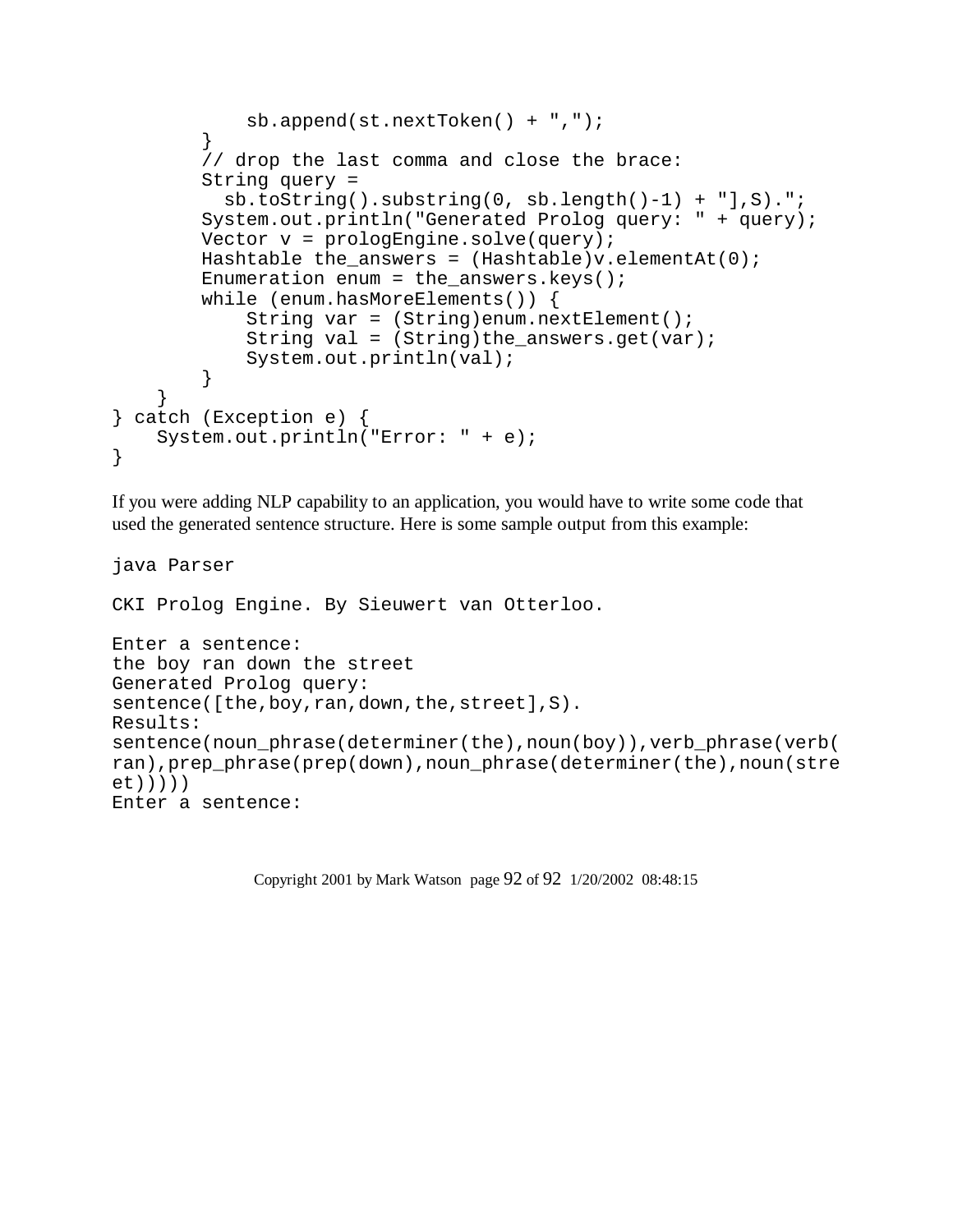```
sb.append(st.nextToken() + ",");
        }
        // drop the last comma and close the brace:
        String query =
          sb.toString().substring(0, sb.length() - 1) + "], S).System.out.println("Generated Prolog query: " + query);
       Vector v = prologEngine.solve(query);
       Hashtable the_answers = (Hashtable)v.elementAt(0);Enumeration enum = the_answers.keys();
       while (enum.hasMoreElements()) {
            String var = (String)enum.nextElement();
            String val = (String)the_answers.get(var);
            System.out.println(val);
        }
    }
} catch (Exception e) {
   System.out.println("Error: " + e);
}
```
If you were adding NLP capability to an application, you would have to write some code that used the generated sentence structure. Here is some sample output from this example:

```
java Parser
CKI Prolog Engine. By Sieuwert van Otterloo.
Enter a sentence:
the boy ran down the street
Generated Prolog query:
sentence([the,boy,ran,down,the,street],S).
Results:
sentence(noun_phrase(determiner(the),noun(boy)),verb_phrase(verb(
ran),prep_phrase(prep(down),noun_phrase(determiner(the),noun(stre
et)))))
Enter a sentence:
```
Copyright 2001 by Mark Watson page 92 of 92 1/20/2002 08:48:15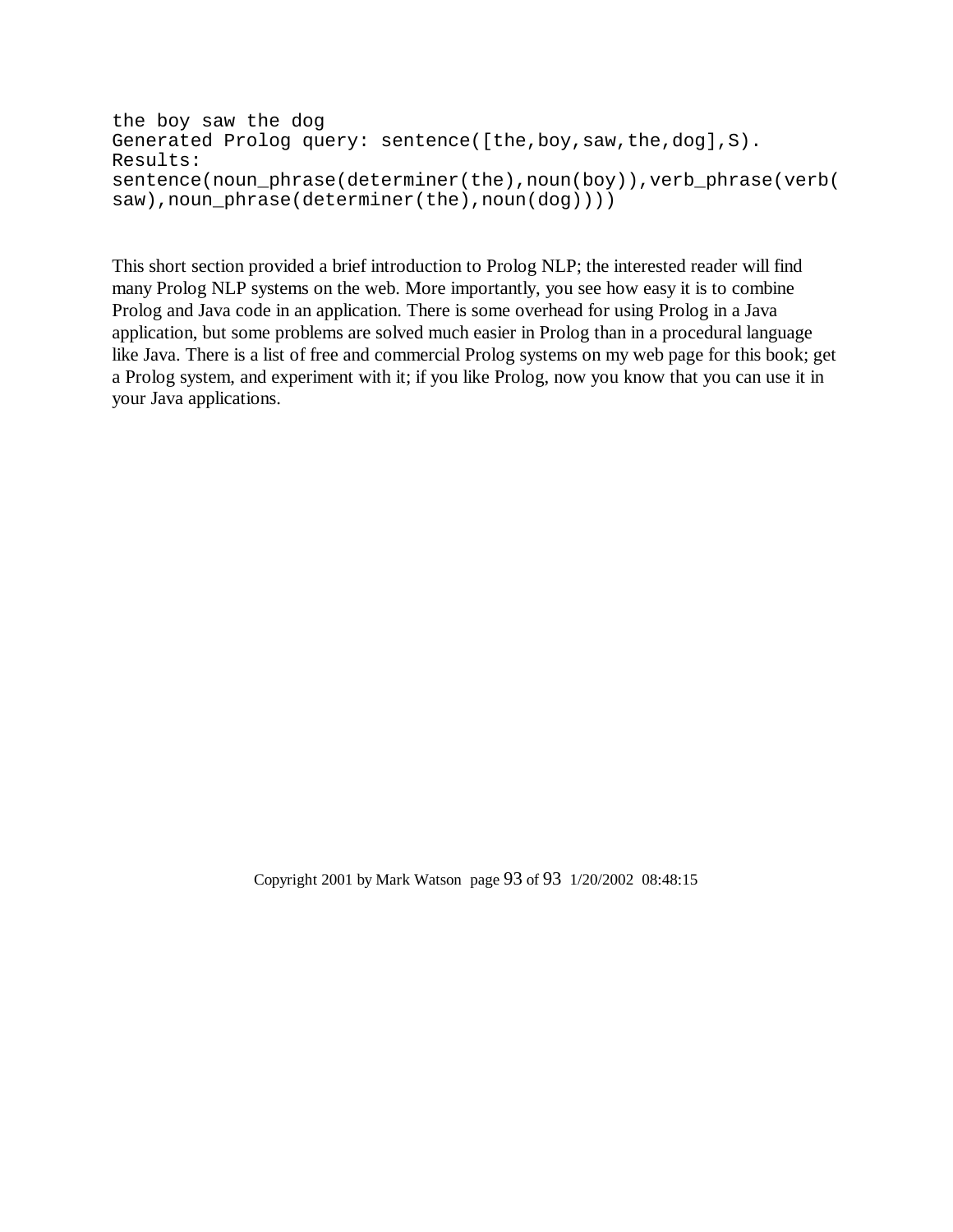```
the boy saw the dog
Generated Prolog query: sentence([the,boy,saw,the,dog],S).
Results:
sentence(noun_phrase(determiner(the),noun(boy)),verb_phrase(verb(
saw),noun_phrase(determiner(the),noun(dog))))
```
This short section provided a brief introduction to Prolog NLP; the interested reader will find many Prolog NLP systems on the web. More importantly, you see how easy it is to combine Prolog and Java code in an application. There is some overhead for using Prolog in a Java application, but some problems are solved much easier in Prolog than in a procedural language like Java. There is a list of free and commercial Prolog systems on my web page for this book; get a Prolog system, and experiment with it; if you like Prolog, now you know that you can use it in your Java applications.

Copyright 2001 by Mark Watson page 93 of 93 1/20/2002 08:48:15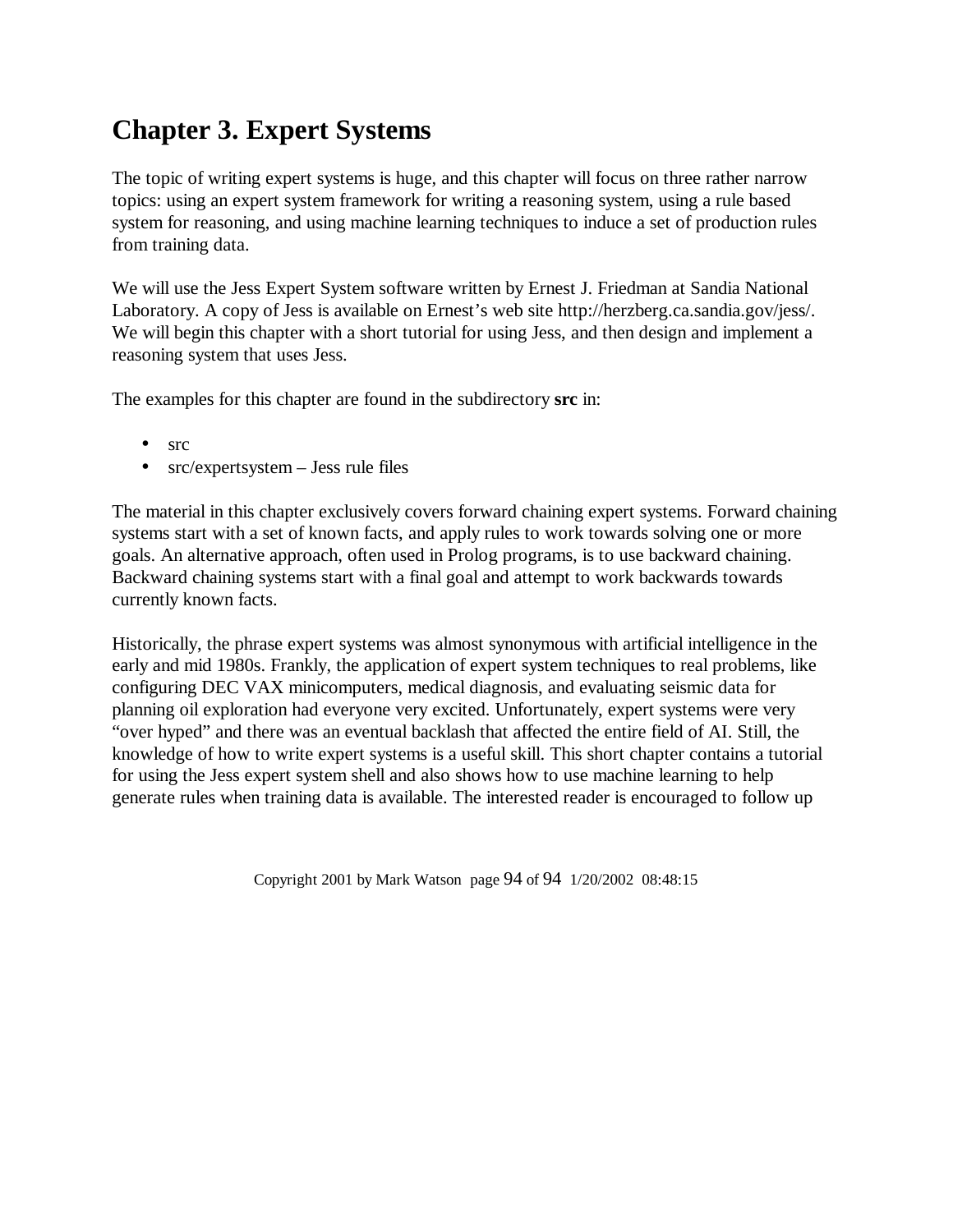# **Chapter 3. Expert Systems**

The topic of writing expert systems is huge, and this chapter will focus on three rather narrow topics: using an expert system framework for writing a reasoning system, using a rule based system for reasoning, and using machine learning techniques to induce a set of production rules from training data.

We will use the Jess Expert System software written by Ernest J. Friedman at Sandia National Laboratory. A copy of Jess is available on Ernest's web site http://herzberg.ca.sandia.gov/jess/. We will begin this chapter with a short tutorial for using Jess, and then design and implement a reasoning system that uses Jess.

The examples for this chapter are found in the subdirectory **src** in:

- src
- src/expertsystem Jess rule files

The material in this chapter exclusively covers forward chaining expert systems. Forward chaining systems start with a set of known facts, and apply rules to work towards solving one or more goals. An alternative approach, often used in Prolog programs, is to use backward chaining. Backward chaining systems start with a final goal and attempt to work backwards towards currently known facts.

Historically, the phrase expert systems was almost synonymous with artificial intelligence in the early and mid 1980s. Frankly, the application of expert system techniques to real problems, like configuring DEC VAX minicomputers, medical diagnosis, and evaluating seismic data for planning oil exploration had everyone very excited. Unfortunately, expert systems were very "over hyped" and there was an eventual backlash that affected the entire field of AI. Still, the knowledge of how to write expert systems is a useful skill. This short chapter contains a tutorial for using the Jess expert system shell and also shows how to use machine learning to help generate rules when training data is available. The interested reader is encouraged to follow up

Copyright 2001 by Mark Watson page 94 of 94 1/20/2002 08:48:15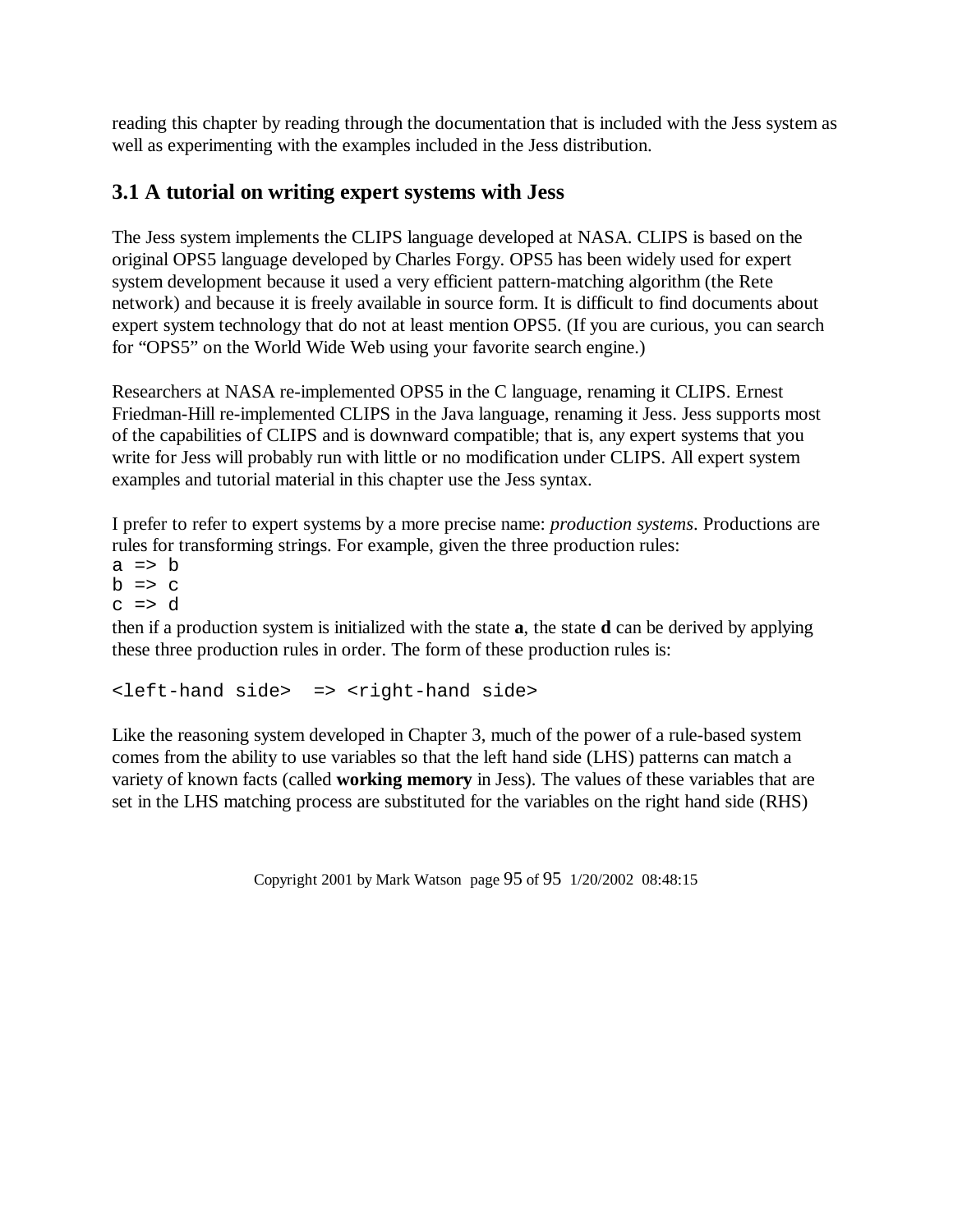reading this chapter by reading through the documentation that is included with the Jess system as well as experimenting with the examples included in the Jess distribution.

# **3.1 A tutorial on writing expert systems with Jess**

The Jess system implements the CLIPS language developed at NASA. CLIPS is based on the original OPS5 language developed by Charles Forgy. OPS5 has been widely used for expert system development because it used a very efficient pattern-matching algorithm (the Rete network) and because it is freely available in source form. It is difficult to find documents about expert system technology that do not at least mention OPS5. (If you are curious, you can search for "OPS5" on the World Wide Web using your favorite search engine.)

Researchers at NASA re-implemented OPS5 in the C language, renaming it CLIPS. Ernest Friedman-Hill re-implemented CLIPS in the Java language, renaming it Jess. Jess supports most of the capabilities of CLIPS and is downward compatible; that is, any expert systems that you write for Jess will probably run with little or no modification under CLIPS. All expert system examples and tutorial material in this chapter use the Jess syntax.

I prefer to refer to expert systems by a more precise name: *production systems*. Productions are rules for transforming strings. For example, given the three production rules:

 $a \Rightarrow b$  $b \Rightarrow c$  $c \Rightarrow d$ 

then if a production system is initialized with the state **a**, the state **d** can be derived by applying these three production rules in order. The form of these production rules is:

#### <left-hand side> => <right-hand side>

Like the reasoning system developed in Chapter 3, much of the power of a rule-based system comes from the ability to use variables so that the left hand side (LHS) patterns can match a variety of known facts (called **working memory** in Jess). The values of these variables that are set in the LHS matching process are substituted for the variables on the right hand side (RHS)

Copyright 2001 by Mark Watson page 95 of 95 1/20/2002 08:48:15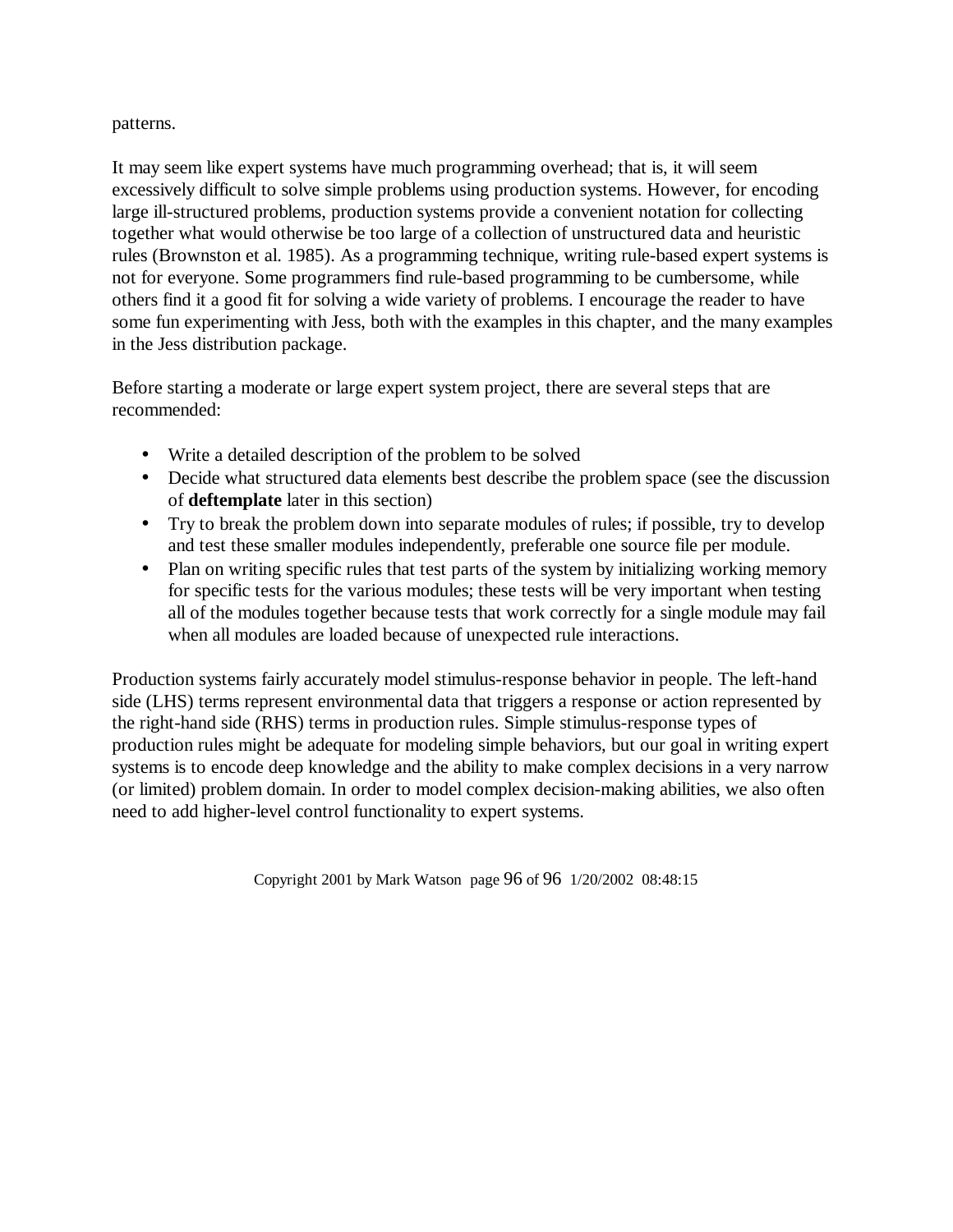#### patterns.

It may seem like expert systems have much programming overhead; that is, it will seem excessively difficult to solve simple problems using production systems. However, for encoding large ill-structured problems, production systems provide a convenient notation for collecting together what would otherwise be too large of a collection of unstructured data and heuristic rules (Brownston et al. 1985). As a programming technique, writing rule-based expert systems is not for everyone. Some programmers find rule-based programming to be cumbersome, while others find it a good fit for solving a wide variety of problems. I encourage the reader to have some fun experimenting with Jess, both with the examples in this chapter, and the many examples in the Jess distribution package.

Before starting a moderate or large expert system project, there are several steps that are recommended:

- Write a detailed description of the problem to be solved
- Decide what structured data elements best describe the problem space (see the discussion of **deftemplate** later in this section)
- Try to break the problem down into separate modules of rules; if possible, try to develop and test these smaller modules independently, preferable one source file per module.
- Plan on writing specific rules that test parts of the system by initializing working memory for specific tests for the various modules; these tests will be very important when testing all of the modules together because tests that work correctly for a single module may fail when all modules are loaded because of unexpected rule interactions.

Production systems fairly accurately model stimulus-response behavior in people. The left-hand side (LHS) terms represent environmental data that triggers a response or action represented by the right-hand side (RHS) terms in production rules. Simple stimulus-response types of production rules might be adequate for modeling simple behaviors, but our goal in writing expert systems is to encode deep knowledge and the ability to make complex decisions in a very narrow (or limited) problem domain. In order to model complex decision-making abilities, we also often need to add higher-level control functionality to expert systems.

Copyright 2001 by Mark Watson page 96 of 96 1/20/2002 08:48:15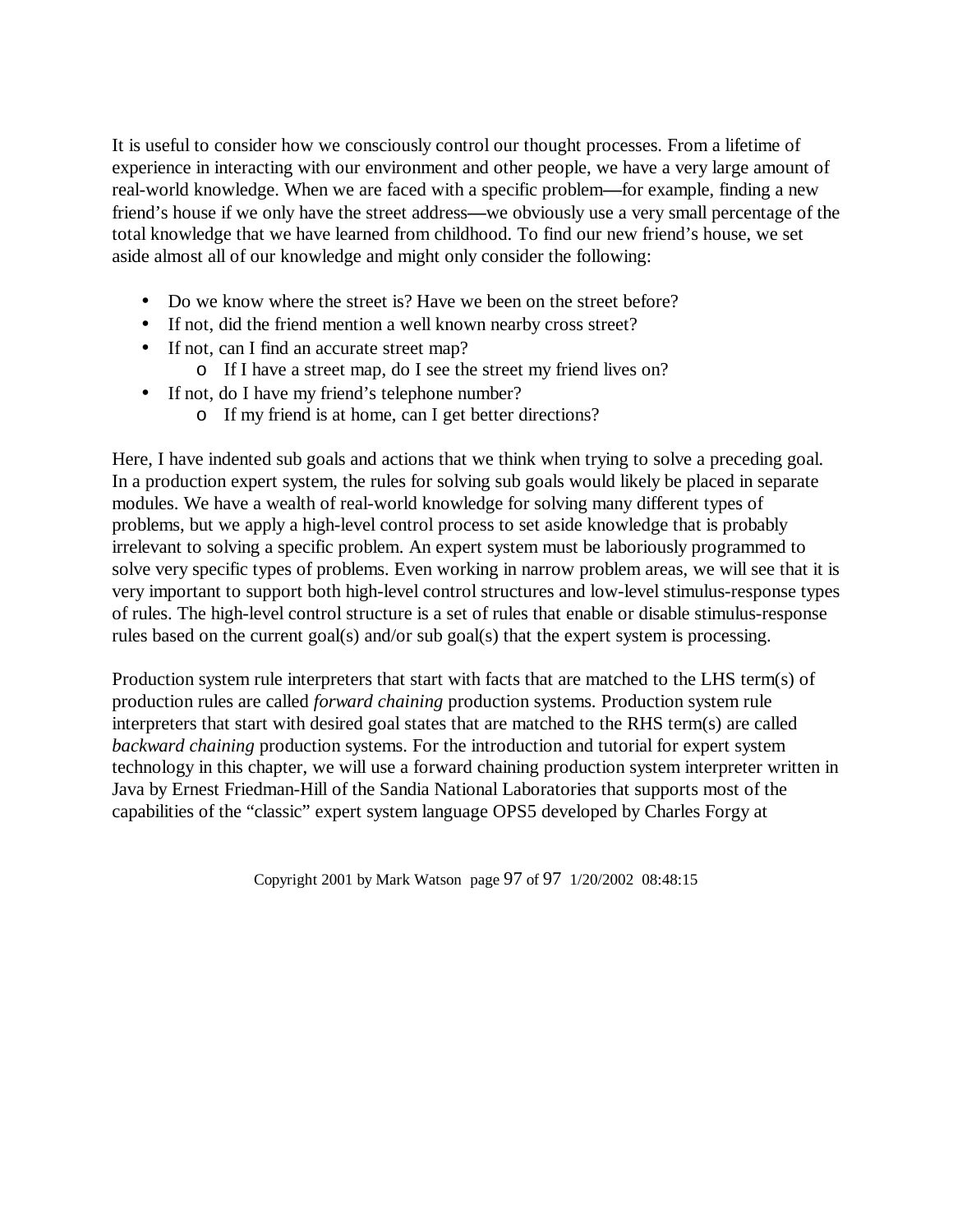It is useful to consider how we consciously control our thought processes. From a lifetime of experience in interacting with our environment and other people, we have a very large amount of real-world knowledge. When we are faced with a specific problem**—**for example, finding a new friend's house if we only have the street address**—**we obviously use a very small percentage of the total knowledge that we have learned from childhood. To find our new friend's house, we set aside almost all of our knowledge and might only consider the following:

- Do we know where the street is? Have we been on the street before?
- If not, did the friend mention a well known nearby cross street?
- If not, can I find an accurate street map?
	- o If I have a street map, do I see the street my friend lives on?
- If not, do I have my friend's telephone number?
	- o If my friend is at home, can I get better directions?

Here, I have indented sub goals and actions that we think when trying to solve a preceding goal. In a production expert system, the rules for solving sub goals would likely be placed in separate modules. We have a wealth of real-world knowledge for solving many different types of problems, but we apply a high-level control process to set aside knowledge that is probably irrelevant to solving a specific problem. An expert system must be laboriously programmed to solve very specific types of problems. Even working in narrow problem areas, we will see that it is very important to support both high-level control structures and low-level stimulus-response types of rules. The high-level control structure is a set of rules that enable or disable stimulus-response rules based on the current goal(s) and/or sub goal(s) that the expert system is processing.

Production system rule interpreters that start with facts that are matched to the LHS term(s) of production rules are called *forward chaining* production systems. Production system rule interpreters that start with desired goal states that are matched to the RHS term(s) are called *backward chaining* production systems. For the introduction and tutorial for expert system technology in this chapter, we will use a forward chaining production system interpreter written in Java by Ernest Friedman-Hill of the Sandia National Laboratories that supports most of the capabilities of the "classic" expert system language OPS5 developed by Charles Forgy at

Copyright 2001 by Mark Watson page 97 of 97 1/20/2002 08:48:15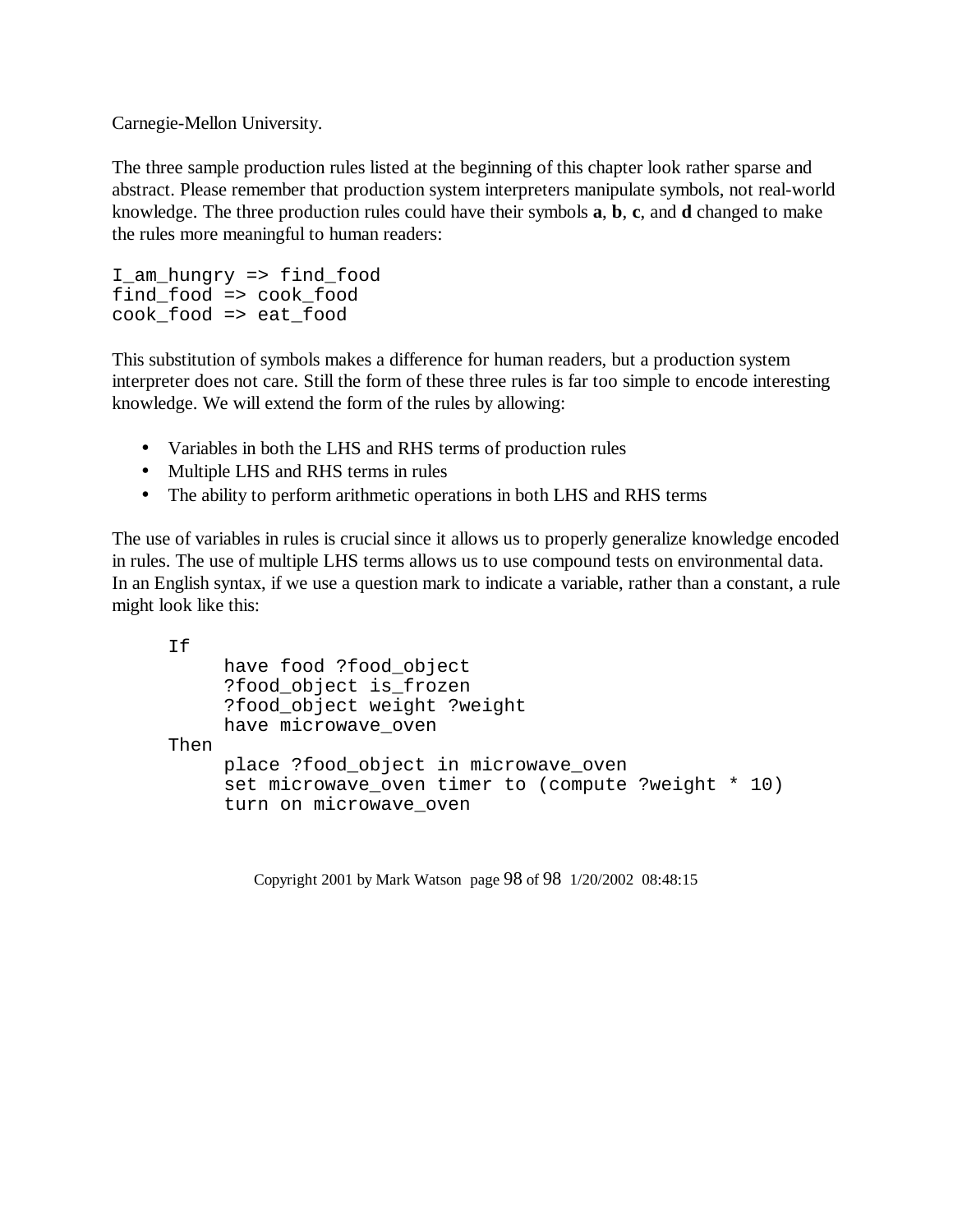Carnegie-Mellon University.

The three sample production rules listed at the beginning of this chapter look rather sparse and abstract. Please remember that production system interpreters manipulate symbols, not real-world knowledge. The three production rules could have their symbols **a**, **b**, **c**, and **d** changed to make the rules more meaningful to human readers:

```
I am hungry => find food
find_food => cook_food
cook_food => eat_food
```
This substitution of symbols makes a difference for human readers, but a production system interpreter does not care. Still the form of these three rules is far too simple to encode interesting knowledge. We will extend the form of the rules by allowing:

- Variables in both the LHS and RHS terms of production rules
- Multiple LHS and RHS terms in rules
- The ability to perform arithmetic operations in both LHS and RHS terms

The use of variables in rules is crucial since it allows us to properly generalize knowledge encoded in rules. The use of multiple LHS terms allows us to use compound tests on environmental data. In an English syntax, if we use a question mark to indicate a variable, rather than a constant, a rule might look like this:

```
If
    have food ?food_object
     ?food object is frozen
     ?food_object weight ?weight
    have microwave_oven
Then
    place ?food_object in microwave_oven
     set microwave_oven timer to (compute ?weight * 10)
     turn on microwave_oven
```
Copyright 2001 by Mark Watson page 98 of 98 1/20/2002 08:48:15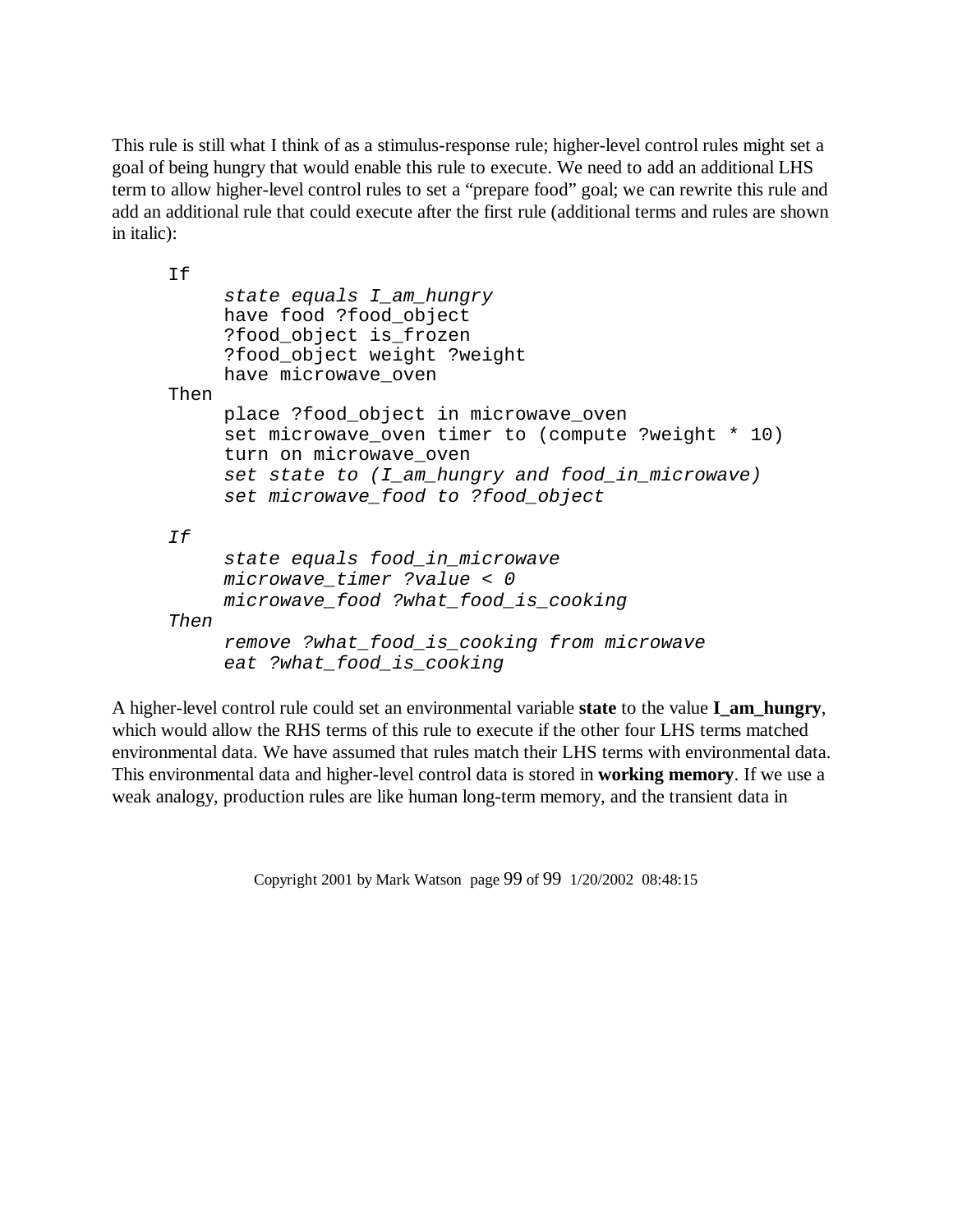This rule is still what I think of as a stimulus-response rule; higher-level control rules might set a goal of being hungry that would enable this rule to execute. We need to add an additional LHS term to allow higher-level control rules to set a "prepare food" goal; we can rewrite this rule and add an additional rule that could execute after the first rule (additional terms and rules are shown in italic):

| Τf   |                                                                                                                                                                                                                |
|------|----------------------------------------------------------------------------------------------------------------------------------------------------------------------------------------------------------------|
| Then | state equals I_am_hungry<br>have food ?food_object<br>?food_object is_frozen<br>?food_object weight ?weight<br>have microwave_oven                                                                             |
|      | place ?food_object in microwave_oven<br>set microwave_oven timer to (compute ?weight * 10)<br>turn on microwave oven<br>set state to (I_am_hungry and food_in_microwave)<br>set microwave food to ?food object |
| T F  |                                                                                                                                                                                                                |
|      | state equals food_in_microwave<br>microwave_timer ?value < 0<br>microwave_food ?what_food_is_cooking                                                                                                           |
| Then |                                                                                                                                                                                                                |
|      | remove ?what_food_is_cooking from microwave<br>eat ?what_food_is_cooking                                                                                                                                       |

A higher-level control rule could set an environmental variable **state** to the value **I\_am\_hungry**, which would allow the RHS terms of this rule to execute if the other four LHS terms matched environmental data. We have assumed that rules match their LHS terms with environmental data. This environmental data and higher-level control data is stored in **working memory**. If we use a weak analogy, production rules are like human long-term memory, and the transient data in

Copyright 2001 by Mark Watson page 99 of 99 1/20/2002 08:48:15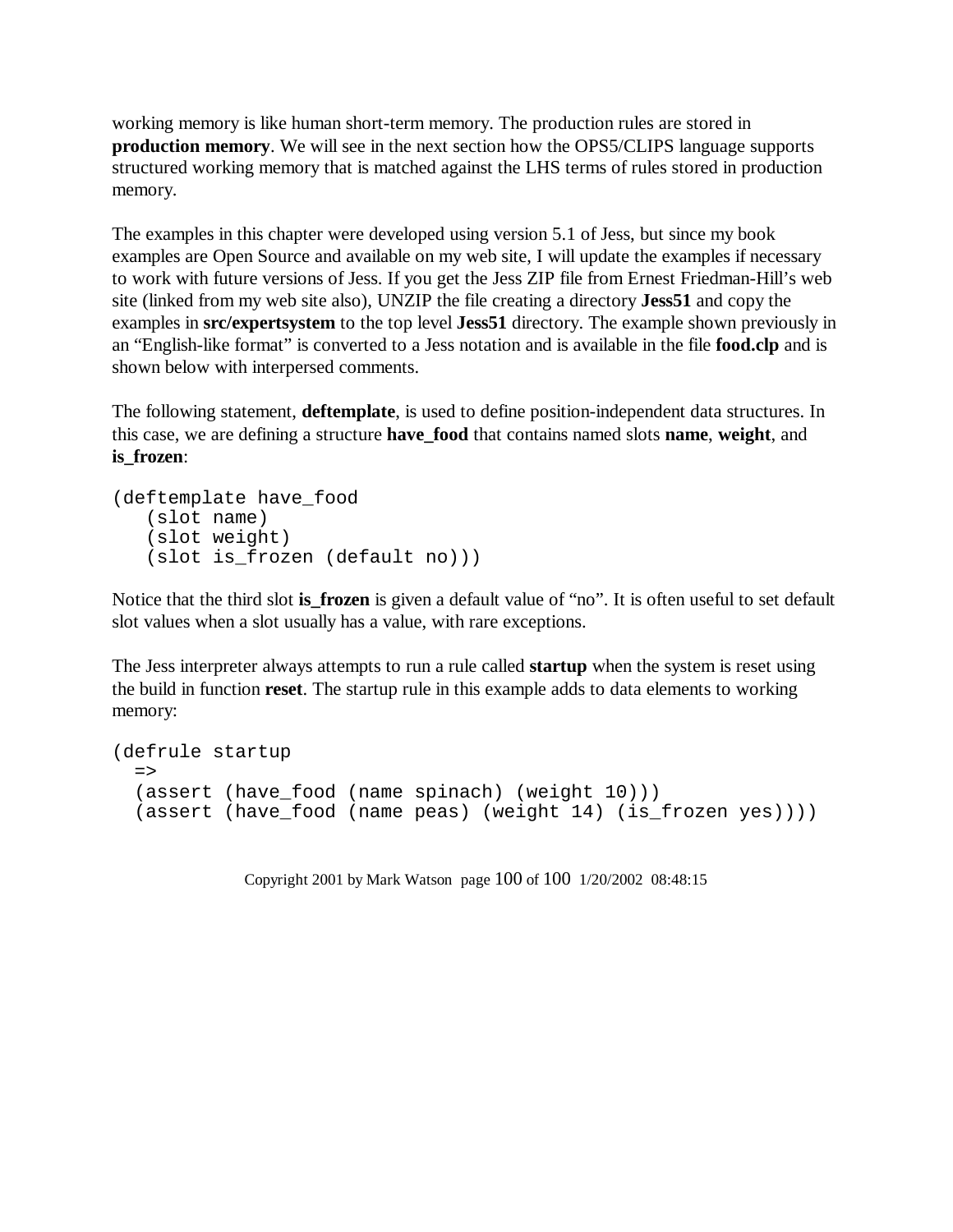working memory is like human short-term memory. The production rules are stored in **production memory**. We will see in the next section how the OPS5/CLIPS language supports structured working memory that is matched against the LHS terms of rules stored in production memory.

The examples in this chapter were developed using version 5.1 of Jess, but since my book examples are Open Source and available on my web site, I will update the examples if necessary to work with future versions of Jess. If you get the Jess ZIP file from Ernest Friedman-Hill's web site (linked from my web site also), UNZIP the file creating a directory **Jess51** and copy the examples in **src/expertsystem** to the top level **Jess51** directory. The example shown previously in an "English-like format" is converted to a Jess notation and is available in the file **food.clp** and is shown below with interpersed comments.

The following statement, **deftemplate**, is used to define position-independent data structures. In this case, we are defining a structure **have\_food** that contains named slots **name**, **weight**, and **is\_frozen**:

```
(deftemplate have_food
   (slot name)
   (slot weight)
   (slot is_frozen (default no)))
```
Notice that the third slot **is frozen** is given a default value of "no". It is often useful to set default slot values when a slot usually has a value, with rare exceptions.

The Jess interpreter always attempts to run a rule called **startup** when the system is reset using the build in function **reset**. The startup rule in this example adds to data elements to working memory:

```
(defrule startup
 = >(assert (have_food (name spinach) (weight 10)))
  (assert (have_food (name peas) (weight 14) (is_frozen yes))))
```
Copyright 2001 by Mark Watson page 100 of 100 1/20/2002 08:48:15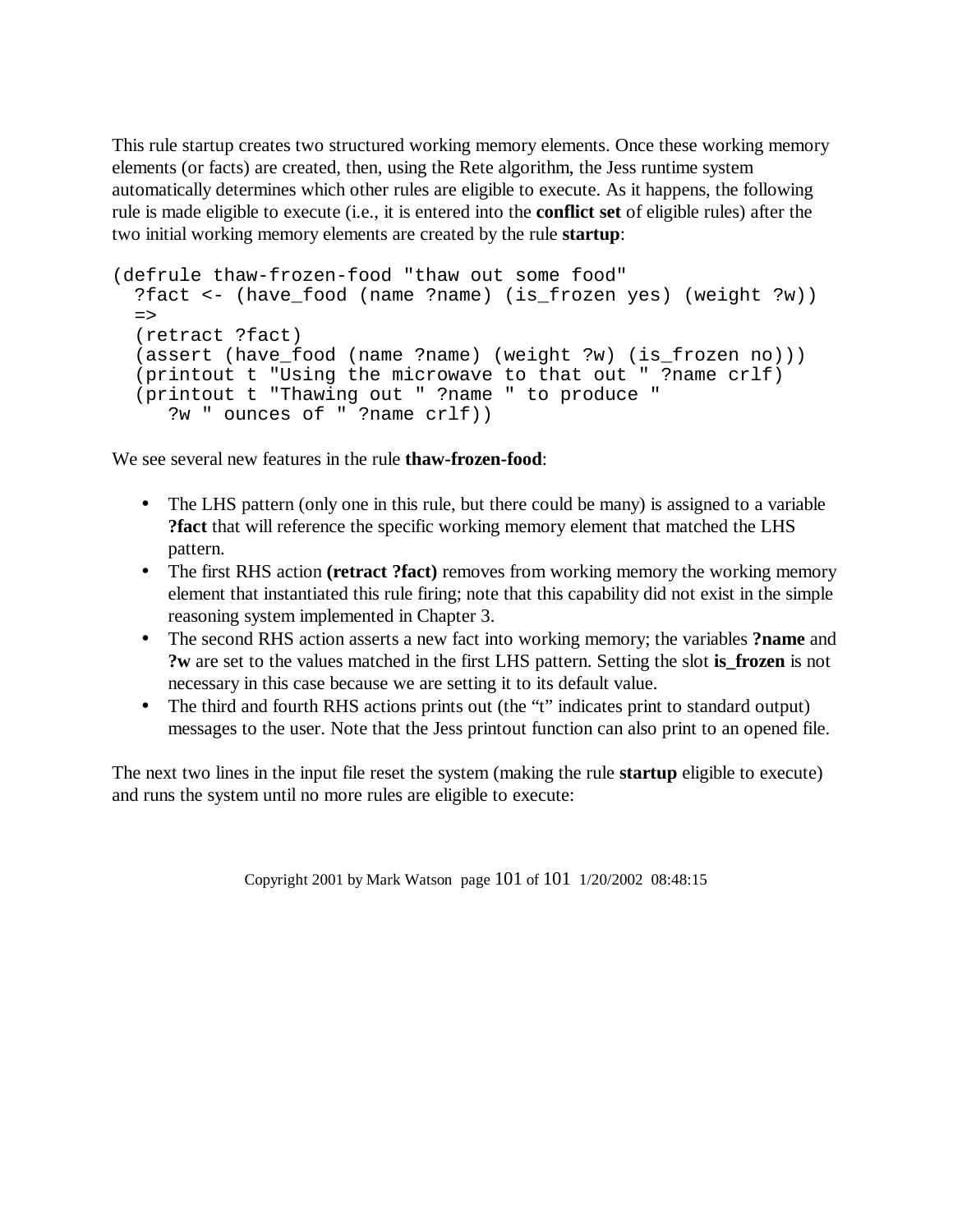This rule startup creates two structured working memory elements. Once these working memory elements (or facts) are created, then, using the Rete algorithm, the Jess runtime system automatically determines which other rules are eligible to execute. As it happens, the following rule is made eligible to execute (i.e., it is entered into the **conflict set** of eligible rules) after the two initial working memory elements are created by the rule **startup**:

```
(defrule thaw-frozen-food "thaw out some food"
 ?fact <- (have_food (name ?name) (is_frozen yes) (weight ?w))
 = >(retract ?fact)
 (assert (have_food (name ?name) (weight ?w) (is_frozen no)))
 (printout t "Using the microwave to that out " ?name crlf)
  (printout t "Thawing out " ?name " to produce "
    ?w " ounces of " ?name crlf))
```
We see several new features in the rule **thaw-frozen-food**:

- The LHS pattern (only one in this rule, but there could be many) is assigned to a variable **?fact** that will reference the specific working memory element that matched the LHS pattern.
- The first RHS action (**retract ?fact**) removes from working memory the working memory element that instantiated this rule firing; note that this capability did not exist in the simple reasoning system implemented in Chapter 3.
- The second RHS action asserts a new fact into working memory; the variables **?name** and **?w** are set to the values matched in the first LHS pattern. Setting the slot **is\_frozen** is not necessary in this case because we are setting it to its default value.
- The third and fourth RHS actions prints out (the "t" indicates print to standard output) messages to the user. Note that the Jess printout function can also print to an opened file.

The next two lines in the input file reset the system (making the rule **startup** eligible to execute) and runs the system until no more rules are eligible to execute:

Copyright 2001 by Mark Watson page 101 of 101 1/20/2002 08:48:15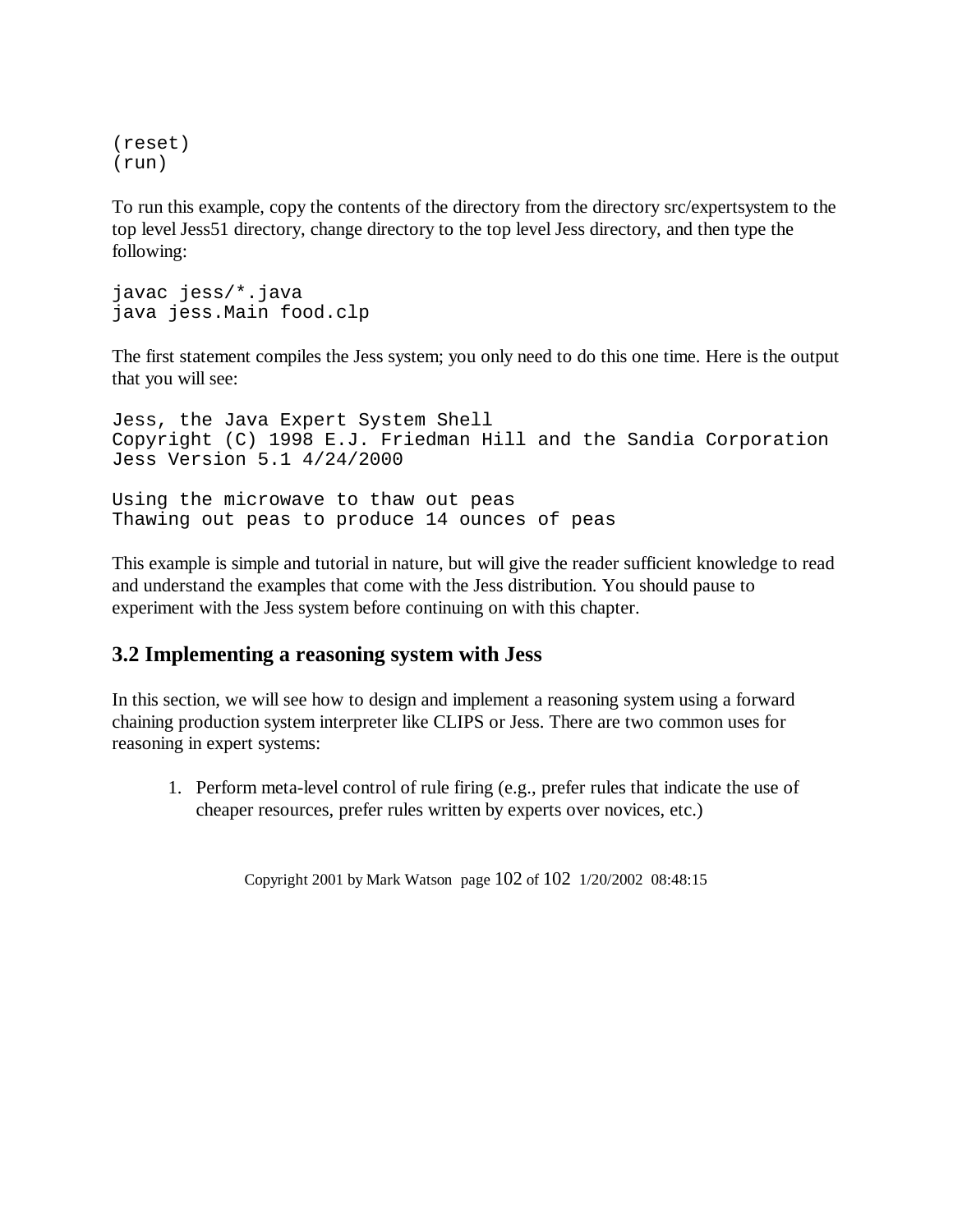```
(reset)
(run)
```
To run this example, copy the contents of the directory from the directory src/expertsystem to the top level Jess51 directory, change directory to the top level Jess directory, and then type the following:

```
javac jess/*.java
java jess.Main food.clp
```
The first statement compiles the Jess system; you only need to do this one time. Here is the output that you will see:

```
Jess, the Java Expert System Shell
Copyright (C) 1998 E.J. Friedman Hill and the Sandia Corporation
Jess Version 5.1 4/24/2000
Using the microwave to thaw out peas
Thawing out peas to produce 14 ounces of peas
```
This example is simple and tutorial in nature, but will give the reader sufficient knowledge to read and understand the examples that come with the Jess distribution. You should pause to experiment with the Jess system before continuing on with this chapter.

#### **3.2 Implementing a reasoning system with Jess**

In this section, we will see how to design and implement a reasoning system using a forward chaining production system interpreter like CLIPS or Jess. There are two common uses for reasoning in expert systems:

1. Perform meta-level control of rule firing (e.g., prefer rules that indicate the use of cheaper resources, prefer rules written by experts over novices, etc.)

Copyright 2001 by Mark Watson page 102 of 102 1/20/2002 08:48:15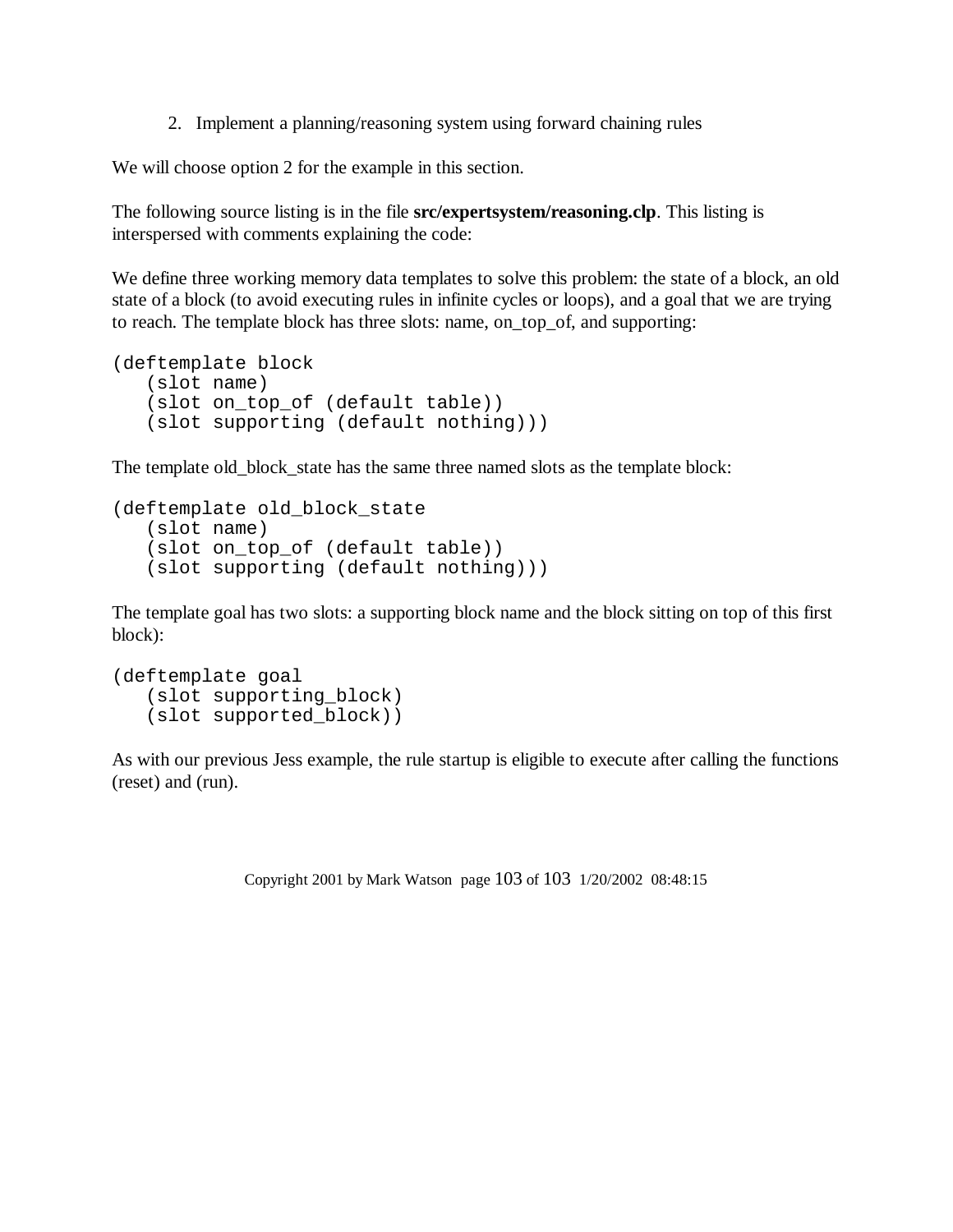2. Implement a planning/reasoning system using forward chaining rules

We will choose option 2 for the example in this section.

The following source listing is in the file **src/expertsystem/reasoning.clp**. This listing is interspersed with comments explaining the code:

We define three working memory data templates to solve this problem: the state of a block, an old state of a block (to avoid executing rules in infinite cycles or loops), and a goal that we are trying to reach. The template block has three slots: name, on\_top\_of, and supporting:

```
(deftemplate block
   (slot name)
   (slot on_top_of (default table))
   (slot supporting (default nothing)))
```
The template old block state has the same three named slots as the template block:

```
(deftemplate old_block_state
   (slot name)
   (slot on top of (default table))
   (slot supporting (default nothing)))
```
The template goal has two slots: a supporting block name and the block sitting on top of this first block):

```
(deftemplate goal
   (slot supporting_block)
   (slot supported_block))
```
As with our previous Jess example, the rule startup is eligible to execute after calling the functions (reset) and (run).

Copyright 2001 by Mark Watson page 103 of 103 1/20/2002 08:48:15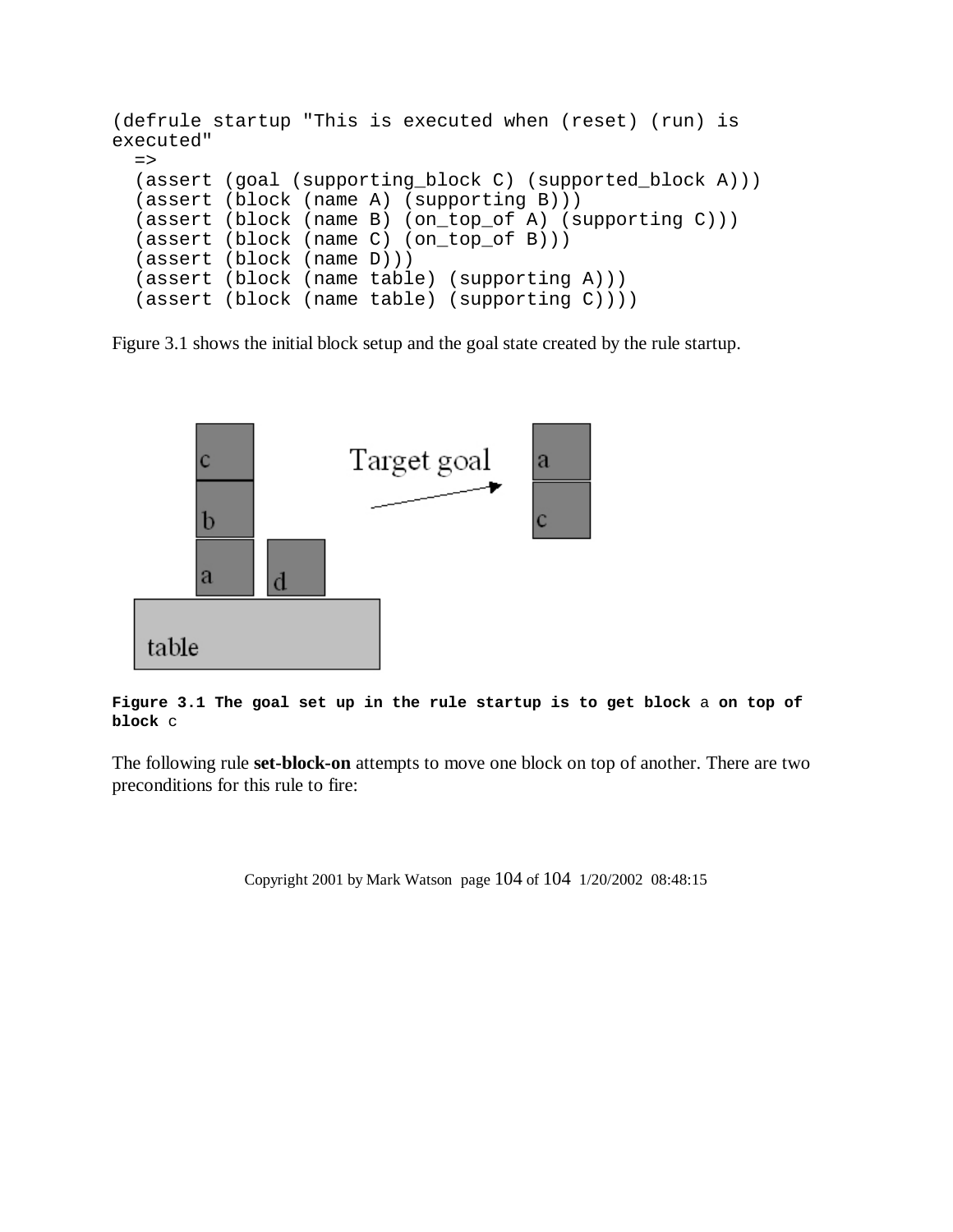```
(defrule startup "This is executed when (reset) (run) is
executed"
  =>
  (assert (goal (supporting_block C) (supported_block A)))
  (assert (block (name A) (supporting B)))
  (assert (block (name B) (on_top_of A) (supporting C)))
  (assert (block (name C) (on_top_of B)))
  (assert (block (name D)))
  (assert (block (name table) (supporting A)))
  (assert (block (name table) (supporting C))))
```
Figure 3.1 shows the initial block setup and the goal state created by the rule startup.



**Figure 3.1 The goal set up in the rule startup is to get block** a **on top of block** c

The following rule **set-block-on** attempts to move one block on top of another. There are two preconditions for this rule to fire:

Copyright 2001 by Mark Watson page 104 of 104 1/20/2002 08:48:15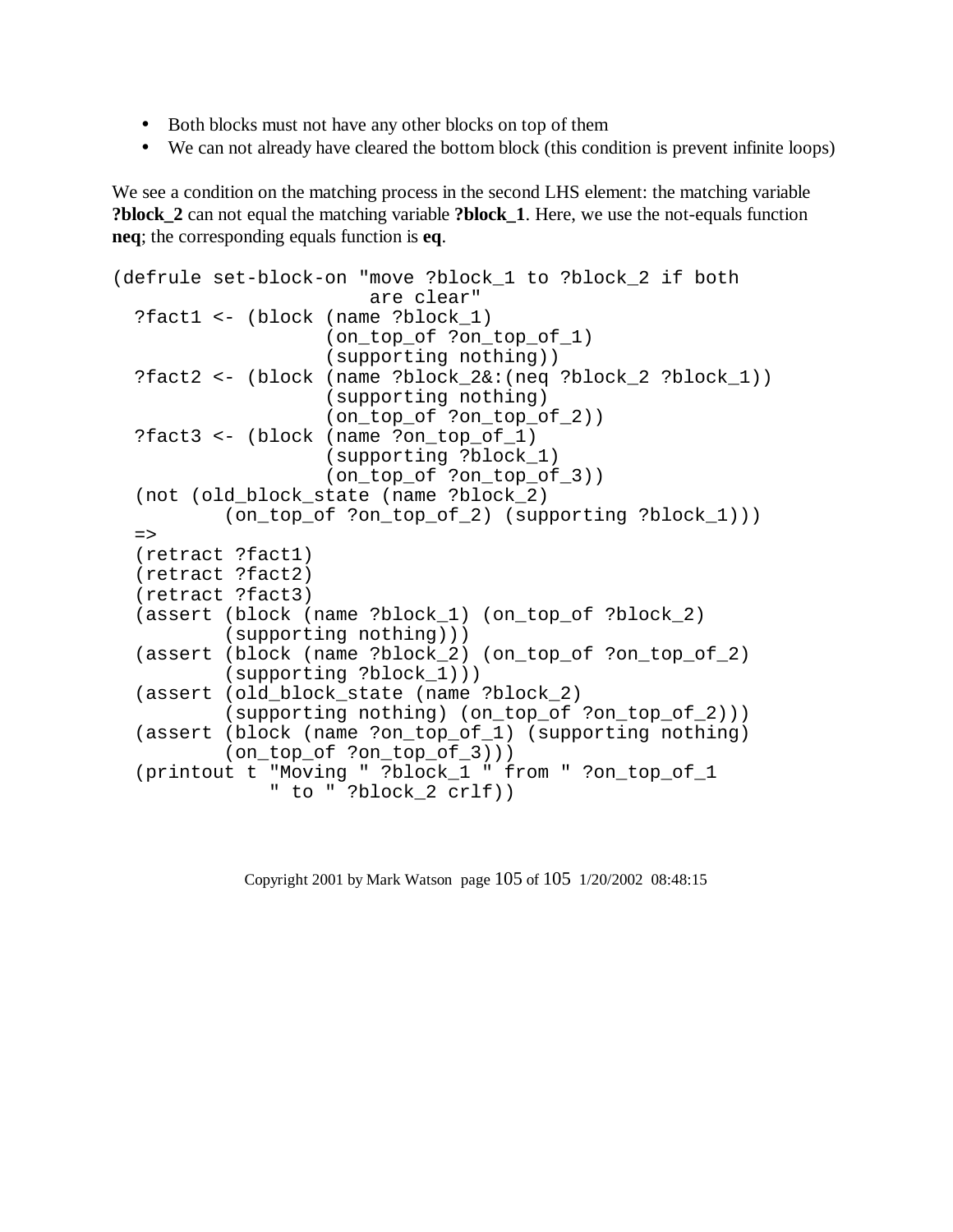- Both blocks must not have any other blocks on top of them
- We can not already have cleared the bottom block (this condition is prevent infinite loops)

We see a condition on the matching process in the second LHS element: the matching variable **?block** 2 can not equal the matching variable **?block** 1. Here, we use the not-equals function **neq**; the corresponding equals function is **eq**.

```
(defrule set-block-on "move ?block_1 to ?block_2 if both
                       are clear"
 ?fact1 <- (block (name ?block_1)
                   (on_top_of ?on_top_of_1)
                   (supporting nothing))
 ?fact2 <- (block (name ?block_2&:(neq ?block_2 ?block_1))
                   (supporting nothing)
                   (on_top_of ?on_top_of_2))
 ?fact3 <- (block (name ?on_top_of_1)
                   (supporting ?block_1)
                   (on_top_of ?on_top_of_3))
  (not (old_block_state (name ?block_2)
          (on_top_of ?on_top_of_2) (supporting ?block_1)))
 =(retract ?fact1)
  (retract ?fact2)
  (retract ?fact3)
  (assert (block (name ?block_1) (on_top_of ?block_2)
          (supporting nothing)))
  (assert (block (name ?block_2) (on_top_of ?on_top_of_2)
          (supporting ?block_1)))
  (assert (old_block_state (name ?block_2)
          (supporting nothing) (on_top_of ?on_top_of_2)))
  (assert (block (name ?on_top_of_1) (supporting nothing)
          (on_top_of ?on_top_of_3)))
  (printout t "Moving " ?block_1 " from " ?on_top_of_1
              " to " ?block_2 crlf))
```
Copyright 2001 by Mark Watson page 105 of 105 1/20/2002 08:48:15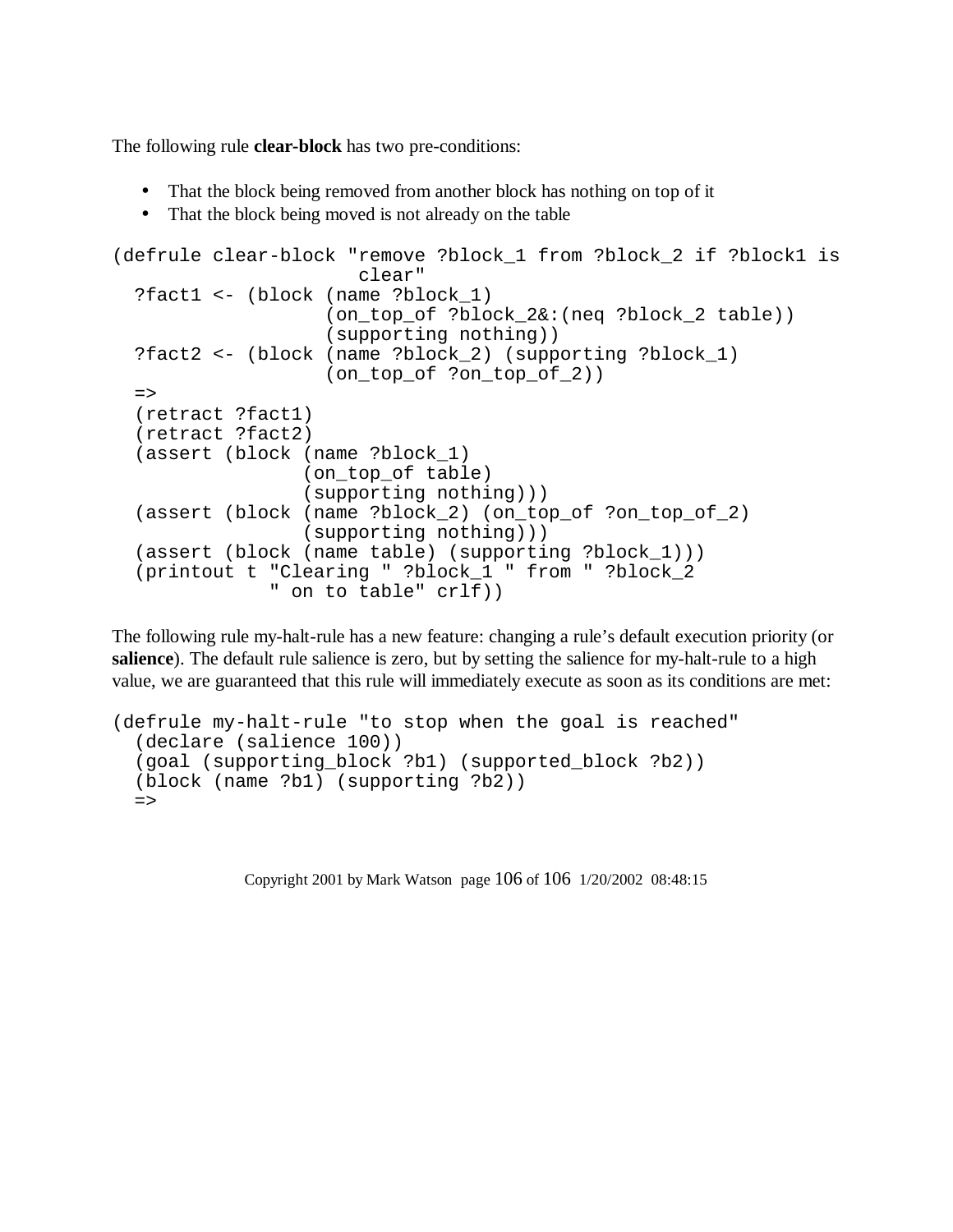The following rule **clear-block** has two pre-conditions:

- That the block being removed from another block has nothing on top of it
- That the block being moved is not already on the table

```
(defrule clear-block "remove ?block_1 from ?block_2 if ?block1 is
                      clear"
 ?fact1 <- (block (name ?block_1)
                   (on_top_of ?block_2&:(neq ?block_2 table))
                   (supporting nothing))
 ?fact2 <- (block (name ?block_2) (supporting ?block_1)
                   (on_top_of ?on_top_of_2))
 =(retract ?fact1)
 (retract ?fact2)
 (assert (block (name ?block_1)
                 (on_top_of table)
                 (supporting nothing)))
  (assert (block (name ?block_2) (on_top_of ?on_top_of_2)
                 (supporting nothing)))
 (assert (block (name table) (supporting ?block_1)))
  (printout t "Clearing " ?block_1 " from " ?block_2
              " on to table" crlf))
```
The following rule my-halt-rule has a new feature: changing a rule's default execution priority (or **salience**). The default rule salience is zero, but by setting the salience for my-halt-rule to a high value, we are guaranteed that this rule will immediately execute as soon as its conditions are met:

```
(defrule my-halt-rule "to stop when the goal is reached"
 (declare (salience 100))
 (goal (supporting_block ?b1) (supported_block ?b2))
 (block (name ?b1) (supporting ?b2))
 = >
```
Copyright 2001 by Mark Watson page 106 of 106 1/20/2002 08:48:15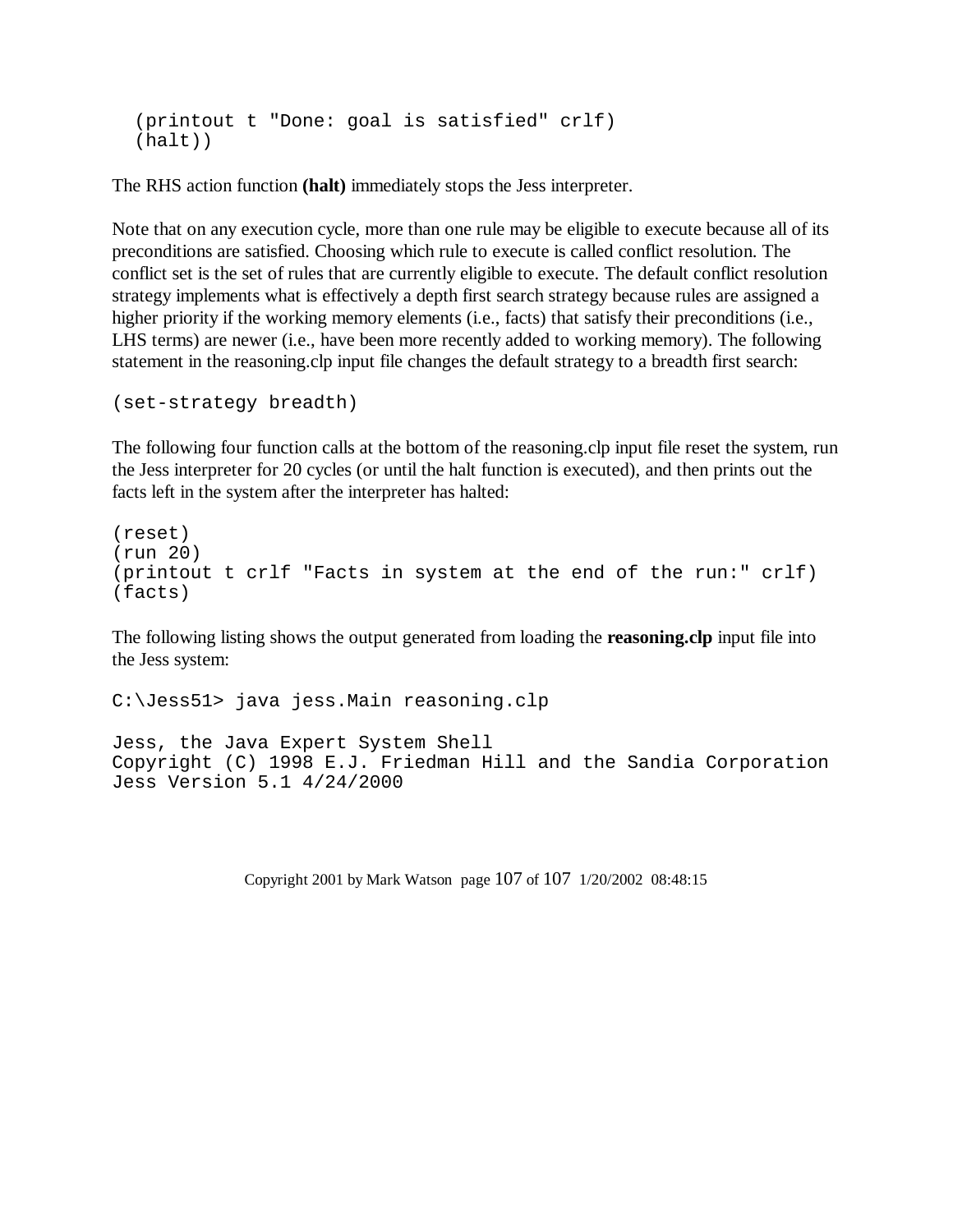(printout t "Done: goal is satisfied" crlf) (halt))

The RHS action function **(halt)** immediately stops the Jess interpreter.

Note that on any execution cycle, more than one rule may be eligible to execute because all of its preconditions are satisfied. Choosing which rule to execute is called conflict resolution. The conflict set is the set of rules that are currently eligible to execute. The default conflict resolution strategy implements what is effectively a depth first search strategy because rules are assigned a higher priority if the working memory elements (i.e., facts) that satisfy their preconditions (i.e., LHS terms) are newer (i.e., have been more recently added to working memory). The following statement in the reasoning.clp input file changes the default strategy to a breadth first search:

```
(set-strategy breadth)
```
The following four function calls at the bottom of the reasoning.clp input file reset the system, run the Jess interpreter for 20 cycles (or until the halt function is executed), and then prints out the facts left in the system after the interpreter has halted:

```
(reset)
(run 20)
(printout t crlf "Facts in system at the end of the run:" crlf)
(facts)
```
The following listing shows the output generated from loading the **reasoning.clp** input file into the Jess system:

C:\Jess51> java jess.Main reasoning.clp

Jess, the Java Expert System Shell Copyright (C) 1998 E.J. Friedman Hill and the Sandia Corporation Jess Version 5.1 4/24/2000

Copyright 2001 by Mark Watson page 107 of 107 1/20/2002 08:48:15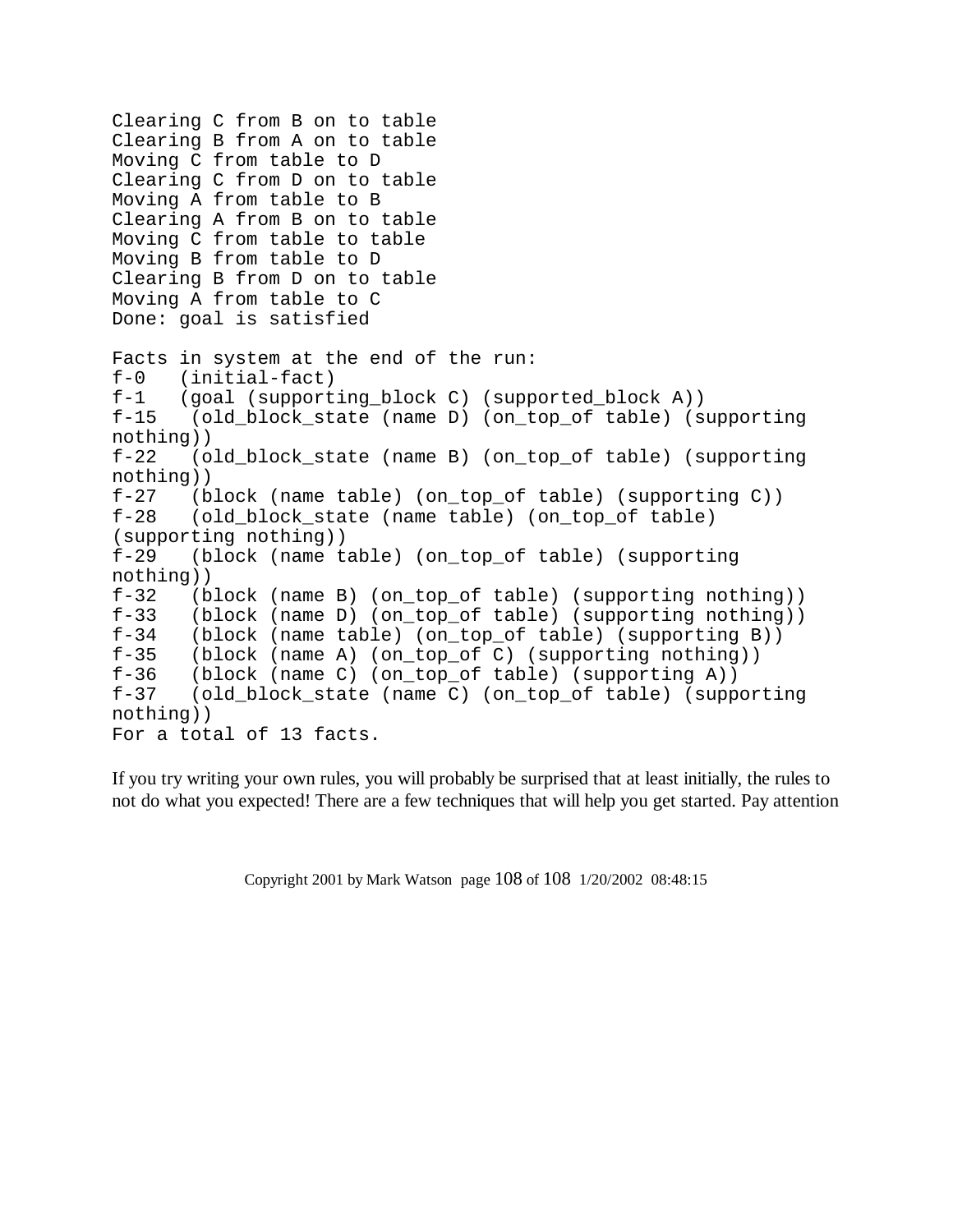```
Clearing C from B on to table
Clearing B from A on to table
Moving C from table to D
Clearing C from D on to table
Moving A from table to B
Clearing A from B on to table
Moving C from table to table
Moving B from table to D
Clearing B from D on to table
Moving A from table to C
Done: goal is satisfied
Facts in system at the end of the run:
f-0 (initial-fact)
f-1 (goal (supporting block C) (supported block A))
f-15 (old_block_state (name D) (on_top_of table) (supporting
nothing))
f-22 (old_block_state (name B) (on_top_of table) (supporting
nothing))
f-27 (block (name table) (on top of table) (supporting C))
f-28 (old_block_state (name table) (on_top_of table)
(supporting nothing))
f-29 (block (name table) (on_top_of table) (supporting
nothing))
f-32 (block (name B) (on_top_of table) (supporting nothing))
f-33 (block (name D) (on_top_of table) (supporting nothing))
f-34 (block (name table) (on_top_of table) (supporting B))
f-35 (block (name A) (on_top_of C) (supporting nothing))
f-36 (block (name C) (on_top_of table) (supporting A))
f-37 (old_block_state (name C) (on_top_of table) (supporting
nothing))
For a total of 13 facts.
```
If you try writing your own rules, you will probably be surprised that at least initially, the rules to not do what you expected! There are a few techniques that will help you get started. Pay attention

Copyright 2001 by Mark Watson page 108 of 108 1/20/2002 08:48:15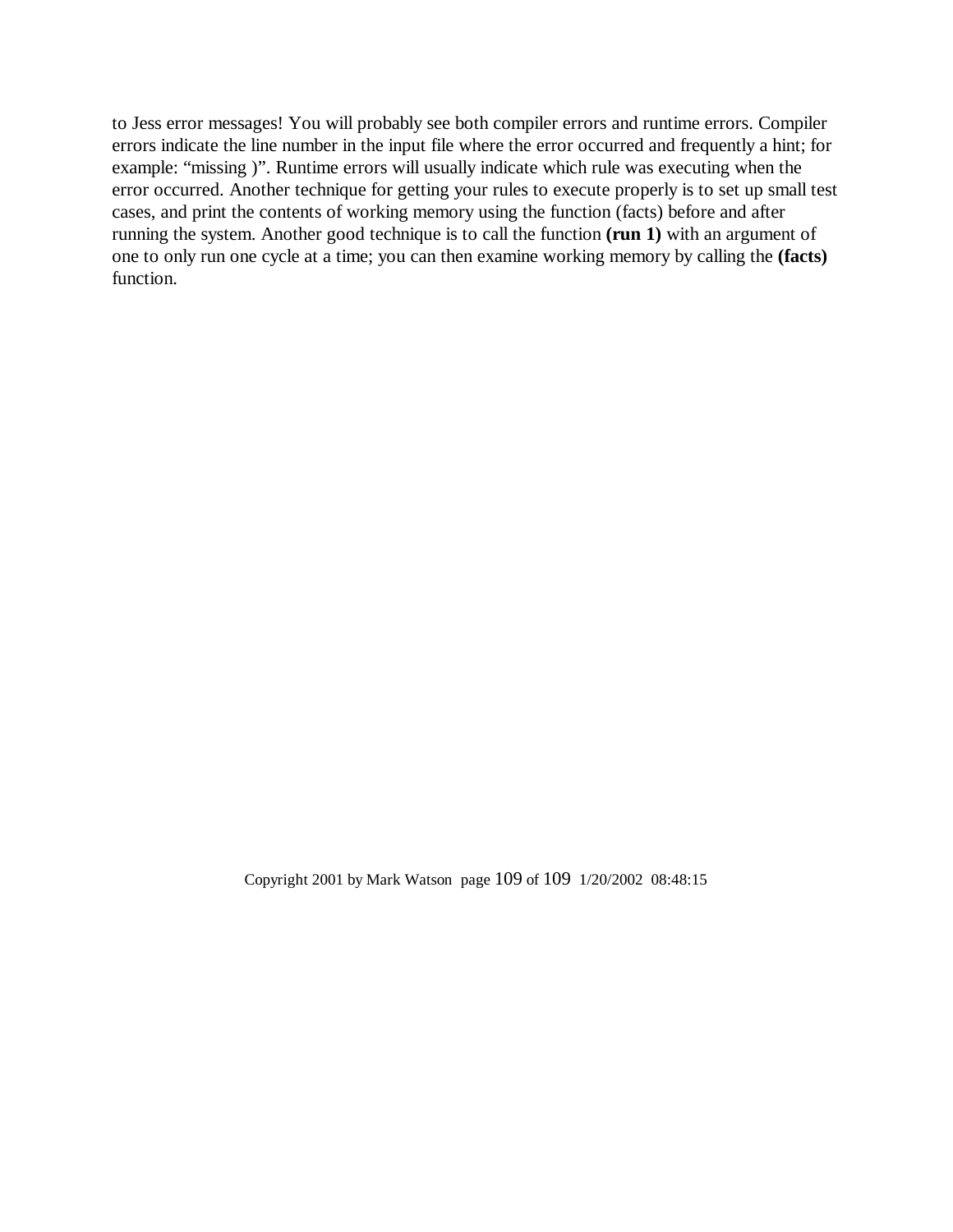to Jess error messages! You will probably see both compiler errors and runtime errors. Compiler errors indicate the line number in the input file where the error occurred and frequently a hint; for example: "missing )". Runtime errors will usually indicate which rule was executing when the error occurred. Another technique for getting your rules to execute properly is to set up small test cases, and print the contents of working memory using the function (facts) before and after running the system. Another good technique is to call the function **(run 1)** with an argument of one to only run one cycle at a time; you can then examine working memory by calling the **(facts)** function.

Copyright 2001 by Mark Watson page 109 of 109 1/20/2002 08:48:15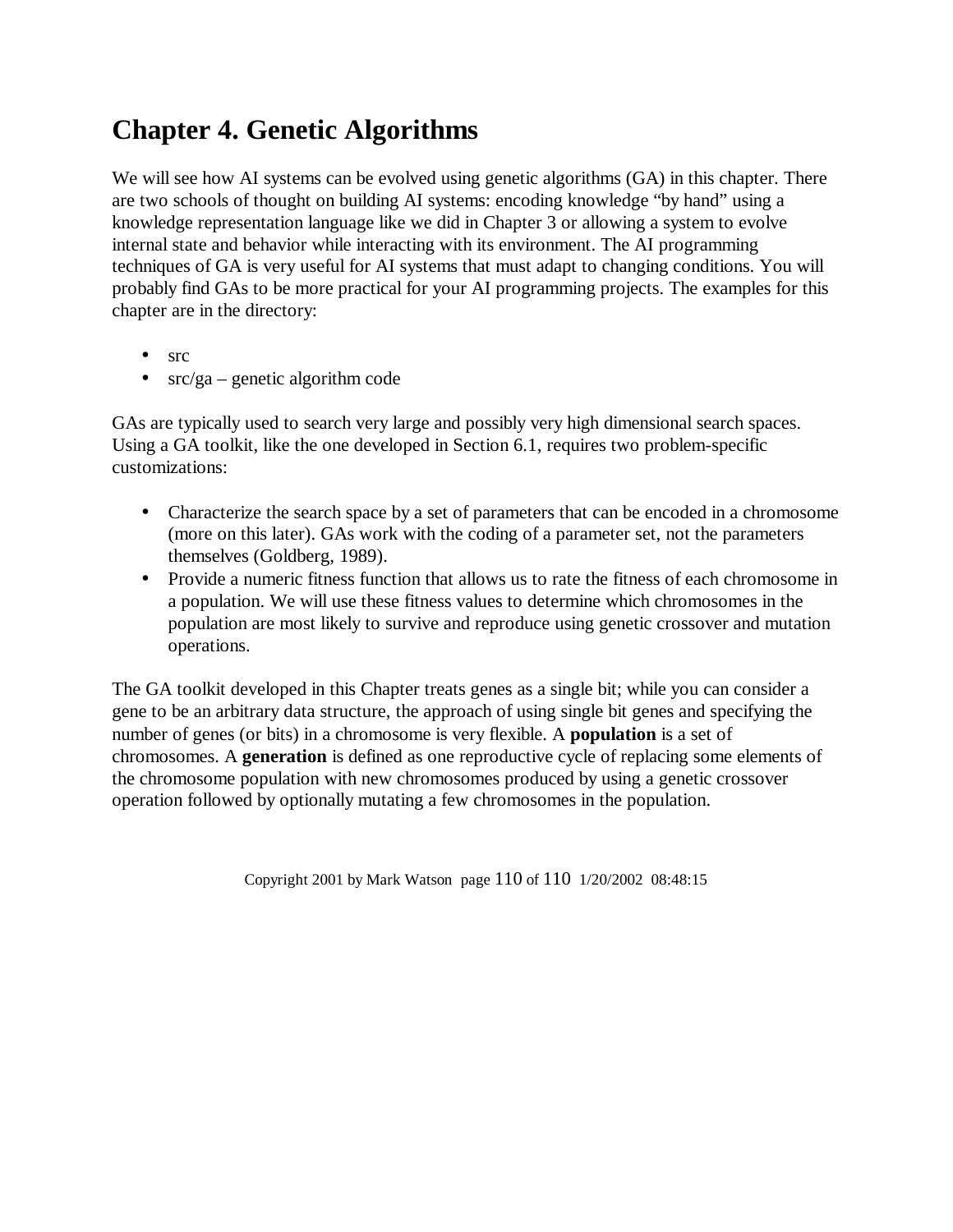# **Chapter 4. Genetic Algorithms**

We will see how AI systems can be evolved using genetic algorithms (GA) in this chapter. There are two schools of thought on building AI systems: encoding knowledge "by hand" using a knowledge representation language like we did in Chapter 3 or allowing a system to evolve internal state and behavior while interacting with its environment. The AI programming techniques of GA is very useful for AI systems that must adapt to changing conditions. You will probably find GAs to be more practical for your AI programming projects. The examples for this chapter are in the directory:

- src
- $src/ga genetic algorithm code$

GAs are typically used to search very large and possibly very high dimensional search spaces. Using a GA toolkit, like the one developed in Section 6.1, requires two problem-specific customizations:

- Characterize the search space by a set of parameters that can be encoded in a chromosome (more on this later). GAs work with the coding of a parameter set, not the parameters themselves (Goldberg, 1989).
- Provide a numeric fitness function that allows us to rate the fitness of each chromosome in a population. We will use these fitness values to determine which chromosomes in the population are most likely to survive and reproduce using genetic crossover and mutation operations.

The GA toolkit developed in this Chapter treats genes as a single bit; while you can consider a gene to be an arbitrary data structure, the approach of using single bit genes and specifying the number of genes (or bits) in a chromosome is very flexible. A **population** is a set of chromosomes. A **generation** is defined as one reproductive cycle of replacing some elements of the chromosome population with new chromosomes produced by using a genetic crossover operation followed by optionally mutating a few chromosomes in the population.

Copyright 2001 by Mark Watson page 110 of 110 1/20/2002 08:48:15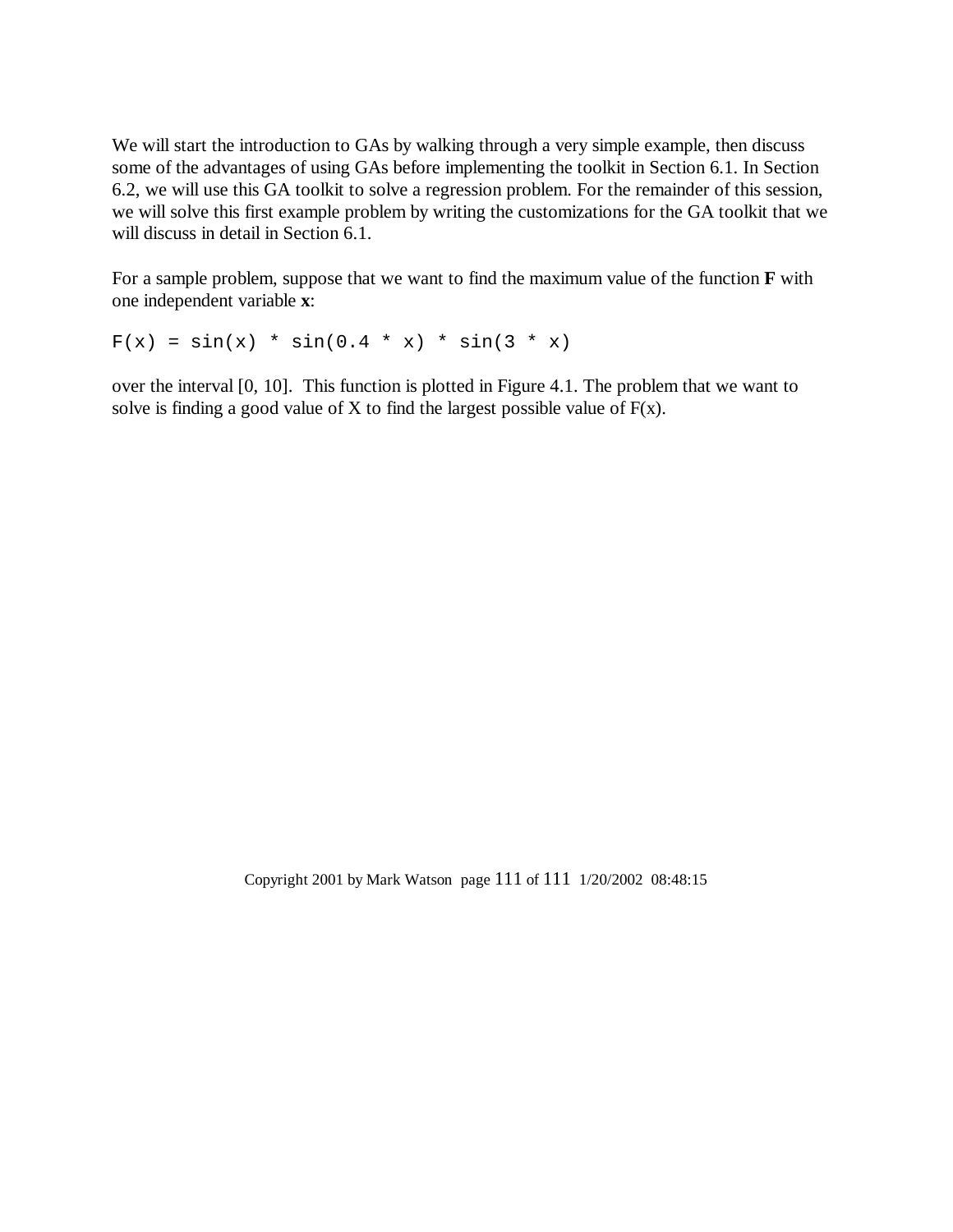We will start the introduction to GAs by walking through a very simple example, then discuss some of the advantages of using GAs before implementing the toolkit in Section 6.1. In Section 6.2, we will use this GA toolkit to solve a regression problem. For the remainder of this session, we will solve this first example problem by writing the customizations for the GA toolkit that we will discuss in detail in Section 6.1.

For a sample problem, suppose that we want to find the maximum value of the function **F** with one independent variable **x**:

 $F(x) = sin(x) * sin(0.4 * x) * sin(3 * x)$ 

over the interval [0, 10]. This function is plotted in Figure 4.1. The problem that we want to solve is finding a good value of X to find the largest possible value of  $F(x)$ .

Copyright 2001 by Mark Watson page 111 of 111 1/20/2002 08:48:15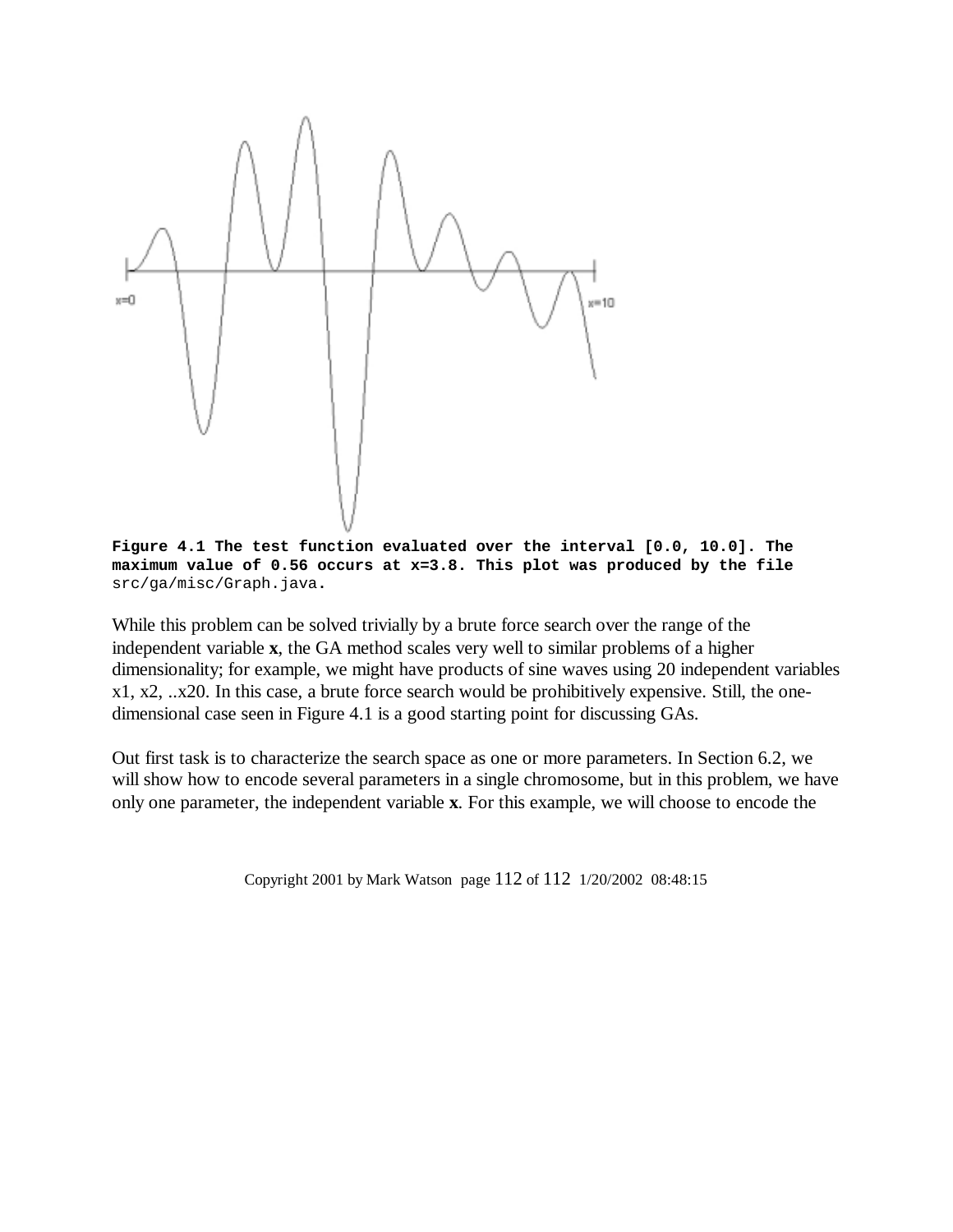

**Figure 4.1 The test function evaluated over the interval [0.0, 10.0]. The maximum value of 0.56 occurs at x=3.8. This plot was produced by the file** src/ga/misc/Graph.java**.**

While this problem can be solved trivially by a brute force search over the range of the independent variable **x**, the GA method scales very well to similar problems of a higher dimensionality; for example, we might have products of sine waves using 20 independent variables x1, x2, ..x20. In this case, a brute force search would be prohibitively expensive. Still, the onedimensional case seen in Figure 4.1 is a good starting point for discussing GAs.

Out first task is to characterize the search space as one or more parameters. In Section 6.2, we will show how to encode several parameters in a single chromosome, but in this problem, we have only one parameter, the independent variable **x**. For this example, we will choose to encode the

Copyright 2001 by Mark Watson page 112 of 112 1/20/2002 08:48:15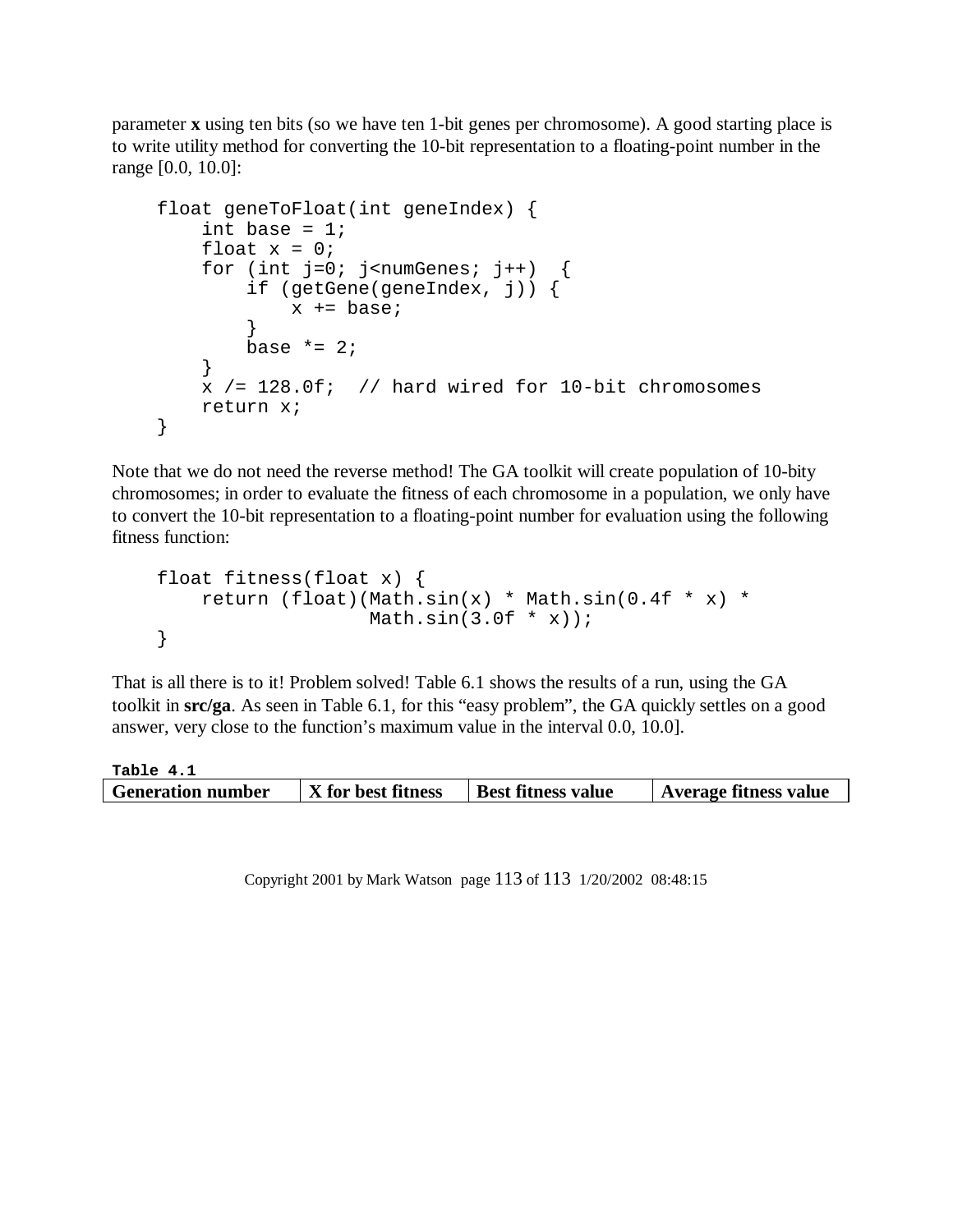parameter **x** using ten bits (so we have ten 1-bit genes per chromosome). A good starting place is to write utility method for converting the 10-bit representation to a floating-point number in the range [0.0, 10.0]:

```
float geneToFloat(int geneIndex) {
    int base = 1;
    float x = 0;
    for (int j=0; j<numGenes; j++) {
        if (getGene(geneIndex, j)) {
            x += base;
        }
        base * = 2i}
   x /= 128.0f; // hard wired for 10-bit chromosomes
   return x;
}
```
Note that we do not need the reverse method! The GA toolkit will create population of 10-bity chromosomes; in order to evaluate the fitness of each chromosome in a population, we only have to convert the 10-bit representation to a floating-point number for evaluation using the following fitness function:

```
float fitness(float x) {
   return (float)(Math.sin(x) * Math.sin(0.4f * x) *
                   Math.sin(3.0f * x));
}
```
That is all there is to it! Problem solved! Table 6.1 shows the results of a run, using the GA toolkit in **src/ga**. As seen in Table 6.1, for this "easy problem", the GA quickly settles on a good answer, very close to the function's maximum value in the interval 0.0, 10.0].

| Table 4.1                |                    |                           |                              |
|--------------------------|--------------------|---------------------------|------------------------------|
| <b>Generation number</b> | X for best fitness | <b>Best fitness value</b> | <b>Average fitness value</b> |

Copyright 2001 by Mark Watson page 113 of 113 1/20/2002 08:48:15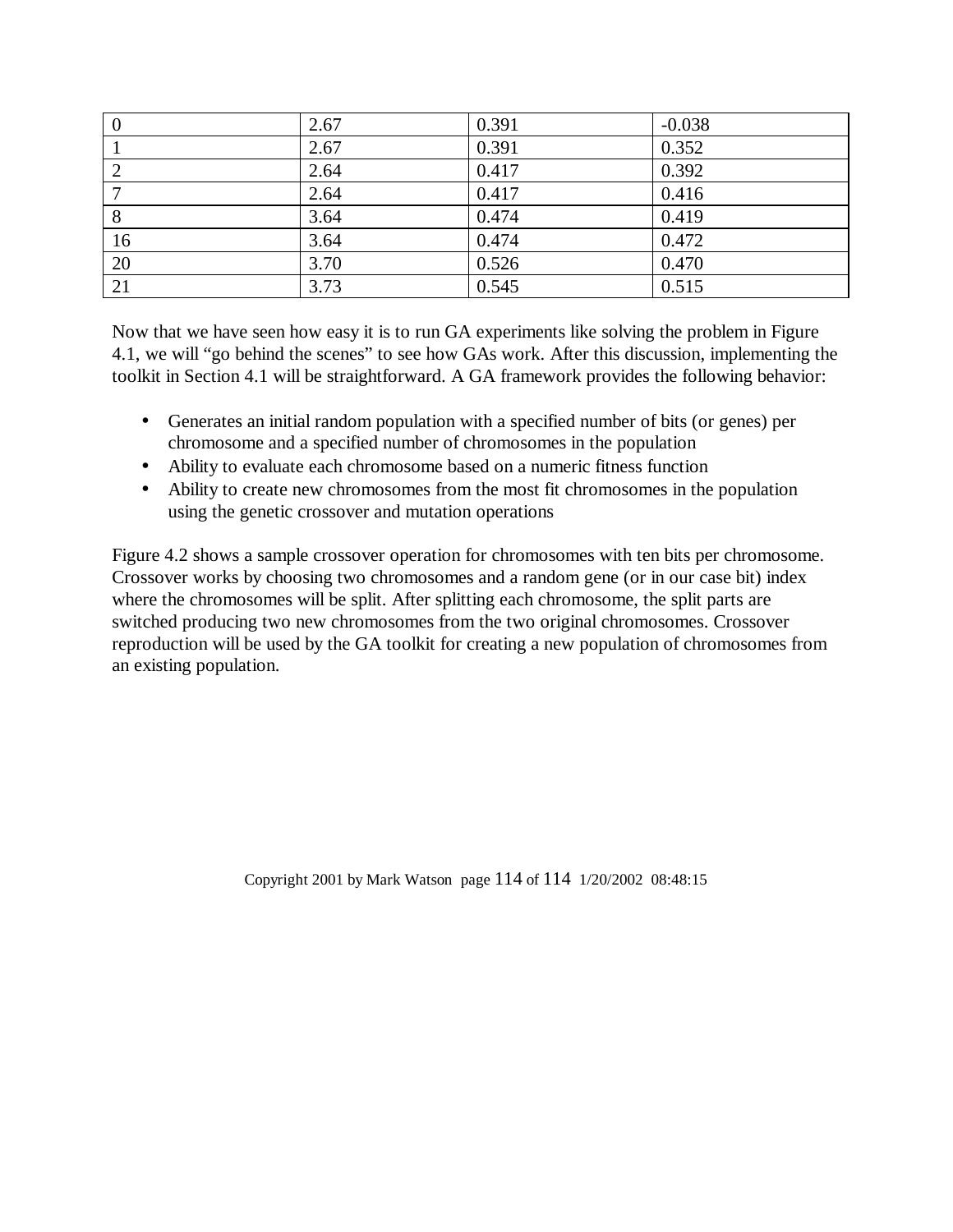|    | 2.67 | 0.391 | $-0.038$ |
|----|------|-------|----------|
|    | 2.67 | 0.391 | 0.352    |
|    | 2.64 | 0.417 | 0.392    |
|    | 2.64 | 0.417 | 0.416    |
| 8  | 3.64 | 0.474 | 0.419    |
| 16 | 3.64 | 0.474 | 0.472    |
| 20 | 3.70 | 0.526 | 0.470    |
| 21 | 3.73 | 0.545 | 0.515    |

Now that we have seen how easy it is to run GA experiments like solving the problem in Figure 4.1, we will "go behind the scenes" to see how GAs work. After this discussion, implementing the toolkit in Section 4.1 will be straightforward. A GA framework provides the following behavior:

- Generates an initial random population with a specified number of bits (or genes) per chromosome and a specified number of chromosomes in the population
- Ability to evaluate each chromosome based on a numeric fitness function
- Ability to create new chromosomes from the most fit chromosomes in the population using the genetic crossover and mutation operations

Figure 4.2 shows a sample crossover operation for chromosomes with ten bits per chromosome. Crossover works by choosing two chromosomes and a random gene (or in our case bit) index where the chromosomes will be split. After splitting each chromosome, the split parts are switched producing two new chromosomes from the two original chromosomes. Crossover reproduction will be used by the GA toolkit for creating a new population of chromosomes from an existing population.

Copyright 2001 by Mark Watson page 114 of 114 1/20/2002 08:48:15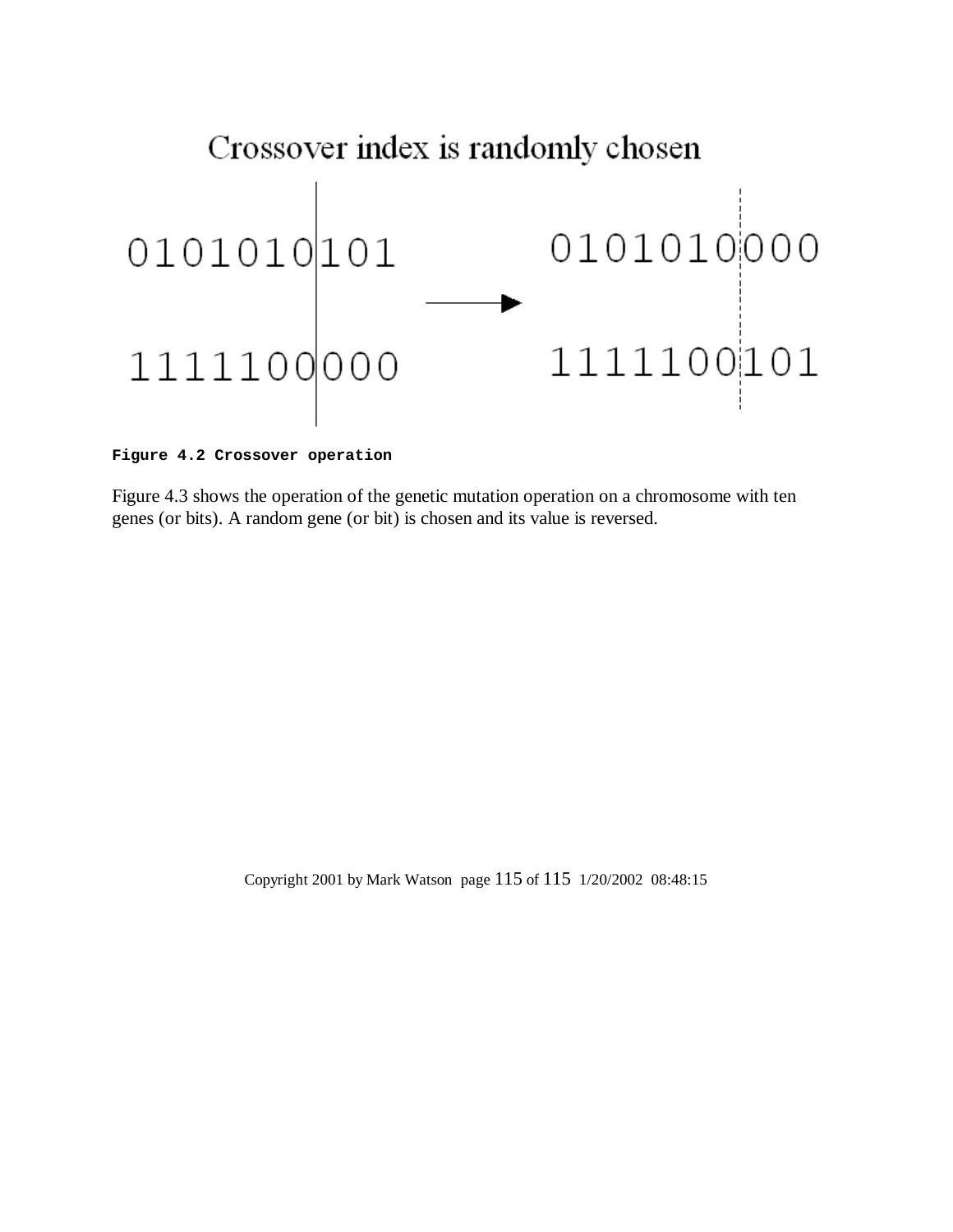

**Figure 4.2 Crossover operation**

Figure 4.3 shows the operation of the genetic mutation operation on a chromosome with ten genes (or bits). A random gene (or bit) is chosen and its value is reversed.

Copyright 2001 by Mark Watson page 115 of 115 1/20/2002 08:48:15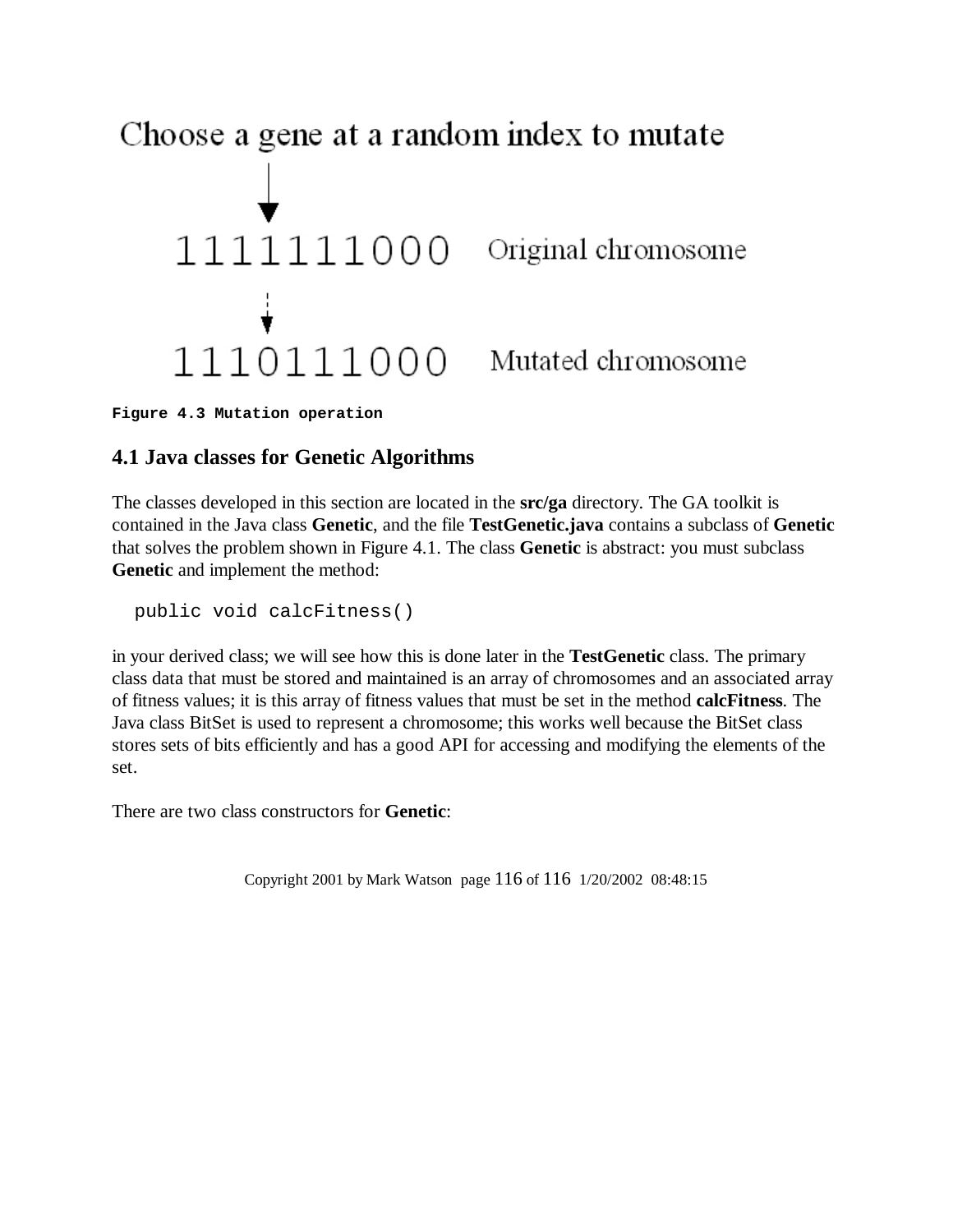# Choose a gene at a random index to mutate 1111111000 Original chromosome 1110111000 Mutated chromosome

**Figure 4.3 Mutation operation**

### **4.1 Java classes for Genetic Algorithms**

The classes developed in this section are located in the **src/ga** directory. The GA toolkit is contained in the Java class **Genetic**, and the file **TestGenetic.java** contains a subclass of **Genetic** that solves the problem shown in Figure 4.1. The class **Genetic** is abstract: you must subclass **Genetic** and implement the method:

public void calcFitness()

in your derived class; we will see how this is done later in the **TestGenetic** class. The primary class data that must be stored and maintained is an array of chromosomes and an associated array of fitness values; it is this array of fitness values that must be set in the method **calcFitness**. The Java class BitSet is used to represent a chromosome; this works well because the BitSet class stores sets of bits efficiently and has a good API for accessing and modifying the elements of the set.

There are two class constructors for **Genetic**:

Copyright 2001 by Mark Watson page 116 of 116 1/20/2002 08:48:15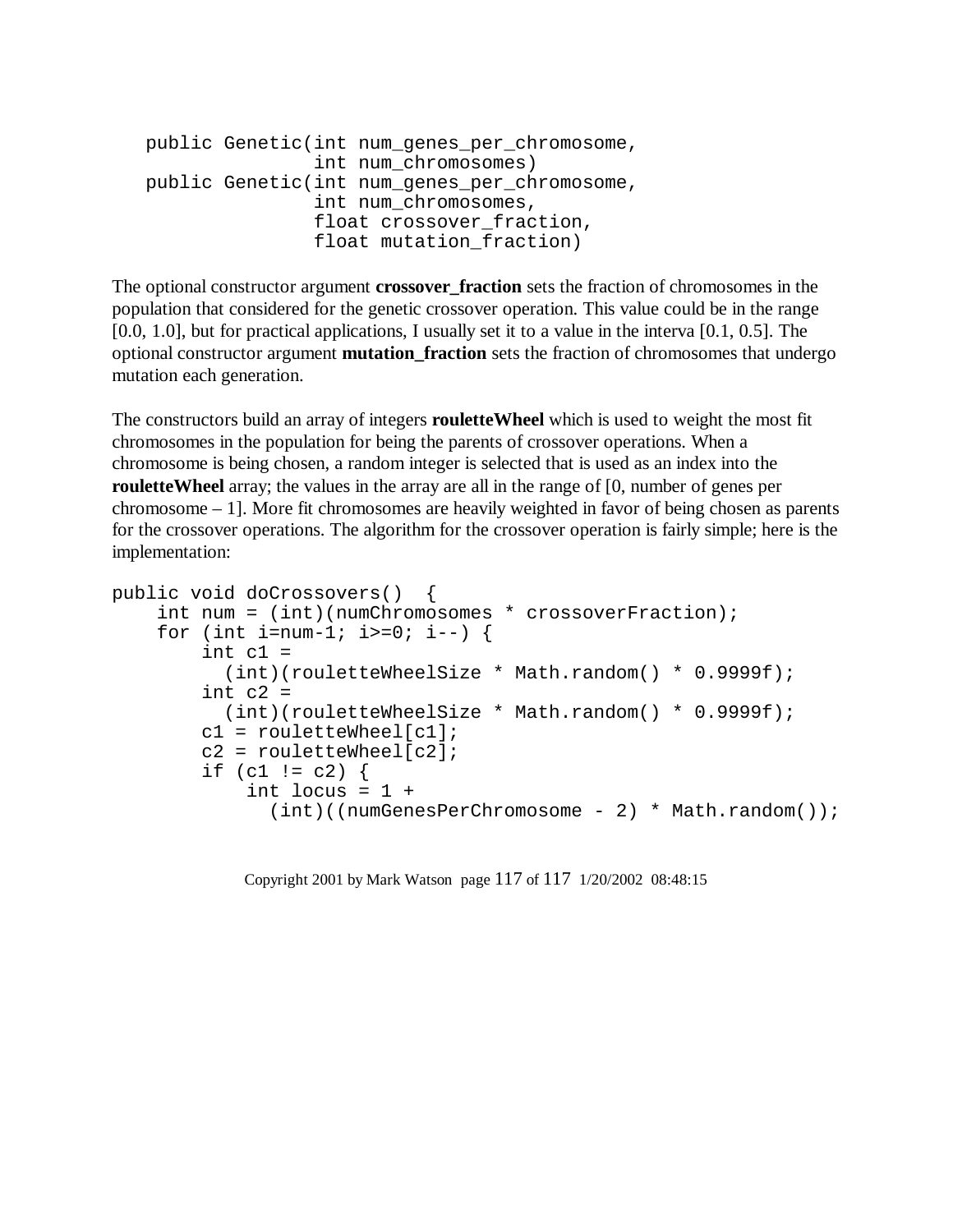```
public Genetic(int num_genes_per_chromosome,
               int num_chromosomes)
public Genetic(int num_genes_per_chromosome,
               int num_chromosomes,
               float crossover_fraction,
               float mutation fraction)
```
The optional constructor argument **crossover** fraction sets the fraction of chromosomes in the population that considered for the genetic crossover operation. This value could be in the range [0.0, 1.0], but for practical applications, I usually set it to a value in the interva [0.1, 0.5]. The optional constructor argument **mutation\_fraction** sets the fraction of chromosomes that undergo mutation each generation.

The constructors build an array of integers **rouletteWheel** which is used to weight the most fit chromosomes in the population for being the parents of crossover operations. When a chromosome is being chosen, a random integer is selected that is used as an index into the **rouletteWheel** array; the values in the array are all in the range of [0, number of genes per chromosome – 1]. More fit chromosomes are heavily weighted in favor of being chosen as parents for the crossover operations. The algorithm for the crossover operation is fairly simple; here is the implementation:

```
public void doCrossovers() {
    int num = (int)(numChromosomes * crossoverFraction);
    for (int i=num-1; i>=0; i--) {
        int c1 =(int)(rouletteWheelSize * Math.random() * 0.9999f);
        int c2 =(int)(rouletteWheelSize * Math.random() * 0.9999f);
        c1 = rouletteWheel[c1];
        c2 = \text{rouletteWheel}[c2];if (c1 := c2) {
            int locus = 1 +(int) ((numGenesPerChromosome - 2) * Math.random());
```
Copyright 2001 by Mark Watson page 117 of 117 1/20/2002 08:48:15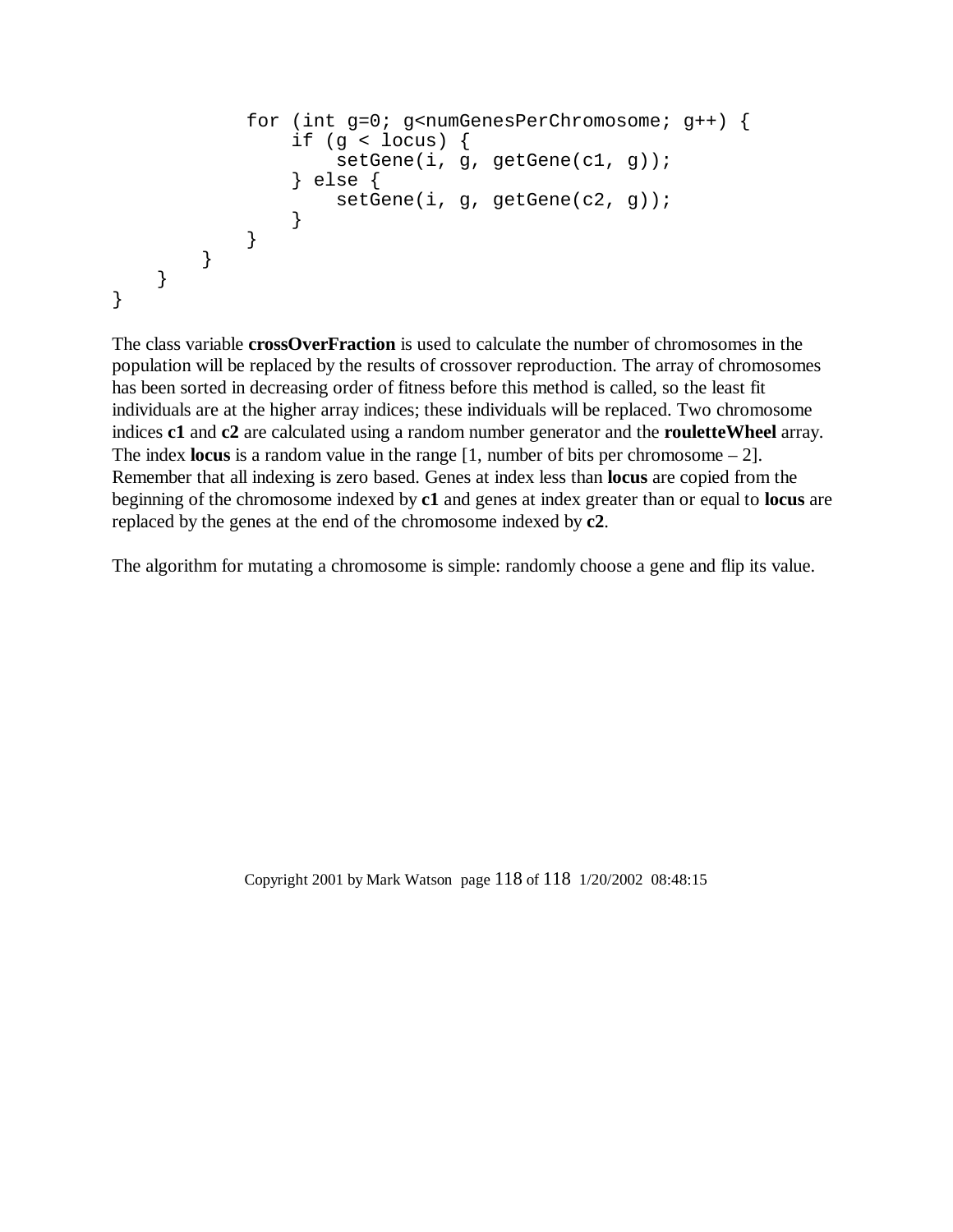```
for (int g=0; g<numGenesPerChromosome; g++) {
                if (g < locus) \{setGene(i, g, getGene(c1, g));
                } else {
                    setGene(i, g, getGene(c2, g));
                }
            }
        }
   }
}
```
The class variable **crossOverFraction** is used to calculate the number of chromosomes in the population will be replaced by the results of crossover reproduction. The array of chromosomes has been sorted in decreasing order of fitness before this method is called, so the least fit individuals are at the higher array indices; these individuals will be replaced. Two chromosome indices **c1** and **c2** are calculated using a random number generator and the **rouletteWheel** array. The index **locus** is a random value in the range [1, number of bits per chromosome – 2]. Remember that all indexing is zero based. Genes at index less than **locus** are copied from the beginning of the chromosome indexed by **c1** and genes at index greater than or equal to **locus** are replaced by the genes at the end of the chromosome indexed by **c2**.

The algorithm for mutating a chromosome is simple: randomly choose a gene and flip its value.

Copyright 2001 by Mark Watson page 118 of 118 1/20/2002 08:48:15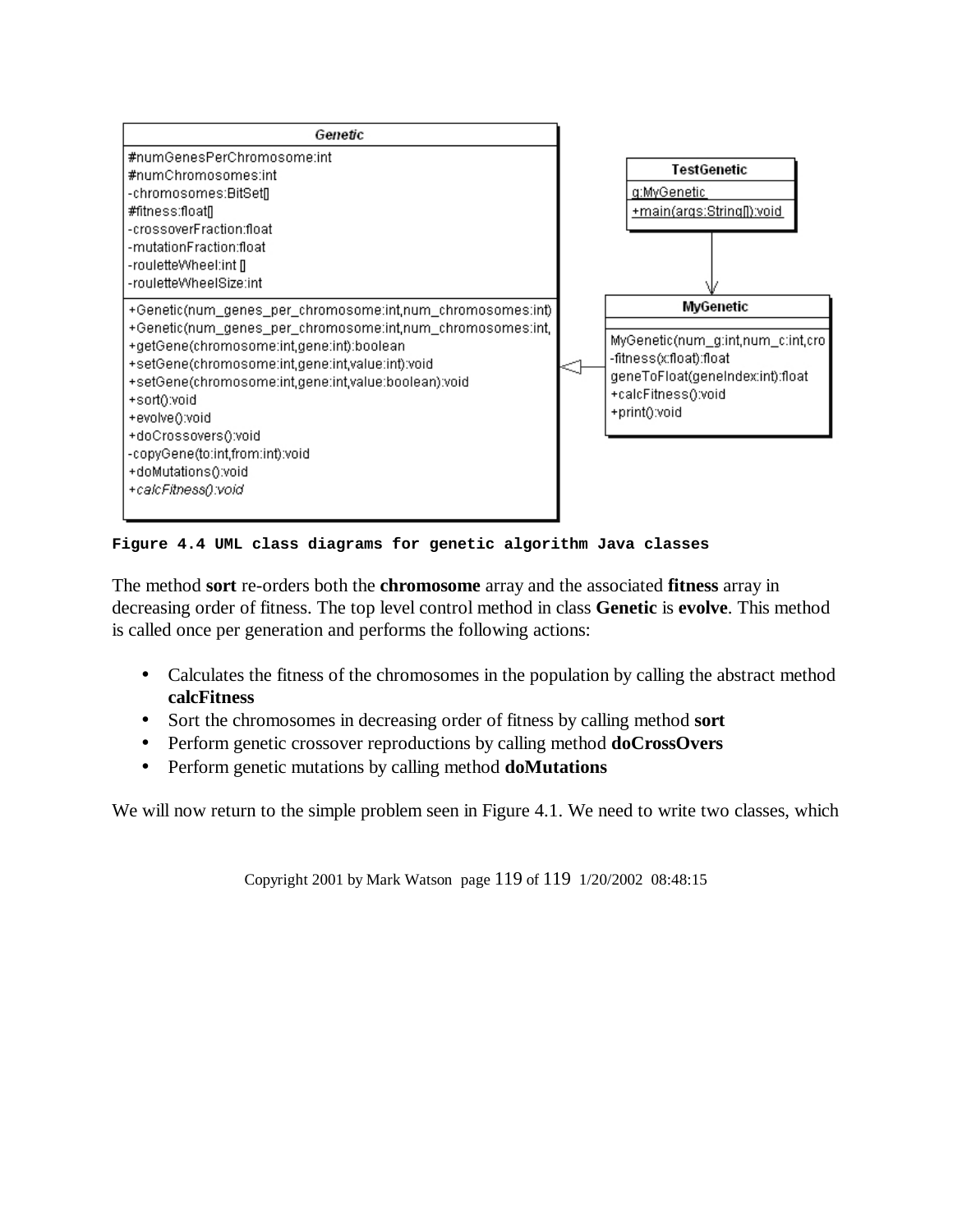

**Figure 4.4 UML class diagrams for genetic algorithm Java classes**

The method **sort** re-orders both the **chromosome** array and the associated **fitness** array in decreasing order of fitness. The top level control method in class **Genetic** is **evolve**. This method is called once per generation and performs the following actions:

- Calculates the fitness of the chromosomes in the population by calling the abstract method **calcFitness**
- Sort the chromosomes in decreasing order of fitness by calling method **sort**
- Perform genetic crossover reproductions by calling method **doCrossOvers**
- Perform genetic mutations by calling method **doMutations**

We will now return to the simple problem seen in Figure 4.1. We need to write two classes, which

Copyright 2001 by Mark Watson page 119 of 119 1/20/2002 08:48:15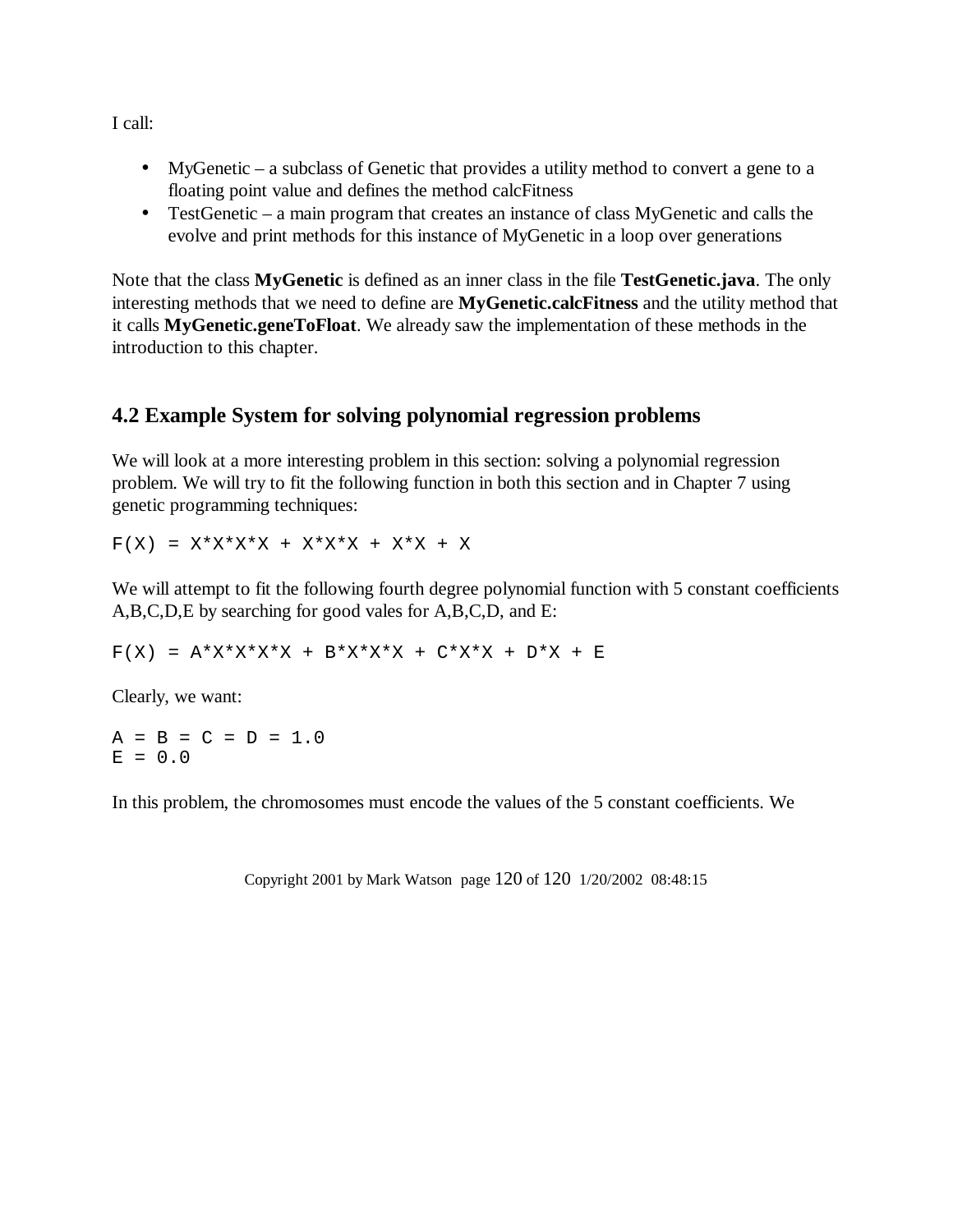I call:

- MyGenetic a subclass of Genetic that provides a utility method to convert a gene to a floating point value and defines the method calcFitness
- TestGenetic a main program that creates an instance of class MyGenetic and calls the evolve and print methods for this instance of MyGenetic in a loop over generations

Note that the class **MyGenetic** is defined as an inner class in the file **TestGenetic.java**. The only interesting methods that we need to define are **MyGenetic.calcFitness** and the utility method that it calls **MyGenetic.geneToFloat**. We already saw the implementation of these methods in the introduction to this chapter.

### **4.2 Example System for solving polynomial regression problems**

We will look at a more interesting problem in this section: solving a polynomial regression problem. We will try to fit the following function in both this section and in Chapter 7 using genetic programming techniques:

 $F(X) = X^*X^*X^*X + X^*X^*X + X^*X + X$ 

We will attempt to fit the following fourth degree polynomial function with 5 constant coefficients A,B,C,D,E by searching for good vales for A,B,C,D, and E:

 $F(X) = A*X*X*X*X + B*X*X*X + C*X*X + D*X + E$ 

Clearly, we want:

 $A = B = C = D = 1.0$  $E = 0.0$ 

In this problem, the chromosomes must encode the values of the 5 constant coefficients. We

Copyright 2001 by Mark Watson page 120 of 120 1/20/2002 08:48:15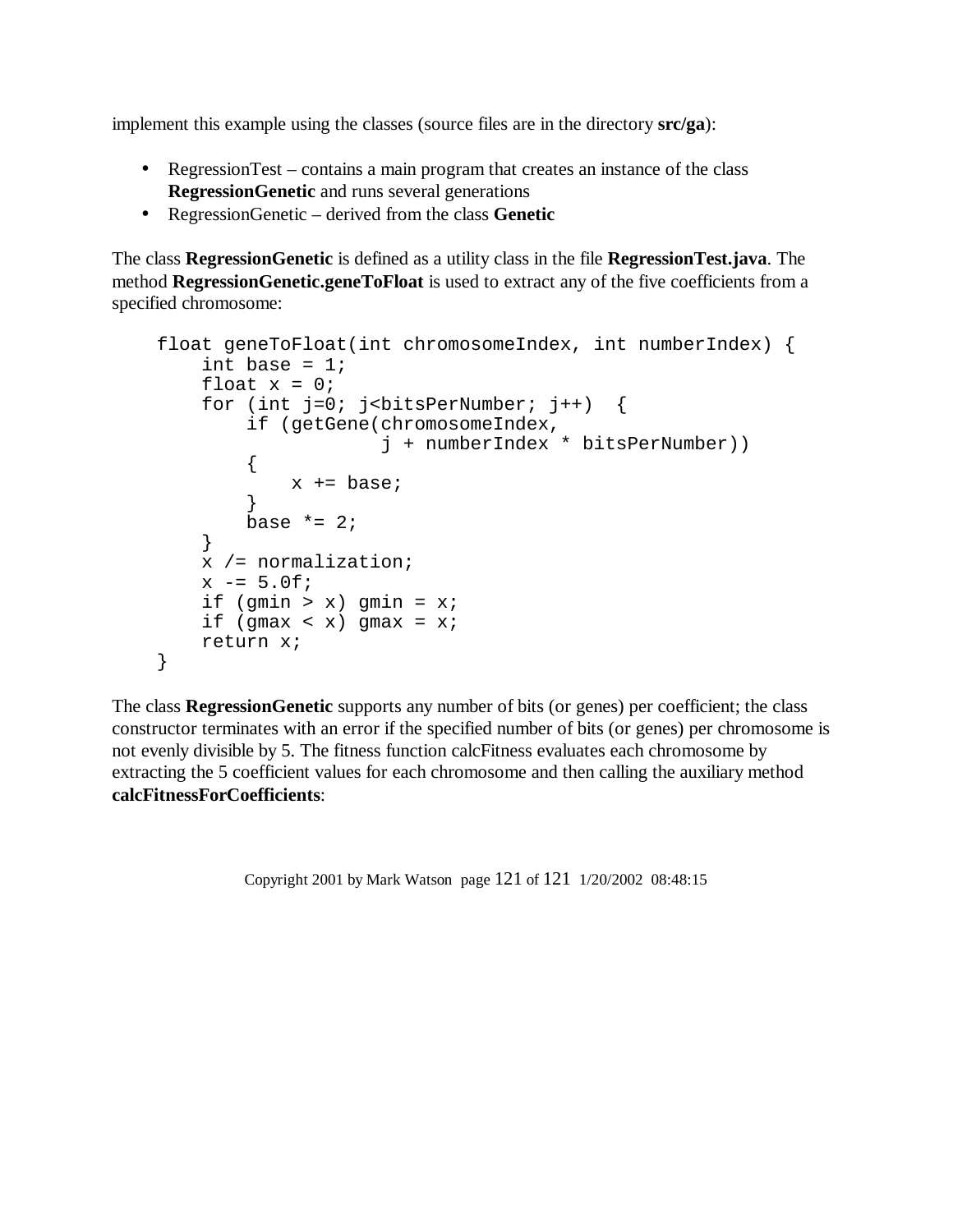implement this example using the classes (source files are in the directory **src/ga**):

- RegressionTest contains a main program that creates an instance of the class **RegressionGenetic** and runs several generations
- RegressionGenetic derived from the class **Genetic**

The class **RegressionGenetic** is defined as a utility class in the file **RegressionTest.java**. The method **RegressionGenetic.geneToFloat** is used to extract any of the five coefficients from a specified chromosome:

```
float geneToFloat(int chromosomeIndex, int numberIndex) {
    int base = 1;
    float x = 0;
    for (int j=0; j<br/>bitsPerNumber; j++) {
        if (getGene(chromosomeIndex,
                     j + numberIndex * bitsPerNumber))
        {
            x += base;
        }
        base * = 2;}
    x /= normalization;
    x = 5.0f;
    if (gmin > x) qmin = x;
    if (gmax \langle x \rangle gmax = xi;
    return x;
}
```
The class **RegressionGenetic** supports any number of bits (or genes) per coefficient; the class constructor terminates with an error if the specified number of bits (or genes) per chromosome is not evenly divisible by 5. The fitness function calcFitness evaluates each chromosome by extracting the 5 coefficient values for each chromosome and then calling the auxiliary method **calcFitnessForCoefficients**:

Copyright 2001 by Mark Watson page 121 of 121 1/20/2002 08:48:15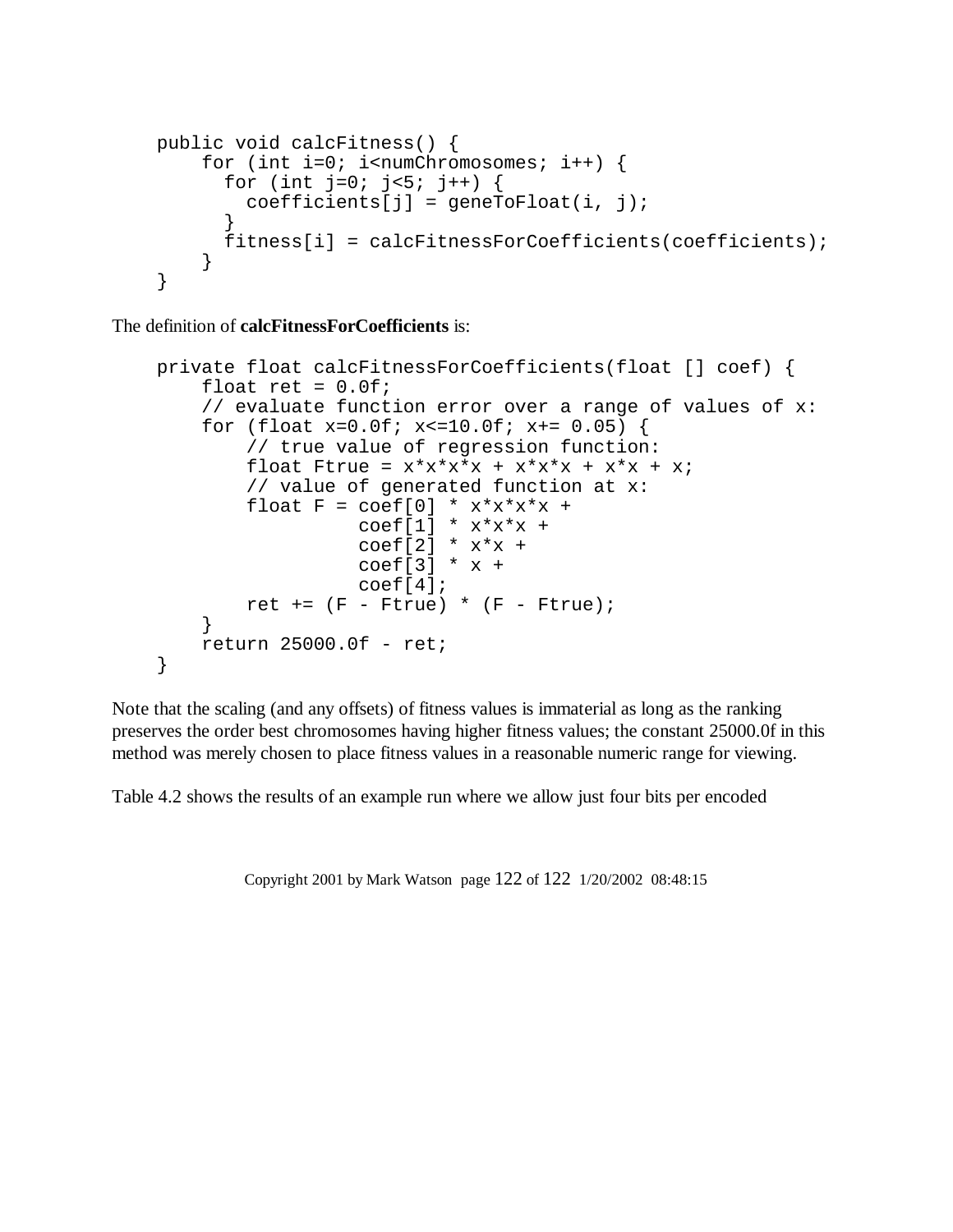```
public void calcFitness() {
    for (int i=0; i<numChromosomes; i++) {
      for (int j=0; j<5; j++) {
        coefficients[j] = generOfload(i, j);}
      fitness[i] = calcFitnessForCoefficients(coefficients);
    }
}
```
The definition of **calcFitnessForCoefficients** is:

```
private float calcFitnessForCoefficients(float [] coef) {
    float ret = 0.0f;
    // evaluate function error over a range of values of x:
    for (float x=0.0f; x <= 10.0f; x += 0.05) {
         // true value of regression function:
        float Ftrue = x*x*x*x + x*x*x + x*x + x;// value of generated function at x:
        float F = \text{coeff}[0] * x * x * x * x +\text{coeff}[1] * x * x * x +\text{coeff}[2] * x * x +coef[3] * x +
                   coef[4];
        ret += (F - Ftrue) * (F - Ftrue);
    }
    return 25000.0f - ret;
}
```
Note that the scaling (and any offsets) of fitness values is immaterial as long as the ranking preserves the order best chromosomes having higher fitness values; the constant 25000.0f in this method was merely chosen to place fitness values in a reasonable numeric range for viewing.

Table 4.2 shows the results of an example run where we allow just four bits per encoded

Copyright 2001 by Mark Watson page 122 of 122 1/20/2002 08:48:15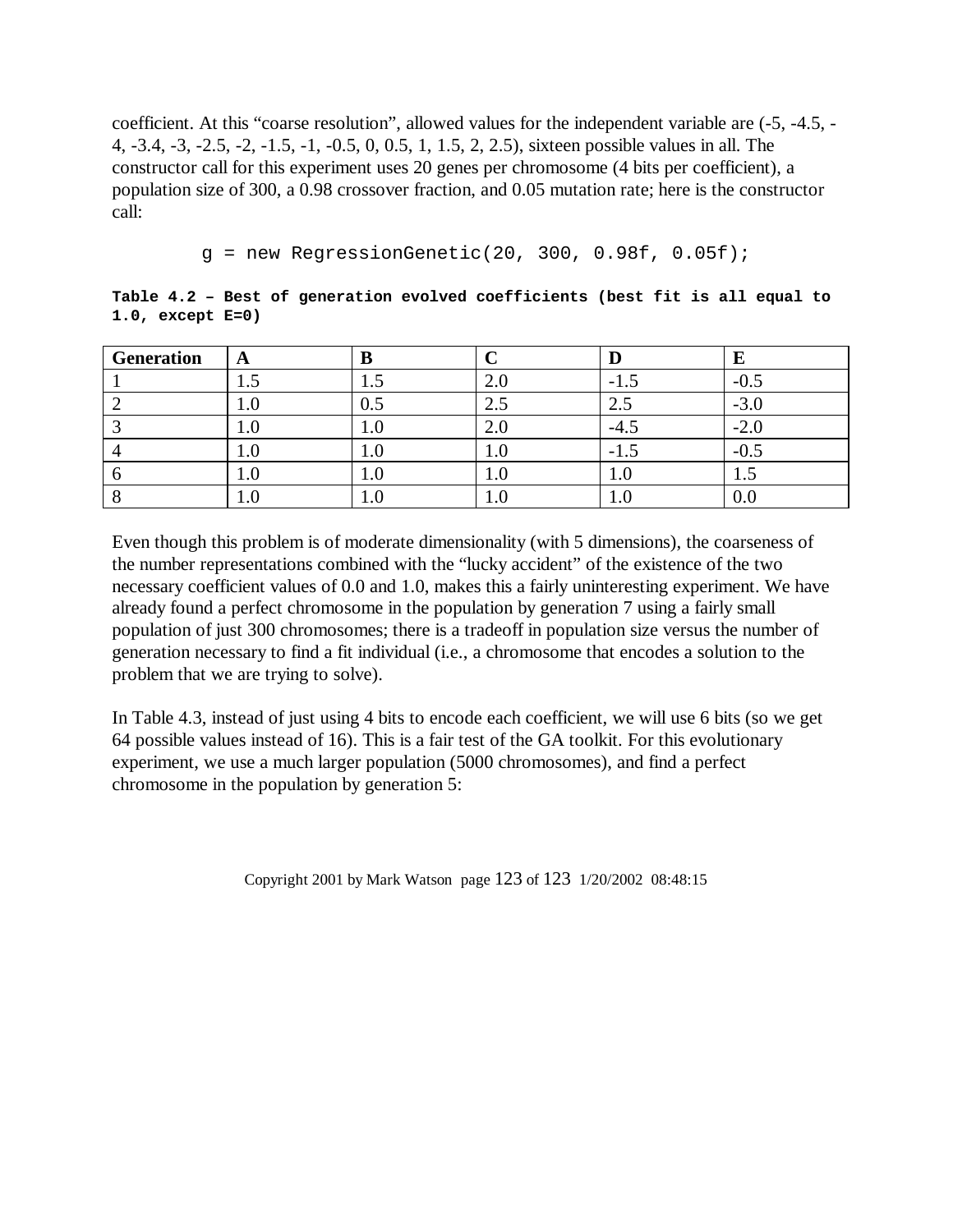coefficient. At this "coarse resolution", allowed values for the independent variable are (-5, -4.5, - 4, -3.4, -3, -2.5, -2, -1.5, -1, -0.5, 0, 0.5, 1, 1.5, 2, 2.5), sixteen possible values in all. The constructor call for this experiment uses 20 genes per chromosome (4 bits per coefficient), a population size of 300, a 0.98 crossover fraction, and 0.05 mutation rate; here is the constructor call:

```
g = new RegressionGenetic(20, 300, 0.98f, 0.05f);
```
**Table 4.2 – Best of generation evolved coefficients (best fit is all equal to 1.0, except E=0)**

| Generation | A              |     |            |       | L      |
|------------|----------------|-----|------------|-------|--------|
|            |                |     | $\sim$     | $-1.$ | $-0.5$ |
|            | $1.0\,$        | 0.5 | ل ک        | 2.J   | $-3.0$ |
|            | $1.0\,$        | 1.v | $\angle$ . |       | $-2.0$ |
|            | $1.0\,$        | 1.U | 1.U        | -1.5  | $-0.5$ |
|            | $1.0\,$        | 1.U | 1.V        | ι.u   | 1.J    |
|            | $\mathbf{U}$ . | 1.U |            |       | v.v    |

Even though this problem is of moderate dimensionality (with 5 dimensions), the coarseness of the number representations combined with the "lucky accident" of the existence of the two necessary coefficient values of 0.0 and 1.0, makes this a fairly uninteresting experiment. We have already found a perfect chromosome in the population by generation 7 using a fairly small population of just 300 chromosomes; there is a tradeoff in population size versus the number of generation necessary to find a fit individual (i.e., a chromosome that encodes a solution to the problem that we are trying to solve).

In Table 4.3, instead of just using 4 bits to encode each coefficient, we will use 6 bits (so we get 64 possible values instead of 16). This is a fair test of the GA toolkit. For this evolutionary experiment, we use a much larger population (5000 chromosomes), and find a perfect chromosome in the population by generation 5:

Copyright 2001 by Mark Watson page 123 of 123 1/20/2002 08:48:15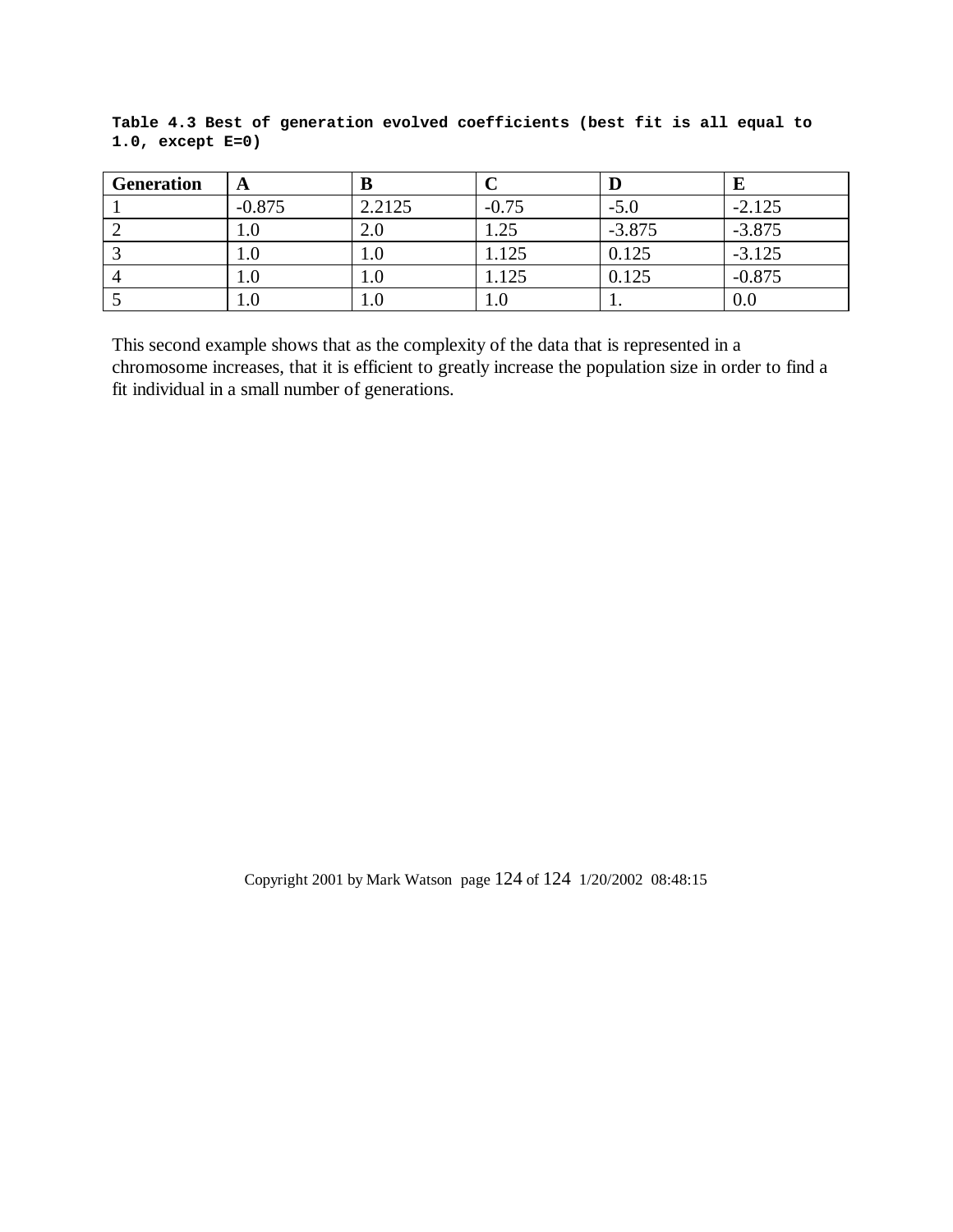|                        |  |  | Table 4.3 Best of generation evolved coefficients (best fit is all equal to |  |  |  |
|------------------------|--|--|-----------------------------------------------------------------------------|--|--|--|
| $1.0$ , except $E=0$ ) |  |  |                                                                             |  |  |  |

| <b>Generation</b> | A            | В      |         |          | E        |
|-------------------|--------------|--------|---------|----------|----------|
|                   | $-0.875$     | 2.2125 | $-0.75$ | $-5.0$   | $-2.125$ |
|                   | $1.0\,$      | 2.0    | 1.25    | $-3.875$ | $-3.875$ |
|                   | $1.0\,$      |        | .125    | 0.125    | $-3.125$ |
|                   | $_{\rm 1.0}$ | 1.0    | .125    | 0.125    | $-0.875$ |
|                   | $1.0\,$      |        |         |          | 0.0      |

This second example shows that as the complexity of the data that is represented in a chromosome increases, that it is efficient to greatly increase the population size in order to find a fit individual in a small number of generations.

Copyright 2001 by Mark Watson page 124 of 124 1/20/2002 08:48:15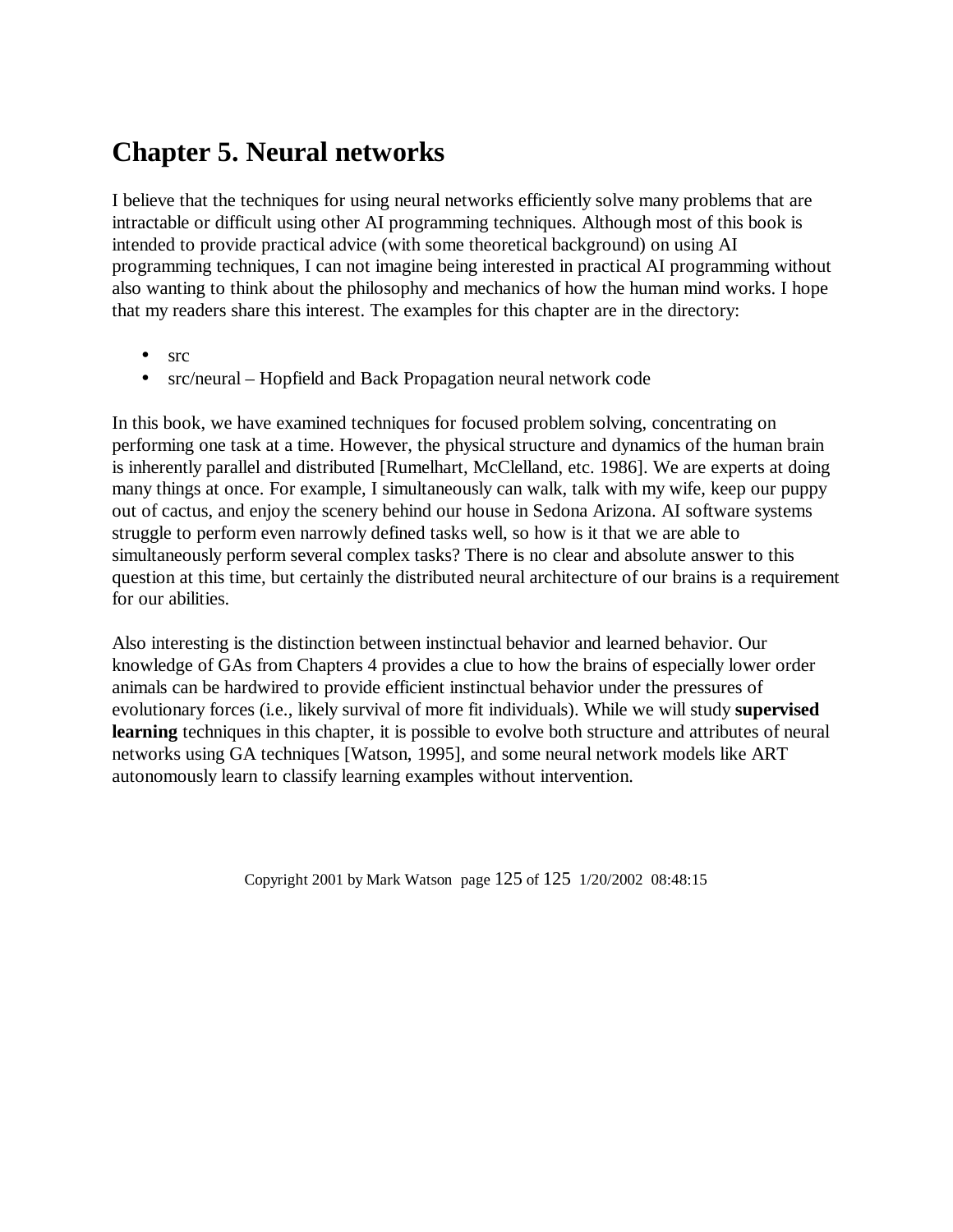## **Chapter 5. Neural networks**

I believe that the techniques for using neural networks efficiently solve many problems that are intractable or difficult using other AI programming techniques. Although most of this book is intended to provide practical advice (with some theoretical background) on using AI programming techniques, I can not imagine being interested in practical AI programming without also wanting to think about the philosophy and mechanics of how the human mind works. I hope that my readers share this interest. The examples for this chapter are in the directory:

- src
- src/neural Hopfield and Back Propagation neural network code

In this book, we have examined techniques for focused problem solving, concentrating on performing one task at a time. However, the physical structure and dynamics of the human brain is inherently parallel and distributed [Rumelhart, McClelland, etc. 1986]. We are experts at doing many things at once. For example, I simultaneously can walk, talk with my wife, keep our puppy out of cactus, and enjoy the scenery behind our house in Sedona Arizona. AI software systems struggle to perform even narrowly defined tasks well, so how is it that we are able to simultaneously perform several complex tasks? There is no clear and absolute answer to this question at this time, but certainly the distributed neural architecture of our brains is a requirement for our abilities.

Also interesting is the distinction between instinctual behavior and learned behavior. Our knowledge of GAs from Chapters 4 provides a clue to how the brains of especially lower order animals can be hardwired to provide efficient instinctual behavior under the pressures of evolutionary forces (i.e., likely survival of more fit individuals). While we will study **supervised learning** techniques in this chapter, it is possible to evolve both structure and attributes of neural networks using GA techniques [Watson, 1995], and some neural network models like ART autonomously learn to classify learning examples without intervention.

Copyright 2001 by Mark Watson page 125 of 125 1/20/2002 08:48:15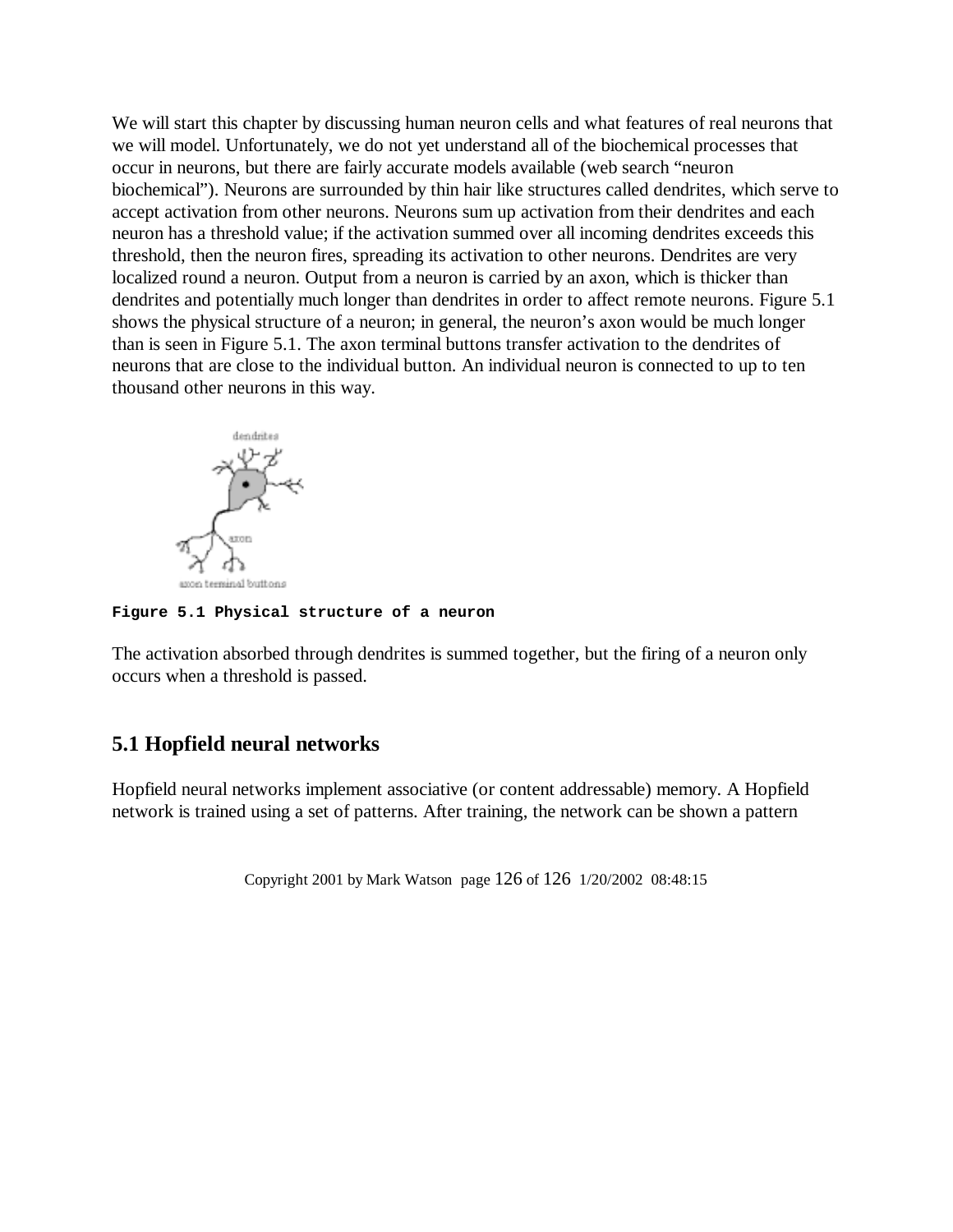We will start this chapter by discussing human neuron cells and what features of real neurons that we will model. Unfortunately, we do not yet understand all of the biochemical processes that occur in neurons, but there are fairly accurate models available (web search "neuron biochemical"). Neurons are surrounded by thin hair like structures called dendrites, which serve to accept activation from other neurons. Neurons sum up activation from their dendrites and each neuron has a threshold value; if the activation summed over all incoming dendrites exceeds this threshold, then the neuron fires, spreading its activation to other neurons. Dendrites are very localized round a neuron. Output from a neuron is carried by an axon, which is thicker than dendrites and potentially much longer than dendrites in order to affect remote neurons. Figure 5.1 shows the physical structure of a neuron; in general, the neuron's axon would be much longer than is seen in Figure 5.1. The axon terminal buttons transfer activation to the dendrites of neurons that are close to the individual button. An individual neuron is connected to up to ten thousand other neurons in this way.



**Figure 5.1 Physical structure of a neuron**

The activation absorbed through dendrites is summed together, but the firing of a neuron only occurs when a threshold is passed.

#### **5.1 Hopfield neural networks**

Hopfield neural networks implement associative (or content addressable) memory. A Hopfield network is trained using a set of patterns. After training, the network can be shown a pattern

Copyright 2001 by Mark Watson page 126 of 126 1/20/2002 08:48:15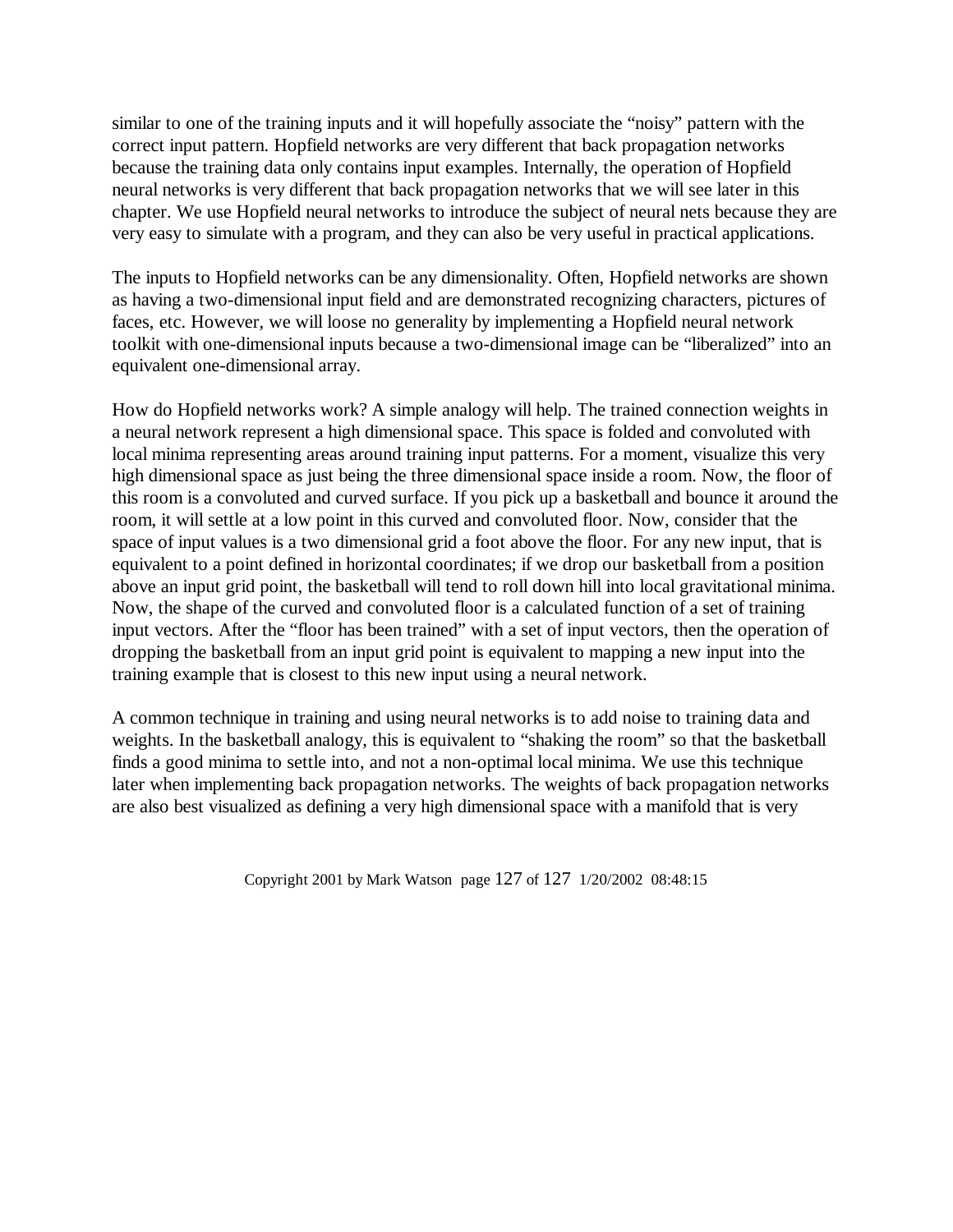similar to one of the training inputs and it will hopefully associate the "noisy" pattern with the correct input pattern. Hopfield networks are very different that back propagation networks because the training data only contains input examples. Internally, the operation of Hopfield neural networks is very different that back propagation networks that we will see later in this chapter. We use Hopfield neural networks to introduce the subject of neural nets because they are very easy to simulate with a program, and they can also be very useful in practical applications.

The inputs to Hopfield networks can be any dimensionality. Often, Hopfield networks are shown as having a two-dimensional input field and are demonstrated recognizing characters, pictures of faces, etc. However, we will loose no generality by implementing a Hopfield neural network toolkit with one-dimensional inputs because a two-dimensional image can be "liberalized" into an equivalent one-dimensional array.

How do Hopfield networks work? A simple analogy will help. The trained connection weights in a neural network represent a high dimensional space. This space is folded and convoluted with local minima representing areas around training input patterns. For a moment, visualize this very high dimensional space as just being the three dimensional space inside a room. Now, the floor of this room is a convoluted and curved surface. If you pick up a basketball and bounce it around the room, it will settle at a low point in this curved and convoluted floor. Now, consider that the space of input values is a two dimensional grid a foot above the floor. For any new input, that is equivalent to a point defined in horizontal coordinates; if we drop our basketball from a position above an input grid point, the basketball will tend to roll down hill into local gravitational minima. Now, the shape of the curved and convoluted floor is a calculated function of a set of training input vectors. After the "floor has been trained" with a set of input vectors, then the operation of dropping the basketball from an input grid point is equivalent to mapping a new input into the training example that is closest to this new input using a neural network.

A common technique in training and using neural networks is to add noise to training data and weights. In the basketball analogy, this is equivalent to "shaking the room" so that the basketball finds a good minima to settle into, and not a non-optimal local minima. We use this technique later when implementing back propagation networks. The weights of back propagation networks are also best visualized as defining a very high dimensional space with a manifold that is very

Copyright 2001 by Mark Watson page 127 of 127 1/20/2002 08:48:15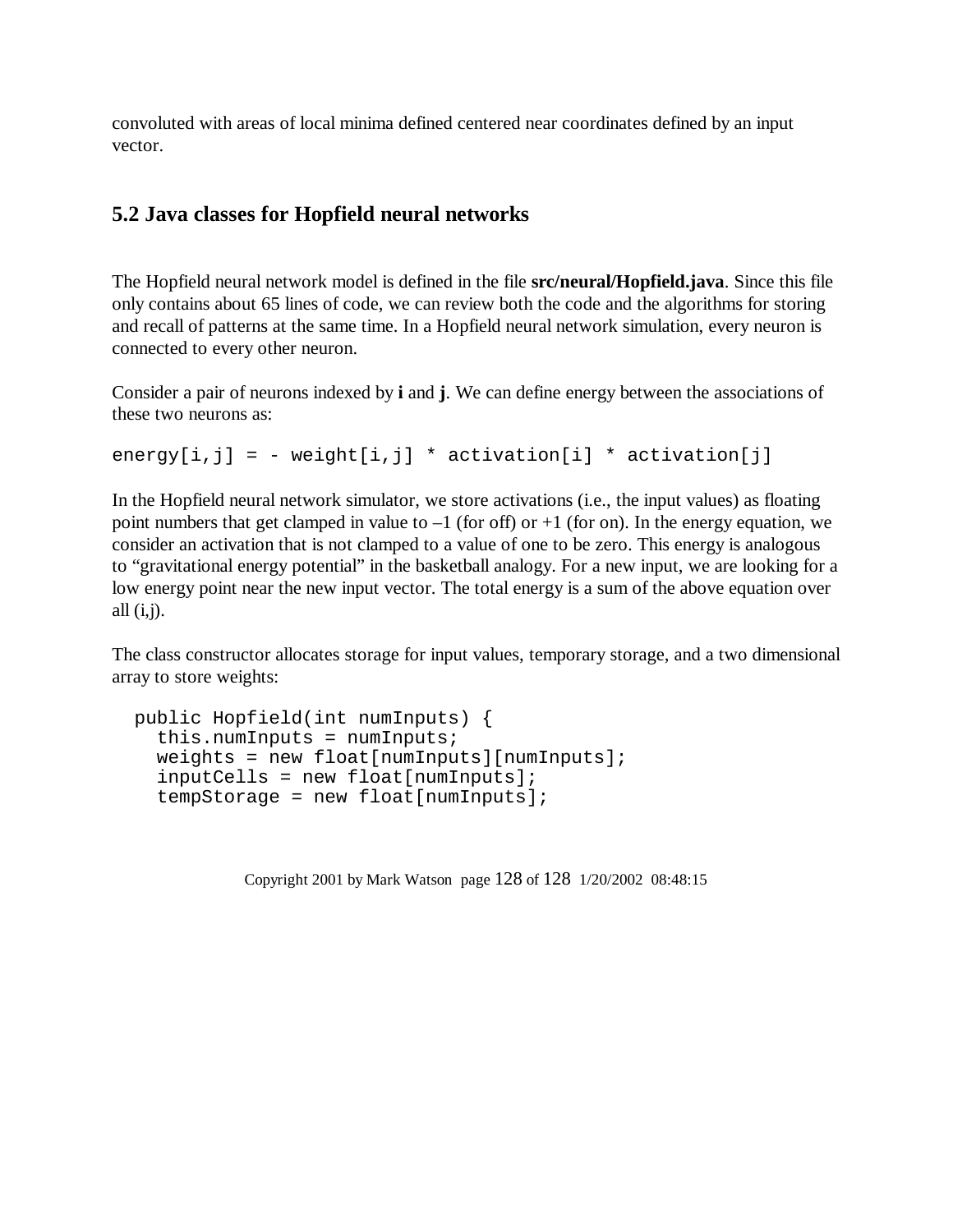convoluted with areas of local minima defined centered near coordinates defined by an input vector.

### **5.2 Java classes for Hopfield neural networks**

The Hopfield neural network model is defined in the file **src/neural/Hopfield.java**. Since this file only contains about 65 lines of code, we can review both the code and the algorithms for storing and recall of patterns at the same time. In a Hopfield neural network simulation, every neuron is connected to every other neuron.

Consider a pair of neurons indexed by **i** and **j**. We can define energy between the associations of these two neurons as:

```
energy[i,j] = - weight[i,j] * activation[i] * activation[j]
```
In the Hopfield neural network simulator, we store activations (i.e., the input values) as floating point numbers that get clamped in value to  $-1$  (for off) or  $+1$  (for on). In the energy equation, we consider an activation that is not clamped to a value of one to be zero. This energy is analogous to "gravitational energy potential" in the basketball analogy. For a new input, we are looking for a low energy point near the new input vector. The total energy is a sum of the above equation over all  $(i, j)$ .

The class constructor allocates storage for input values, temporary storage, and a two dimensional array to store weights:

```
public Hopfield(int numInputs) {
  this.numInputStream = numInputStream;weights = new float[numInputs][numInputs];
  inputCells = new float[numInputs];
  tempStorage = new float(numInputStream];
```
Copyright 2001 by Mark Watson page 128 of 128 1/20/2002 08:48:15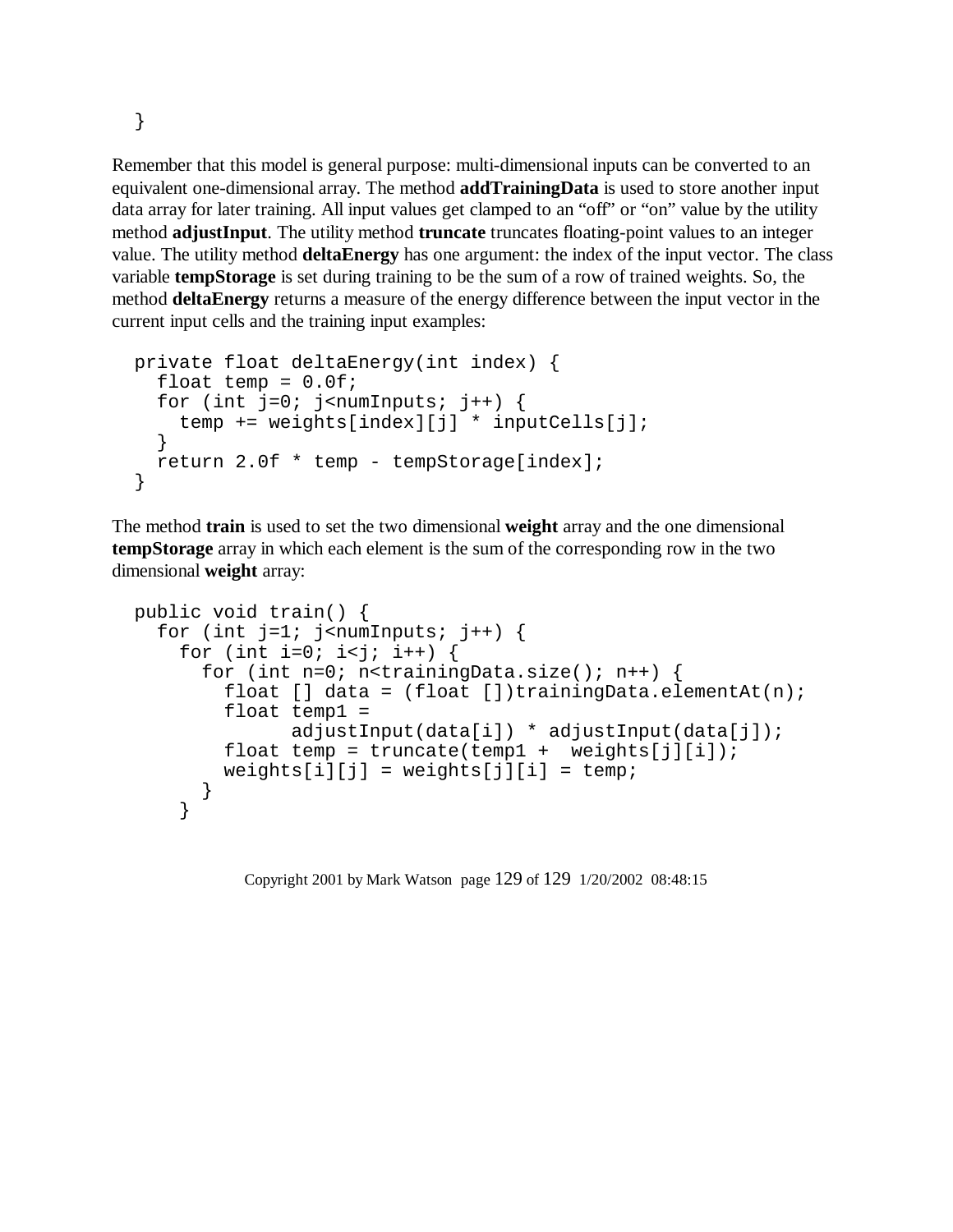}

Remember that this model is general purpose: multi-dimensional inputs can be converted to an equivalent one-dimensional array. The method **addTrainingData** is used to store another input data array for later training. All input values get clamped to an "off" or "on" value by the utility method **adjustInput**. The utility method **truncate** truncates floating-point values to an integer value. The utility method **deltaEnergy** has one argument: the index of the input vector. The class variable **tempStorage** is set during training to be the sum of a row of trained weights. So, the method **deltaEnergy** returns a measure of the energy difference between the input vector in the current input cells and the training input examples:

```
private float deltaEnergy(int index) {
  float temp = 0.0f;
  for (int j=0; j<numInputs; j++) {
    temp += weights[index][j] * inputCells[j];
  }
  return 2.0f * temp - tempStorage[index];
}
```
The method **train** is used to set the two dimensional **weight** array and the one dimensional **tempStorage** array in which each element is the sum of the corresponding row in the two dimensional **weight** array:

```
public void train() {
  for (int j=1; j<numInputs; j++) {
    for (int i=0; i<i; i++) {
      for (int n=0; n<trainingData.size(); n++) {
        float [] data = (float [])trainingData.elementAt(n);float temp1 =
              adjustInput(data[i]) * adjustInput(data[j]);
        float temp = truncate(temp1 + weights[j][i]);
        weights[i][j] = weights[j][i] = temp;}
    }
```
Copyright 2001 by Mark Watson page 129 of 129 1/20/2002 08:48:15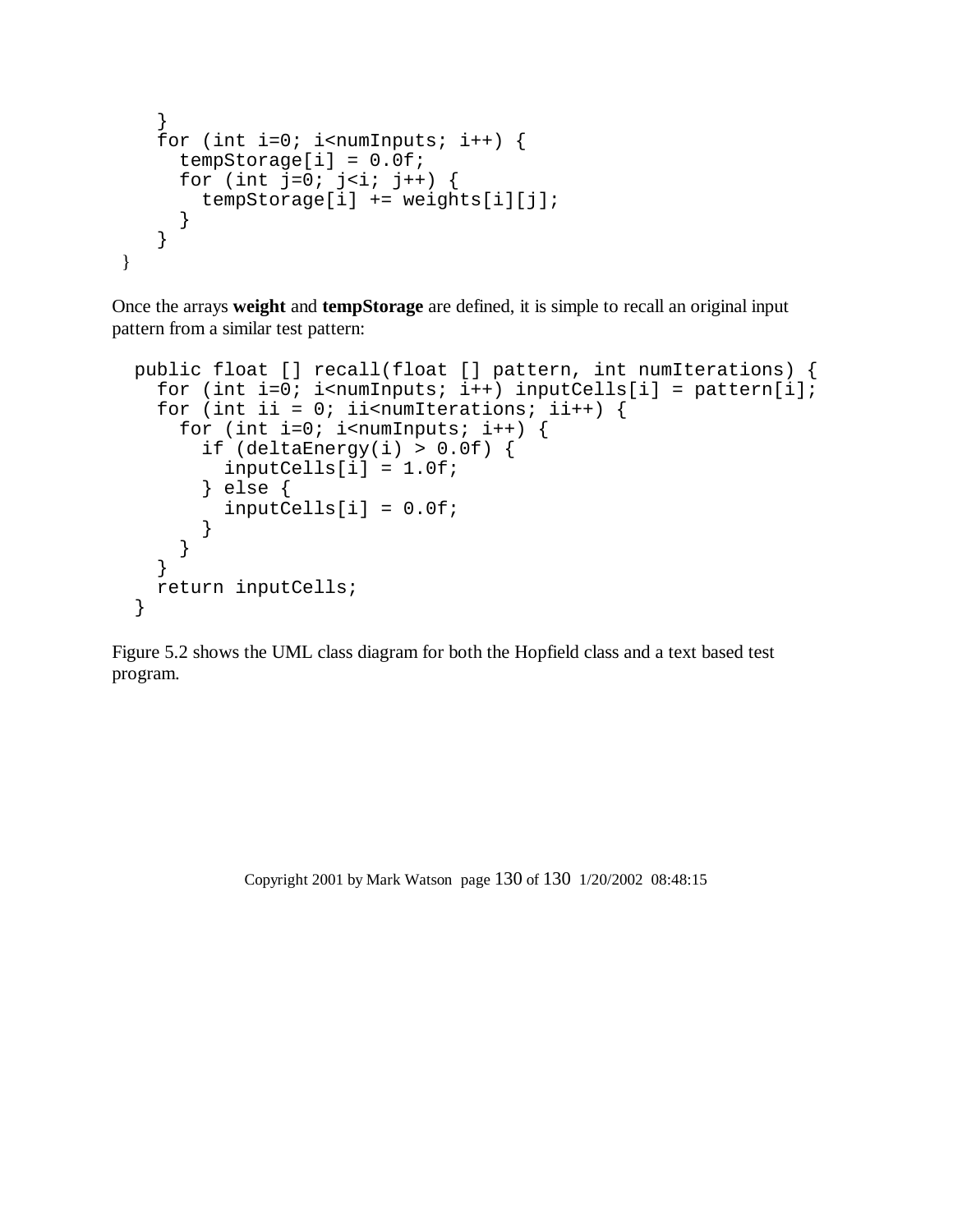```
}
   for (int i=0; i<numInputs; i++) {
     tempStorage[i] = 0.0f;
     for (int j=0; j<i; j++) {
       tempStorage[i] += weights[i][j];
     }
   }
}
```
Once the arrays **weight** and **tempStorage** are defined, it is simple to recall an original input pattern from a similar test pattern:

```
public float [] recall(float [] pattern, int numIterations) {
  for (int i=0; i<numInputs; i++) inputCells[i] = pattern[i];
  for (int ii = 0; ii<numIterations; ii++) {
    for (int i=0; i<numInputs; i++) {
      if (deltaEnergy(i) > 0.0f) {
        inputCells[i] = 1.0f;
      } else {
        inputCells[i] = 0.0f;
      }
    }
  }
  return inputCells;
}
```
Figure 5.2 shows the UML class diagram for both the Hopfield class and a text based test program.

Copyright 2001 by Mark Watson page 130 of 130 1/20/2002 08:48:15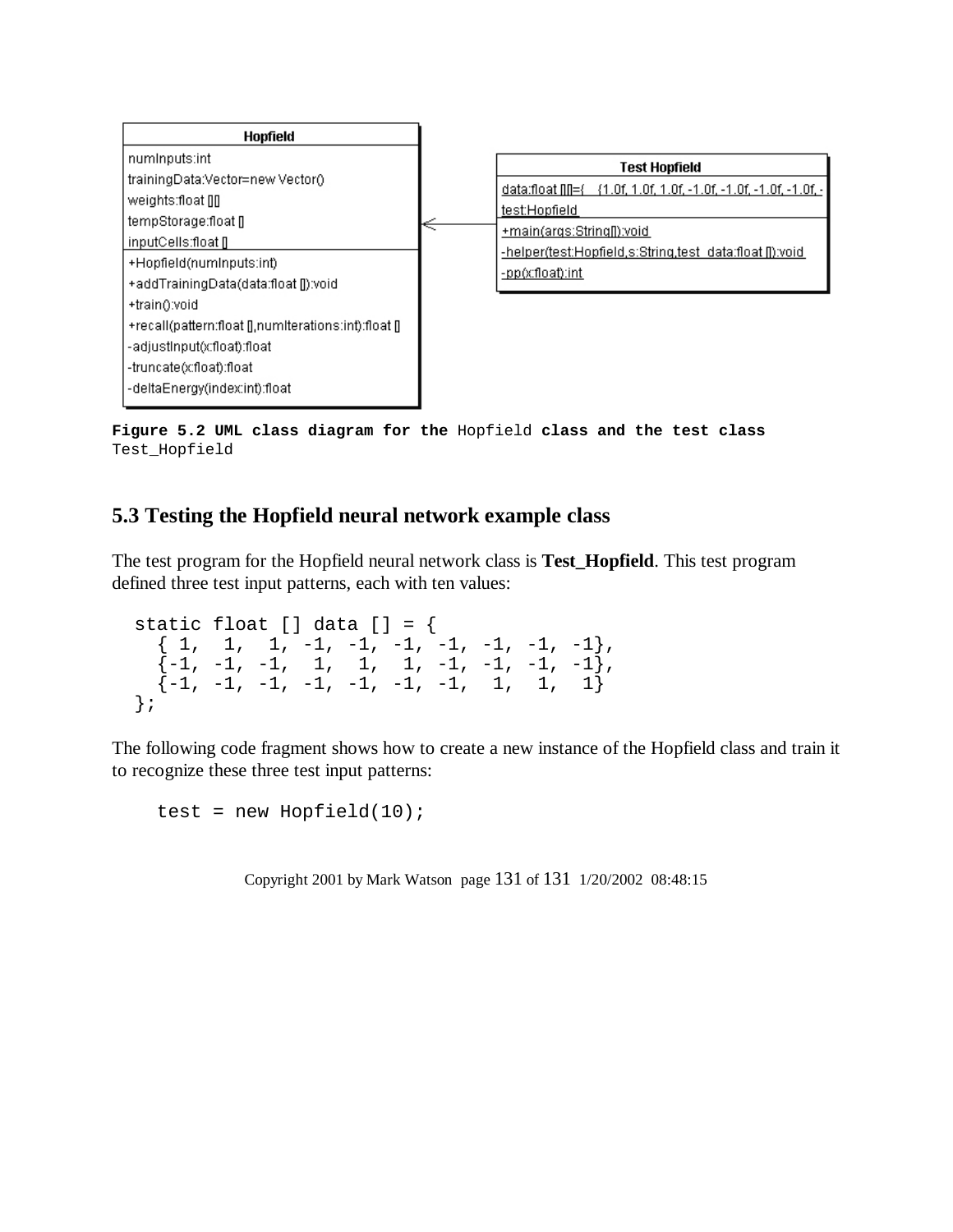

**Figure 5.2 UML class diagram for the** Hopfield **class and the test class** Test\_Hopfield

#### **5.3 Testing the Hopfield neural network example class**

The test program for the Hopfield neural network class is **Test\_Hopfield**. This test program defined three test input patterns, each with ten values:

```
static float [] data [] = {
  \{ 1, 1, 1, -1, -1, -1, -1, -1, -1, -1, -1 \}\{-1, -1, -1, 1, 1, 1, -1, -1, -1, -1\}\{-1, -1, -1, -1, -1, -1, -1, -1, 1, 1, 1\}};
```
The following code fragment shows how to create a new instance of the Hopfield class and train it to recognize these three test input patterns:

test = new Hopfield( $10$ );

Copyright 2001 by Mark Watson page 131 of 131 1/20/2002 08:48:15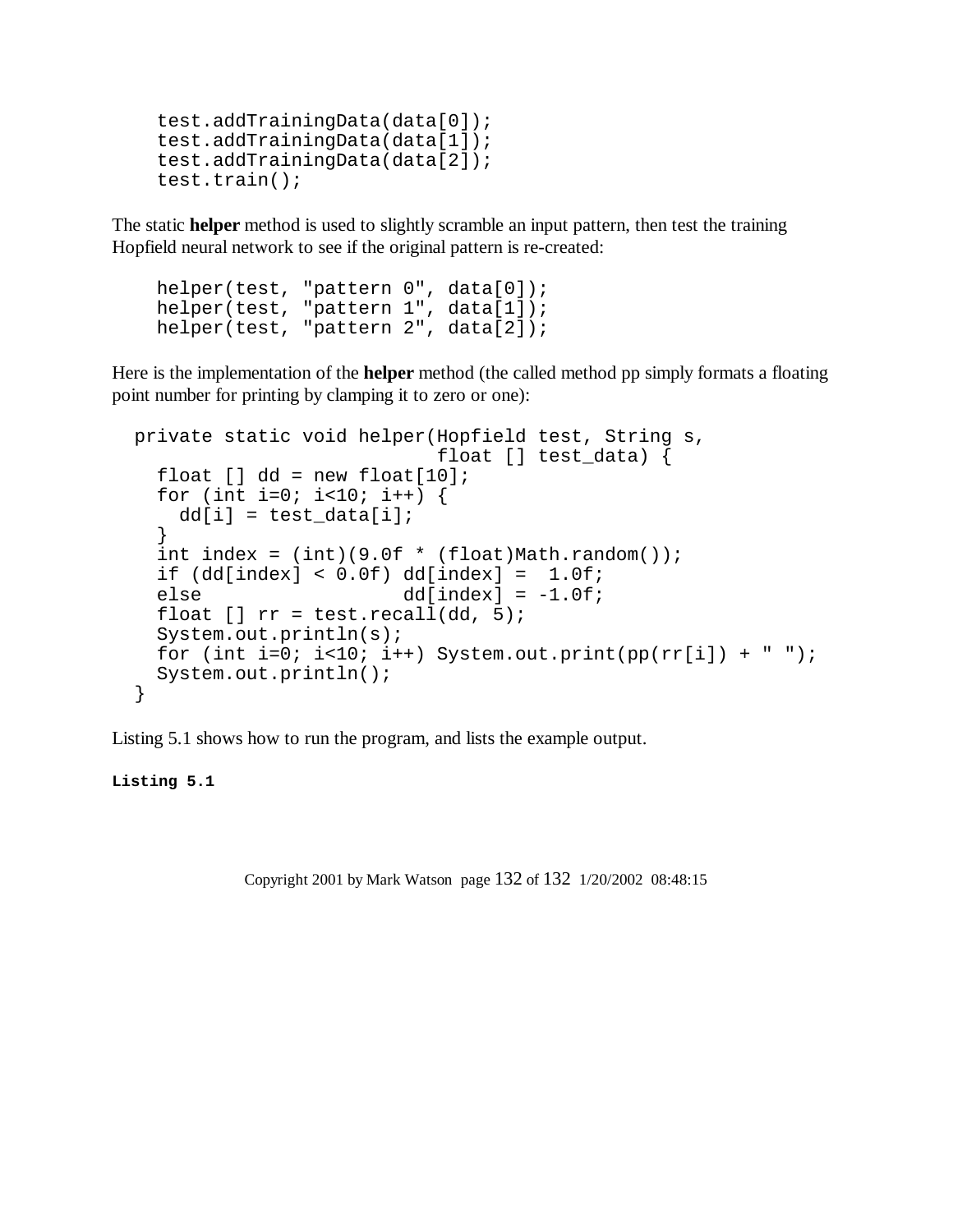```
test.addTrainingData(data[0]);
test.addTrainingData(data[1]);
test.addTrainingData(data[2]);
test.train();
```
The static **helper** method is used to slightly scramble an input pattern, then test the training Hopfield neural network to see if the original pattern is re-created:

```
helper(test, "pattern 0", data[0]);
helper(test, "pattern 1", data[1]);
helper(test, "pattern 2", data[2]);
```
Here is the implementation of the **helper** method (the called method pp simply formats a floating point number for printing by clamping it to zero or one):

```
private static void helper(Hopfield test, String s,
                           float [] test data) \{float [] dd = new float[10];
  for (int i=0; i<10; i++) {
    dd[i] = test data[i];
  }
  int index = (int)(9.0f * (float)Math.random());
  if (dd[index] < 0.0f) dd[index] = 1.0f;
  \text{else} else \text{dd}[\text{index}] = -1.0f;
  float []rr = test.read1(dd, 5);System.out.println(s);
  for (int i=0; i<10; i++) System.out.print(pp(rr[i]) + " ");
  System.out.println();
}
```
Listing 5.1 shows how to run the program, and lists the example output.

**Listing 5.1**

Copyright 2001 by Mark Watson page 132 of 132 1/20/2002 08:48:15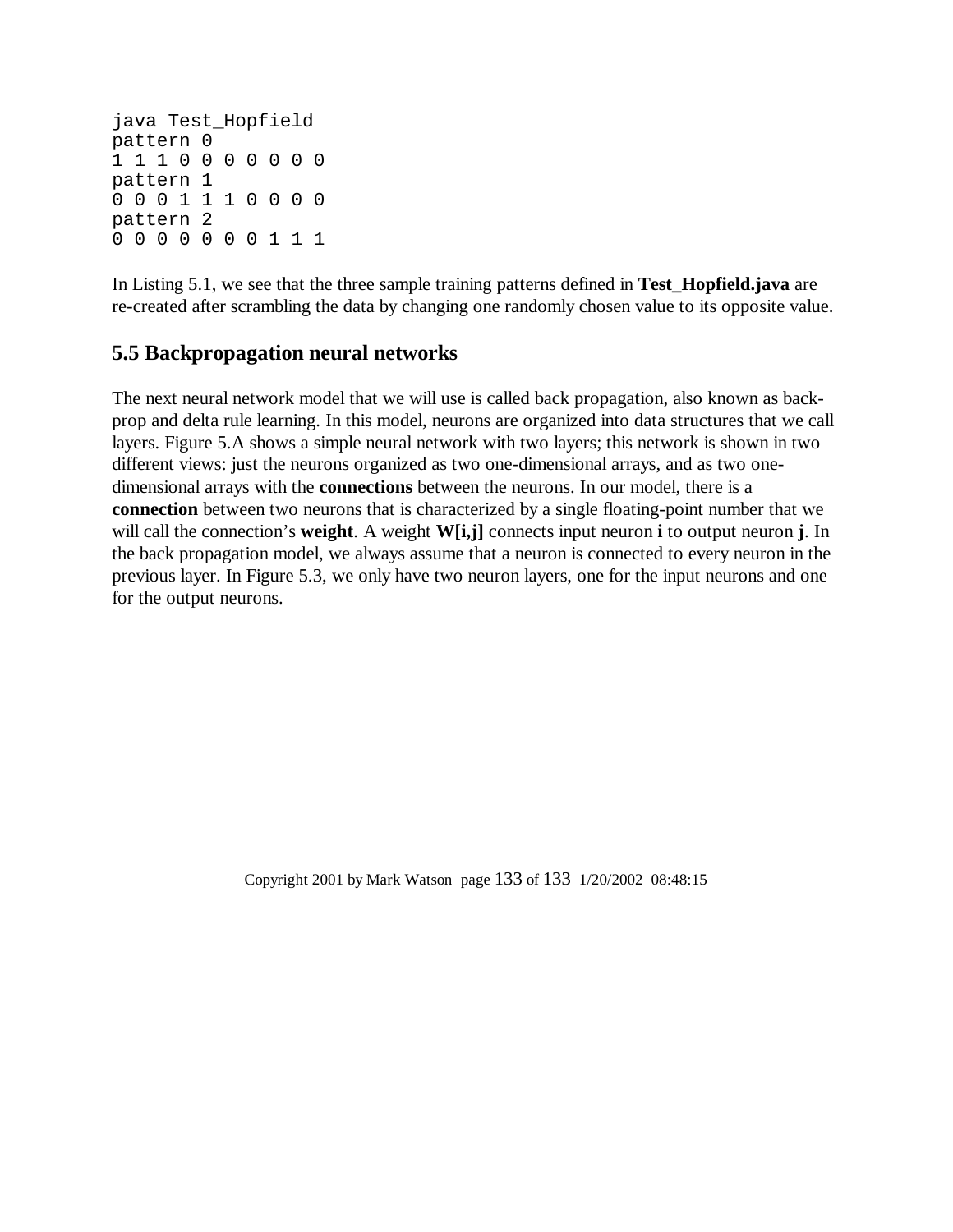java Test\_Hopfield pattern 0 1110000000 pattern 1 0001110000 pattern 2 0000000111

In Listing 5.1, we see that the three sample training patterns defined in **Test\_Hopfield.java** are re-created after scrambling the data by changing one randomly chosen value to its opposite value.

## **5.5 Backpropagation neural networks**

The next neural network model that we will use is called back propagation, also known as backprop and delta rule learning. In this model, neurons are organized into data structures that we call layers. Figure 5.A shows a simple neural network with two layers; this network is shown in two different views: just the neurons organized as two one-dimensional arrays, and as two onedimensional arrays with the **connections** between the neurons. In our model, there is a **connection** between two neurons that is characterized by a single floating-point number that we will call the connection's **weight**. A weight **W[i,j]** connects input neuron **i** to output neuron **j**. In the back propagation model, we always assume that a neuron is connected to every neuron in the previous layer. In Figure 5.3, we only have two neuron layers, one for the input neurons and one for the output neurons.

Copyright 2001 by Mark Watson page 133 of 133 1/20/2002 08:48:15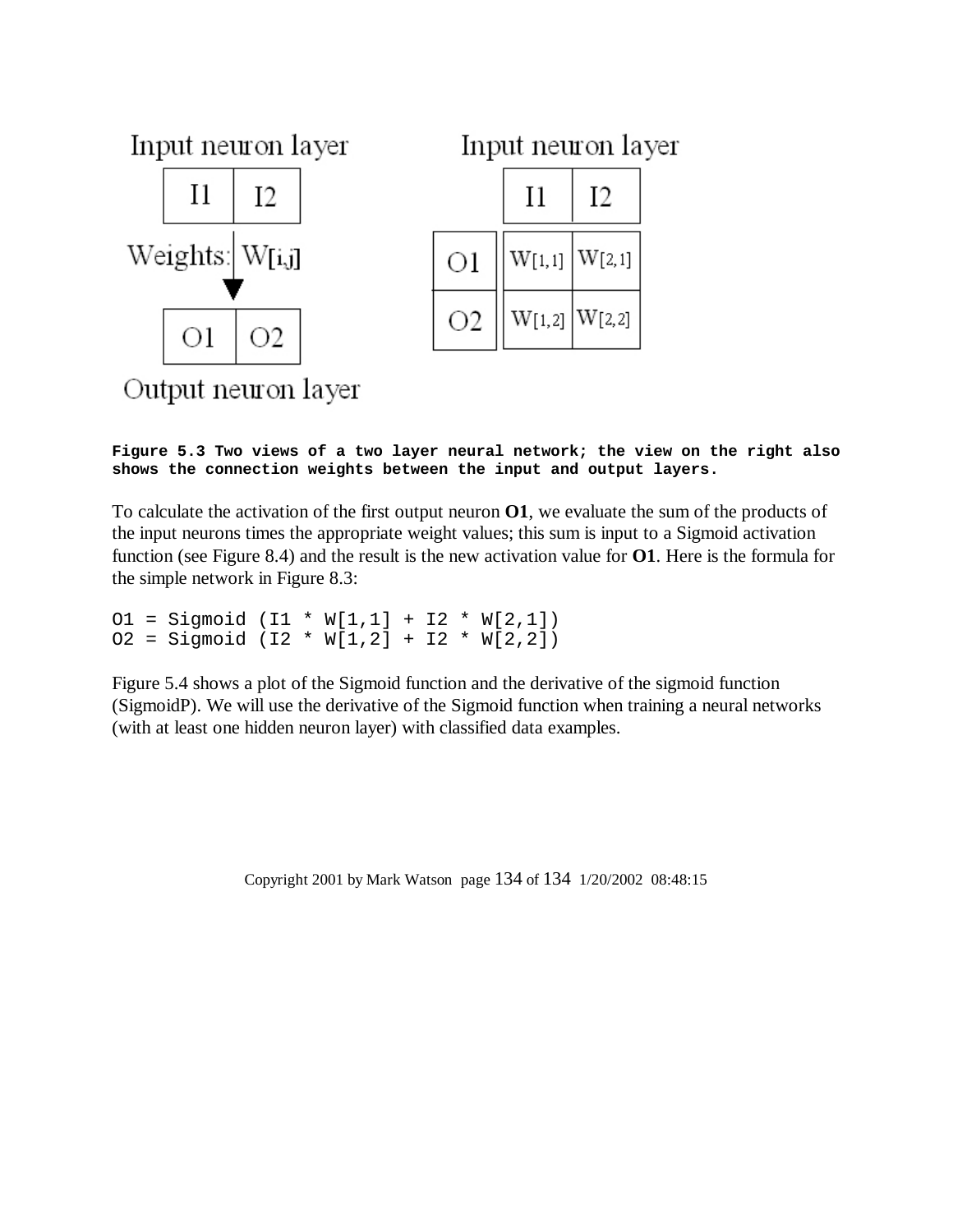

#### **Figure 5.3 Two views of a two layer neural network; the view on the right also shows the connection weights between the input and output layers.**

To calculate the activation of the first output neuron **O1**, we evaluate the sum of the products of the input neurons times the appropriate weight values; this sum is input to a Sigmoid activation function (see Figure 8.4) and the result is the new activation value for **O1**. Here is the formula for the simple network in Figure 8.3:

 $01 =$  Sigmoid (I1 \* W[1,1] + I2 \* W[2,1])  $02 =$  Sigmoid (I2 \* W[1,2] + I2 \* W[2,2])

Figure 5.4 shows a plot of the Sigmoid function and the derivative of the sigmoid function (SigmoidP). We will use the derivative of the Sigmoid function when training a neural networks (with at least one hidden neuron layer) with classified data examples.

Copyright 2001 by Mark Watson page 134 of 134 1/20/2002 08:48:15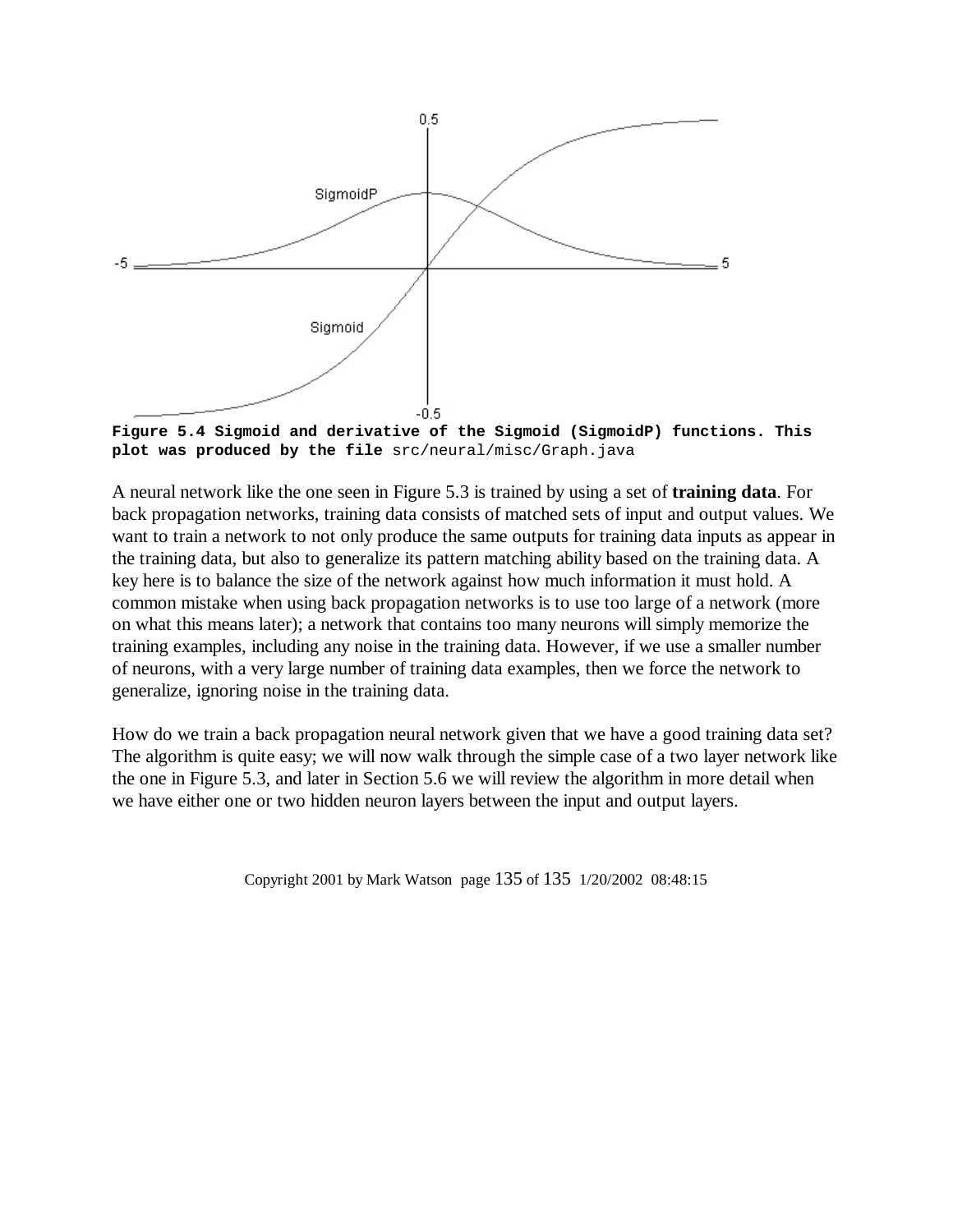

**plot was produced by the file** src/neural/misc/Graph.java

A neural network like the one seen in Figure 5.3 is trained by using a set of **training data**. For back propagation networks, training data consists of matched sets of input and output values. We want to train a network to not only produce the same outputs for training data inputs as appear in the training data, but also to generalize its pattern matching ability based on the training data. A key here is to balance the size of the network against how much information it must hold. A common mistake when using back propagation networks is to use too large of a network (more on what this means later); a network that contains too many neurons will simply memorize the training examples, including any noise in the training data. However, if we use a smaller number of neurons, with a very large number of training data examples, then we force the network to generalize, ignoring noise in the training data.

How do we train a back propagation neural network given that we have a good training data set? The algorithm is quite easy; we will now walk through the simple case of a two layer network like the one in Figure 5.3, and later in Section 5.6 we will review the algorithm in more detail when we have either one or two hidden neuron layers between the input and output layers.

Copyright 2001 by Mark Watson page 135 of 135 1/20/2002 08:48:15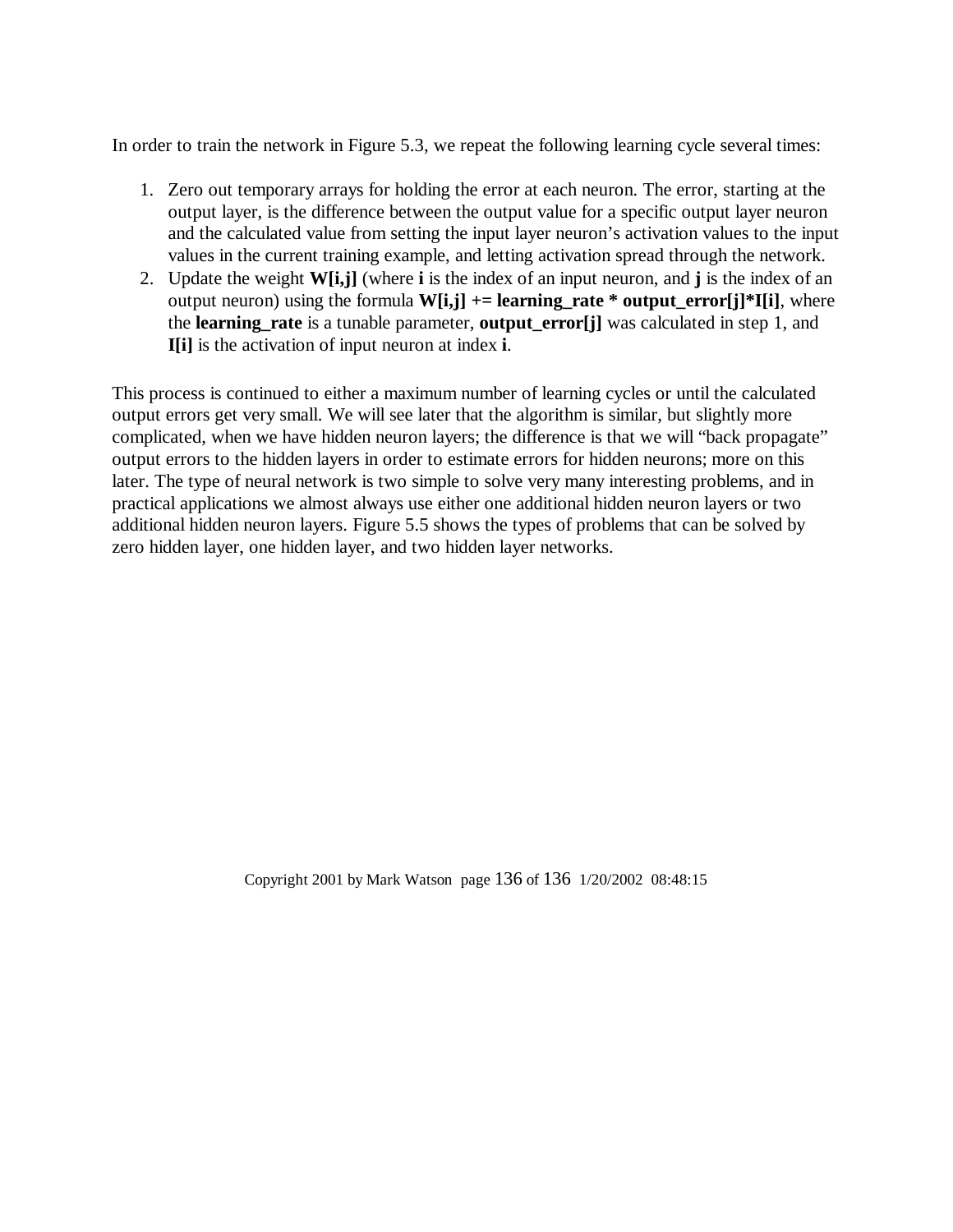In order to train the network in Figure 5.3, we repeat the following learning cycle several times:

- 1. Zero out temporary arrays for holding the error at each neuron. The error, starting at the output layer, is the difference between the output value for a specific output layer neuron and the calculated value from setting the input layer neuron's activation values to the input values in the current training example, and letting activation spread through the network.
- 2. Update the weight **W[i,j]** (where **i** is the index of an input neuron, and **j** is the index of an output neuron) using the formula  $W[i,j]$  += **learning** rate \* output error[j]\*I[i], where the **learning** rate is a tunable parameter, **output** error[j] was calculated in step 1, and **I[i]** is the activation of input neuron at index **i**.

This process is continued to either a maximum number of learning cycles or until the calculated output errors get very small. We will see later that the algorithm is similar, but slightly more complicated, when we have hidden neuron layers; the difference is that we will "back propagate" output errors to the hidden layers in order to estimate errors for hidden neurons; more on this later. The type of neural network is two simple to solve very many interesting problems, and in practical applications we almost always use either one additional hidden neuron layers or two additional hidden neuron layers. Figure 5.5 shows the types of problems that can be solved by zero hidden layer, one hidden layer, and two hidden layer networks.

Copyright 2001 by Mark Watson page 136 of 136 1/20/2002 08:48:15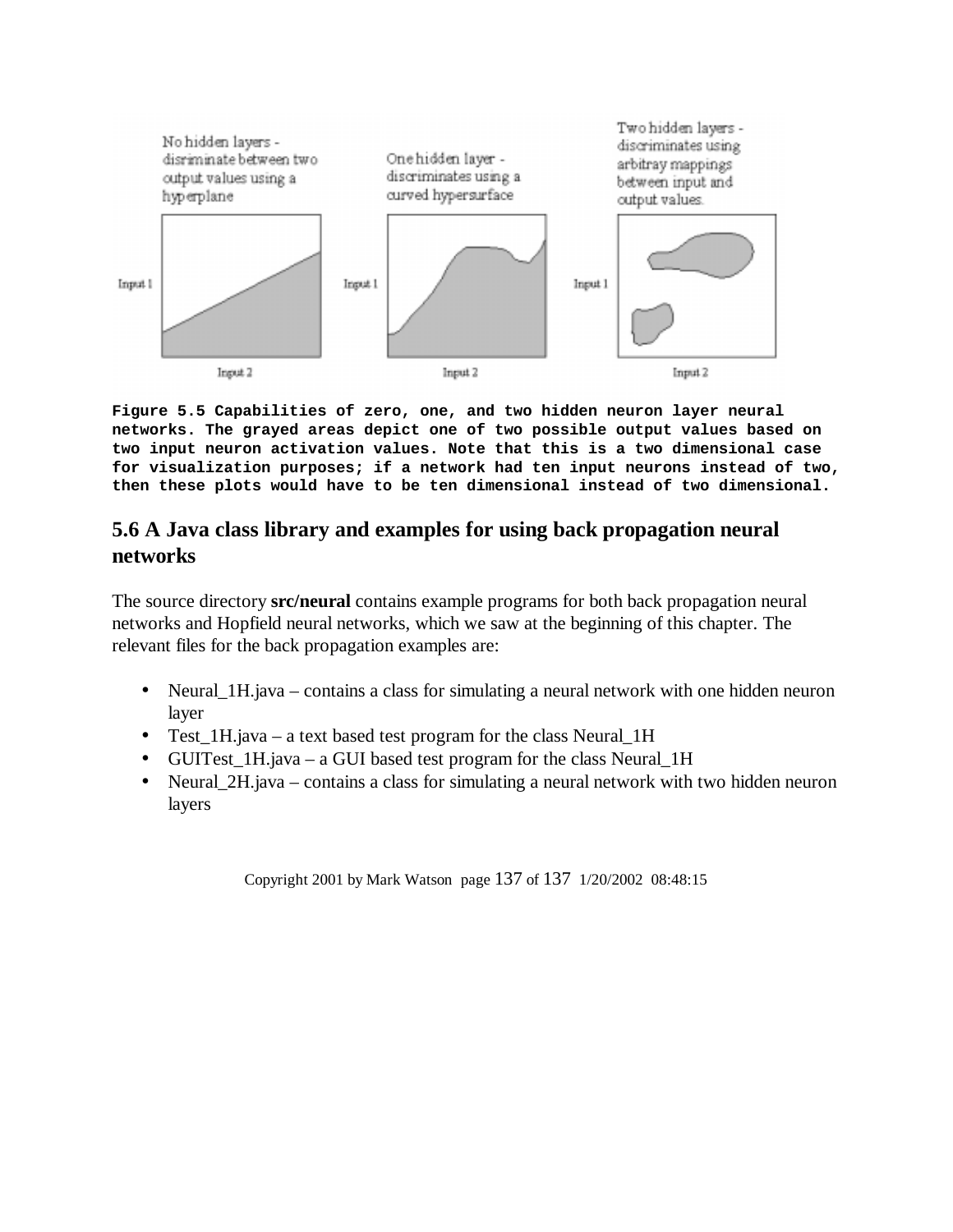

**Figure 5.5 Capabilities of zero, one, and two hidden neuron layer neural networks. The grayed areas depict one of two possible output values based on two input neuron activation values. Note that this is a two dimensional case for visualization purposes; if a network had ten input neurons instead of two, then these plots would have to be ten dimensional instead of two dimensional.**

### **5.6 A Java class library and examples for using back propagation neural networks**

The source directory **src/neural** contains example programs for both back propagation neural networks and Hopfield neural networks, which we saw at the beginning of this chapter. The relevant files for the back propagation examples are:

- Neural\_1H.java contains a class for simulating a neural network with one hidden neuron layer
- Test\_1H.java a text based test program for the class Neural\_1H
- GUITest\_1H.java a GUI based test program for the class Neural\_1H
- Neural\_2H.java contains a class for simulating a neural network with two hidden neuron layers

Copyright 2001 by Mark Watson page 137 of 137 1/20/2002 08:48:15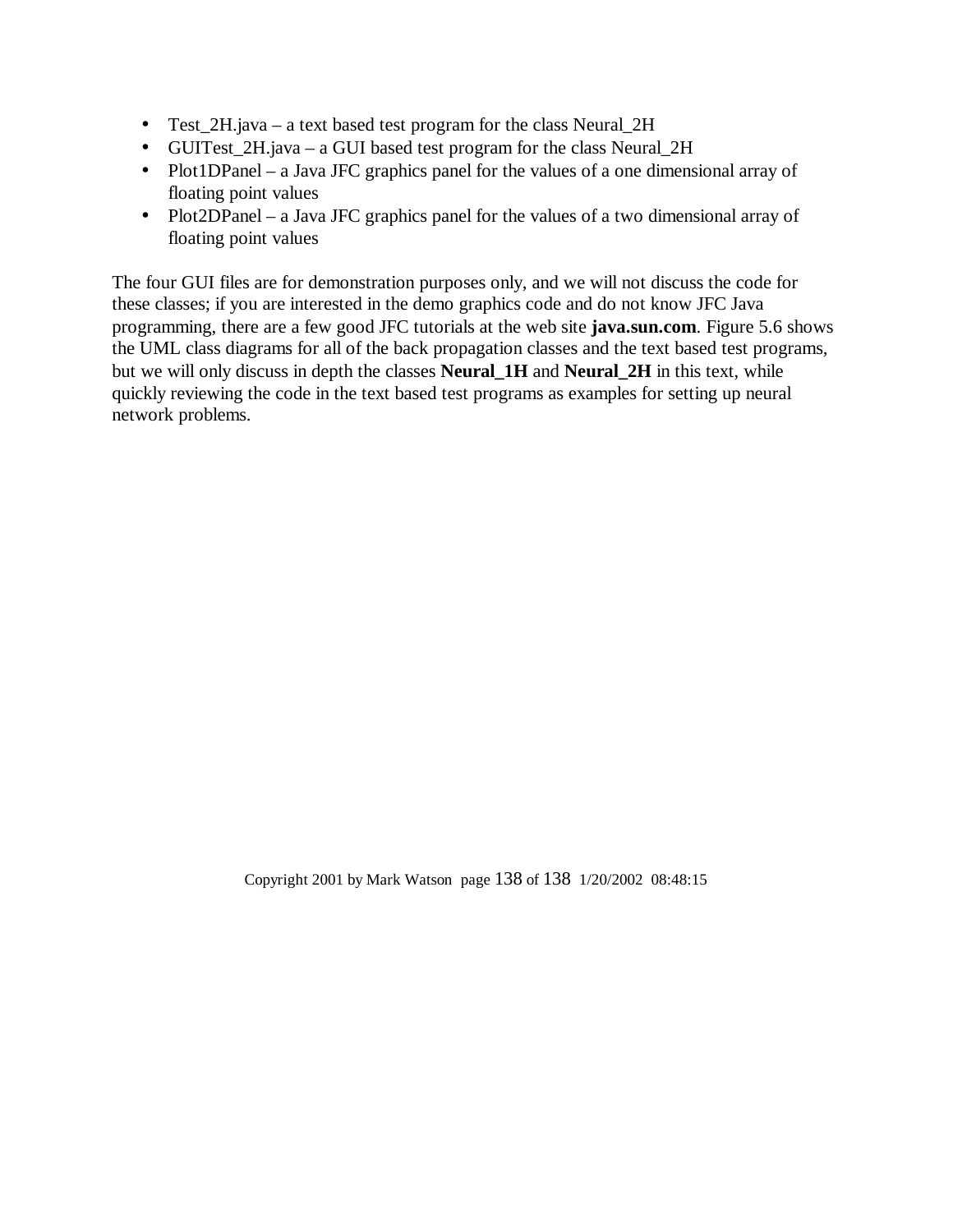- Test\_2H.java a text based test program for the class Neural\_2H
- GUITest\_2H.java a GUI based test program for the class Neural\_2H
- Plot1DPanel a Java JFC graphics panel for the values of a one dimensional array of floating point values
- Plot2DPanel a Java JFC graphics panel for the values of a two dimensional array of floating point values

The four GUI files are for demonstration purposes only, and we will not discuss the code for these classes; if you are interested in the demo graphics code and do not know JFC Java programming, there are a few good JFC tutorials at the web site **java.sun.com**. Figure 5.6 shows the UML class diagrams for all of the back propagation classes and the text based test programs, but we will only discuss in depth the classes **Neural\_1H** and **Neural\_2H** in this text, while quickly reviewing the code in the text based test programs as examples for setting up neural network problems.

Copyright 2001 by Mark Watson page 138 of 138 1/20/2002 08:48:15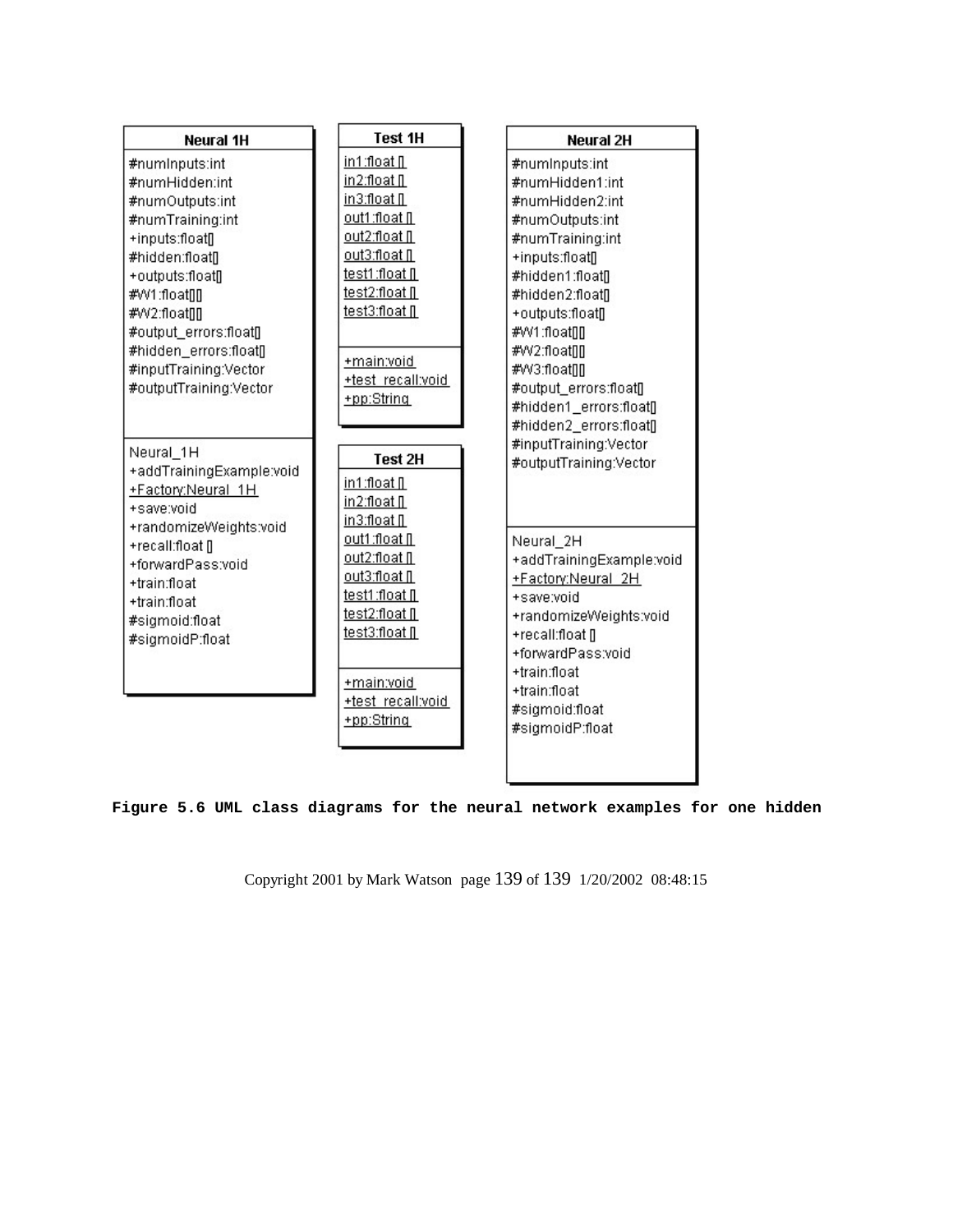| Neural 1H                                                                                                                                                                                                                                                                                                                                                                                                               | Test 1H                                                                                                                                                                                                                                                                                                                      | Neural 2H                                                                                                                                                                                                                                                                                                                                                                                                                     |
|-------------------------------------------------------------------------------------------------------------------------------------------------------------------------------------------------------------------------------------------------------------------------------------------------------------------------------------------------------------------------------------------------------------------------|------------------------------------------------------------------------------------------------------------------------------------------------------------------------------------------------------------------------------------------------------------------------------------------------------------------------------|-------------------------------------------------------------------------------------------------------------------------------------------------------------------------------------------------------------------------------------------------------------------------------------------------------------------------------------------------------------------------------------------------------------------------------|
| #numInputs:int<br>#numHidden:int<br>#numOutputs:int<br>#numTraining:int<br>+inputs:float[]<br>#hidden:float[]<br>+outputs:float[]<br>#W1:float[]<br>#W2:float[I]<br>#output_errors:float[]<br>#hidden_errors:float[]<br>#inputTraining:Vector<br>#outputTraining:Vector<br>Neural 1H<br>+addTrainingExample:void<br>+Factory:Neural 1H<br>+save:void<br>+randomizeWeights:void<br>+recall:float []<br>+forwardPass:void | in1:float [L]<br>in2:float []<br>in3:float []<br>out1:float []<br>out2:float []<br>out3:float []<br>test1:float []<br>test2:float []<br>test3:float []<br>+main:void<br>+test recall:void<br>+pp:String<br><b>Test 2H</b><br>in1:float []<br>in2:float [L<br>in3:float []<br>out1:float []<br>out2:float []<br>out3:float [] | #numInputs:int<br>#numHidden1:int<br>#numHidden2:int<br>#numOutputs:int<br>#numTraining:int<br>+inputs:float[]<br>#hidden1:float[]<br>#hidden2:float[]<br>+outputs:float[]<br>#W1:float[II]<br>#W2:float[][<br>#W3:float[][<br>#output_errors:float[]<br>#hidden1_errors:float[]<br>#hidden2_errors:float[]<br>#inputTraining:Vector<br>#outputTraining:Vector<br>Neural 2H<br>+addTrainingExample:void<br>+Factory:Neural 2H |
| +train:float<br>+train:float<br>#sigmoid:float<br>#sigmoidP:float                                                                                                                                                                                                                                                                                                                                                       | test1:float []<br>test2:float []<br>test3:float []<br>+main:void<br>+test_recall:void<br>+pp:String                                                                                                                                                                                                                          | +save:void<br>+randomizeWeights:void<br>+recall:float []<br>+forwardPass:void<br>+train:float<br>+train:float<br>#sigmoid:float<br>#sigmoidP:float                                                                                                                                                                                                                                                                            |

**Figure 5.6 UML class diagrams for the neural network examples for one hidden**

Copyright 2001 by Mark Watson page 139 of 139 1/20/2002 08:48:15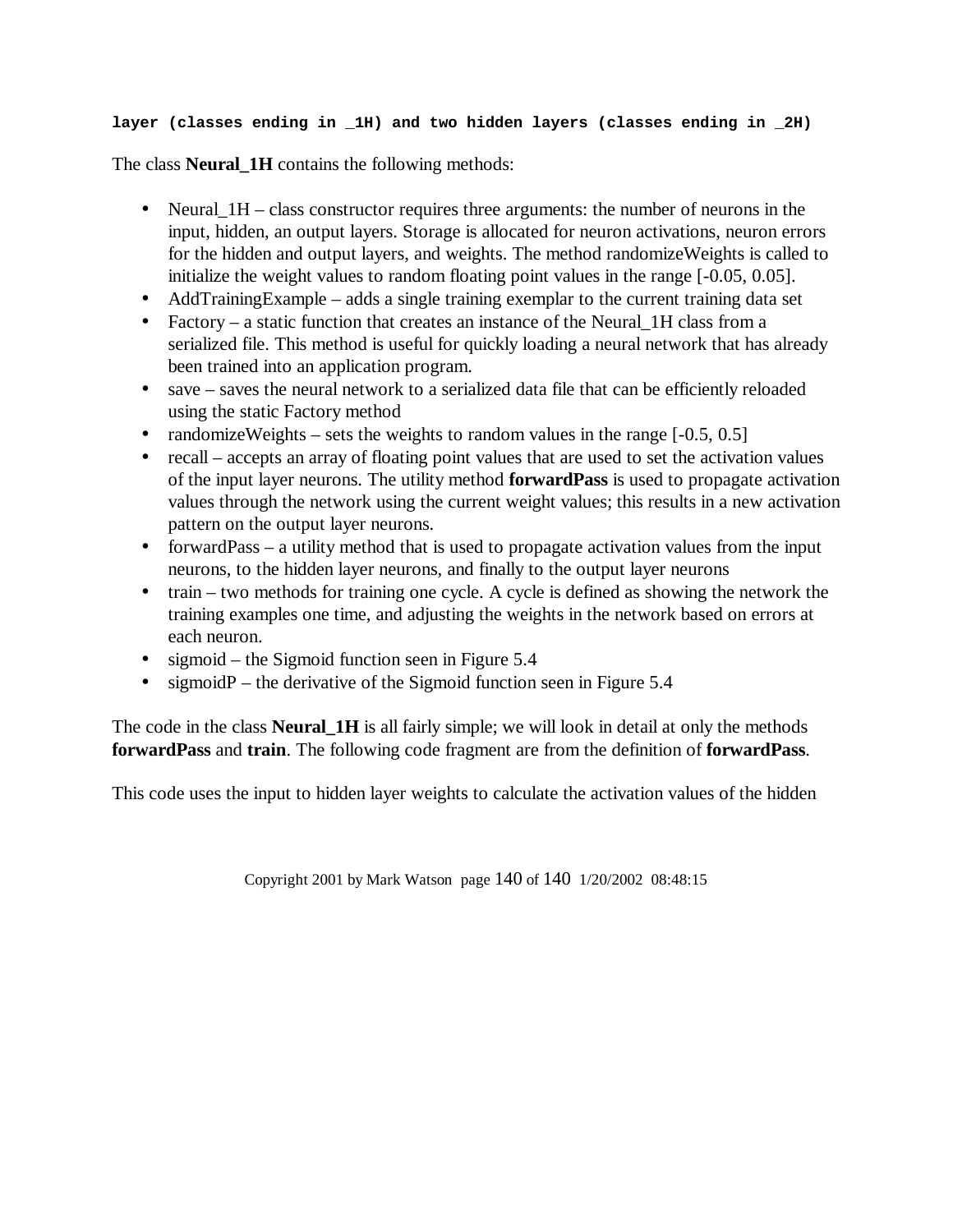#### **layer (classes ending in \_1H) and two hidden layers (classes ending in \_2H)**

The class **Neural 1H** contains the following methods:

- Neural  $1H -$  class constructor requires three arguments: the number of neurons in the input, hidden, an output layers. Storage is allocated for neuron activations, neuron errors for the hidden and output layers, and weights. The method randomizeWeights is called to initialize the weight values to random floating point values in the range [-0.05, 0.05].
- AddTrainingExample adds a single training exemplar to the current training data set
- Factory a static function that creates an instance of the Neural  $1H$  class from a serialized file. This method is useful for quickly loading a neural network that has already been trained into an application program.
- save saves the neural network to a serialized data file that can be efficiently reloaded using the static Factory method
- randomizeWeights sets the weights to random values in the range  $[-0.5, 0.5]$
- recall accepts an array of floating point values that are used to set the activation values of the input layer neurons. The utility method **forwardPass** is used to propagate activation values through the network using the current weight values; this results in a new activation pattern on the output layer neurons.
- forwardPass a utility method that is used to propagate activation values from the input neurons, to the hidden layer neurons, and finally to the output layer neurons
- train two methods for training one cycle. A cycle is defined as showing the network the training examples one time, and adjusting the weights in the network based on errors at each neuron.
- sigmoid the Sigmoid function seen in Figure 5.4
- sigmoidP the derivative of the Sigmoid function seen in Figure 5.4

The code in the class **Neural\_1H** is all fairly simple; we will look in detail at only the methods **forwardPass** and **train**. The following code fragment are from the definition of **forwardPass**.

This code uses the input to hidden layer weights to calculate the activation values of the hidden

Copyright 2001 by Mark Watson page 140 of 140 1/20/2002 08:48:15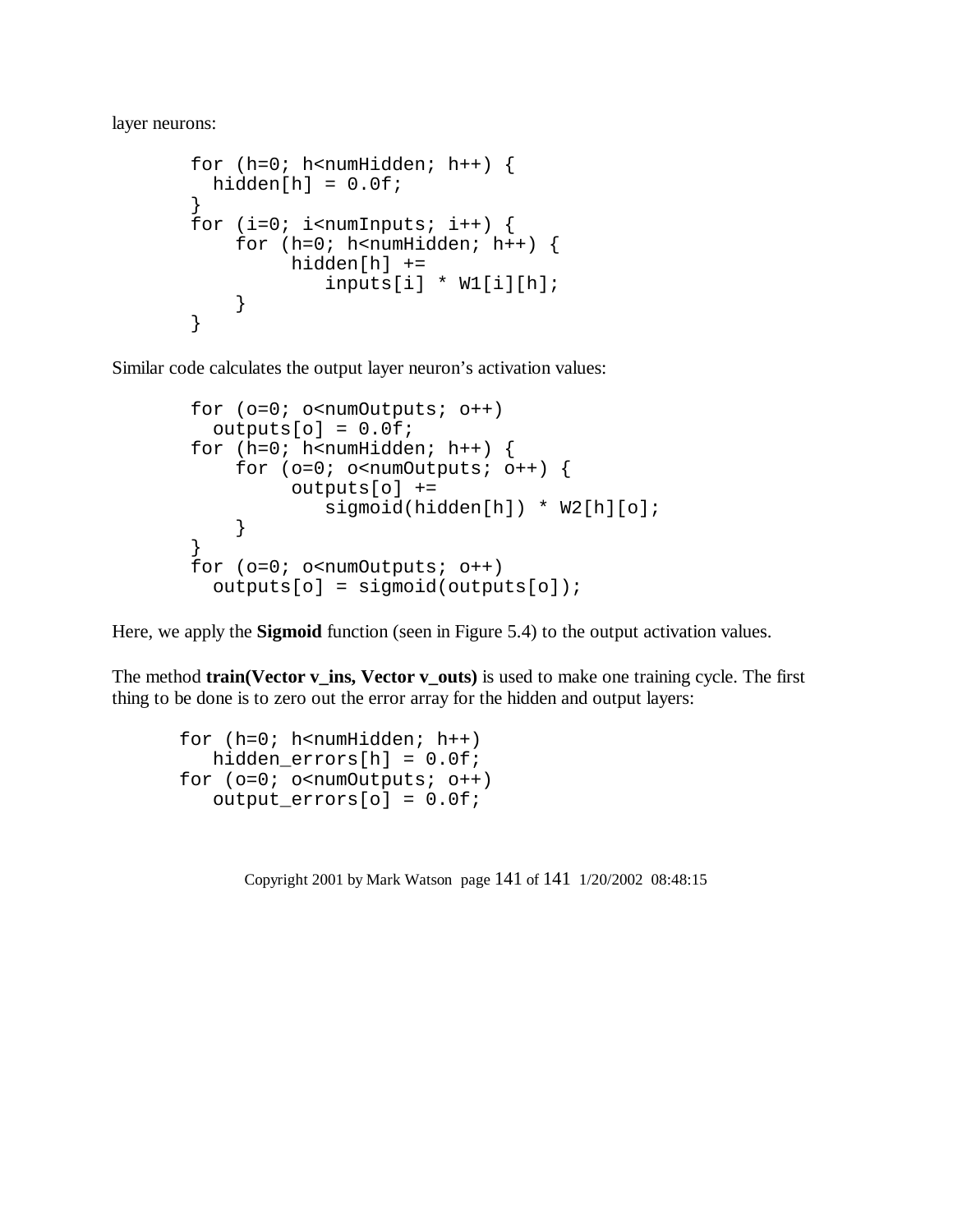layer neurons:

```
for (h=0; h<sub>sumH</sub>idden; h++) {
  hidden[h] = 0.0f;}
for (i=0; i<sub>numInputStream</sub>) {
    for (h=0; h<numHidden; h++) {
          hidden[h] +=
              inputs[i] * W1[i][h];
    }
}
```
Similar code calculates the output layer neuron's activation values:

```
for (o=0; o<numOutputs; o++)
  outputs[o] = 0.0f;for (h=0; h<sub>numHidden</sub>; h++) {
    for (o=0; o<numOutputs; o++) {
         outputs[o] +=
            sigmoid(hidden[h]) * W2[h][o];
    }
}
for (o=0; o<numOutputs; o++)
  outputs[o] = sigmoid(outputs[o]);
```
Here, we apply the **Sigmoid** function (seen in Figure 5.4) to the output activation values.

The method **train(Vector v\_ins, Vector v\_outs)** is used to make one training cycle. The first thing to be done is to zero out the error array for the hidden and output layers:

```
for (h=0; h<sub>sumH</sub>idden; h++)hidden errors[h] = 0.0f;for (o=0; o<numOutputs; o++)
   output_errors[o] = 0.0f;
```
Copyright 2001 by Mark Watson page 141 of 141 1/20/2002 08:48:15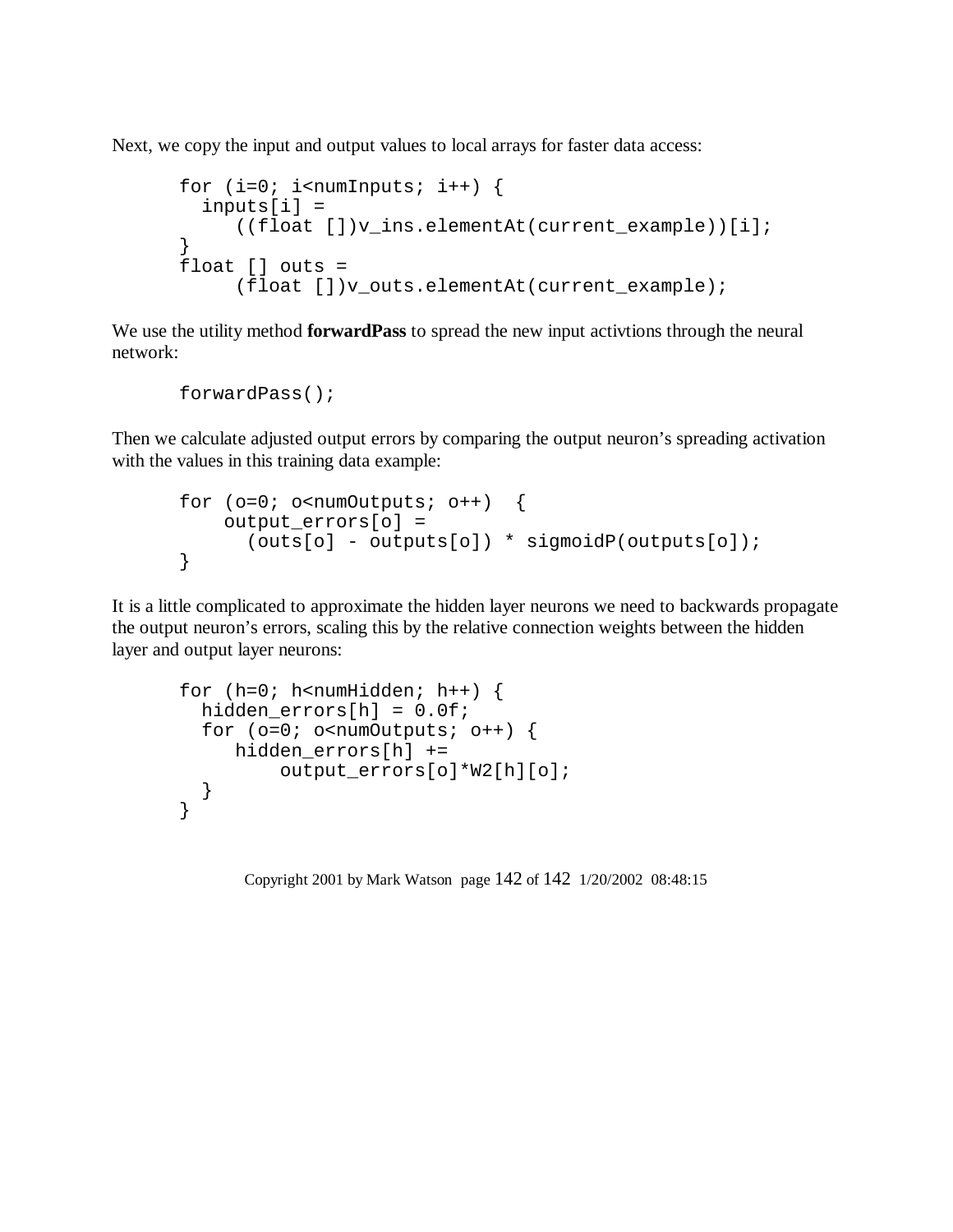Next, we copy the input and output values to local arrays for faster data access:

```
for (i=0; i<sub>sumInputs; i++) {
  inputs[i] =
     ((float [])v_ins.elementAt(current_example))[i];
}
float [] outs =
     (float [])v_outs.elementAt(current_example);
```
We use the utility method **forwardPass** to spread the new input activtions through the neural network:

```
forwardPass();
```
Then we calculate adjusted output errors by comparing the output neuron's spreading activation with the values in this training data example:

```
for (o=0; o\leq numOutputs; o++) {
    output_errors[o] =
      (outs[o] - outputs[o]) * sigmoidP(outputs[o]);
}
```
It is a little complicated to approximate the hidden layer neurons we need to backwards propagate the output neuron's errors, scaling this by the relative connection weights between the hidden layer and output layer neurons:

```
for (h=0; h<sub>numHidden</sub>; h++) {
  hidden_errors[h] = 0.0f;
  for (o=0; o\leq numOutputs; o++) {
     hidden_errors[h] +=
          output_errors[o]*W2[h][o];
  }
}
```
Copyright 2001 by Mark Watson page 142 of 142 1/20/2002 08:48:15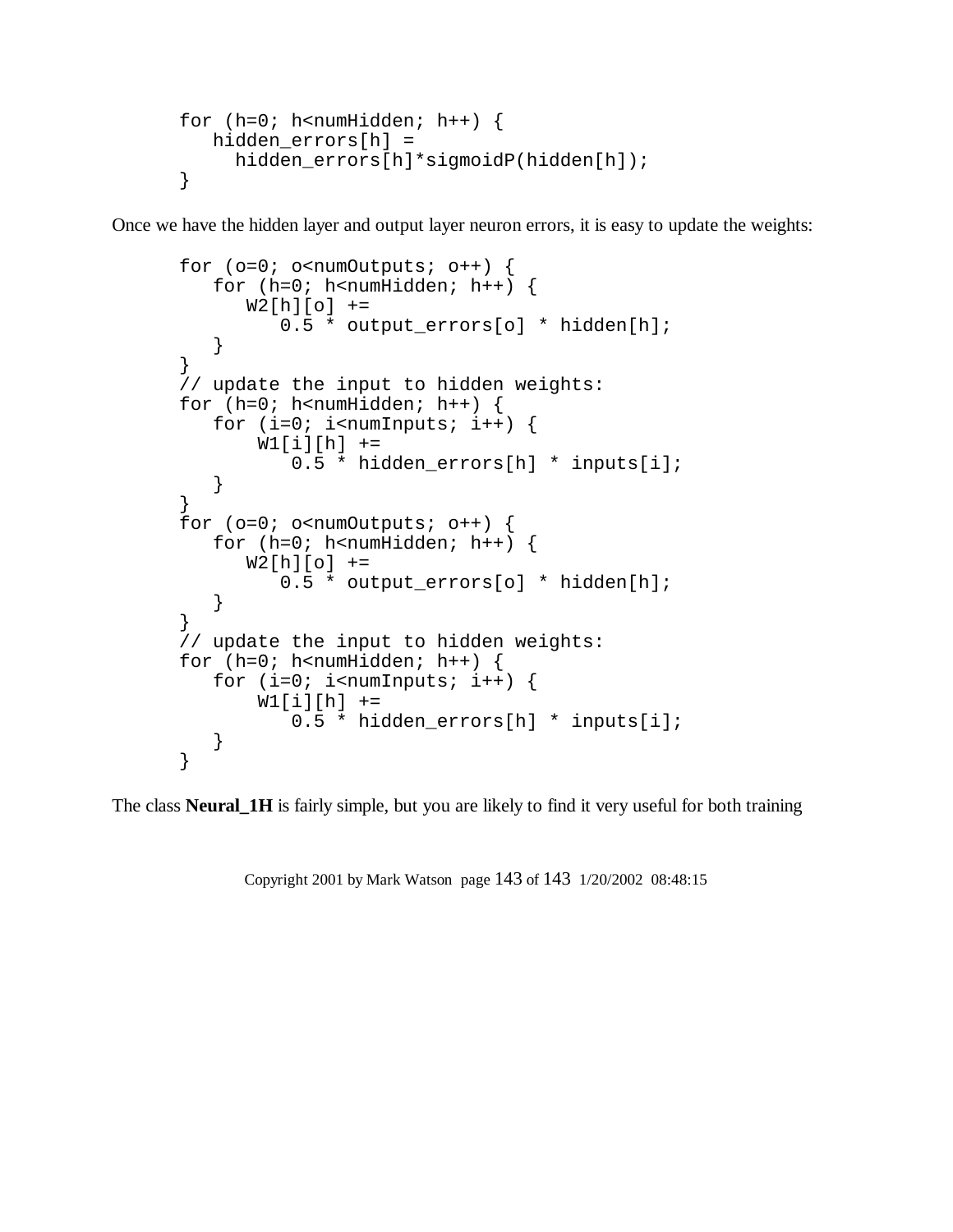```
for (h=0; h<numHidden; h++) {
   hidden_errors[h] =
     hidden_errors[h]*sigmoidP(hidden[h]);
}
```
Once we have the hidden layer and output layer neuron errors, it is easy to update the weights:

```
for (o=0; o\leq numOutputs; o++) {
   for (h=0; h<numHidden; h++) {
      W2[h][o] +=
         0.5 * output_errors[o] * hidden[h];
   }
}
// update the input to hidden weights:
for (h=0; h<sub>numH</sub>idden; h++) {
   for (i=0; i<numInputs; i++) {
       W1[i][h] +=
          0.5 * hidden_errors[h] * inputs[i];
   }
}
for (o=0; o<numOutputs; o++) {
   for (h=0; h<numHidden; h++) {
      W2[h][o] +=0.5 * output_errors[o] * hidden[h];
   }
}
// update the input to hidden weights:
for (h=0; h<numHidden; h++) {
   for (i=0; i<sub>sumInputs; i++) {
       W1[i][h] +=
          0.5 * hidden_errors[h] * inputs[i];
   }
}
```
The class **Neural\_1H** is fairly simple, but you are likely to find it very useful for both training

Copyright 2001 by Mark Watson page 143 of 143 1/20/2002 08:48:15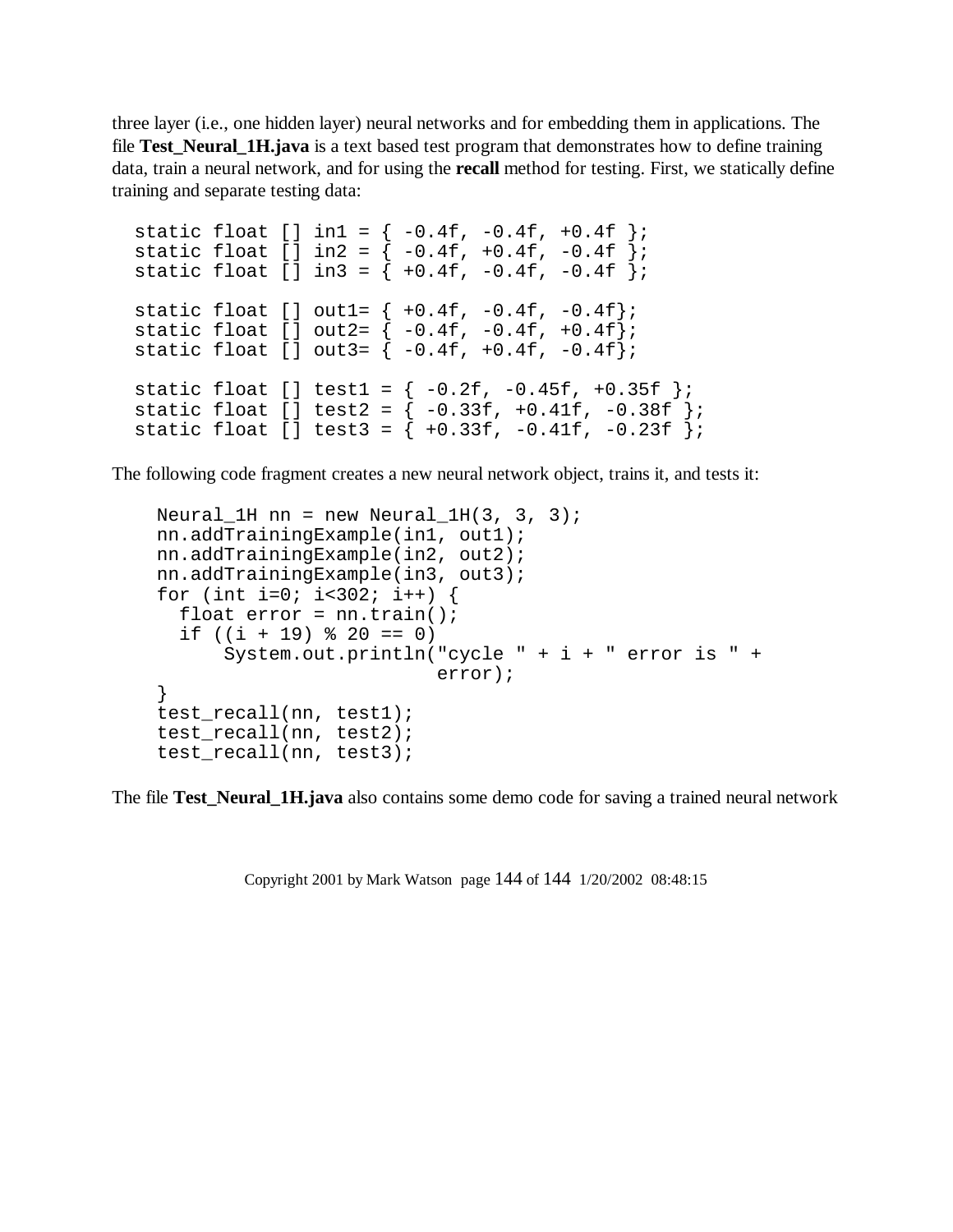three layer (i.e., one hidden layer) neural networks and for embedding them in applications. The file **Test\_Neural\_1H.java** is a text based test program that demonstrates how to define training data, train a neural network, and for using the **recall** method for testing. First, we statically define training and separate testing data:

```
static float [] in1 = { -0.4f, -0.4f, +0.4f };
static float [] in2 = \{-0.4f, +0.4f, -0.4f\};
static float [] in3 = \{ +0.4f, -0.4f, -0.4f \};
static float [] out1= \{ +0.4f, -0.4f, -0.4f \};
static float [] out2= \{-0.4f, -0.4f, +0.4f\};static float [] out3= \{-0.4f, +0.4f, -0.4f\};static float [] test1 = \{-0.2f, -0.45f, +0.35f\};
static float [] test2 = \{-0.33f, +0.41f, -0.38f\};
static float [] test3 = \{ +0.33f, -0.41f, -0.23f \};
```
The following code fragment creates a new neural network object, trains it, and tests it:

```
Neural 1H nn = new Neural 1H(3, 3, 3);
nn.addTrainingExample(in1, out1);
nn.addTrainingExample(in2, out2);
nn.addTrainingExample(in3, out3);
for (int i=0; i<302; i++) {
  float error = nn.train();
  if ((i + 19) % 20 == 0)System.out.println("cycle"+i+" error is " +
                         error);
}
test recall(nn, test1);
test_recall(nn, test2);
test_recall(nn, test3);
```
The file **Test Neural 1H.java** also contains some demo code for saving a trained neural network

Copyright 2001 by Mark Watson page 144 of 144 1/20/2002 08:48:15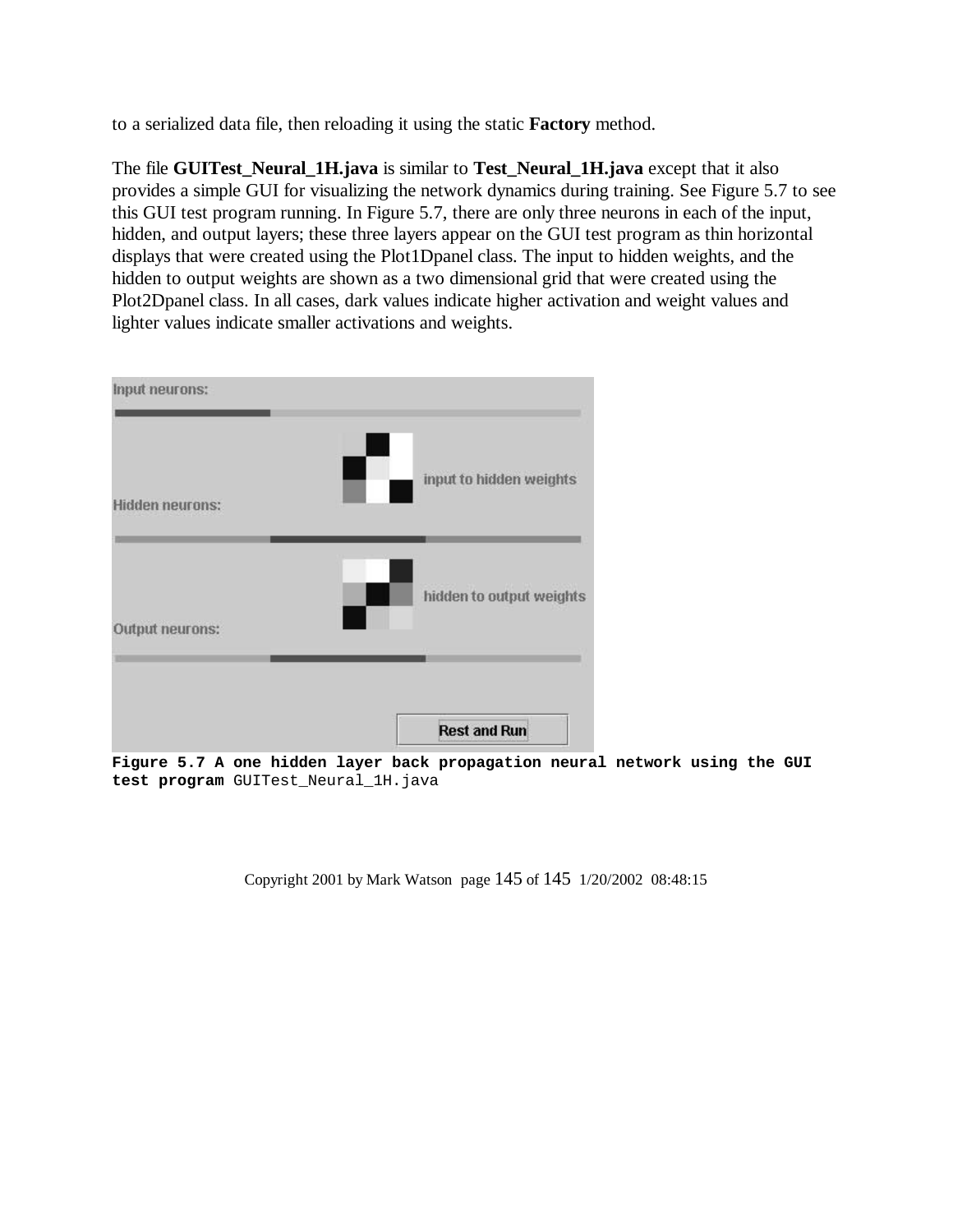to a serialized data file, then reloading it using the static **Factory** method.

The file **GUITest\_Neural\_1H.java** is similar to **Test\_Neural\_1H.java** except that it also provides a simple GUI for visualizing the network dynamics during training. See Figure 5.7 to see this GUI test program running. In Figure 5.7, there are only three neurons in each of the input, hidden, and output layers; these three layers appear on the GUI test program as thin horizontal displays that were created using the Plot1Dpanel class. The input to hidden weights, and the hidden to output weights are shown as a two dimensional grid that were created using the Plot2Dpanel class. In all cases, dark values indicate higher activation and weight values and lighter values indicate smaller activations and weights.



**Figure 5.7 A one hidden layer back propagation neural network using the GUI test program** GUITest\_Neural\_1H.java

Copyright 2001 by Mark Watson page 145 of 145 1/20/2002 08:48:15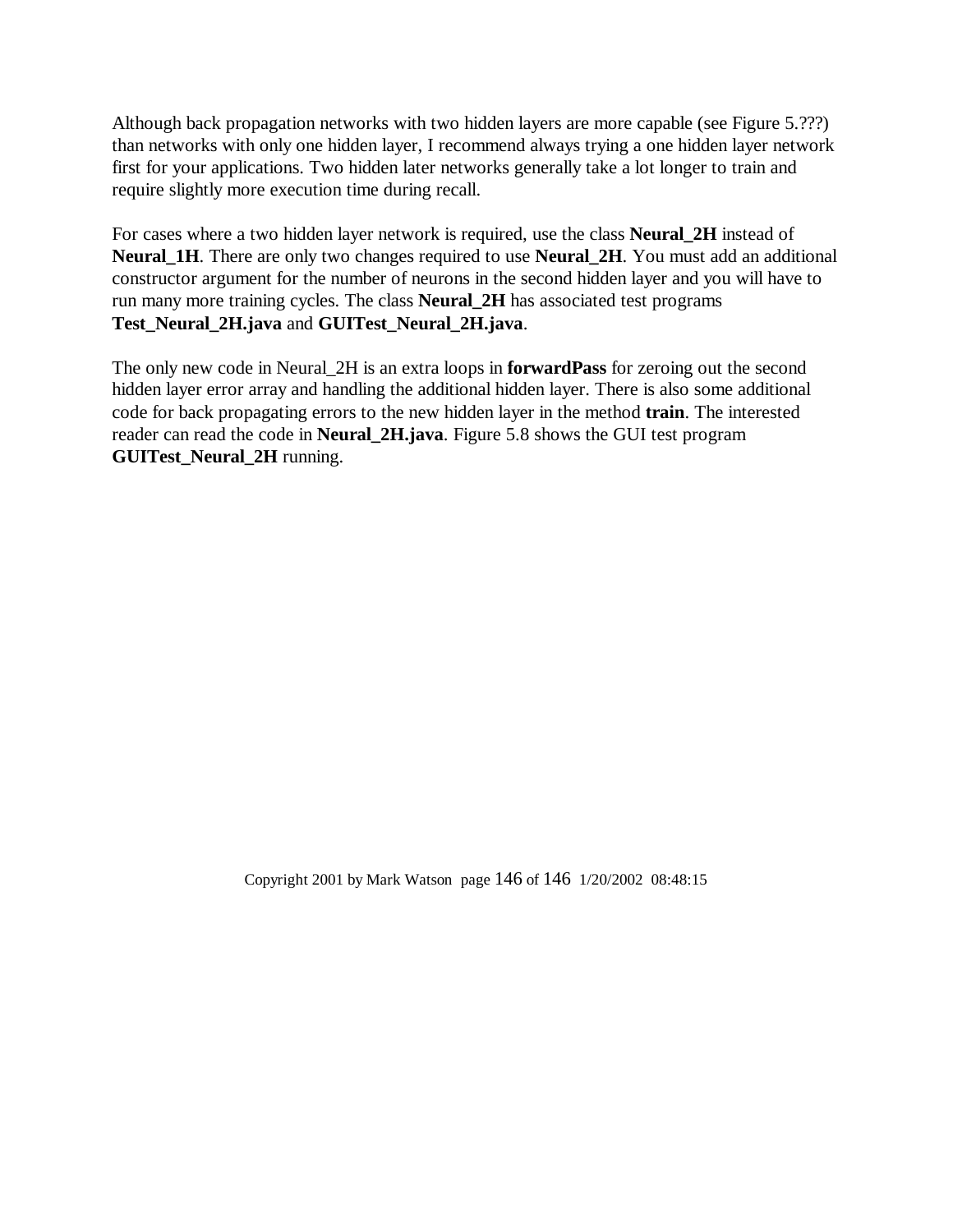Although back propagation networks with two hidden layers are more capable (see Figure 5.???) than networks with only one hidden layer, I recommend always trying a one hidden layer network first for your applications. Two hidden later networks generally take a lot longer to train and require slightly more execution time during recall.

For cases where a two hidden layer network is required, use the class **Neural\_2H** instead of **Neural\_1H**. There are only two changes required to use **Neural\_2H**. You must add an additional constructor argument for the number of neurons in the second hidden layer and you will have to run many more training cycles. The class **Neural\_2H** has associated test programs **Test\_Neural\_2H.java** and **GUITest\_Neural\_2H.java**.

The only new code in Neural\_2H is an extra loops in **forwardPass** for zeroing out the second hidden layer error array and handling the additional hidden layer. There is also some additional code for back propagating errors to the new hidden layer in the method **train**. The interested reader can read the code in **Neural\_2H.java**. Figure 5.8 shows the GUI test program **GUITest\_Neural\_2H** running.

Copyright 2001 by Mark Watson page 146 of 146 1/20/2002 08:48:15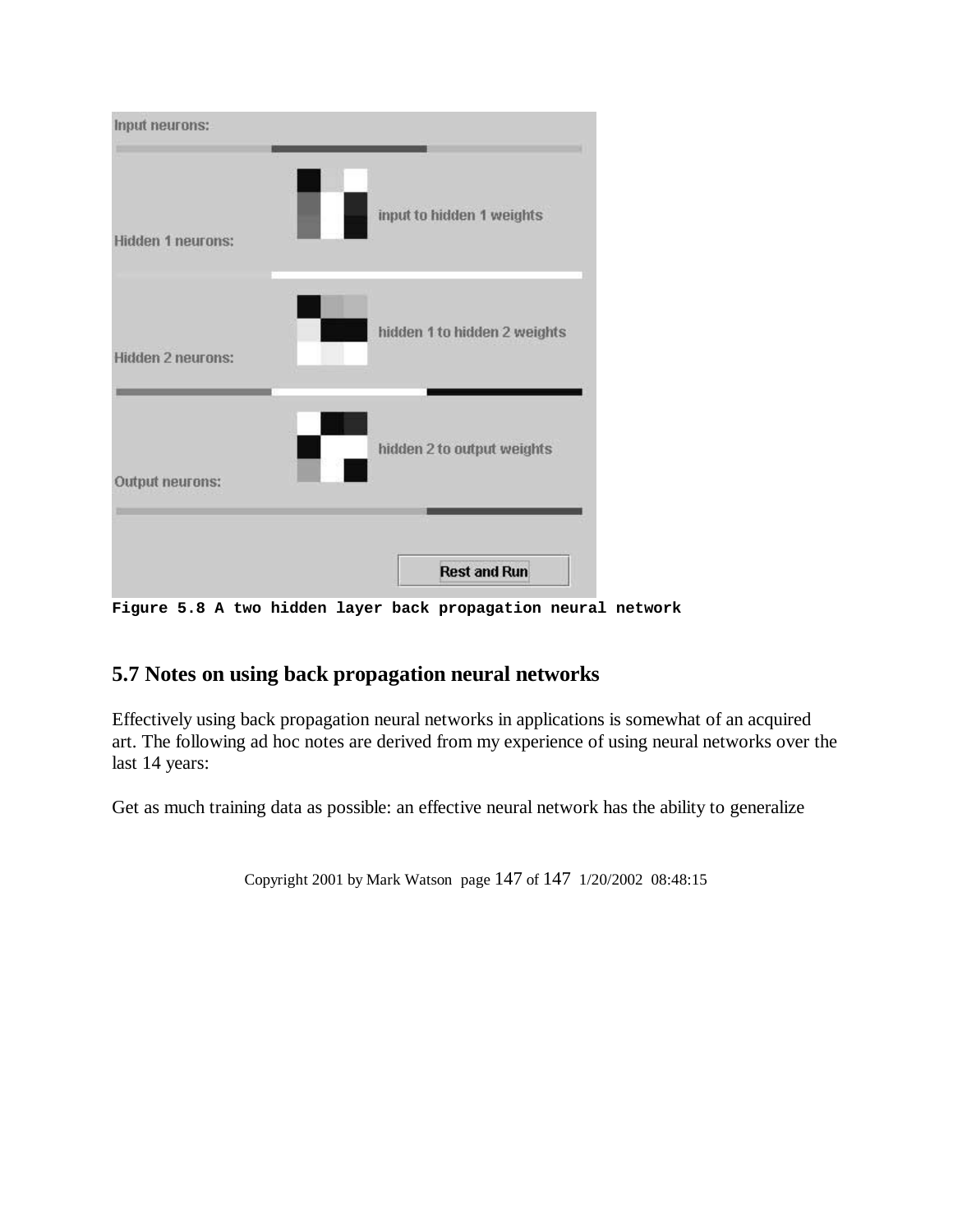

**Figure 5.8 A two hidden layer back propagation neural network**

## **5.7 Notes on using back propagation neural networks**

Effectively using back propagation neural networks in applications is somewhat of an acquired art. The following ad hoc notes are derived from my experience of using neural networks over the last 14 years:

Get as much training data as possible: an effective neural network has the ability to generalize

Copyright 2001 by Mark Watson page 147 of 147 1/20/2002 08:48:15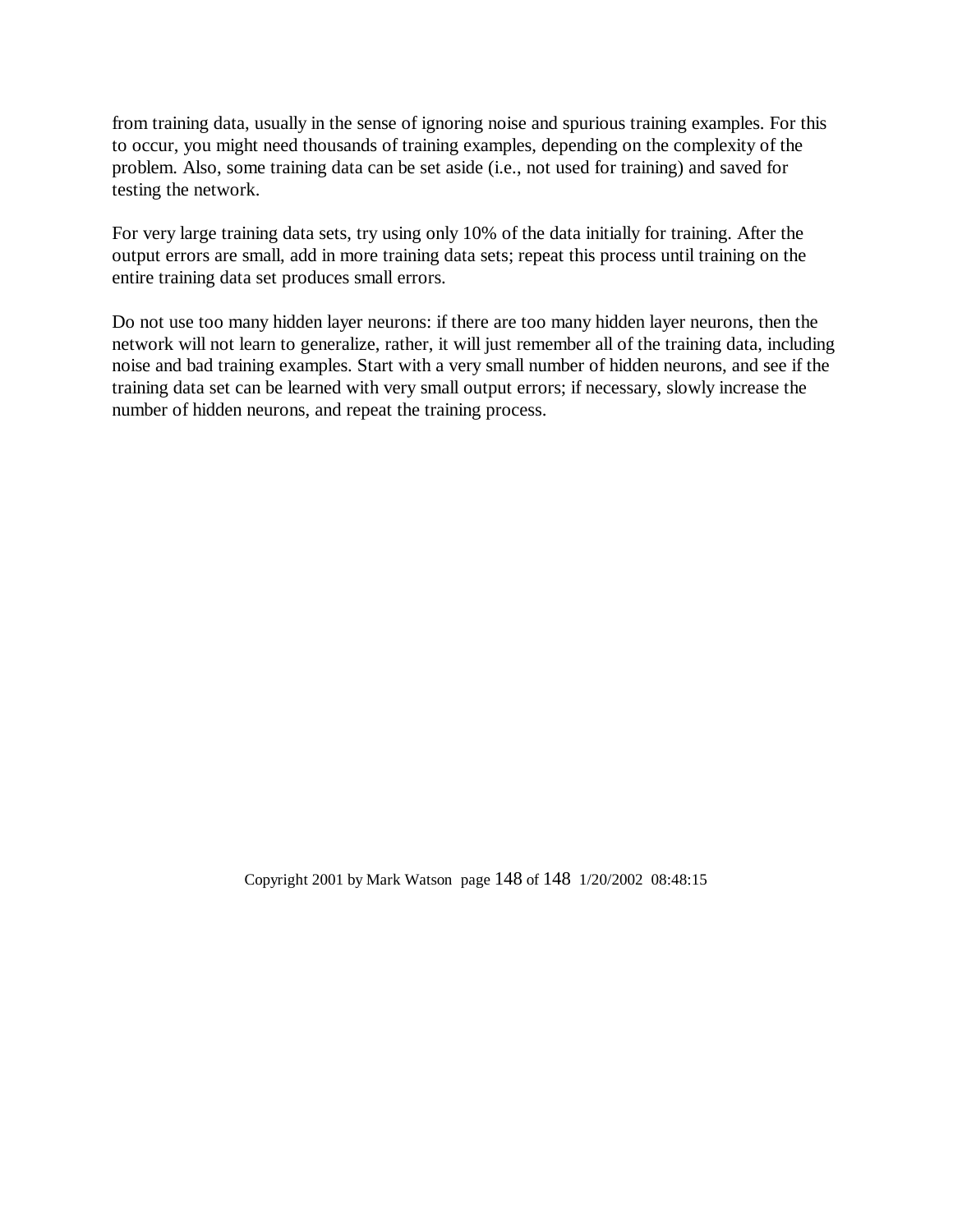from training data, usually in the sense of ignoring noise and spurious training examples. For this to occur, you might need thousands of training examples, depending on the complexity of the problem. Also, some training data can be set aside (i.e., not used for training) and saved for testing the network.

For very large training data sets, try using only 10% of the data initially for training. After the output errors are small, add in more training data sets; repeat this process until training on the entire training data set produces small errors.

Do not use too many hidden layer neurons: if there are too many hidden layer neurons, then the network will not learn to generalize, rather, it will just remember all of the training data, including noise and bad training examples. Start with a very small number of hidden neurons, and see if the training data set can be learned with very small output errors; if necessary, slowly increase the number of hidden neurons, and repeat the training process.

Copyright 2001 by Mark Watson page 148 of 148 1/20/2002 08:48:15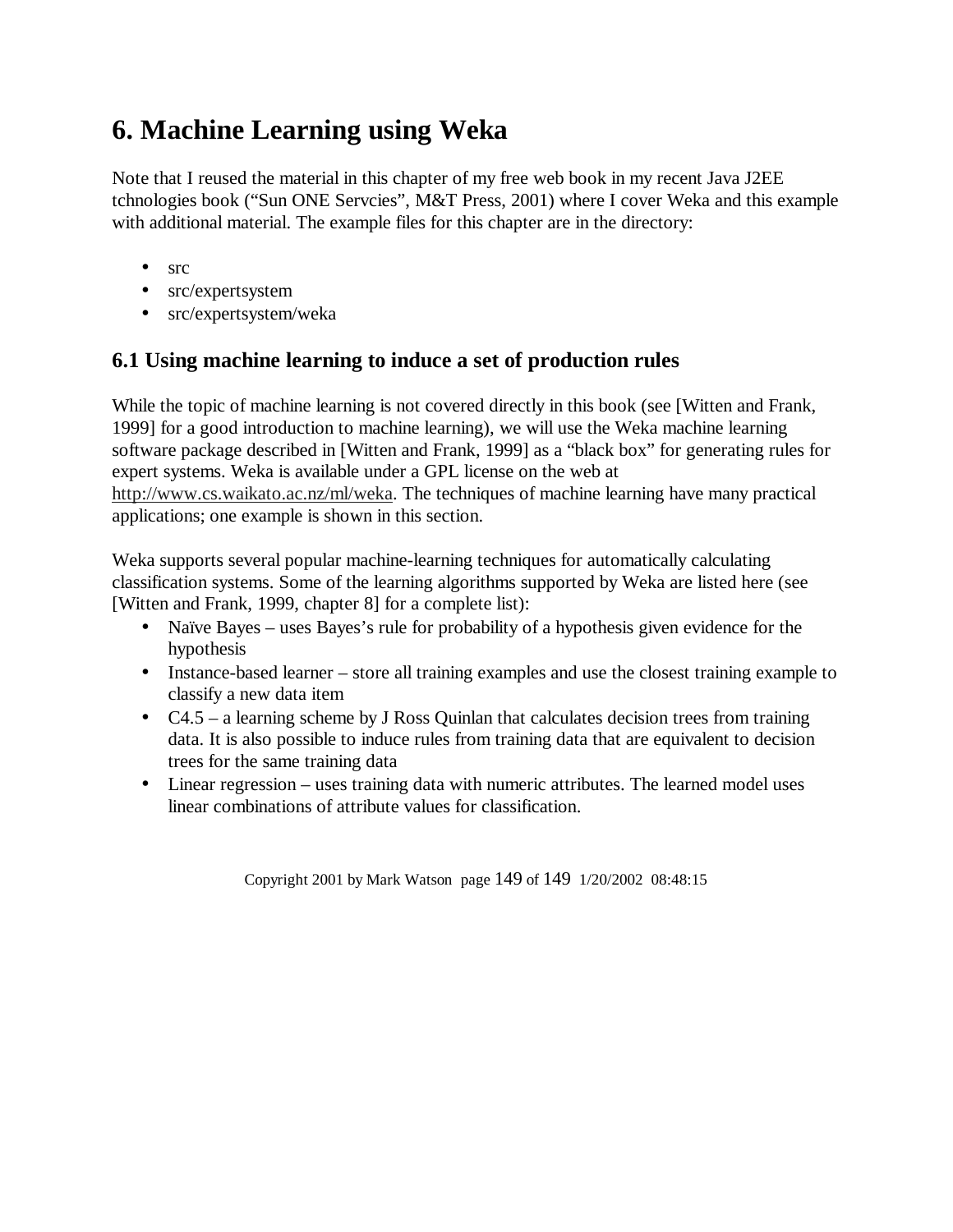# **6. Machine Learning using Weka**

Note that I reused the material in this chapter of my free web book in my recent Java J2EE tchnologies book ("Sun ONE Servcies", M&T Press, 2001) where I cover Weka and this example with additional material. The example files for this chapter are in the directory:

- src
- src/expertsystem
- src/expertsystem/weka

### **6.1 Using machine learning to induce a set of production rules**

While the topic of machine learning is not covered directly in this book (see [Witten and Frank, 1999] for a good introduction to machine learning), we will use the Weka machine learning software package described in [Witten and Frank, 1999] as a "black box" for generating rules for expert systems. Weka is available under a GPL license on the web at http://www.cs.waikato.ac.nz/ml/weka. The techniques of machine learning have many practical applications; one example is shown in this section.

Weka supports several popular machine-learning techniques for automatically calculating classification systems. Some of the learning algorithms supported by Weka are listed here (see [Witten and Frank, 1999, chapter 8] for a complete list):

- Naïve Bayes uses Bayes's rule for probability of a hypothesis given evidence for the hypothesis
- Instance-based learner store all training examples and use the closest training example to classify a new data item
- C4.5 a learning scheme by J Ross Quinlan that calculates decision trees from training data. It is also possible to induce rules from training data that are equivalent to decision trees for the same training data
- Linear regression uses training data with numeric attributes. The learned model uses linear combinations of attribute values for classification.

Copyright 2001 by Mark Watson page 149 of 149 1/20/2002 08:48:15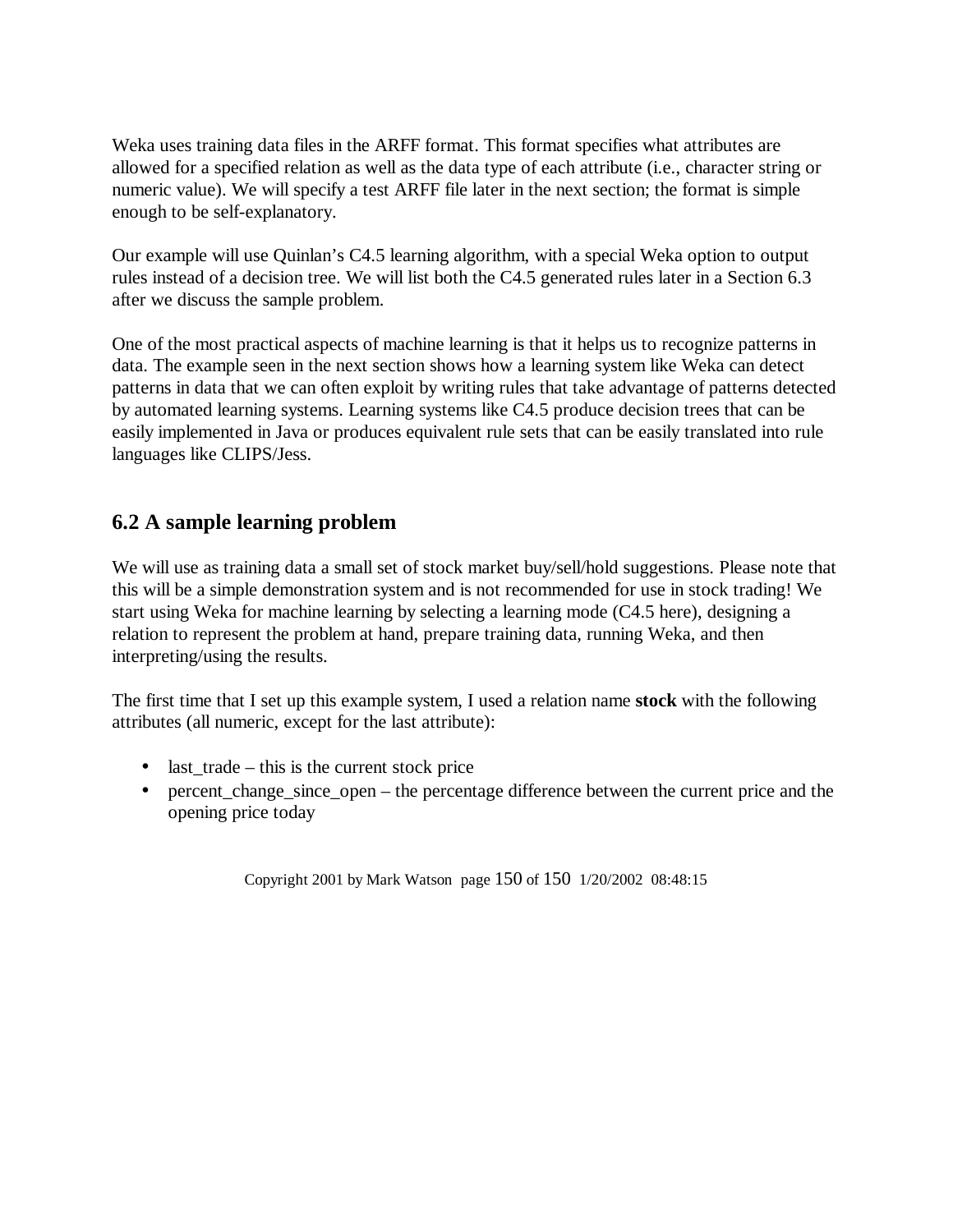Weka uses training data files in the ARFF format. This format specifies what attributes are allowed for a specified relation as well as the data type of each attribute (i.e., character string or numeric value). We will specify a test ARFF file later in the next section; the format is simple enough to be self-explanatory.

Our example will use Quinlan's C4.5 learning algorithm, with a special Weka option to output rules instead of a decision tree. We will list both the C4.5 generated rules later in a Section 6.3 after we discuss the sample problem.

One of the most practical aspects of machine learning is that it helps us to recognize patterns in data. The example seen in the next section shows how a learning system like Weka can detect patterns in data that we can often exploit by writing rules that take advantage of patterns detected by automated learning systems. Learning systems like C4.5 produce decision trees that can be easily implemented in Java or produces equivalent rule sets that can be easily translated into rule languages like CLIPS/Jess.

## **6.2 A sample learning problem**

We will use as training data a small set of stock market buy/sell/hold suggestions. Please note that this will be a simple demonstration system and is not recommended for use in stock trading! We start using Weka for machine learning by selecting a learning mode (C4.5 here), designing a relation to represent the problem at hand, prepare training data, running Weka, and then interpreting/using the results.

The first time that I set up this example system, I used a relation name **stock** with the following attributes (all numeric, except for the last attribute):

- last\_trade this is the current stock price
- percent change since open the percentage difference between the current price and the opening price today

Copyright 2001 by Mark Watson page 150 of 150 1/20/2002 08:48:15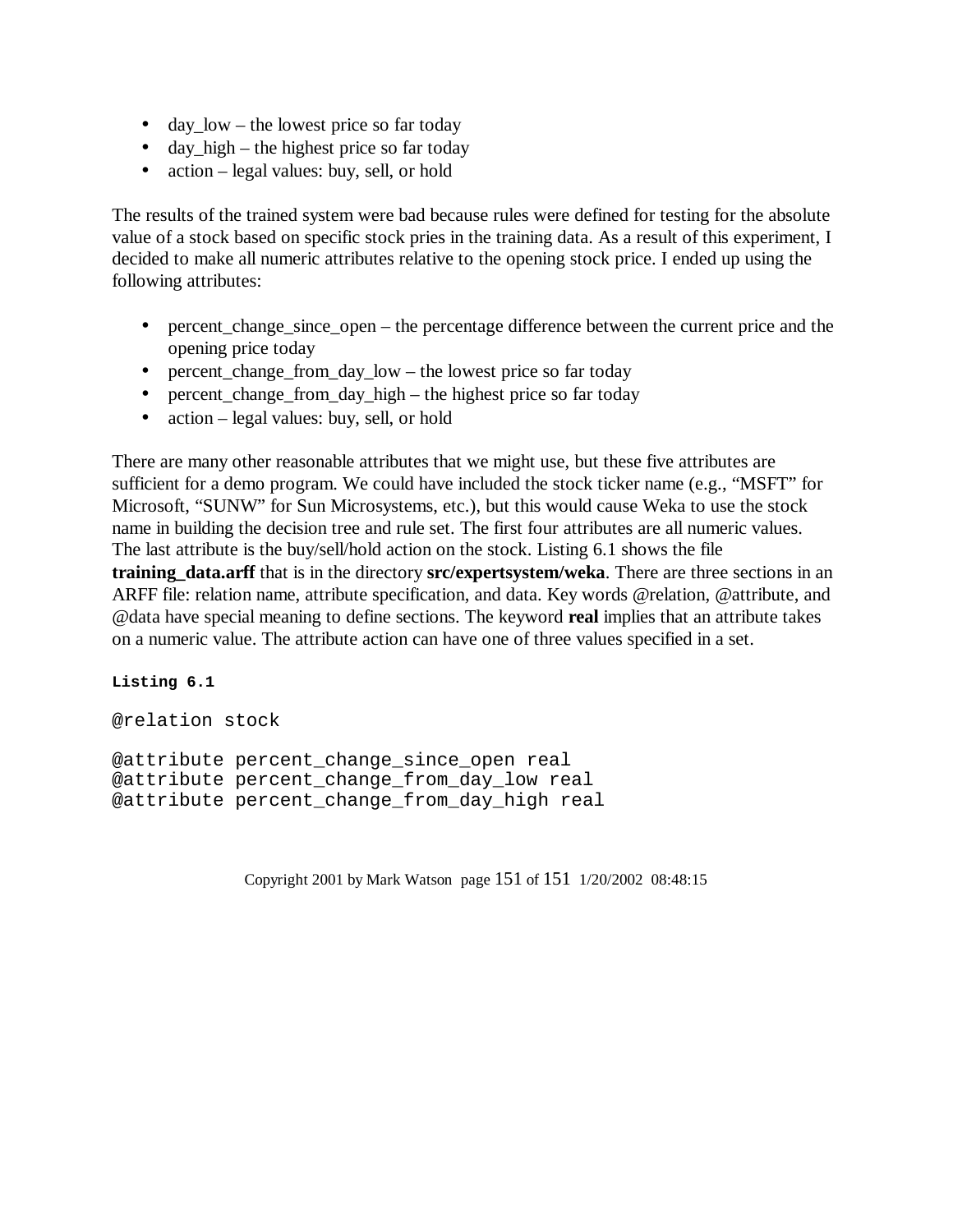- day\_low the lowest price so far today
- day high the highest price so far today
- action legal values: buy, sell, or hold

The results of the trained system were bad because rules were defined for testing for the absolute value of a stock based on specific stock pries in the training data. As a result of this experiment, I decided to make all numeric attributes relative to the opening stock price. I ended up using the following attributes:

- percent change since open the percentage difference between the current price and the opening price today
- percent\_change\_from\_day\_low the lowest price so far today
- percent change from day high the highest price so far today
- action legal values: buy, sell, or hold

There are many other reasonable attributes that we might use, but these five attributes are sufficient for a demo program. We could have included the stock ticker name (e.g., "MSFT" for Microsoft, "SUNW" for Sun Microsystems, etc.), but this would cause Weka to use the stock name in building the decision tree and rule set. The first four attributes are all numeric values. The last attribute is the buy/sell/hold action on the stock. Listing 6.1 shows the file **training\_data.arff** that is in the directory **src/expertsystem/weka**. There are three sections in an ARFF file: relation name, attribute specification, and data. Key words @relation, @attribute, and @data have special meaning to define sections. The keyword **real** implies that an attribute takes on a numeric value. The attribute action can have one of three values specified in a set.

#### **Listing 6.1**

@relation stock

```
@attribute percent_change_since_open real
@attribute percent_change_from_day_low real
@attribute percent_change_from_day_high real
```
Copyright 2001 by Mark Watson page 151 of 151 1/20/2002 08:48:15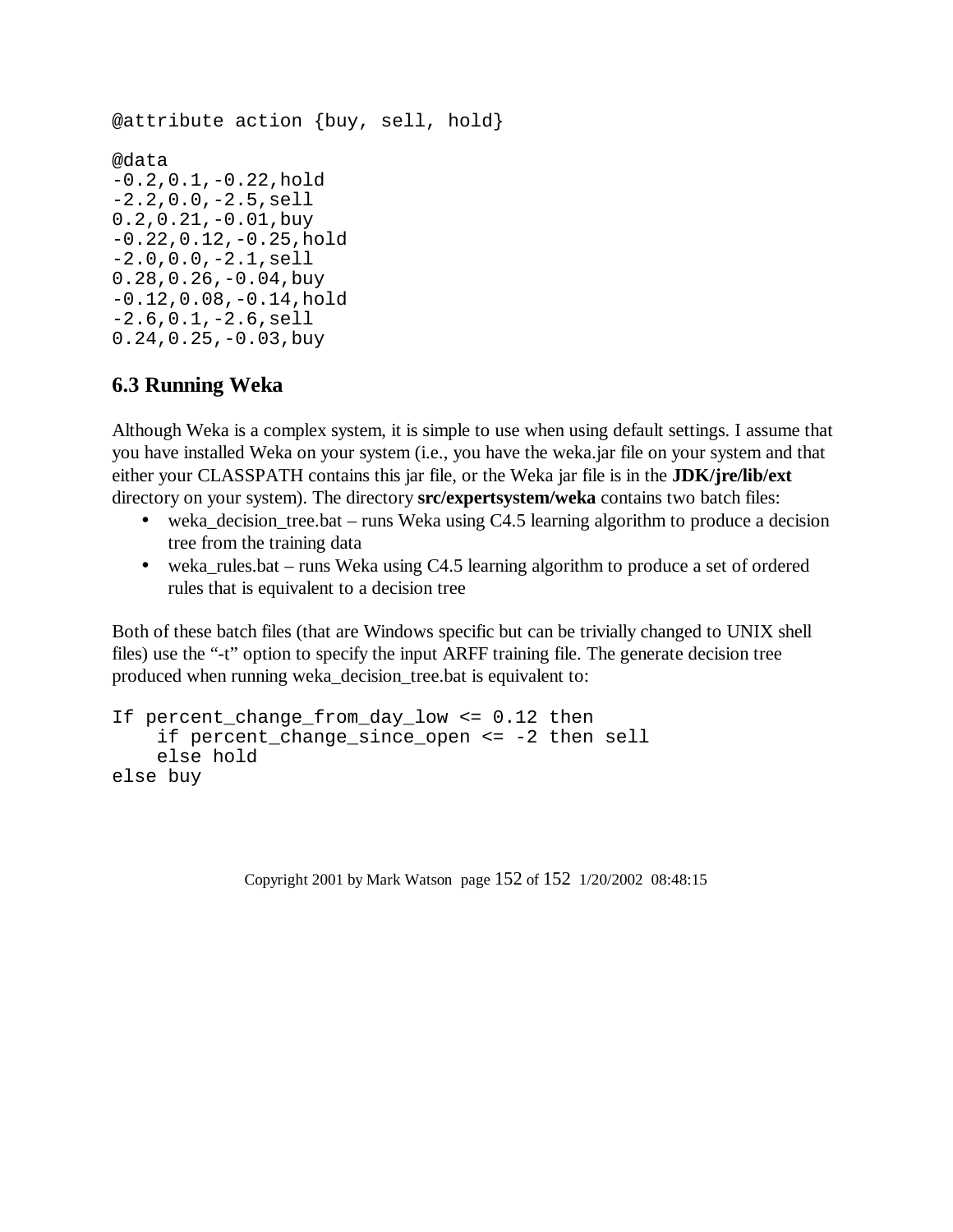@attribute action {buy, sell, hold} @data -0.2,0.1,-0.22,hold  $-2.2, 0.0, -2.5,$ sell 0.2,0.21,-0.01,buy -0.22,0.12,-0.25,hold  $-2.0, 0.0, -2.1,$ sell 0.28,0.26,-0.04,buy -0.12,0.08,-0.14,hold  $-2.6, 0.1, -2.6$ , sell 0.24,0.25,-0.03,buy

## **6.3 Running Weka**

Although Weka is a complex system, it is simple to use when using default settings. I assume that you have installed Weka on your system (i.e., you have the weka.jar file on your system and that either your CLASSPATH contains this jar file, or the Weka jar file is in the **JDK/jre/lib/ext** directory on your system). The directory **src/expertsystem/weka** contains two batch files:

- weka\_decision\_tree.bat runs Weka using C4.5 learning algorithm to produce a decision tree from the training data
- weka rules.bat runs Weka using C4.5 learning algorithm to produce a set of ordered rules that is equivalent to a decision tree

Both of these batch files (that are Windows specific but can be trivially changed to UNIX shell files) use the "-t" option to specify the input ARFF training file. The generate decision tree produced when running weka\_decision\_tree.bat is equivalent to:

```
If percent change from day low \leq 0.12 then
    if percent change since open \le -2 then sell
    else hold
else buy
```
Copyright 2001 by Mark Watson page 152 of 152 1/20/2002 08:48:15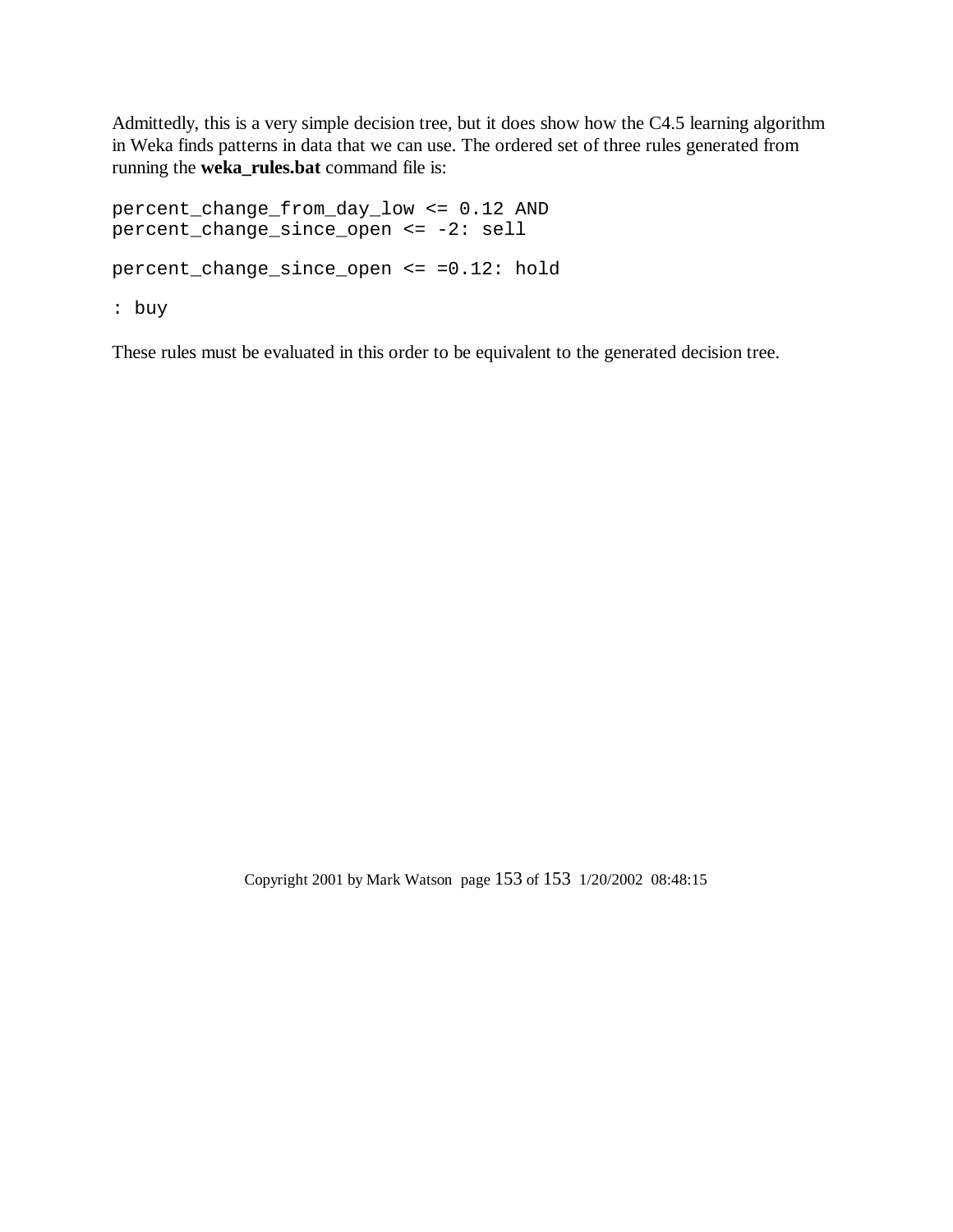Admittedly, this is a very simple decision tree, but it does show how the C4.5 learning algorithm in Weka finds patterns in data that we can use. The ordered set of three rules generated from running the **weka\_rules.bat** command file is:

```
percent_change_from_day_low <= 0.12 AND
percent_change_since_open <= -2: sell
percent_change_since_open <= =0.12: hold
: buy
```
These rules must be evaluated in this order to be equivalent to the generated decision tree.

Copyright 2001 by Mark Watson page 153 of 153 1/20/2002 08:48:15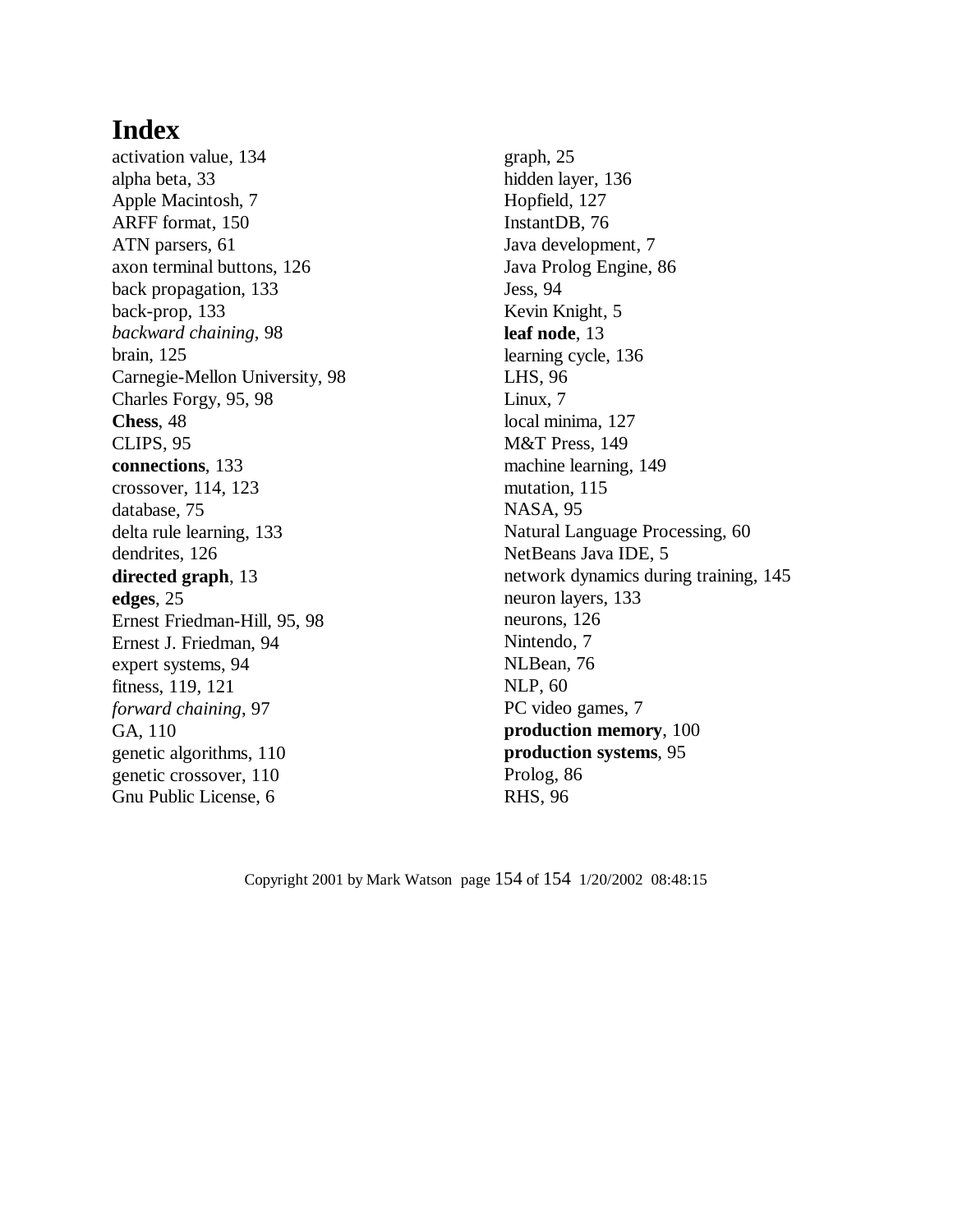## **Index**

activation value, 134 alpha beta, 33 Apple Macintosh, 7 ARFF format, 150 ATN parsers, 61 axon terminal buttons, 126 back propagation, 133 back-prop, 133 *backward chaining*, 98 brain, 125 Carnegie-Mellon University, 98 Charles Forgy, 95, 98 **Chess**, 48 CLIPS, 95 **connections**, 133 crossover, 114, 123 database, 75 delta rule learning, 133 dendrites, 126 **directed graph**, 13 **edges**, 25 Ernest Friedman-Hill, 95, 98 Ernest J. Friedman, 94 expert systems, 94 fitness, 119, 121 *forward chaining*, 97 GA, 110 genetic algorithms, 110 genetic crossover, 110 Gnu Public License, 6

graph, 25 hidden layer, 136 Hopfield, 127 InstantDB, 76 Java development, 7 Java Prolog Engine, 86 Jess, 94 Kevin Knight, 5 **leaf node**, 13 learning cycle, 136 LHS, 96 Linux, 7 local minima, 127 M&T Press, 149 machine learning, 149 mutation, 115 NASA, 95 Natural Language Processing, 60 NetBeans Java IDE, 5 network dynamics during training, 145 neuron layers, 133 neurons, 126 Nintendo, 7 NLBean, 76 NLP, 60 PC video games, 7 **production memory**, 100 **production systems**, 95 Prolog, 86 RHS, 96

Copyright 2001 by Mark Watson page 154 of 154 1/20/2002 08:48:15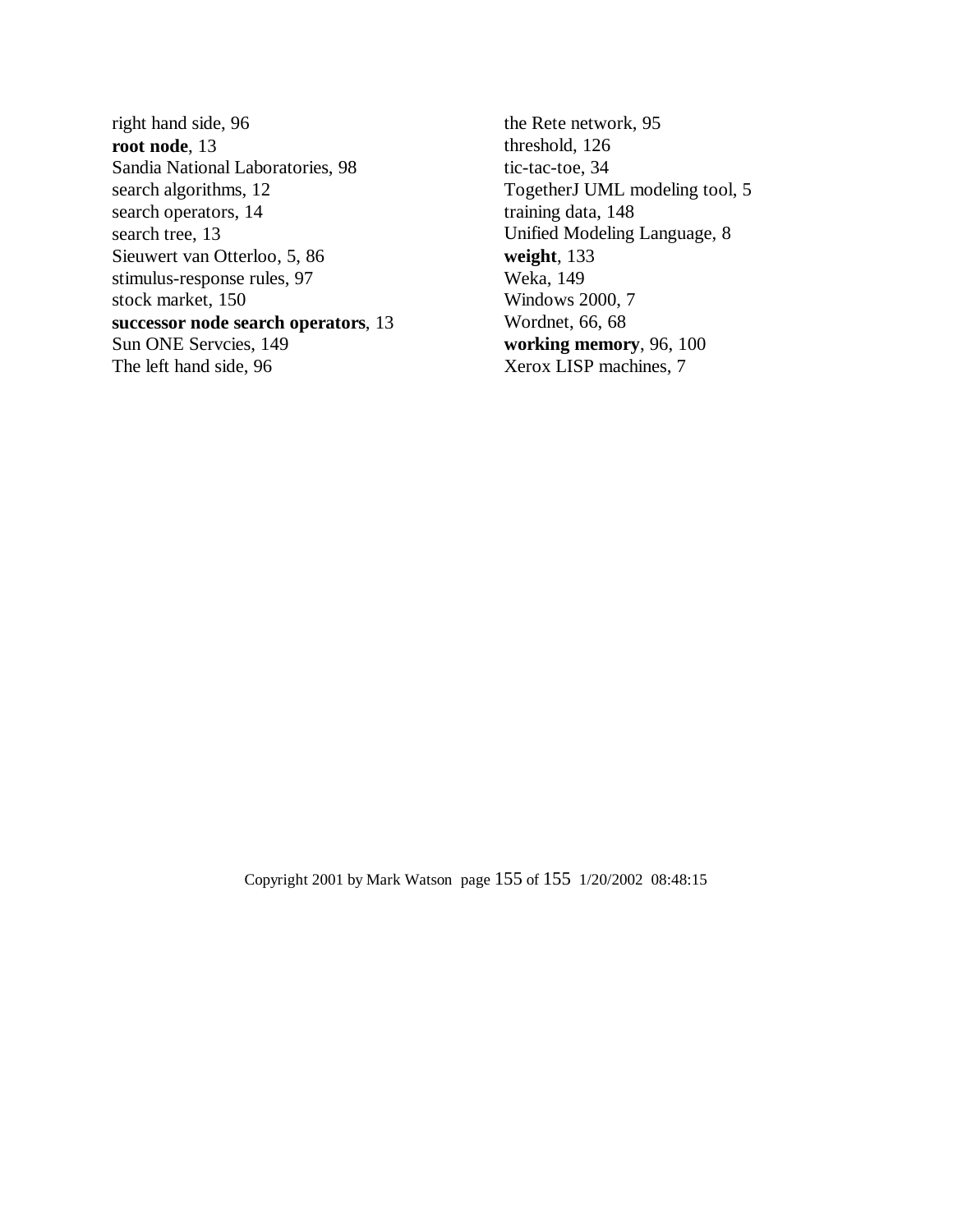- right hand side, 96 **root node**, 13 Sandia National Laboratories, 98 search algorithms, 12 search operators, 14 search tree, 13 Sieuwert van Otterloo, 5, 86 stimulus-response rules, 97 stock market, 150 **successor node search operators**, 13 Sun ONE Servcies, 149 The left hand side, 96
- the Rete network, 95 threshold, 126 tic-tac-toe, 34 TogetherJ UML modeling tool, 5 training data, 148 Unified Modeling Language, 8 **weight**, 133 Weka, 149 Windows 2000, 7 Wordnet, 66, 68 **working memory**, 96, 100 Xerox LISP machines, 7

Copyright 2001 by Mark Watson page 155 of 155 1/20/2002 08:48:15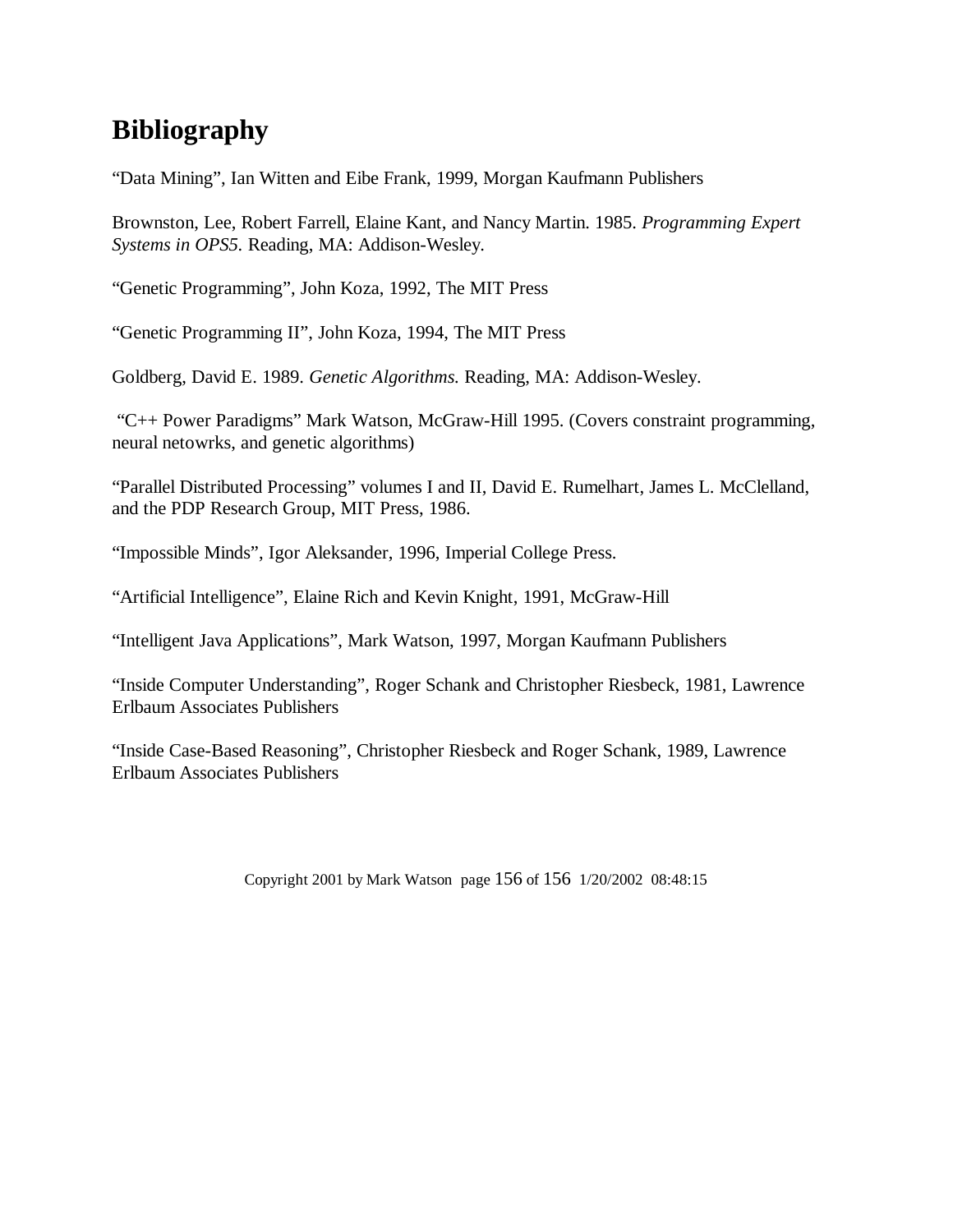# **Bibliography**

"Data Mining", Ian Witten and Eibe Frank, 1999, Morgan Kaufmann Publishers

Brownston, Lee, Robert Farrell, Elaine Kant, and Nancy Martin. 1985. *Programming Expert Systems in OPS5.* Reading, MA: Addison-Wesley.

"Genetic Programming", John Koza, 1992, The MIT Press

"Genetic Programming II", John Koza, 1994, The MIT Press

Goldberg, David E. 1989. *Genetic Algorithms.* Reading, MA: Addison-Wesley.

"C++ Power Paradigms" Mark Watson, McGraw-Hill 1995. (Covers constraint programming, neural netowrks, and genetic algorithms)

"Parallel Distributed Processing" volumes I and II, David E. Rumelhart, James L. McClelland, and the PDP Research Group, MIT Press, 1986.

"Impossible Minds", Igor Aleksander, 1996, Imperial College Press.

"Artificial Intelligence", Elaine Rich and Kevin Knight, 1991, McGraw-Hill

"Intelligent Java Applications", Mark Watson, 1997, Morgan Kaufmann Publishers

"Inside Computer Understanding", Roger Schank and Christopher Riesbeck, 1981, Lawrence Erlbaum Associates Publishers

"Inside Case-Based Reasoning", Christopher Riesbeck and Roger Schank, 1989, Lawrence Erlbaum Associates Publishers

Copyright 2001 by Mark Watson page 156 of 156 1/20/2002 08:48:15